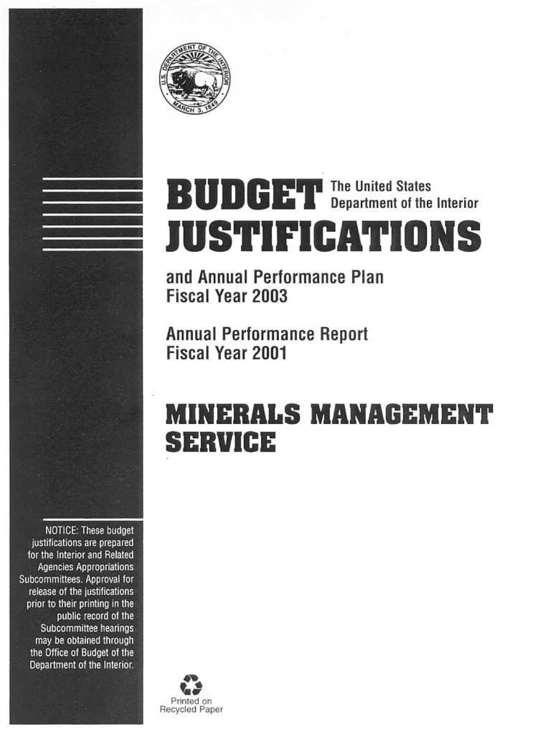

# **BUDGET** The United States **JUSTIFICATIONS**

and Annual Performance Plan **Fiscal Year 2003** 

**Annual Performance Report** Fiscal Year 2001

## **MINERALS MANAGEMENT SERVICE**

**NOTICE: These budget** justifications are prepared for the Interior and Related **Agencies Appropriations** Subcommittees. Approval for release of the justifications prior to their printing in the public record of the Subcommittee hearings may be obtained through the Office of Budget of the Department of the Interior.

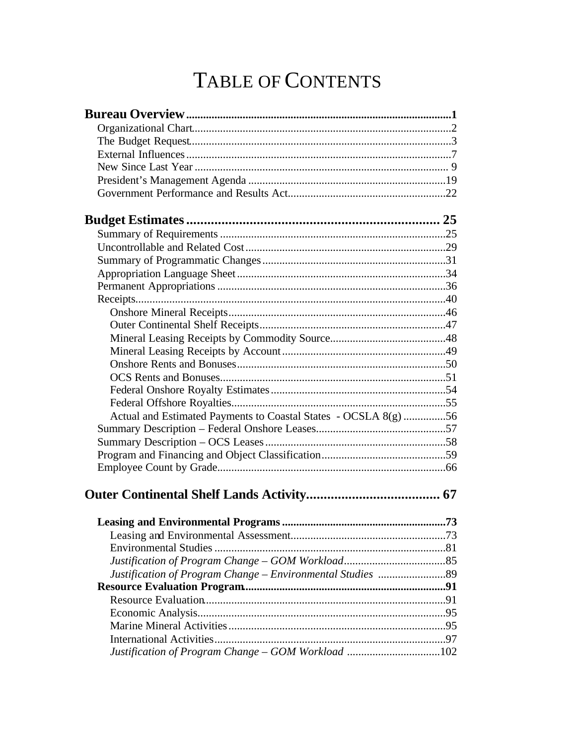## TABLE OF CONTENTS

| Actual and Estimated Payments to Coastal States - OCSLA 8(g) 56 |  |
|-----------------------------------------------------------------|--|
|                                                                 |  |
|                                                                 |  |
|                                                                 |  |
|                                                                 |  |
|                                                                 |  |
|                                                                 |  |
|                                                                 |  |
|                                                                 |  |
|                                                                 |  |
|                                                                 |  |
|                                                                 |  |
|                                                                 |  |
|                                                                 |  |
|                                                                 |  |
|                                                                 |  |
|                                                                 |  |
| Justification of Program Change - GOM Workload 102              |  |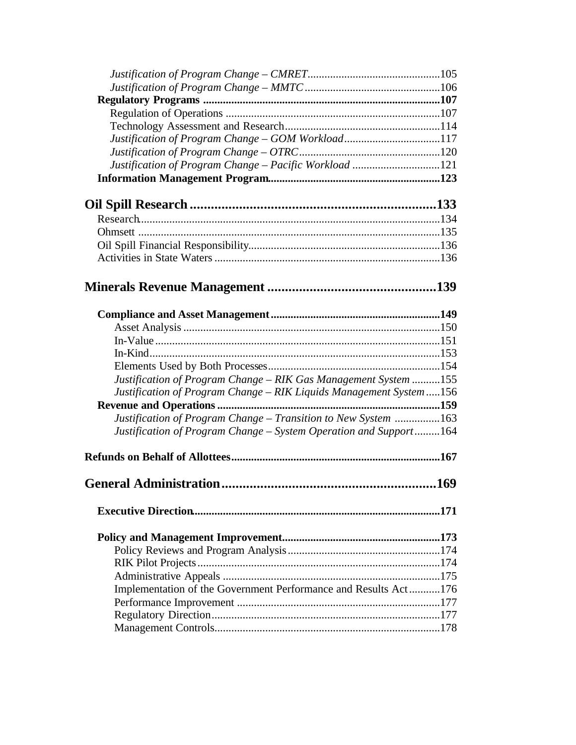| Justification of Program Change - GOM Workload117                   |  |
|---------------------------------------------------------------------|--|
|                                                                     |  |
| Justification of Program Change - Pacific Workload 121              |  |
|                                                                     |  |
|                                                                     |  |
|                                                                     |  |
|                                                                     |  |
|                                                                     |  |
|                                                                     |  |
|                                                                     |  |
|                                                                     |  |
|                                                                     |  |
|                                                                     |  |
|                                                                     |  |
|                                                                     |  |
|                                                                     |  |
| Justification of Program Change - RIK Gas Management System 155     |  |
| Justification of Program Change - RIK Liquids Management System 156 |  |
|                                                                     |  |
| Justification of Program Change - Transition to New System 163      |  |
| Justification of Program Change - System Operation and Support164   |  |
|                                                                     |  |
|                                                                     |  |
|                                                                     |  |
|                                                                     |  |
|                                                                     |  |
|                                                                     |  |
|                                                                     |  |
| Implementation of the Government Performance and Results Act176     |  |
|                                                                     |  |
|                                                                     |  |
|                                                                     |  |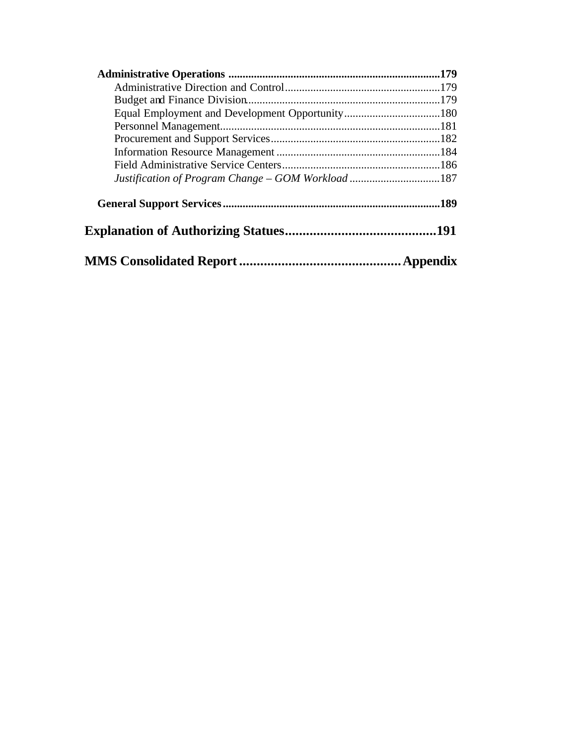| Justification of Program Change - GOM Workload187 |      |
|---------------------------------------------------|------|
|                                                   | .189 |
|                                                   |      |
|                                                   |      |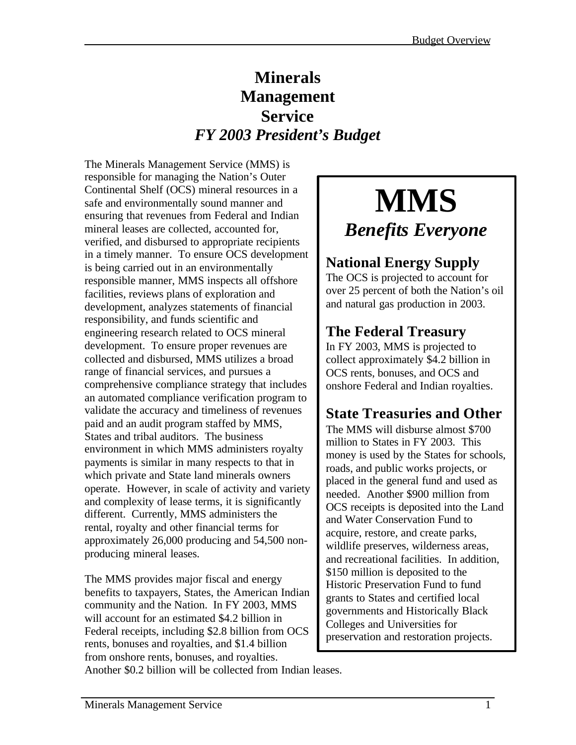## **Minerals Management Service** *FY 2003 President's Budget*

The Minerals Management Service (MMS) is responsible for managing the Nation's Outer Continental Shelf (OCS) mineral resources in a safe and environmentally sound manner and ensuring that revenues from Federal and Indian mineral leases are collected, accounted for, verified, and disbursed to appropriate recipients in a timely manner. To ensure OCS development is being carried out in an environmentally responsible manner, MMS inspects all offshore facilities, reviews plans of exploration and development, analyzes statements of financial responsibility, and funds scientific and engineering research related to OCS mineral development. To ensure proper revenues are collected and disbursed, MMS utilizes a broad range of financial services, and pursues a comprehensive compliance strategy that includes an automated compliance verification program to validate the accuracy and timeliness of revenues paid and an audit program staffed by MMS, States and tribal auditors. The business environment in which MMS administers royalty payments is similar in many respects to that in which private and State land minerals owners operate. However, in scale of activity and variety and complexity of lease terms, it is significantly different. Currently, MMS administers the rental, royalty and other financial terms for approximately 26,000 producing and 54,500 nonproducing mineral leases.

The MMS provides major fiscal and energy benefits to taxpayers, States, the American Indian community and the Nation. In FY 2003, MMS will account for an estimated \$4.2 billion in Federal receipts, including \$2.8 billion from OCS rents, bonuses and royalties, and \$1.4 billion from onshore rents, bonuses, and royalties.

## **MMS** *Benefits Everyone*

## **National Energy Supply**

The OCS is projected to account for over 25 percent of both the Nation's oil and natural gas production in 2003.

## **The Federal Treasury**

In FY 2003, MMS is projected to collect approximately \$4.2 billion in OCS rents, bonuses, and OCS and onshore Federal and Indian royalties.

## **State Treasuries and Other**

The MMS will disburse almost \$700 million to States in FY 2003. This money is used by the States for schools, roads, and public works projects, or placed in the general fund and used as needed. Another \$900 million from OCS receipts is deposited into the Land and Water Conservation Fund to acquire, restore, and create parks, wildlife preserves, wilderness areas, and recreational facilities. In addition, \$150 million is deposited to the Historic Preservation Fund to fund grants to States and certified local governments and Historically Black Colleges and Universities for preservation and restoration projects.

Another \$0.2 billion will be collected from Indian leases.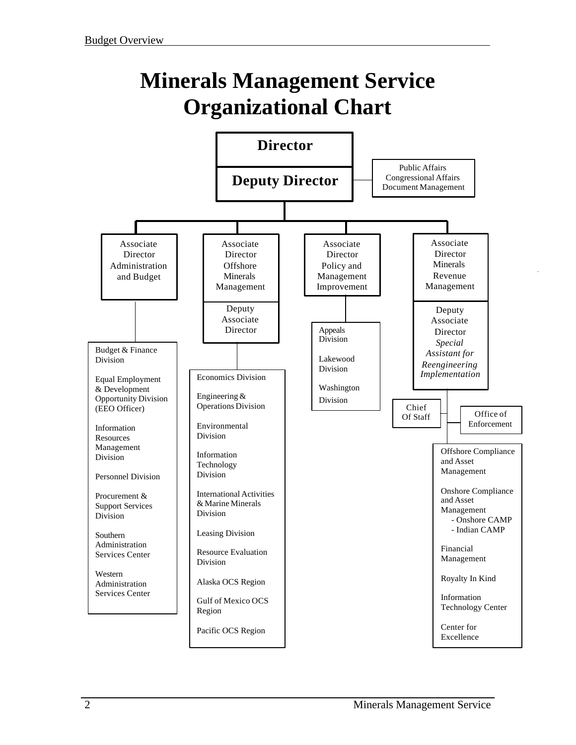## **Minerals Management Service Organizational Chart**

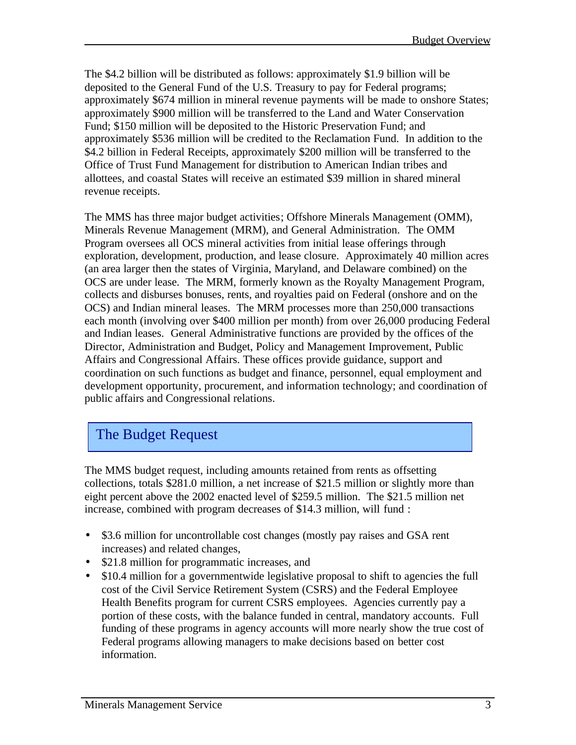The \$4.2 billion will be distributed as follows: approximately \$1.9 billion will be deposited to the General Fund of the U.S. Treasury to pay for Federal programs; approximately \$674 million in mineral revenue payments will be made to onshore States; approximately \$900 million will be transferred to the Land and Water Conservation Fund; \$150 million will be deposited to the Historic Preservation Fund; and approximately \$536 million will be credited to the Reclamation Fund. In addition to the \$4.2 billion in Federal Receipts, approximately \$200 million will be transferred to the Office of Trust Fund Management for distribution to American Indian tribes and allottees, and coastal States will receive an estimated \$39 million in shared mineral revenue receipts.

The MMS has three major budget activities; Offshore Minerals Management (OMM), Minerals Revenue Management (MRM), and General Administration. The OMM Program oversees all OCS mineral activities from initial lease offerings through exploration, development, production, and lease closure. Approximately 40 million acres (an area larger then the states of Virginia, Maryland, and Delaware combined) on the OCS are under lease. The MRM, formerly known as the Royalty Management Program, collects and disburses bonuses, rents, and royalties paid on Federal (onshore and on the OCS) and Indian mineral leases. The MRM processes more than 250,000 transactions each month (involving over \$400 million per month) from over 26,000 producing Federal and Indian leases. General Administrative functions are provided by the offices of the Director, Administration and Budget, Policy and Management Improvement, Public Affairs and Congressional Affairs. These offices provide guidance, support and coordination on such functions as budget and finance, personnel, equal employment and development opportunity, procurement, and information technology; and coordination of public affairs and Congressional relations.

## The Budget Request

The MMS budget request, including amounts retained from rents as offsetting collections, totals \$281.0 million, a net increase of \$21.5 million or slightly more than eight percent above the 2002 enacted level of \$259.5 million. The \$21.5 million net increase, combined with program decreases of \$14.3 million, will fund :

- \$3.6 million for uncontrollable cost changes (mostly pay raises and GSA rent increases) and related changes,
- \$21.8 million for programmatic increases, and
- \$10.4 million for a governmentwide legislative proposal to shift to agencies the full cost of the Civil Service Retirement System (CSRS) and the Federal Employee Health Benefits program for current CSRS employees. Agencies currently pay a portion of these costs, with the balance funded in central, mandatory accounts. Full funding of these programs in agency accounts will more nearly show the true cost of Federal programs allowing managers to make decisions based on better cost information.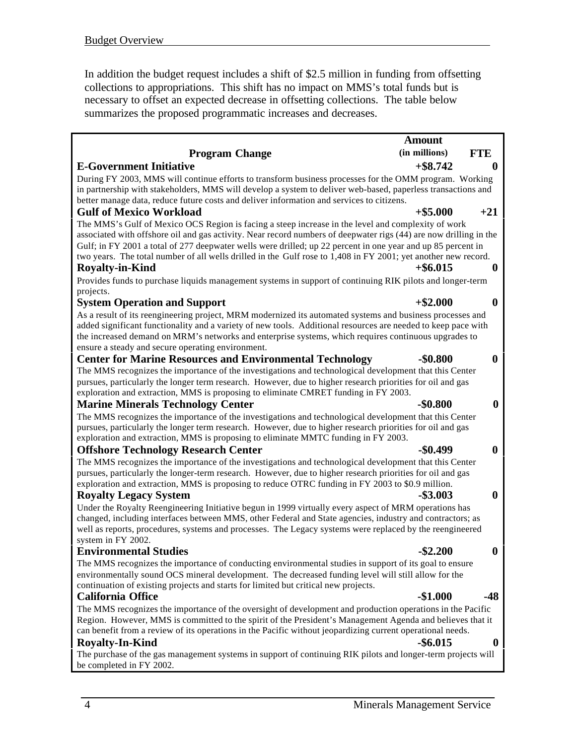In addition the budget request includes a shift of \$2.5 million in funding from offsetting collections to appropriations. This shift has no impact on MMS's total funds but is necessary to offset an expected decrease in offsetting collections. The table below summarizes the proposed programmatic increases and decreases.

|                                                                                                                                                                                                                                                                                                                                                                                                                                                                                     | <b>Amount</b> |                  |
|-------------------------------------------------------------------------------------------------------------------------------------------------------------------------------------------------------------------------------------------------------------------------------------------------------------------------------------------------------------------------------------------------------------------------------------------------------------------------------------|---------------|------------------|
| <b>Program Change</b>                                                                                                                                                                                                                                                                                                                                                                                                                                                               | (in millions) | <b>FTE</b>       |
| <b>E-Government Initiative</b>                                                                                                                                                                                                                                                                                                                                                                                                                                                      | $+$ \$8.742   | $\boldsymbol{0}$ |
| During FY 2003, MMS will continue efforts to transform business processes for the OMM program. Working<br>in partnership with stakeholders, MMS will develop a system to deliver web-based, paperless transactions and<br>better manage data, reduce future costs and deliver information and services to citizens.                                                                                                                                                                 |               |                  |
| <b>Gulf of Mexico Workload</b>                                                                                                                                                                                                                                                                                                                                                                                                                                                      | $+$ \$5.000   | $+21$            |
| The MMS's Gulf of Mexico OCS Region is facing a steep increase in the level and complexity of work<br>associated with offshore oil and gas activity. Near record numbers of deepwater rigs (44) are now drilling in the<br>Gulf; in FY 2001 a total of 277 deepwater wells were drilled; up 22 percent in one year and up 85 percent in<br>two years. The total number of all wells drilled in the Gulf rose to 1,408 in FY 2001; yet another new record.<br><b>Royalty-in-Kind</b> | $+$ \$6.015   | $\boldsymbol{0}$ |
| Provides funds to purchase liquids management systems in support of continuing RIK pilots and longer-term                                                                                                                                                                                                                                                                                                                                                                           |               |                  |
| projects.                                                                                                                                                                                                                                                                                                                                                                                                                                                                           |               |                  |
| <b>System Operation and Support</b><br>As a result of its reengineering project, MRM modernized its automated systems and business processes and<br>added significant functionality and a variety of new tools. Additional resources are needed to keep pace with<br>the increased demand on MRM's networks and enterprise systems, which requires continuous upgrades to                                                                                                           | $+$ \$2.000   | $\boldsymbol{0}$ |
| ensure a steady and secure operating environment.                                                                                                                                                                                                                                                                                                                                                                                                                                   |               |                  |
| <b>Center for Marine Resources and Environmental Technology</b>                                                                                                                                                                                                                                                                                                                                                                                                                     | $-$0.800$     | $\boldsymbol{0}$ |
| The MMS recognizes the importance of the investigations and technological development that this Center<br>pursues, particularly the longer term research. However, due to higher research priorities for oil and gas<br>exploration and extraction, MMS is proposing to eliminate CMRET funding in FY 2003.                                                                                                                                                                         |               |                  |
| <b>Marine Minerals Technology Center</b>                                                                                                                                                                                                                                                                                                                                                                                                                                            | $-$0.800$     | $\boldsymbol{0}$ |
| The MMS recognizes the importance of the investigations and technological development that this Center<br>pursues, particularly the longer term research. However, due to higher research priorities for oil and gas<br>exploration and extraction, MMS is proposing to eliminate MMTC funding in FY 2003.                                                                                                                                                                          |               |                  |
| <b>Offshore Technology Research Center</b>                                                                                                                                                                                                                                                                                                                                                                                                                                          | $-$0.499$     | $\boldsymbol{0}$ |
| The MMS recognizes the importance of the investigations and technological development that this Center<br>pursues, particularly the longer-term research. However, due to higher research priorities for oil and gas<br>exploration and extraction, MMS is proposing to reduce OTRC funding in FY 2003 to \$0.9 million.<br><b>Royalty Legacy System</b>                                                                                                                            | $-$ \$3.003   | $\boldsymbol{0}$ |
| Under the Royalty Reengineering Initiative begun in 1999 virtually every aspect of MRM operations has                                                                                                                                                                                                                                                                                                                                                                               |               |                  |
| changed, including interfaces between MMS, other Federal and State agencies, industry and contractors; as<br>well as reports, procedures, systems and processes. The Legacy systems were replaced by the reengineered<br>system in FY 2002.                                                                                                                                                                                                                                         |               |                  |
| <b>Environmental Studies</b>                                                                                                                                                                                                                                                                                                                                                                                                                                                        | $-$ \$2,200   | $\boldsymbol{0}$ |
| The MMS recognizes the importance of conducting environmental studies in support of its goal to ensure<br>environmentally sound OCS mineral development. The decreased funding level will still allow for the<br>continuation of existing projects and starts for limited but critical new projects.                                                                                                                                                                                |               |                  |
| <b>California Office</b>                                                                                                                                                                                                                                                                                                                                                                                                                                                            | $-$1.000$     | -48              |
| The MMS recognizes the importance of the oversight of development and production operations in the Pacific<br>Region. However, MMS is committed to the spirit of the President's Management Agenda and believes that it<br>can benefit from a review of its operations in the Pacific without jeopardizing current operational needs.<br><b>Royalty-In-Kind</b>                                                                                                                     | $-$ \$6.015   | $\boldsymbol{0}$ |
| The purchase of the gas management systems in support of continuing RIK pilots and longer-term projects will<br>be completed in FY 2002.                                                                                                                                                                                                                                                                                                                                            |               |                  |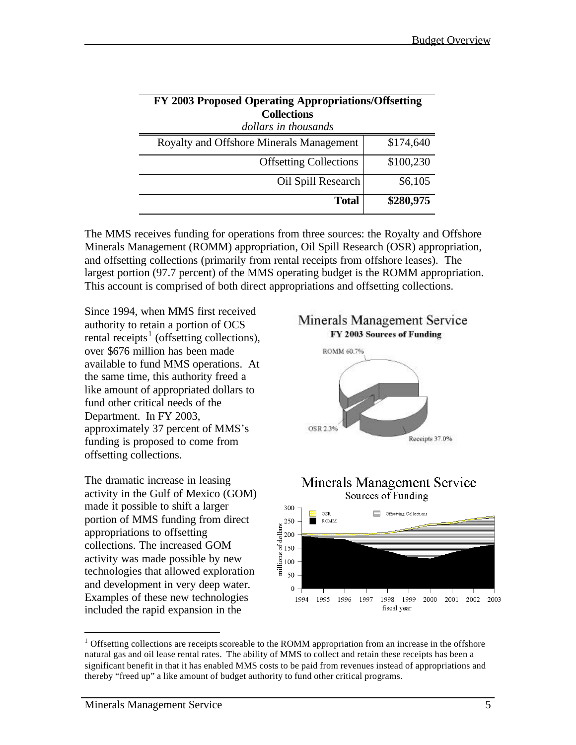| FY 2003 Proposed Operating Appropriations/Offsetting |           |  |  |  |  |  |  |  |
|------------------------------------------------------|-----------|--|--|--|--|--|--|--|
| <b>Collections</b>                                   |           |  |  |  |  |  |  |  |
| dollars in thousands                                 |           |  |  |  |  |  |  |  |
| Royalty and Offshore Minerals Management             | \$174,640 |  |  |  |  |  |  |  |
| <b>Offsetting Collections</b>                        | \$100,230 |  |  |  |  |  |  |  |
| Oil Spill Research                                   | \$6,105   |  |  |  |  |  |  |  |
| <b>Total</b>                                         | \$280,975 |  |  |  |  |  |  |  |

The MMS receives funding for operations from three sources: the Royalty and Offshore Minerals Management (ROMM) appropriation, Oil Spill Research (OSR) appropriation, and offsetting collections (primarily from rental receipts from offshore leases). The largest portion (97.7 percent) of the MMS operating budget is the ROMM appropriation. This account is comprised of both direct appropriations and offsetting collections.

Since 1994, when MMS first received authority to retain a portion of OCS rental receipts<sup>1</sup> (offsetting collections), over \$676 million has been made available to fund MMS operations. At the same time, this authority freed a like amount of appropriated dollars to fund other critical needs of the Department. In FY 2003, approximately 37 percent of MMS's funding is proposed to come from offsetting collections.

The dramatic increase in leasing activity in the Gulf of Mexico (GOM) made it possible to shift a larger portion of MMS funding from direct appropriations to offsetting collections. The increased GOM activity was made possible by new technologies that allowed exploration and development in very deep water. Examples of these new technologies included the rapid expansion in the



#### Minerals Management Service Sources of Funding



 $1$  Offsetting collections are receipts scoreable to the ROMM appropriation from an increase in the offshore natural gas and oil lease rental rates. The ability of MMS to collect and retain these receipts has been a significant benefit in that it has enabled MMS costs to be paid from revenues instead of appropriations and thereby "freed up" a like amount of budget authority to fund other critical programs.

 $\overline{a}$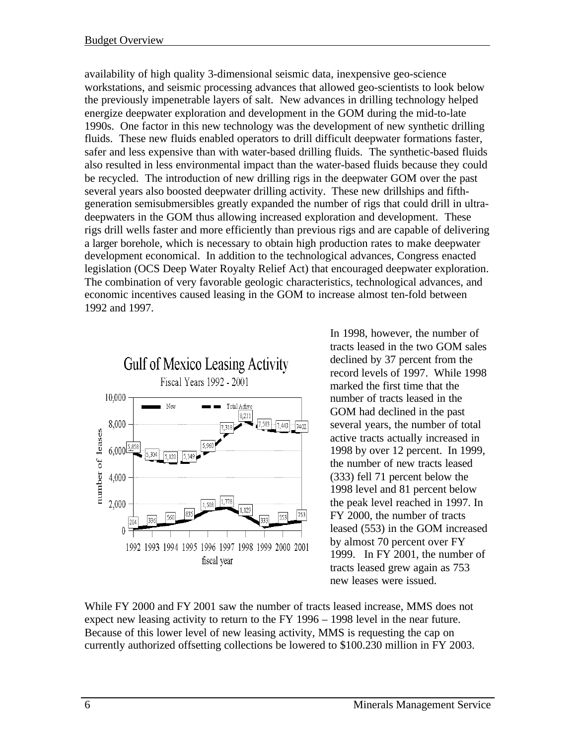availability of high quality 3-dimensional seismic data, inexpensive geo-science workstations, and seismic processing advances that allowed geo-scientists to look below the previously impenetrable layers of salt. New advances in drilling technology helped energize deepwater exploration and development in the GOM during the mid-to-late 1990s. One factor in this new technology was the development of new synthetic drilling fluids. These new fluids enabled operators to drill difficult deepwater formations faster, safer and less expensive than with water-based drilling fluids. The synthetic-based fluids also resulted in less environmental impact than the water-based fluids because they could be recycled. The introduction of new drilling rigs in the deepwater GOM over the past several years also boosted deepwater drilling activity. These new drillships and fifthgeneration semisubmersibles greatly expanded the number of rigs that could drill in ultradeepwaters in the GOM thus allowing increased exploration and development. These rigs drill wells faster and more efficiently than previous rigs and are capable of delivering a larger borehole, which is necessary to obtain high production rates to make deepwater development economical. In addition to the technological advances, Congress enacted legislation (OCS Deep Water Royalty Relief Act) that encouraged deepwater exploration. The combination of very favorable geologic characteristics, technological advances, and economic incentives caused leasing in the GOM to increase almost ten-fold between 1992 and 1997.



In 1998, however, the number of tracts leased in the two GOM sales declined by 37 percent from the record levels of 1997. While 1998 marked the first time that the number of tracts leased in the GOM had declined in the past several years, the number of total active tracts actually increased in 1998 by over 12 percent. In 1999, the number of new tracts leased (333) fell 71 percent below the 1998 level and 81 percent below the peak level reached in 1997. In FY 2000, the number of tracts leased (553) in the GOM increased by almost 70 percent over FY 1999. In FY 2001, the number of tracts leased grew again as 753 new leases were issued.

While FY 2000 and FY 2001 saw the number of tracts leased increase, MMS does not expect new leasing activity to return to the FY 1996 – 1998 level in the near future. Because of this lower level of new leasing activity, MMS is requesting the cap on currently authorized offsetting collections be lowered to \$100.230 million in FY 2003.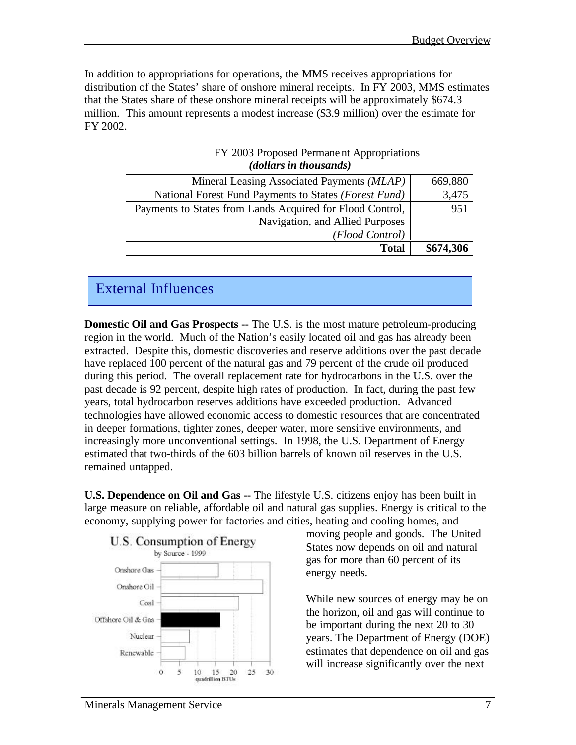In addition to appropriations for operations, the MMS receives appropriations for distribution of the States' share of onshore mineral receipts. In FY 2003, MMS estimates that the States share of these onshore mineral receipts will be approximately \$674.3 million. This amount represents a modest increase (\$3.9 million) over the estimate for FY 2002.

| FY 2003 Proposed Permane nt Appropriations<br>(dollars in thousands) |           |
|----------------------------------------------------------------------|-----------|
| Mineral Leasing Associated Payments (MLAP)                           | 669,880   |
| National Forest Fund Payments to States (Forest Fund)                | 3,475     |
| Payments to States from Lands Acquired for Flood Control,            | 951       |
| Navigation, and Allied Purposes                                      |           |
| (Flood Control)                                                      |           |
| <b>Total</b>                                                         | \$674,306 |

## External Influences

**Domestic Oil and Gas Prospects --** The U.S. is the most mature petroleum-producing region in the world. Much of the Nation's easily located oil and gas has already been extracted. Despite this, domestic discoveries and reserve additions over the past decade have replaced 100 percent of the natural gas and 79 percent of the crude oil produced during this period. The overall replacement rate for hydrocarbons in the U.S. over the past decade is 92 percent, despite high rates of production. In fact, during the past few years, total hydrocarbon reserves additions have exceeded production. Advanced technologies have allowed economic access to domestic resources that are concentrated in deeper formations, tighter zones, deeper water, more sensitive environments, and increasingly more unconventional settings. In 1998, the U.S. Department of Energy estimated that two-thirds of the 603 billion barrels of known oil reserves in the U.S. remained untapped.

**U.S. Dependence on Oil and Gas --** The lifestyle U.S. citizens enjoy has been built in large measure on reliable, affordable oil and natural gas supplies. Energy is critical to the economy, supplying power for factories and cities, heating and cooling homes, and



moving people and goods. The United States now depends on oil and natural gas for more than 60 percent of its energy needs.

While new sources of energy may be on the horizon, oil and gas will continue to be important during the next 20 to 30 years. The Department of Energy (DOE) estimates that dependence on oil and gas will increase significantly over the next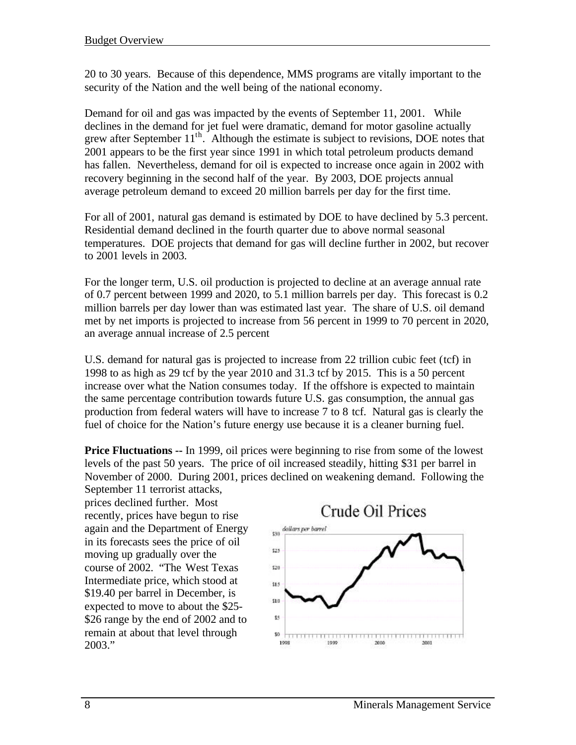20 to 30 years. Because of this dependence, MMS programs are vitally important to the security of the Nation and the well being of the national economy.

Demand for oil and gas was impacted by the events of September 11, 2001. While declines in the demand for jet fuel were dramatic, demand for motor gasoline actually grew after September 11<sup>th</sup>. Although the estimate is subject to revisions, DOE notes that 2001 appears to be the first year since 1991 in which total petroleum products demand has fallen. Nevertheless, demand for oil is expected to increase once again in 2002 with recovery beginning in the second half of the year. By 2003, DOE projects annual average petroleum demand to exceed 20 million barrels per day for the first time.

For all of 2001, natural gas demand is estimated by DOE to have declined by 5.3 percent. Residential demand declined in the fourth quarter due to above normal seasonal temperatures. DOE projects that demand for gas will decline further in 2002, but recover to 2001 levels in 2003.

For the longer term, U.S. oil production is projected to decline at an average annual rate of 0.7 percent between 1999 and 2020, to 5.1 million barrels per day. This forecast is 0.2 million barrels per day lower than was estimated last year. The share of U.S. oil demand met by net imports is projected to increase from 56 percent in 1999 to 70 percent in 2020, an average annual increase of 2.5 percent

U.S. demand for natural gas is projected to increase from 22 trillion cubic feet (tcf) in 1998 to as high as 29 tcf by the year 2010 and 31.3 tcf by 2015. This is a 50 percent increase over what the Nation consumes today. If the offshore is expected to maintain the same percentage contribution towards future U.S. gas consumption, the annual gas production from federal waters will have to increase 7 to 8 tcf. Natural gas is clearly the fuel of choice for the Nation's future energy use because it is a cleaner burning fuel.

**Price Fluctuations --** In 1999, oil prices were beginning to rise from some of the lowest levels of the past 50 years. The price of oil increased steadily, hitting \$31 per barrel in November of 2000. During 2001, prices declined on weakening demand. Following the September 11 terrorist attacks,

prices declined further. Most recently, prices have begun to rise again and the Department of Energy in its forecasts sees the price of oil moving up gradually over the course of 2002. "The West Texas Intermediate price, which stood at \$19.40 per barrel in December, is expected to move to about the \$25- \$26 range by the end of 2002 and to remain at about that level through 2003."

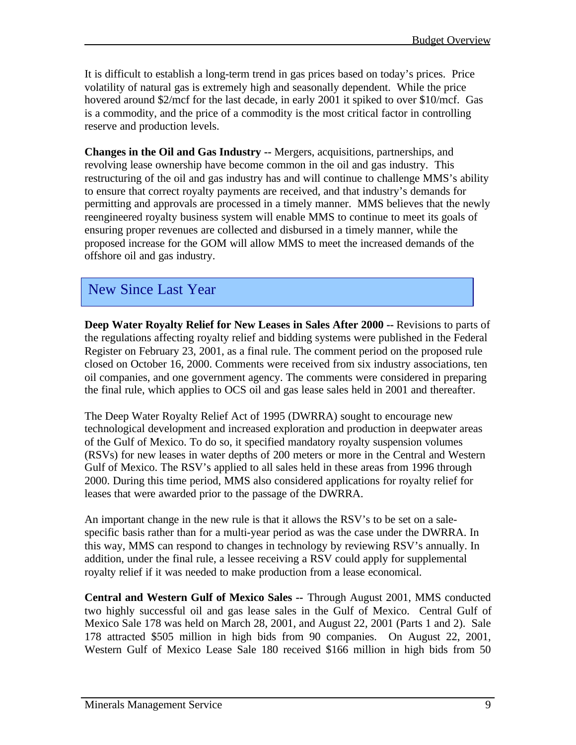It is difficult to establish a long-term trend in gas prices based on today's prices. Price volatility of natural gas is extremely high and seasonally dependent. While the price hovered around \$2/mcf for the last decade, in early 2001 it spiked to over \$10/mcf. Gas is a commodity, and the price of a commodity is the most critical factor in controlling reserve and production levels.

**Changes in the Oil and Gas Industry --** Mergers, acquisitions, partnerships, and revolving lease ownership have become common in the oil and gas industry. This restructuring of the oil and gas industry has and will continue to challenge MMS's ability to ensure that correct royalty payments are received, and that industry's demands for permitting and approvals are processed in a timely manner. MMS believes that the newly reengineered royalty business system will enable MMS to continue to meet its goals of ensuring proper revenues are collected and disbursed in a timely manner, while the proposed increase for the GOM will allow MMS to meet the increased demands of the offshore oil and gas industry.

## New Since Last Year

**Deep Water Royalty Relief for New Leases in Sales After 2000 --** Revisions to parts of the regulations affecting royalty relief and bidding systems were published in the Federal Register on February 23, 2001, as a final rule. The comment period on the proposed rule closed on October 16, 2000. Comments were received from six industry associations, ten oil companies, and one government agency. The comments were considered in preparing the final rule, which applies to OCS oil and gas lease sales held in 2001 and thereafter.

The Deep Water Royalty Relief Act of 1995 (DWRRA) sought to encourage new technological development and increased exploration and production in deepwater areas of the Gulf of Mexico. To do so, it specified mandatory royalty suspension volumes (RSVs) for new leases in water depths of 200 meters or more in the Central and Western Gulf of Mexico. The RSV's applied to all sales held in these areas from 1996 through 2000. During this time period, MMS also considered applications for royalty relief for leases that were awarded prior to the passage of the DWRRA.

An important change in the new rule is that it allows the RSV's to be set on a salespecific basis rather than for a multi-year period as was the case under the DWRRA. In this way, MMS can respond to changes in technology by reviewing RSV's annually. In addition, under the final rule, a lessee receiving a RSV could apply for supplemental royalty relief if it was needed to make production from a lease economical.

**Central and Western Gulf of Mexico Sales --** Through August 2001, MMS conducted two highly successful oil and gas lease sales in the Gulf of Mexico. Central Gulf of Mexico Sale 178 was held on March 28, 2001, and August 22, 2001 (Parts 1 and 2). Sale 178 attracted \$505 million in high bids from 90 companies. On August 22, 2001, Western Gulf of Mexico Lease Sale 180 received \$166 million in high bids from 50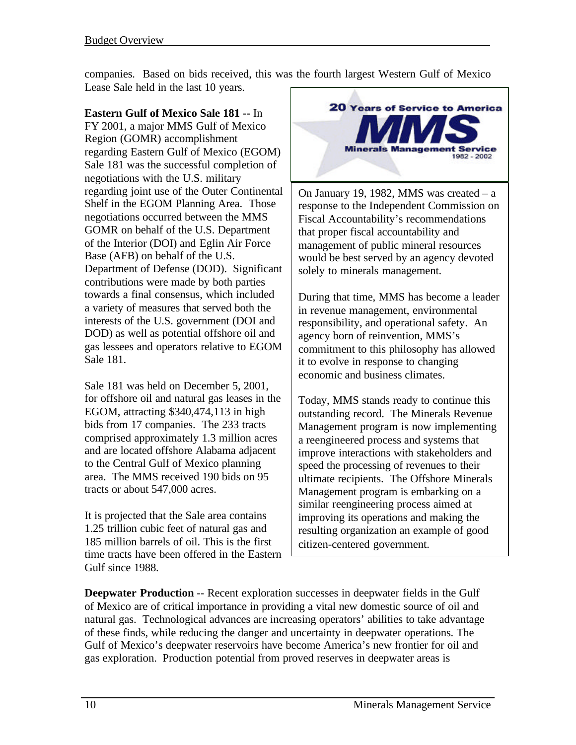companies. Based on bids received, this was the fourth largest Western Gulf of Mexico Lease Sale held in the last 10 years.

**Eastern Gulf of Mexico Sale 181 --** In FY 2001, a major MMS Gulf of Mexico Region (GOMR) accomplishment regarding Eastern Gulf of Mexico (EGOM) Sale 181 was the successful completion of negotiations with the U.S. military regarding joint use of the Outer Continental Shelf in the EGOM Planning Area. Those negotiations occurred between the MMS GOMR on behalf of the U.S. Department of the Interior (DOI) and Eglin Air Force Base (AFB) on behalf of the U.S. Department of Defense (DOD). Significant contributions were made by both parties towards a final consensus, which included a variety of measures that served both the interests of the U.S. government (DOI and DOD) as well as potential offshore oil and gas lessees and operators relative to EGOM Sale 181.

Sale 181 was held on December 5, 2001, for offshore oil and natural gas leases in the EGOM, attracting \$340,474,113 in high bids from 17 companies. The 233 tracts comprised approximately 1.3 million acres and are located offshore Alabama adjacent to the Central Gulf of Mexico planning area. The MMS received 190 bids on 95 tracts or about 547,000 acres.

It is projected that the Sale area contains 1.25 trillion cubic feet of natural gas and 185 million barrels of oil. This is the first time tracts have been offered in the Eastern Gulf since 1988.



On January 19, 1982, MMS was created – a response to the Independent Commission on Fiscal Accountability's recommendations that proper fiscal accountability and management of public mineral resources would be best served by an agency devoted solely to minerals management.

During that time, MMS has become a leader in revenue management, environmental responsibility, and operational safety. An agency born of reinvention, MMS's commitment to this philosophy has allowed it to evolve in response to changing economic and business climates.

Today, MMS stands ready to continue this outstanding record. The Minerals Revenue Management program is now implementing a reengineered process and systems that improve interactions with stakeholders and speed the processing of revenues to their ultimate recipients. The Offshore Minerals Management program is embarking on a similar reengineering process aimed at improving its operations and making the resulting organization an example of good citizen-centered government.

**Deepwater Production** -- Recent exploration successes in deepwater fields in the Gulf of Mexico are of critical importance in providing a vital new domestic source of oil and natural gas. Technological advances are increasing operators' abilities to take advantage of these finds, while reducing the danger and uncertainty in deepwater operations. The Gulf of Mexico's deepwater reservoirs have become America's new frontier for oil and gas exploration. Production potential from proved reserves in deepwater areas is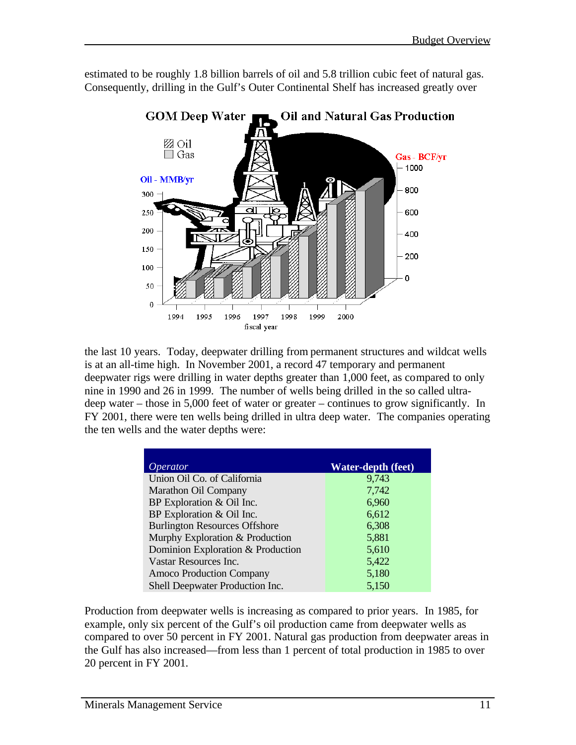

estimated to be roughly 1.8 billion barrels of oil and 5.8 trillion cubic feet of natural gas. Consequently, drilling in the Gulf's Outer Continental Shelf has increased greatly over

the last 10 years. Today, deepwater drilling from permanent structures and wildcat wells is at an all-time high. In November 2001, a record 47 temporary and permanent deepwater rigs were drilling in water depths greater than 1,000 feet, as compared to only nine in 1990 and 26 in 1999. The number of wells being drilled in the so called ultradeep water – those in 5,000 feet of water or greater – continues to grow significantly. In FY 2001, there were ten wells being drilled in ultra deep water. The companies operating the ten wells and the water depths were:

| <i>Operator</i>                      | <b>Water-depth (feet)</b> |
|--------------------------------------|---------------------------|
| Union Oil Co. of California          | 9,743                     |
| <b>Marathon Oil Company</b>          | 7,742                     |
| BP Exploration & Oil Inc.            | 6,960                     |
| BP Exploration & Oil Inc.            | 6,612                     |
| <b>Burlington Resources Offshore</b> | 6,308                     |
| Murphy Exploration & Production      | 5,881                     |
| Dominion Exploration & Production    | 5,610                     |
| Vastar Resources Inc.                | 5,422                     |
| <b>Amoco Production Company</b>      | 5,180                     |
| Shell Deepwater Production Inc.      | 5,150                     |

Production from deepwater wells is increasing as compared to prior years. In 1985, for example, only six percent of the Gulf's oil production came from deepwater wells as compared to over 50 percent in FY 2001. Natural gas production from deepwater areas in the Gulf has also increased—from less than 1 percent of total production in 1985 to over 20 percent in FY 2001.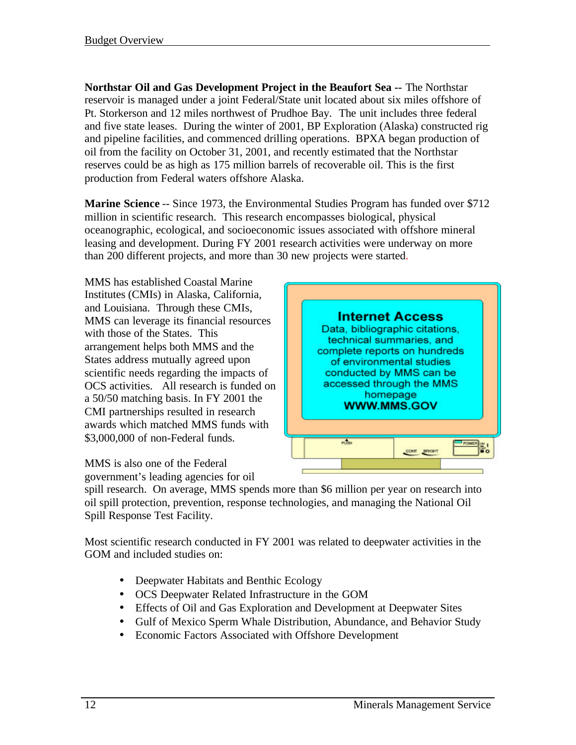**Northstar Oil and Gas Development Project in the Beaufort Sea --** The Northstar reservoir is managed under a joint Federal/State unit located about six miles offshore of Pt. Storkerson and 12 miles northwest of Prudhoe Bay. The unit includes three federal and five state leases. During the winter of 2001, BP Exploration (Alaska) constructed rig and pipeline facilities, and commenced drilling operations. BPXA began production of oil from the facility on October 31, 2001, and recently estimated that the Northstar reserves could be as high as 175 million barrels of recoverable oil. This is the first production from Federal waters offshore Alaska.

**Marine Science** -- Since 1973, the Environmental Studies Program has funded over \$712 million in scientific research. This research encompasses biological, physical oceanographic, ecological, and socioeconomic issues associated with offshore mineral leasing and development. During FY 2001 research activities were underway on more than 200 different projects, and more than 30 new projects were started.

MMS has established Coastal Marine Institutes (CMIs) in Alaska, California, and Louisiana. Through these CMIs, MMS can leverage its financial resources with those of the States. This arrangement helps both MMS and the States address mutually agreed upon scientific needs regarding the impacts of OCS activities. All research is funded on a 50/50 matching basis. In FY 2001 the CMI partnerships resulted in research awards which matched MMS funds with \$3,000,000 of non-Federal funds.



MMS is also one of the Federal government's leading agencies for oil

spill research. On average, MMS spends more than \$6 million per year on research into oil spill protection, prevention, response technologies, and managing the National Oil Spill Response Test Facility.

Most scientific research conducted in FY 2001 was related to deepwater activities in the GOM and included studies on:

- Deepwater Habitats and Benthic Ecology
- OCS Deepwater Related Infrastructure in the GOM
- Effects of Oil and Gas Exploration and Development at Deepwater Sites
- Gulf of Mexico Sperm Whale Distribution, Abundance, and Behavior Study
- Economic Factors Associated with Offshore Development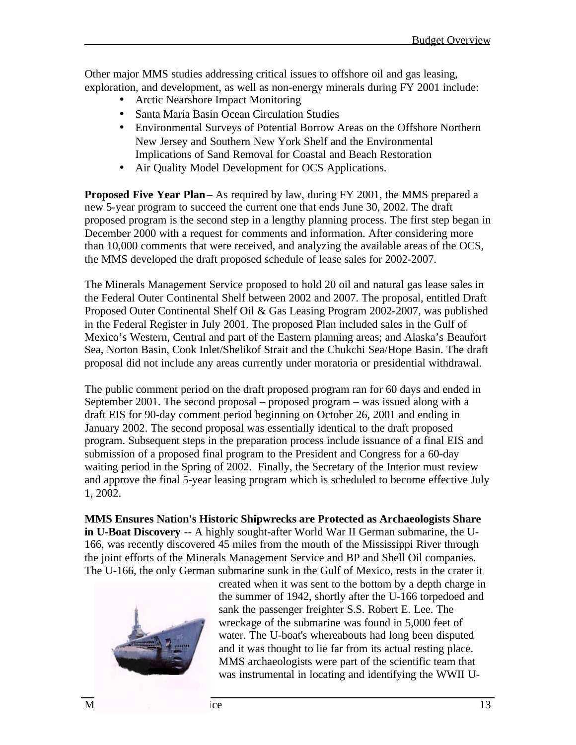Other major MMS studies addressing critical issues to offshore oil and gas leasing, exploration, and development, as well as non-energy minerals during FY 2001 include:

- Arctic Nearshore Impact Monitoring
- Santa Maria Basin Ocean Circulation Studies
- Environmental Surveys of Potential Borrow Areas on the Offshore Northern New Jersey and Southern New York Shelf and the Environmental Implications of Sand Removal for Coastal and Beach Restoration
- Air Quality Model Development for OCS Applications.

**Proposed Five Year Plan** – As required by law, during FY 2001, the MMS prepared a new 5-year program to succeed the current one that ends June 30, 2002. The draft proposed program is the second step in a lengthy planning process. The first step began in December 2000 with a request for comments and information. After considering more than 10,000 comments that were received, and analyzing the available areas of the OCS, the MMS developed the draft proposed schedule of lease sales for 2002-2007.

The Minerals Management Service proposed to hold 20 oil and natural gas lease sales in the Federal Outer Continental Shelf between 2002 and 2007. The proposal, entitled Draft Proposed Outer Continental Shelf Oil & Gas Leasing Program 2002-2007, was published in the Federal Register in July 2001. The proposed Plan included sales in the Gulf of Mexico's Western, Central and part of the Eastern planning areas; and Alaska's Beaufort Sea, Norton Basin, Cook Inlet/Shelikof Strait and the Chukchi Sea/Hope Basin. The draft proposal did not include any areas currently under moratoria or presidential withdrawal.

The public comment period on the draft proposed program ran for 60 days and ended in September 2001. The second proposal – proposed program – was issued along with a draft EIS for 90-day comment period beginning on October 26, 2001 and ending in January 2002. The second proposal was essentially identical to the draft proposed program. Subsequent steps in the preparation process include issuance of a final EIS and submission of a proposed final program to the President and Congress for a 60-day waiting period in the Spring of 2002. Finally, the Secretary of the Interior must review and approve the final 5-year leasing program which is scheduled to become effective July 1, 2002.

**MMS Ensures Nation's Historic Shipwrecks are Protected as Archaeologists Share in U-Boat Discovery** -- A highly sought-after World War II German submarine, the U-166, was recently discovered 45 miles from the mouth of the Mississippi River through the joint efforts of the Minerals Management Service and BP and Shell Oil companies. The U-166, the only German submarine sunk in the Gulf of Mexico, rests in the crater it



created when it was sent to the bottom by a depth charge in the summer of 1942, shortly after the U-166 torpedoed and sank the passenger freighter S.S. Robert E. Lee. The wreckage of the submarine was found in 5,000 feet of water. The U-boat's whereabouts had long been disputed and it was thought to lie far from its actual resting place. MMS archaeologists were part of the scientific team that was instrumental in locating and identifying the WWII U-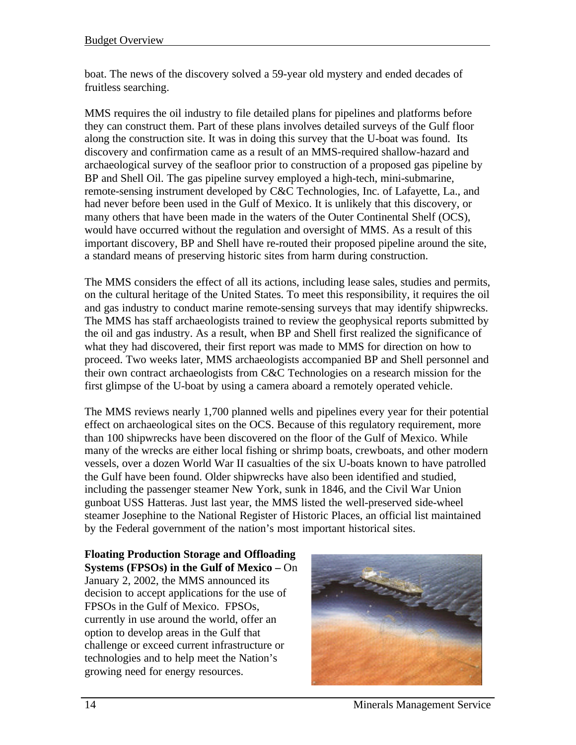boat. The news of the discovery solved a 59-year old mystery and ended decades of fruitless searching.

MMS requires the oil industry to file detailed plans for pipelines and platforms before they can construct them. Part of these plans involves detailed surveys of the Gulf floor along the construction site. It was in doing this survey that the U-boat was found. Its discovery and confirmation came as a result of an MMS-required shallow-hazard and archaeological survey of the seafloor prior to construction of a proposed gas pipeline by BP and Shell Oil. The gas pipeline survey employed a high-tech, mini-submarine, remote-sensing instrument developed by C&C Technologies, Inc. of Lafayette, La., and had never before been used in the Gulf of Mexico. It is unlikely that this discovery, or many others that have been made in the waters of the Outer Continental Shelf (OCS), would have occurred without the regulation and oversight of MMS. As a result of this important discovery, BP and Shell have re-routed their proposed pipeline around the site, a standard means of preserving historic sites from harm during construction.

The MMS considers the effect of all its actions, including lease sales, studies and permits, on the cultural heritage of the United States. To meet this responsibility, it requires the oil and gas industry to conduct marine remote-sensing surveys that may identify shipwrecks. The MMS has staff archaeologists trained to review the geophysical reports submitted by the oil and gas industry. As a result, when BP and Shell first realized the significance of what they had discovered, their first report was made to MMS for direction on how to proceed. Two weeks later, MMS archaeologists accompanied BP and Shell personnel and their own contract archaeologists from C&C Technologies on a research mission for the first glimpse of the U-boat by using a camera aboard a remotely operated vehicle.

The MMS reviews nearly 1,700 planned wells and pipelines every year for their potential effect on archaeological sites on the OCS. Because of this regulatory requirement, more than 100 shipwrecks have been discovered on the floor of the Gulf of Mexico. While many of the wrecks are either local fishing or shrimp boats, crewboats, and other modern vessels, over a dozen World War II casualties of the six U-boats known to have patrolled the Gulf have been found. Older shipwrecks have also been identified and studied, including the passenger steamer New York, sunk in 1846, and the Civil War Union gunboat USS Hatteras. Just last year, the MMS listed the well-preserved side-wheel steamer Josephine to the National Register of Historic Places, an official list maintained by the Federal government of the nation's most important historical sites.

**Floating Production Storage and Offloading Systems (FPSOs) in the Gulf of Mexico –** On January 2, 2002, the MMS announced its decision to accept applications for the use of FPSOs in the Gulf of Mexico. FPSOs, currently in use around the world, offer an option to develop areas in the Gulf that challenge or exceed current infrastructure or technologies and to help meet the Nation's growing need for energy resources.



14 Minerals Management Service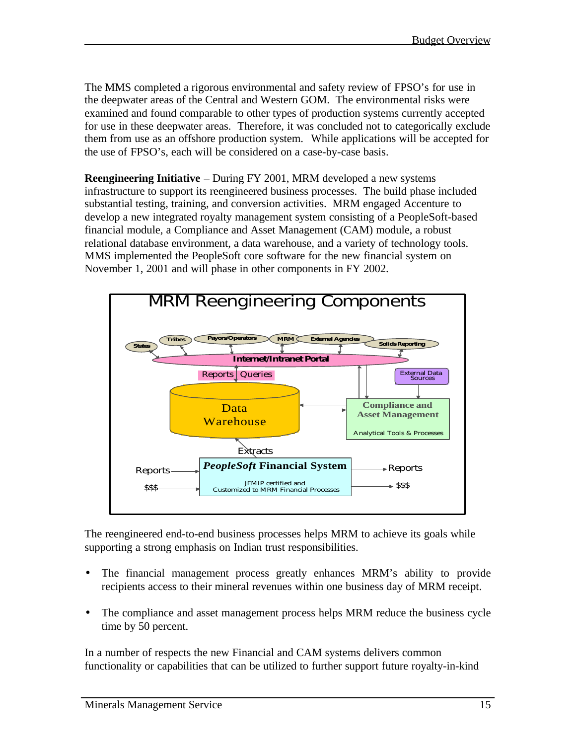The MMS completed a rigorous environmental and safety review of FPSO's for use in the deepwater areas of the Central and Western GOM. The environmental risks were examined and found comparable to other types of production systems currently accepted for use in these deepwater areas. Therefore, it was concluded not to categorically exclude them from use as an offshore production system. While applications will be accepted for the use of FPSO's, each will be considered on a case-by-case basis.

**Reengineering Initiative** – During FY 2001, MRM developed a new systems infrastructure to support its reengineered business processes. The build phase included substantial testing, training, and conversion activities. MRM engaged Accenture to develop a new integrated royalty management system consisting of a PeopleSoft-based financial module, a Compliance and Asset Management (CAM) module, a robust relational database environment, a data warehouse, and a variety of technology tools. MMS implemented the PeopleSoft core software for the new financial system on November 1, 2001 and will phase in other components in FY 2002.



The reengineered end-to-end business processes helps MRM to achieve its goals while supporting a strong emphasis on Indian trust responsibilities.

- The financial management process greatly enhances MRM's ability to provide recipients access to their mineral revenues within one business day of MRM receipt.
- The compliance and asset management process helps MRM reduce the business cycle time by 50 percent.

In a number of respects the new Financial and CAM systems delivers common functionality or capabilities that can be utilized to further support future royalty-in-kind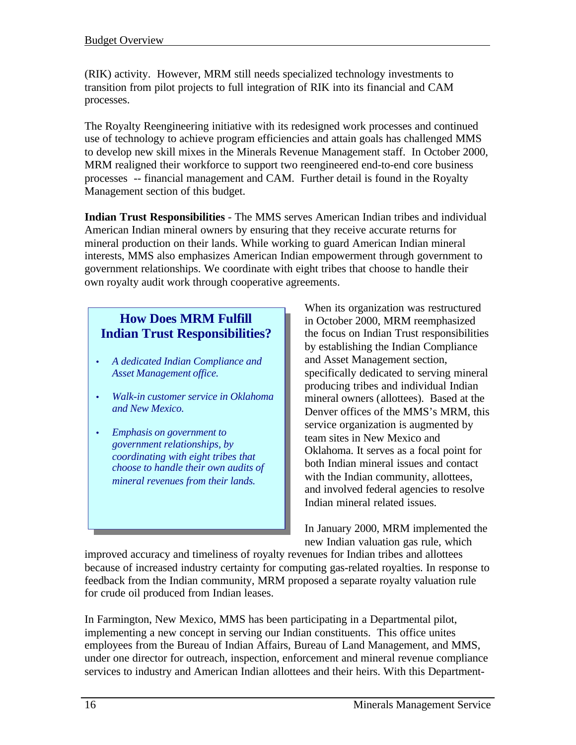(RIK) activity. However, MRM still needs specialized technology investments to transition from pilot projects to full integration of RIK into its financial and CAM processes.

The Royalty Reengineering initiative with its redesigned work processes and continued use of technology to achieve program efficiencies and attain goals has challenged MMS to develop new skill mixes in the Minerals Revenue Management staff. In October 2000, MRM realigned their workforce to support two reengineered end-to-end core business processes -- financial management and CAM. Further detail is found in the Royalty Management section of this budget.

**Indian Trust Responsibilities** - The MMS serves American Indian tribes and individual American Indian mineral owners by ensuring that they receive accurate returns for mineral production on their lands. While working to guard American Indian mineral interests, MMS also emphasizes American Indian empowerment through government to government relationships. We coordinate with eight tribes that choose to handle their own royalty audit work through cooperative agreements.

### **How Does MRM Fulfill Indian Trust Responsibilities?**

- *A dedicated Indian Compliance and Asset Management office.*
- *Walk-in customer service in Oklahoma and New Mexico.*
- *Emphasis on government to government relationships, by coordinating with eight tribes that choose to handle their own audits of mineral revenues from their lands.*

When its organization was restructured in October 2000, MRM reemphasized the focus on Indian Trust responsibilities by establishing the Indian Compliance and Asset Management section, specifically dedicated to serving mineral producing tribes and individual Indian mineral owners (allottees). Based at the Denver offices of the MMS's MRM, this service organization is augmented by team sites in New Mexico and Oklahoma. It serves as a focal point for both Indian mineral issues and contact with the Indian community, allottees, and involved federal agencies to resolve Indian mineral related issues.

In January 2000, MRM implemented the new Indian valuation gas rule, which

improved accuracy and timeliness of royalty revenues for Indian tribes and allottees because of increased industry certainty for computing gas-related royalties. In response to feedback from the Indian community, MRM proposed a separate royalty valuation rule for crude oil produced from Indian leases.

In Farmington, New Mexico, MMS has been participating in a Departmental pilot, implementing a new concept in serving our Indian constituents. This office unites employees from the Bureau of Indian Affairs, Bureau of Land Management, and MMS, under one director for outreach, inspection, enforcement and mineral revenue compliance services to industry and American Indian allottees and their heirs. With this Department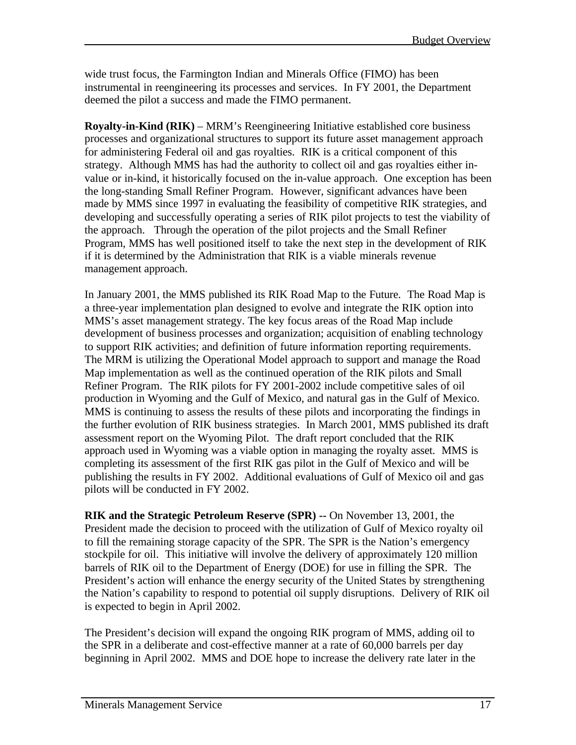wide trust focus, the Farmington Indian and Minerals Office (FIMO) has been instrumental in reengineering its processes and services. In FY 2001, the Department deemed the pilot a success and made the FIMO permanent.

**Royalty-in-Kind (RIK)** – MRM's Reengineering Initiative established core business processes and organizational structures to support its future asset management approach for administering Federal oil and gas royalties. RIK is a critical component of this strategy. Although MMS has had the authority to collect oil and gas royalties either invalue or in-kind, it historically focused on the in-value approach. One exception has been the long-standing Small Refiner Program. However, significant advances have been made by MMS since 1997 in evaluating the feasibility of competitive RIK strategies, and developing and successfully operating a series of RIK pilot projects to test the viability of the approach. Through the operation of the pilot projects and the Small Refiner Program, MMS has well positioned itself to take the next step in the development of RIK if it is determined by the Administration that RIK is a viable minerals revenue management approach.

In January 2001, the MMS published its RIK Road Map to the Future. The Road Map is a three-year implementation plan designed to evolve and integrate the RIK option into MMS's asset management strategy. The key focus areas of the Road Map include development of business processes and organization; acquisition of enabling technology to support RIK activities; and definition of future information reporting requirements. The MRM is utilizing the Operational Model approach to support and manage the Road Map implementation as well as the continued operation of the RIK pilots and Small Refiner Program. The RIK pilots for FY 2001-2002 include competitive sales of oil production in Wyoming and the Gulf of Mexico, and natural gas in the Gulf of Mexico. MMS is continuing to assess the results of these pilots and incorporating the findings in the further evolution of RIK business strategies. In March 2001, MMS published its draft assessment report on the Wyoming Pilot. The draft report concluded that the RIK approach used in Wyoming was a viable option in managing the royalty asset. MMS is completing its assessment of the first RIK gas pilot in the Gulf of Mexico and will be publishing the results in FY 2002. Additional evaluations of Gulf of Mexico oil and gas pilots will be conducted in FY 2002.

**RIK and the Strategic Petroleum Reserve (SPR) --** On November 13, 2001, the President made the decision to proceed with the utilization of Gulf of Mexico royalty oil to fill the remaining storage capacity of the SPR. The SPR is the Nation's emergency stockpile for oil. This initiative will involve the delivery of approximately 120 million barrels of RIK oil to the Department of Energy (DOE) for use in filling the SPR. The President's action will enhance the energy security of the United States by strengthening the Nation's capability to respond to potential oil supply disruptions. Delivery of RIK oil is expected to begin in April 2002.

The President's decision will expand the ongoing RIK program of MMS, adding oil to the SPR in a deliberate and cost-effective manner at a rate of 60,000 barrels per day beginning in April 2002. MMS and DOE hope to increase the delivery rate later in the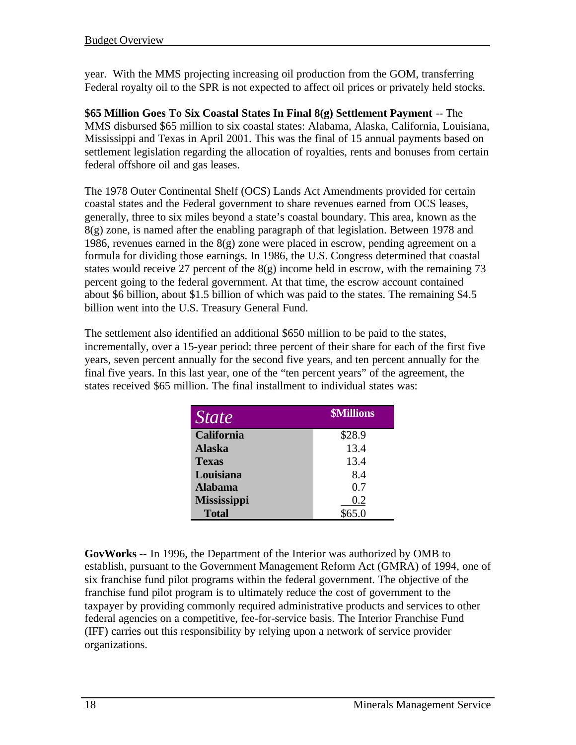year. With the MMS projecting increasing oil production from the GOM, transferring Federal royalty oil to the SPR is not expected to affect oil prices or privately held stocks.

**\$65 Million Goes To Six Coastal States In Final 8(g) Settlement Payment** -- The MMS disbursed \$65 million to six coastal states: Alabama, Alaska, California, Louisiana, Mississippi and Texas in April 2001. This was the final of 15 annual payments based on settlement legislation regarding the allocation of royalties, rents and bonuses from certain federal offshore oil and gas leases.

The 1978 Outer Continental Shelf (OCS) Lands Act Amendments provided for certain coastal states and the Federal government to share revenues earned from OCS leases, generally, three to six miles beyond a state's coastal boundary. This area, known as the 8(g) zone, is named after the enabling paragraph of that legislation. Between 1978 and 1986, revenues earned in the  $8(g)$  zone were placed in escrow, pending agreement on a formula for dividing those earnings. In 1986, the U.S. Congress determined that coastal states would receive 27 percent of the  $8(g)$  income held in escrow, with the remaining 73 percent going to the federal government. At that time, the escrow account contained about \$6 billion, about \$1.5 billion of which was paid to the states. The remaining \$4.5 billion went into the U.S. Treasury General Fund.

The settlement also identified an additional \$650 million to be paid to the states, incrementally, over a 15-year period: three percent of their share for each of the first five years, seven percent annually for the second five years, and ten percent annually for the final five years. In this last year, one of the "ten percent years" of the agreement, the states received \$65 million. The final installment to individual states was:

| <i>State</i>       | <b><i><u>SMillions</u></i></b> |
|--------------------|--------------------------------|
| California         | \$28.9                         |
| <b>Alaska</b>      | 13.4                           |
| <b>Texas</b>       | 13.4                           |
| Louisiana          | 8.4                            |
| <b>Alabama</b>     | 0.7                            |
| <b>Mississippi</b> | 0.2                            |
| <b>Total</b>       | \$65.0                         |

**GovWorks --** In 1996, the Department of the Interior was authorized by OMB to establish, pursuant to the Government Management Reform Act (GMRA) of 1994, one of six franchise fund pilot programs within the federal government. The objective of the franchise fund pilot program is to ultimately reduce the cost of government to the taxpayer by providing commonly required administrative products and services to other federal agencies on a competitive, fee-for-service basis. The Interior Franchise Fund (IFF) carries out this responsibility by relying upon a network of service provider organizations.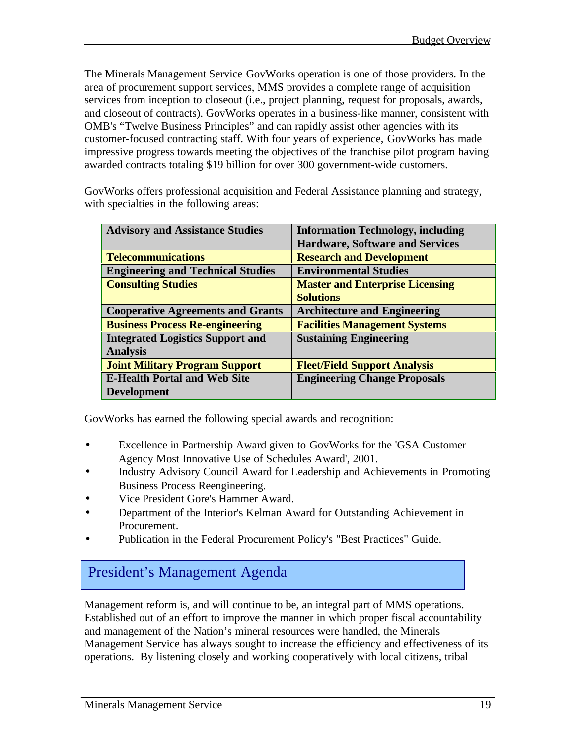The Minerals Management Service GovWorks operation is one of those providers. In the area of procurement support services, MMS provides a complete range of acquisition services from inception to closeout (i.e., project planning, request for proposals, awards, and closeout of contracts). GovWorks operates in a business-like manner, consistent with OMB's "Twelve Business Principles" and can rapidly assist other agencies with its customer-focused contracting staff. With four years of experience, GovWorks has made impressive progress towards meeting the objectives of the franchise pilot program having awarded contracts totaling \$19 billion for over 300 government-wide customers.

GovWorks offers professional acquisition and Federal Assistance planning and strategy, with specialties in the following areas:

| <b>Advisory and Assistance Studies</b>   | <b>Information Technology, including</b> |
|------------------------------------------|------------------------------------------|
|                                          | <b>Hardware, Software and Services</b>   |
| <b>Telecommunications</b>                | <b>Research and Development</b>          |
| <b>Engineering and Technical Studies</b> | <b>Environmental Studies</b>             |
| <b>Consulting Studies</b>                | <b>Master and Enterprise Licensing</b>   |
|                                          | <b>Solutions</b>                         |
| <b>Cooperative Agreements and Grants</b> | <b>Architecture and Engineering</b>      |
| <b>Business Process Re-engineering</b>   | <b>Facilities Management Systems</b>     |
| <b>Integrated Logistics Support and</b>  | <b>Sustaining Engineering</b>            |
| <b>Analysis</b>                          |                                          |
| <b>Joint Military Program Support</b>    | <b>Fleet/Field Support Analysis</b>      |
| <b>E-Health Portal and Web Site</b>      | <b>Engineering Change Proposals</b>      |
| <b>Development</b>                       |                                          |

GovWorks has earned the following special awards and recognition:

- Excellence in Partnership Award given to GovWorks for the 'GSA Customer Agency Most Innovative Use of Schedules Award', 2001.
- Industry Advisory Council Award for Leadership and Achievements in Promoting Business Process Reengineering.
- Vice President Gore's Hammer Award.
- Department of the Interior's Kelman Award for Outstanding Achievement in Procurement.
- Publication in the Federal Procurement Policy's "Best Practices" Guide.

## President's Management Agenda

Management reform is, and will continue to be, an integral part of MMS operations. Established out of an effort to improve the manner in which proper fiscal accountability and management of the Nation's mineral resources were handled, the Minerals Management Service has always sought to increase the efficiency and effectiveness of its operations. By listening closely and working cooperatively with local citizens, tribal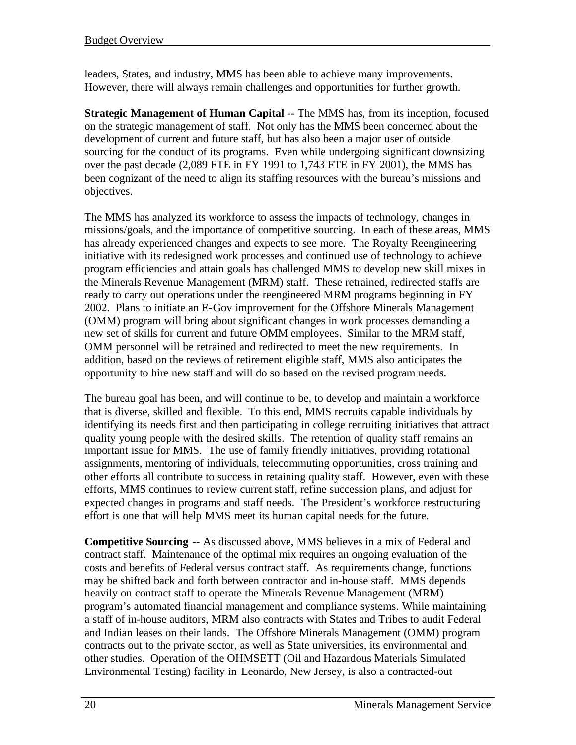leaders, States, and industry, MMS has been able to achieve many improvements. However, there will always remain challenges and opportunities for further growth.

**Strategic Management of Human Capital** -- The MMS has, from its inception, focused on the strategic management of staff. Not only has the MMS been concerned about the development of current and future staff, but has also been a major user of outside sourcing for the conduct of its programs. Even while undergoing significant downsizing over the past decade (2,089 FTE in FY 1991 to 1,743 FTE in FY 2001), the MMS has been cognizant of the need to align its staffing resources with the bureau's missions and objectives.

The MMS has analyzed its workforce to assess the impacts of technology, changes in missions/goals, and the importance of competitive sourcing. In each of these areas, MMS has already experienced changes and expects to see more. The Royalty Reengineering initiative with its redesigned work processes and continued use of technology to achieve program efficiencies and attain goals has challenged MMS to develop new skill mixes in the Minerals Revenue Management (MRM) staff. These retrained, redirected staffs are ready to carry out operations under the reengineered MRM programs beginning in FY 2002. Plans to initiate an E-Gov improvement for the Offshore Minerals Management (OMM) program will bring about significant changes in work processes demanding a new set of skills for current and future OMM employees. Similar to the MRM staff, OMM personnel will be retrained and redirected to meet the new requirements. In addition, based on the reviews of retirement eligible staff, MMS also anticipates the opportunity to hire new staff and will do so based on the revised program needs.

The bureau goal has been, and will continue to be, to develop and maintain a workforce that is diverse, skilled and flexible. To this end, MMS recruits capable individuals by identifying its needs first and then participating in college recruiting initiatives that attract quality young people with the desired skills. The retention of quality staff remains an important issue for MMS. The use of family friendly initiatives, providing rotational assignments, mentoring of individuals, telecommuting opportunities, cross training and other efforts all contribute to success in retaining quality staff. However, even with these efforts, MMS continues to review current staff, refine succession plans, and adjust for expected changes in programs and staff needs. The President's workforce restructuring effort is one that will help MMS meet its human capital needs for the future.

**Competitive Sourcing** -- As discussed above, MMS believes in a mix of Federal and contract staff. Maintenance of the optimal mix requires an ongoing evaluation of the costs and benefits of Federal versus contract staff. As requirements change, functions may be shifted back and forth between contractor and in-house staff. MMS depends heavily on contract staff to operate the Minerals Revenue Management (MRM) program's automated financial management and compliance systems. While maintaining a staff of in-house auditors, MRM also contracts with States and Tribes to audit Federal and Indian leases on their lands. The Offshore Minerals Management (OMM) program contracts out to the private sector, as well as State universities, its environmental and other studies. Operation of the OHMSETT (Oil and Hazardous Materials Simulated Environmental Testing) facility in Leonardo, New Jersey, is also a contracted-out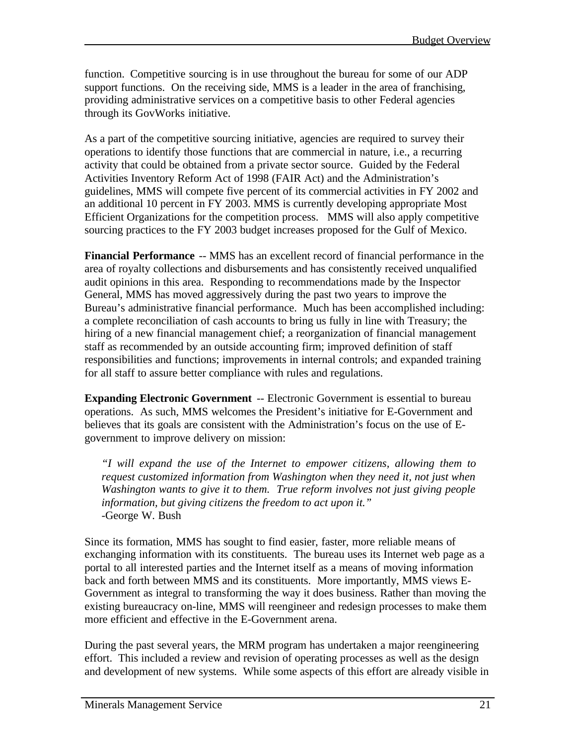function. Competitive sourcing is in use throughout the bureau for some of our ADP support functions. On the receiving side, MMS is a leader in the area of franchising, providing administrative services on a competitive basis to other Federal agencies through its GovWorks initiative.

As a part of the competitive sourcing initiative, agencies are required to survey their operations to identify those functions that are commercial in nature, i.e., a recurring activity that could be obtained from a private sector source. Guided by the Federal Activities Inventory Reform Act of 1998 (FAIR Act) and the Administration's guidelines, MMS will compete five percent of its commercial activities in FY 2002 and an additional 10 percent in FY 2003. MMS is currently developing appropriate Most Efficient Organizations for the competition process. MMS will also apply competitive sourcing practices to the FY 2003 budget increases proposed for the Gulf of Mexico.

**Financial Performance** -- MMS has an excellent record of financial performance in the area of royalty collections and disbursements and has consistently received unqualified audit opinions in this area. Responding to recommendations made by the Inspector General, MMS has moved aggressively during the past two years to improve the Bureau's administrative financial performance. Much has been accomplished including: a complete reconciliation of cash accounts to bring us fully in line with Treasury; the hiring of a new financial management chief; a reorganization of financial management staff as recommended by an outside accounting firm; improved definition of staff responsibilities and functions; improvements in internal controls; and expanded training for all staff to assure better compliance with rules and regulations.

**Expanding Electronic Government** -- Electronic Government is essential to bureau operations. As such, MMS welcomes the President's initiative for E-Government and believes that its goals are consistent with the Administration's focus on the use of Egovernment to improve delivery on mission:

*"I will expand the use of the Internet to empower citizens, allowing them to request customized information from Washington when they need it, not just when Washington wants to give it to them. True reform involves not just giving people information, but giving citizens the freedom to act upon it."* -George W. Bush

Since its formation, MMS has sought to find easier, faster, more reliable means of exchanging information with its constituents. The bureau uses its Internet web page as a portal to all interested parties and the Internet itself as a means of moving information back and forth between MMS and its constituents. More importantly, MMS views E-Government as integral to transforming the way it does business. Rather than moving the existing bureaucracy on-line, MMS will reengineer and redesign processes to make them more efficient and effective in the E-Government arena.

During the past several years, the MRM program has undertaken a major reengineering effort. This included a review and revision of operating processes as well as the design and development of new systems. While some aspects of this effort are already visible in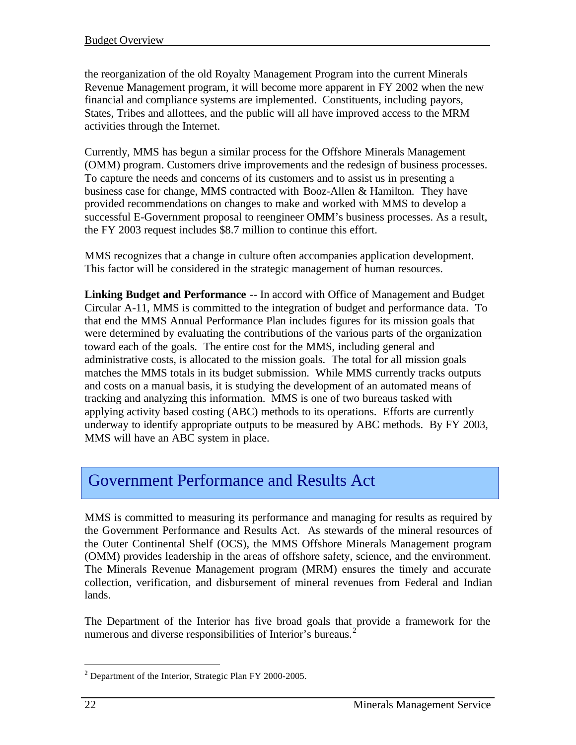the reorganization of the old Royalty Management Program into the current Minerals Revenue Management program, it will become more apparent in FY 2002 when the new financial and compliance systems are implemented. Constituents, including payors, States, Tribes and allottees, and the public will all have improved access to the MRM activities through the Internet.

Currently, MMS has begun a similar process for the Offshore Minerals Management (OMM) program. Customers drive improvements and the redesign of business processes. To capture the needs and concerns of its customers and to assist us in presenting a business case for change, MMS contracted with Booz-Allen & Hamilton. They have provided recommendations on changes to make and worked with MMS to develop a successful E-Government proposal to reengineer OMM's business processes. As a result, the FY 2003 request includes \$8.7 million to continue this effort.

MMS recognizes that a change in culture often accompanies application development. This factor will be considered in the strategic management of human resources.

**Linking Budget and Performance** -- In accord with Office of Management and Budget Circular A-11, MMS is committed to the integration of budget and performance data. To that end the MMS Annual Performance Plan includes figures for its mission goals that were determined by evaluating the contributions of the various parts of the organization toward each of the goals. The entire cost for the MMS, including general and administrative costs, is allocated to the mission goals. The total for all mission goals matches the MMS totals in its budget submission. While MMS currently tracks outputs and costs on a manual basis, it is studying the development of an automated means of tracking and analyzing this information. MMS is one of two bureaus tasked with applying activity based costing (ABC) methods to its operations. Efforts are currently underway to identify appropriate outputs to be measured by ABC methods. By FY 2003, MMS will have an ABC system in place.

## Government Performance and Results Act

MMS is committed to measuring its performance and managing for results as required by the Government Performance and Results Act. As stewards of the mineral resources of the Outer Continental Shelf (OCS), the MMS Offshore Minerals Management program (OMM) provides leadership in the areas of offshore safety, science, and the environment. The Minerals Revenue Management program (MRM) ensures the timely and accurate collection, verification, and disbursement of mineral revenues from Federal and Indian lands.

The Department of the Interior has five broad goals that provide a framework for the numerous and diverse responsibilities of Interior's bureaus.<sup>2</sup>

 $\overline{a}$ 

 $2$  Department of the Interior, Strategic Plan FY 2000-2005.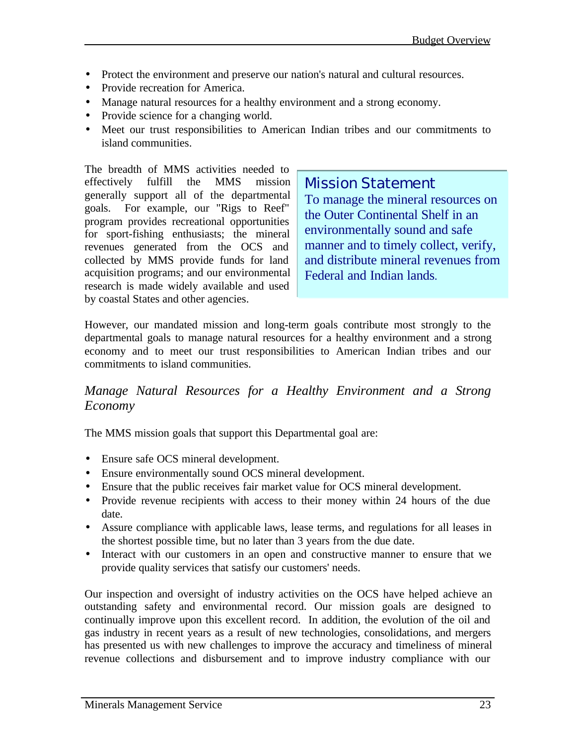- Protect the environment and preserve our nation's natural and cultural resources.
- Provide recreation for America.
- Manage natural resources for a healthy environment and a strong economy.
- Provide science for a changing world.
- Meet our trust responsibilities to American Indian tribes and our commitments to island communities.

The breadth of MMS activities needed to effectively fulfill the MMS mission generally support all of the departmental goals. For example, our "Rigs to Reef" program provides recreational opportunities for sport-fishing enthusiasts; the mineral revenues generated from the OCS and collected by MMS provide funds for land acquisition programs; and our environmental research is made widely available and used by coastal States and other agencies.

Mission Statement To manage the mineral resources on the Outer Continental Shelf in an environmentally sound and safe manner and to timely collect, verify, and distribute mineral revenues from Federal and Indian lands.

However, our mandated mission and long-term goals contribute most strongly to the departmental goals to manage natural resources for a healthy environment and a strong economy and to meet our trust responsibilities to American Indian tribes and our commitments to island communities.

#### *Manage Natural Resources for a Healthy Environment and a Strong Economy*

The MMS mission goals that support this Departmental goal are:

- Ensure safe OCS mineral development.
- Ensure environmentally sound OCS mineral development.
- Ensure that the public receives fair market value for OCS mineral development.
- Provide revenue recipients with access to their money within 24 hours of the due date.
- Assure compliance with applicable laws, lease terms, and regulations for all leases in the shortest possible time, but no later than 3 years from the due date.
- Interact with our customers in an open and constructive manner to ensure that we provide quality services that satisfy our customers' needs.

Our inspection and oversight of industry activities on the OCS have helped achieve an outstanding safety and environmental record. Our mission goals are designed to continually improve upon this excellent record. In addition, the evolution of the oil and gas industry in recent years as a result of new technologies, consolidations, and mergers has presented us with new challenges to improve the accuracy and timeliness of mineral revenue collections and disbursement and to improve industry compliance with our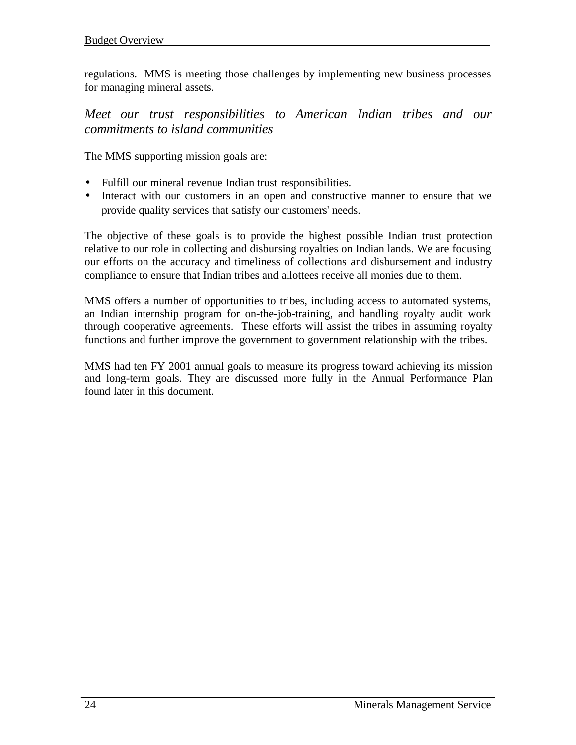regulations. MMS is meeting those challenges by implementing new business processes for managing mineral assets.

*Meet our trust responsibilities to American Indian tribes and our commitments to island communities*

The MMS supporting mission goals are:

- Fulfill our mineral revenue Indian trust responsibilities.
- Interact with our customers in an open and constructive manner to ensure that we provide quality services that satisfy our customers' needs.

The objective of these goals is to provide the highest possible Indian trust protection relative to our role in collecting and disbursing royalties on Indian lands. We are focusing our efforts on the accuracy and timeliness of collections and disbursement and industry compliance to ensure that Indian tribes and allottees receive all monies due to them.

MMS offers a number of opportunities to tribes, including access to automated systems, an Indian internship program for on-the-job-training, and handling royalty audit work through cooperative agreements. These efforts will assist the tribes in assuming royalty functions and further improve the government to government relationship with the tribes.

MMS had ten FY 2001 annual goals to measure its progress toward achieving its mission and long-term goals. They are discussed more fully in the Annual Performance Plan found later in this document.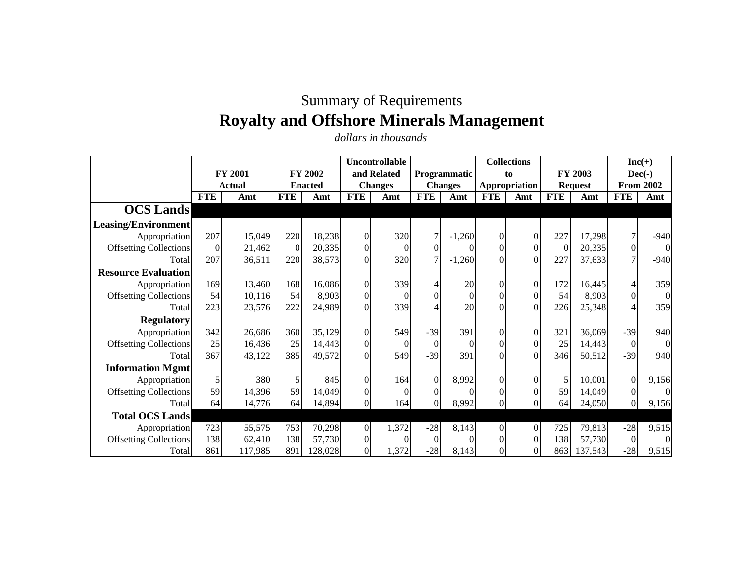## Summary of Requirements **Royalty and Offshore Minerals Management**

*dollars in thousands*

|                               |            |                |                |                | Uncontrollable |                |                  |                     |            | <b>Collections</b> |            |                |                | $Inc(+)$         |  |
|-------------------------------|------------|----------------|----------------|----------------|----------------|----------------|------------------|---------------------|------------|--------------------|------------|----------------|----------------|------------------|--|
|                               |            | <b>FY 2001</b> |                | <b>FY 2002</b> |                | and Related    |                  | <b>Programmatic</b> |            | to                 |            | FY 2003        | $Dec(-)$       |                  |  |
|                               |            | Actual         |                | <b>Enacted</b> |                | <b>Changes</b> |                  | <b>Changes</b>      |            | Appropriation      |            | <b>Request</b> |                | <b>From 2002</b> |  |
|                               | <b>FTE</b> | Amt            | <b>FTE</b>     | Amt            | <b>FTE</b>     | Amt            | <b>FTE</b>       | Amt                 | <b>FTE</b> | Amt                | <b>FTE</b> | Amt            | <b>FTE</b>     | Amt              |  |
| <b>OCS</b> Lands              |            |                |                |                |                |                |                  |                     |            |                    |            |                |                |                  |  |
| <b>Leasing/Environment</b>    |            |                |                |                |                |                |                  |                     |            |                    |            |                |                |                  |  |
| Appropriation                 | 207        | 15,049         | 220            | 18,238         | $\overline{0}$ | 320            | 7                | $-1,260$            | $\Omega$   | $\boldsymbol{0}$   | 227        | 17,298         | $\tau$         | $-940$           |  |
| <b>Offsetting Collections</b> | $\Omega$   | 21,462         | $\overline{0}$ | 20,335         | $\overline{0}$ | $\theta$       | $\overline{0}$   | 0                   | $\theta$   | $\boldsymbol{0}$   | $\Omega$   | 20,335         | $\overline{0}$ | $\overline{0}$   |  |
| Total                         | 207        | 36,511         | 220            | 38,573         | $\Omega$       | 320            | $\tau$           | $-1,260$            | $\theta$   | $\theta$           | 227        | 37,633         | $\tau$         | $-940$           |  |
| <b>Resource Evaluation</b>    |            |                |                |                |                |                |                  |                     |            |                    |            |                |                |                  |  |
| Appropriation                 | 169        | 13,460         | 168            | 16,086         | $\mathbf{0}$   | 339            | 4                | 20                  | $\Omega$   | $\Omega$           | 172        | 16,445         | $\overline{4}$ | 359              |  |
| <b>Offsetting Collections</b> | 54         | 10,116         | 54             | 8,903          | $\overline{0}$ | $\theta$       | $\mathbf{0}$     | $\overline{0}$      | $\Omega$   | $\boldsymbol{0}$   | 54         | 8,903          | $\overline{0}$ | $\overline{0}$   |  |
| Total                         | 223        | 23,576         | 222            | 24,989         | $\Omega$       | 339            |                  | 20                  | $\Omega$   | $\Omega$           | 226        | 25,348         |                | 359              |  |
| <b>Regulatory</b>             |            |                |                |                |                |                |                  |                     |            |                    |            |                |                |                  |  |
| Appropriation                 | 342        | 26,686         | 360            | 35,129         | $\overline{0}$ | 549            | $-39$            | 391                 | $\Omega$   | $\boldsymbol{0}$   | 321        | 36,069         | $-39$          | 940              |  |
| <b>Offsetting Collections</b> | 25         | 16,436         | 25             | 14,443         | $\overline{0}$ | $\theta$       | $\overline{0}$   | $\Omega$            | $\Omega$   | $\boldsymbol{0}$   | 25         | 14,443         | $\mathbf{0}$   | $\overline{0}$   |  |
| Total                         | 367        | 43,122         | 385            | 49,572         |                | 549            | $-39$            | 391                 | $\Omega$   | $\Omega$           | 346        | 50,512         | $-39$          | 940              |  |
| <b>Information Mgmt</b>       |            |                |                |                |                |                |                  |                     |            |                    |            |                |                |                  |  |
| Appropriation                 | 5          | 380            | 5              | 845            | $\Omega$       | 164            | $\overline{0}$   | 8,992               | $\Omega$   | $\Omega$           | 5          | 10,001         | $\Omega$       | 9,156            |  |
| <b>Offsetting Collections</b> | 59         | 14,396         | 59             | 14,049         | $\Omega$       | $\Omega$       | $\boldsymbol{0}$ |                     | $\Omega$   | $\theta$           | 59         | 14,049         | $\Omega$       | $\Omega$         |  |
| Total                         | 64         | 14,776         | 64             | 14,894         | $\Omega$       | 164            | $\overline{0}$   | 8,992               | $\Omega$   |                    | 64         | 24,050         |                | 9,156            |  |
| <b>Total OCS Lands</b>        |            |                |                |                |                |                |                  |                     |            |                    |            |                |                |                  |  |
| Appropriation                 | 723        | 55,575         | 753            | 70,298         | $\overline{0}$ | 1,372          | $-28$            | 8,143               | $\Omega$   | $\Omega$           | 725        | 79,813         | $-28$          | 9,515            |  |
| <b>Offsetting Collections</b> | 138        | 62,410         | 138            | 57,730         | $\Omega$       | $\Omega$       | $\Omega$         | 0                   | $\Omega$   | $\Omega$           | 138        | 57,730         | $\Omega$       | $\Omega$         |  |
| Total                         | 861        | 117,985        | 891            | 128,028        | $\Omega$       | 1,372          | $-28$            | 8,143               | $\Omega$   | $\theta$           | 8631       | 137,543        | $-28$          | 9,515            |  |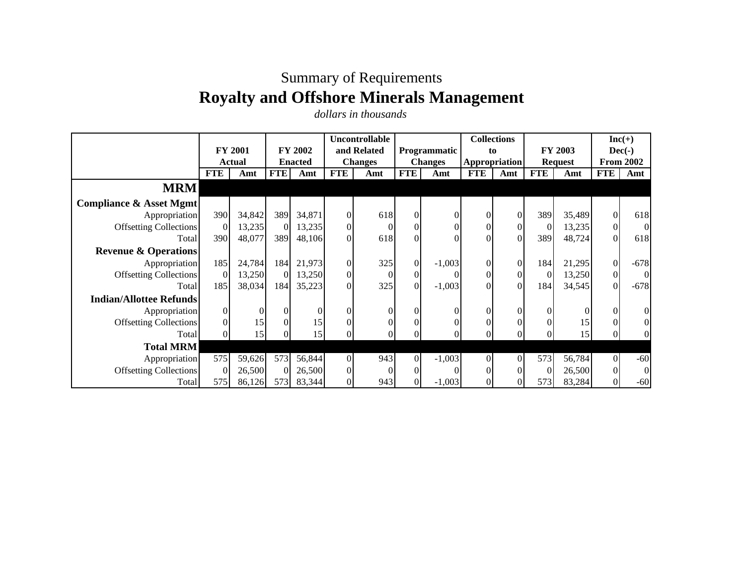## Summary of Requirements **Royalty and Offshore Minerals Management**

*dollars in thousands*

|                                    |            |                |            |                |                | Uncontrollable |                   |                     |                      | <b>Collections</b> |                |         | $Inc(+)$         |                |
|------------------------------------|------------|----------------|------------|----------------|----------------|----------------|-------------------|---------------------|----------------------|--------------------|----------------|---------|------------------|----------------|
|                                    |            | <b>FY 2001</b> |            | <b>FY 2002</b> |                | and Related    |                   | <b>Programmatic</b> | to                   |                    |                | FY 2003 | $Dec(-)$         |                |
|                                    |            | <b>Actual</b>  |            | <b>Enacted</b> | <b>Changes</b> |                | <b>Changes</b>    |                     | <b>Appropriation</b> |                    | <b>Request</b> |         | <b>From 2002</b> |                |
|                                    | <b>FTE</b> | Amt            | <b>FTE</b> | Amt            | <b>FTE</b>     | Amt            | <b>FTE</b><br>Amt |                     | <b>FTE</b>           | Amt                | <b>FTE</b>     | Amt     | <b>FTE</b>       | Amt            |
| <b>MRM</b>                         |            |                |            |                |                |                |                   |                     |                      |                    |                |         |                  |                |
| <b>Compliance &amp; Asset Mgmt</b> |            |                |            |                |                |                |                   |                     |                      |                    |                |         |                  |                |
| Appropriation                      | 390        | 34,842         | 389        | 34,871         | $\Omega$       | 618            | $\Omega$          |                     |                      | $\Omega$           | 389            | 35,489  | $\overline{0}$   | 618            |
| <b>Offsetting Collections</b>      | $\Omega$   | 13,235         | $\Omega$   | 13,235         | $\Omega$       | $\theta$       |                   |                     |                      | $\Omega$           | $\Omega$       | 13,235  | $\overline{0}$   | $\overline{0}$ |
| Total                              | 390        | 48,077         | 389        | 48,106         | $\Omega$       | 618            |                   |                     |                      | $\Omega$           | 389            | 48,724  | $\overline{0}$   | 618            |
| <b>Revenue &amp; Operations</b>    |            |                |            |                |                |                |                   |                     |                      |                    |                |         |                  |                |
| Appropriation                      | 185        | 24,784         | 184        | 21,973         | $\Omega$       | 325            | $\overline{0}$    | $-1,003$            | $\Omega$             | $\Omega$           | 184            | 21,295  | $\overline{0}$   | $-678$         |
| <b>Offsetting Collections</b>      | $\Omega$   | 13,250         | $\Omega$   | 13,250         | $\Omega$       | $\theta$       | $\overline{0}$    |                     |                      | $\Omega$           | $\Omega$       | 13,250  | $\overline{0}$   | $\Omega$       |
| Total                              | 185        | 38,034         | 184        | 35,223         | $\Omega$       | 325            | $\theta$          | $-1,003$            |                      | $\Omega$           | 184            | 34,545  | $\overline{0}$   | $-678$         |
| <b>Indian/Allottee Refunds</b>     |            |                |            |                |                |                |                   |                     |                      |                    |                |         |                  |                |
| Appropriation                      | $\Omega$   | $\Omega$       | $\Omega$   |                | 01             | $\theta$       |                   |                     |                      |                    |                |         | $\overline{0}$   | $\overline{0}$ |
| <b>Offsetting Collections</b>      |            | 15             | $\Omega$   | 15             | $\Omega$       | $\theta$       |                   |                     |                      |                    |                | 15      | $\overline{0}$   | $\overline{0}$ |
| Total                              |            | 15             |            | 15             |                |                |                   |                     |                      |                    |                | 15      |                  | ΩI             |
| <b>Total MRM</b>                   |            |                |            |                |                |                |                   |                     |                      |                    |                |         |                  |                |
| Appropriation                      | 575        | 59,626         | 573        | 56,844         | $\Omega$       | 943            | $\Omega$          | $-1,003$            | $\Omega$             | $\overline{0}$     | 573            | 56,784  | $\overline{0}$   | $-60$          |
| <b>Offsetting Collections</b>      |            | 26,500         | $\Omega$   | 26,500         | $\Omega$       | $\Omega$       |                   |                     |                      |                    |                | 26,500  | $\overline{0}$   | $\overline{0}$ |
| Total                              | 575        | 86,126         | 573        | 83,344         | $\Omega$       | 943            |                   | $-1,003$            |                      |                    | 573            | 83,284  | $\overline{0}$   | $-60$          |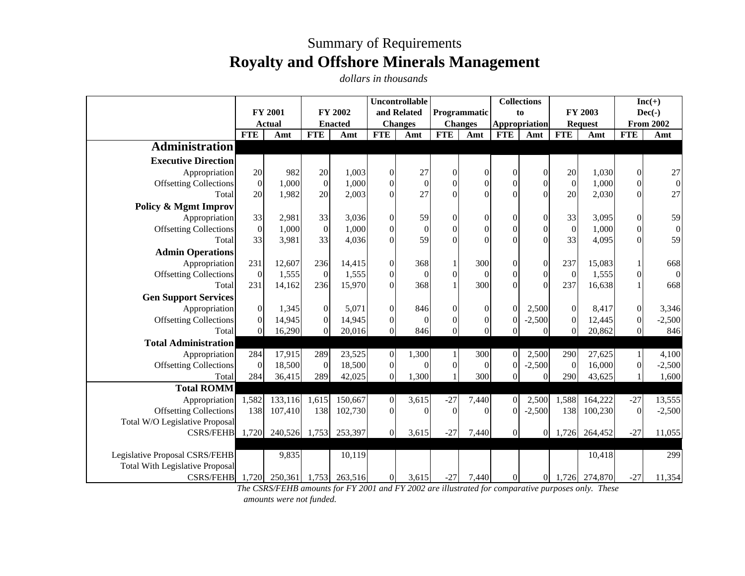## Summary of Requirements **Royalty and Offshore Minerals Management**

*dollars in thousands*

|                                        |                |                      |                |         | <b>Uncontrollable</b> |                  |                |                              |                | <b>Collections</b>   |                                     |               | $Inc(+)$                              |                  |
|----------------------------------------|----------------|----------------------|----------------|---------|-----------------------|------------------|----------------|------------------------------|----------------|----------------------|-------------------------------------|---------------|---------------------------------------|------------------|
|                                        |                | <b>FY 2001</b>       |                | FY 2002 |                       | and Related      |                | Programmatic                 | to             |                      |                                     | FY 2003       |                                       | $Dec(-)$         |
|                                        | <b>FTE</b>     | <b>Actual</b><br>Amt | <b>Enacted</b> |         | <b>FTE</b>            | <b>Changes</b>   |                | <b>Changes</b><br><b>FTE</b> |                | Appropriation<br>Amt | <b>Request</b><br><b>FTE</b><br>Amt |               | <b>From 2002</b><br><b>FTE</b><br>Amt |                  |
| <b>Administration</b>                  |                |                      | <b>FTE</b>     | Amt     |                       | Amt              |                | Amt                          | <b>FTE</b>     |                      |                                     |               |                                       |                  |
|                                        |                |                      |                |         |                       |                  |                |                              |                |                      |                                     |               |                                       |                  |
| <b>Executive Direction</b>             |                |                      |                |         |                       |                  |                |                              |                |                      |                                     |               |                                       |                  |
| Appropriation                          | 20             | 982                  | 20             | 1,003   | $\overline{0}$        | 27               | $\Omega$       | $\Omega$                     | $\Omega$       | $\overline{0}$       | 20                                  | 1,030         | $\Omega$                              | 27               |
| <b>Offsetting Collections</b>          | $\Omega$       | 1,000                | $\Omega$       | 1,000   | $\overline{0}$        | $\mathbf{0}$     | $\Omega$       | $\mathbf{0}$                 | $\Omega$       | $\Omega$             | $\Omega$                            | 1,000         | $\Omega$                              | $\boldsymbol{0}$ |
| Total                                  | 20             | 1,982                | 20             | 2,003   | $\overline{0}$        | 27               | $\Omega$       | $\Omega$                     |                | $\Omega$             | 20                                  | 2,030         | $\Omega$                              | 27               |
| <b>Policy &amp; Mgmt Improv</b>        |                |                      |                |         |                       |                  |                |                              |                |                      |                                     |               |                                       |                  |
| Appropriation                          | 33             | 2,981                | 33             | 3,036   | $\overline{0}$        | 59               | $\overline{0}$ | $\mathbf{0}$                 | $\Omega$       | $\overline{0}$       | 33                                  | 3.095         | $\Omega$                              | 59               |
| <b>Offsetting Collections</b>          | $\Omega$       | 1,000                | $\overline{0}$ | 1,000   | $\overline{0}$        | $\boldsymbol{0}$ | $\overline{0}$ | $\overline{0}$               | $\Omega$       | $\boldsymbol{0}$     | $\Omega$                            | 1,000         | $\Omega$                              | $\boldsymbol{0}$ |
| Total                                  | 33             | 3,981                | 33             | 4,036   | $\Omega$              | 59               | $\Omega$       | $\Omega$                     | $\Omega$       | $\Omega$             | 33                                  | 4,095         | $\Omega$                              | 59               |
| <b>Admin Operations</b>                |                |                      |                |         |                       |                  |                |                              |                |                      |                                     |               |                                       |                  |
| Appropriation                          | 231            | 12,607               | 236            | 14,415  | $\boldsymbol{0}$      | 368              |                | 300                          | $\Omega$       | $\boldsymbol{0}$     | 237                                 | 15,083        |                                       | 668              |
| <b>Offsetting Collections</b>          | $\overline{0}$ | 1,555                | $\overline{0}$ | 1,555   | $\boldsymbol{0}$      | $\mathbf{0}$     | $\mathbf{0}$   | $\mathbf{0}$                 | $\Omega$       | $\boldsymbol{0}$     | $\overline{0}$                      | 1,555         | $\Omega$                              | $\mathbf{0}$     |
| Total                                  | 231            | 14,162               | 236            | 15,970  | $\overline{0}$        | 368              | $\mathbf{1}$   | 300                          | $\Omega$       | $\Omega$             | 237                                 | 16,638        |                                       | 668              |
| <b>Gen Support Services</b>            |                |                      |                |         |                       |                  |                |                              |                |                      |                                     |               |                                       |                  |
| Appropriation                          | $\Omega$       | 1,345                | $\overline{0}$ | 5,071   | $\overline{0}$        | 846              | $\overline{0}$ | $\mathbf{0}$                 | $\Omega$       | 2,500                | $\Omega$                            | 8,417         | $\Omega$                              | 3,346            |
| <b>Offsetting Collections</b>          | $\Omega$       | 14,945               | $\overline{0}$ | 14,945  | $\overline{0}$        | $\Omega$         | $\overline{0}$ | $\overline{0}$               |                | $-2,500$             | $\Omega$                            | 12,445        |                                       | $-2,500$         |
| Total                                  | $\Omega$       | 16,290               | $\overline{0}$ | 20,016  | $\overline{0}$        | 846              | $\overline{0}$ | $\overline{0}$               |                | $\theta$             | $\overline{0}$                      | 20,862        |                                       | 846              |
| <b>Total Administration</b>            |                |                      |                |         |                       |                  |                |                              |                |                      |                                     |               |                                       |                  |
| Appropriation                          | 284            | 17,915               | 289            | 23,525  | $\overline{0}$        | 1,300            | 1              | 300                          | $\Omega$       | 2,500                | 290                                 | 27,625        |                                       | 4,100            |
| <b>Offsetting Collections</b>          | $\Omega$       | 18,500               | $\Omega$       | 18,500  | $\mathbf{0}$          | $\Omega$         | $\overline{0}$ | $\overline{0}$               | $\Omega$       | $-2,500$             | $\Omega$                            | 16,000        |                                       | $-2,500$         |
| Total                                  | 284            | 36,415               | 289            | 42,025  | $\overline{0}$        | 1,300            | $\mathbf{1}$   | 300                          |                | $\theta$             | 290                                 | 43,625        |                                       | 1,600            |
| <b>Total ROMM</b>                      |                |                      |                |         |                       |                  |                |                              |                |                      |                                     |               |                                       |                  |
| Appropriation                          | 1,582          | 133,116              | 1,615          | 150,667 | $\overline{0}$        | 3,615            | $-27$          | 7,440                        | $\overline{0}$ | 2,500                | 1,588                               | 164,222       | $-27$                                 | 13,555           |
| <b>Offsetting Collections</b>          | 138            | 107,410              | 138            | 102,730 | $\Omega$              | $\Omega$         | $\Omega$       | $\Omega$                     | $\Omega$       | $-2,500$             | 138                                 | 100,230       | $\Omega$                              | $-2,500$         |
| Total W/O Legislative Proposal         |                |                      |                |         |                       |                  |                |                              |                |                      |                                     |               |                                       |                  |
| <b>CSRS/FEHB</b>                       |                | 1,720 240,526 1,753  |                | 253,397 | $\overline{0}$        | 3,615            | $-27$          | 7,440                        | $\overline{0}$ | $\overline{0}$       |                                     | 1,726 264,452 | $-27$                                 | 11,055           |
|                                        |                |                      |                |         |                       |                  |                |                              |                |                      |                                     |               |                                       |                  |
| Legislative Proposal CSRS/FEHB         |                | 9,835                |                | 10,119  |                       |                  |                |                              |                |                      |                                     | 10,418        |                                       | 299              |
| <b>Total With Legislative Proposal</b> |                |                      |                |         |                       |                  |                |                              |                |                      |                                     |               |                                       |                  |
| <b>CSRS/FEHB</b>                       |                | 1,720 250,361 1,753  |                | 263,516 | $\overline{0}$        | 3,615            | $-27$          | 7,440                        | $\Omega$       | $\overline{0}$       |                                     | 1,726 274,870 | $-27$                                 | 11,354           |

*The CSRS/FEHB amounts for FY 2001 and FY 2002 are illustrated for comparative purposes only. These amounts were not funded.*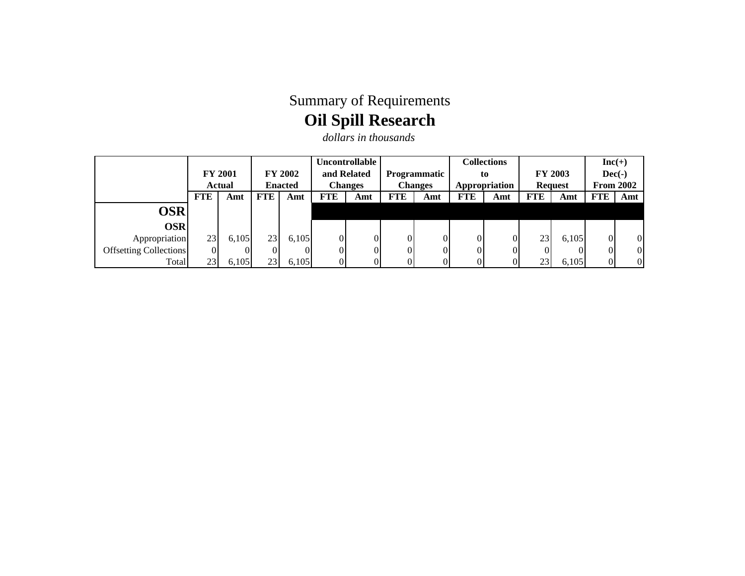## Summary of Requirements **Oil Spill Research**

*dollars in thousands*

|                               |                |               |                               |                |     | <b>Uncontrollable</b> |              |                |                                 | <b>Collections</b> |            |       |                  | $Inc(+)$       |
|-------------------------------|----------------|---------------|-------------------------------|----------------|-----|-----------------------|--------------|----------------|---------------------------------|--------------------|------------|-------|------------------|----------------|
|                               | <b>FY 2001</b> |               | <b>FY 2002</b><br>and Related |                |     |                       | Programmatic | to             |                                 | FY 2003            |            |       | $Dec(-)$         |                |
|                               |                | <b>Actual</b> |                               | <b>Enacted</b> |     | <b>Changes</b>        |              | <b>Changes</b> | Appropriation<br><b>Request</b> |                    |            |       | <b>From 2002</b> |                |
|                               | <b>FTE</b>     | Amt           | FTE                           | Amt            | FTE | Amt                   | <b>FTE</b>   | Amt            | <b>FTE</b>                      | Amt                | <b>FTE</b> | Amt   | <b>FTE</b>       | Amt            |
| OSR                           |                |               |                               |                |     |                       |              |                |                                 |                    |            |       |                  |                |
| <b>OSR</b>                    |                |               |                               |                |     |                       |              |                |                                 |                    |            |       |                  |                |
| Appropriation                 | 23             | 6,105         | 23                            | 6,105          |     | 0                     |              | ΟI             | $\Omega$                        |                    | 23         | 6,105 | $\overline{0}$   | $\overline{0}$ |
| <b>Offsetting Collections</b> | $\overline{0}$ |               | $\overline{0}$                |                |     | $\Omega$              |              | ΩI             | $\Omega$                        |                    |            |       | $\overline{0}$   | $\overline{0}$ |
| Total                         | 23             | 6,105         | 23                            | 6,105          |     | $\Omega$              |              | ΩI             | $\Omega$                        |                    | 231        | 6,105 | $\overline{0}$   | $\Omega$       |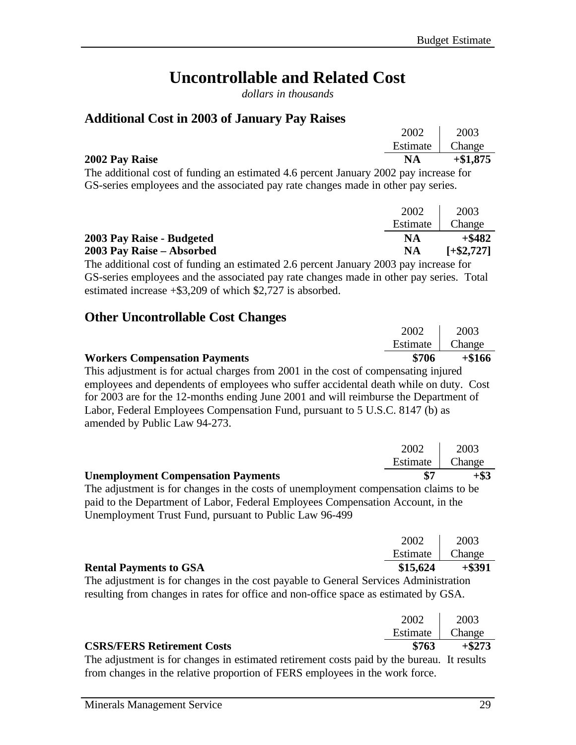## **Uncontrollable and Related Cost**

*dollars in thousands*

#### **Additional Cost in 2003 of January Pay Raises**

|                                        | 2002                 | 2003       |
|----------------------------------------|----------------------|------------|
|                                        | Estimate             | Change     |
| 2002 Pay Raise                         | <b>NA</b>            | $+\$1,875$ |
| .  .<br>$\sim$<br>$\sim$ $\sim$ $\sim$ | $\sim$ $\sim$ $\sim$ |            |

The additional cost of funding an estimated 4.6 percent January 2002 pay increase for GS-series employees and the associated pay rate changes made in other pay series.

|                           | 2002     | 2003         |
|---------------------------|----------|--------------|
|                           | Estimate | Change       |
| 2003 Pay Raise - Budgeted | NA       | $+$ \$482    |
| 2003 Pay Raise – Absorbed | NA       | $[-\$2,727]$ |

The additional cost of funding an estimated 2.6 percent January 2003 pay increase for GS-series employees and the associated pay rate changes made in other pay series. Total estimated increase +\$3,209 of which \$2,727 is absorbed.

#### **Other Uncontrollable Cost Changes**

|                                                                                       | 2002     | 2003     |
|---------------------------------------------------------------------------------------|----------|----------|
|                                                                                       | Estimate | Change   |
| <b>Workers Compensation Payments</b>                                                  | \$706    | $+\$166$ |
| This adjustment is for actual charges from 2001 in the cost of compensating injured   |          |          |
| employees and dependents of employees who suffer accidental death while on duty. Cost |          |          |
| $\alpha$ is a set of the contract of the set of $\alpha$                              |          |          |

for 2003 are for the 12-months ending June 2001 and will reimburse the Department of Labor, Federal Employees Compensation Fund, pursuant to 5 U.S.C. 8147 (b) as amended by Public Law 94-273.

| <b>Unemployment Compensation Payments</b> |      | $+$ \$3           |
|-------------------------------------------|------|-------------------|
|                                           |      | Estimate   Change |
|                                           | 2002 | 2003              |

The adjustment is for changes in the costs of unemployment compensation claims to be paid to the Department of Labor, Federal Employees Compensation Account, in the Unemployment Trust Fund, pursuant to Public Law 96-499

| <b>Rental Payments to GSA</b> | \$15,624 | $+$ \$391         |
|-------------------------------|----------|-------------------|
|                               |          | Estimate   Change |
|                               | 2002     | 2003              |

The adjustment is for changes in the cost payable to General Services Administration resulting from changes in rates for office and non-office space as estimated by GSA.

|                                                                                                    | 2002 2003         |                |
|----------------------------------------------------------------------------------------------------|-------------------|----------------|
|                                                                                                    | Estimate   Change |                |
| <b>CSRS/FERS Retirement Costs</b>                                                                  |                   | $\$763$ +\$273 |
| The edivator and is four above as in estimated national posts note noted by the bypassy. It nearly |                   |                |

The adjustment is for changes in estimated retirement costs paid by the bureau. It results from changes in the relative proportion of FERS employees in the work force.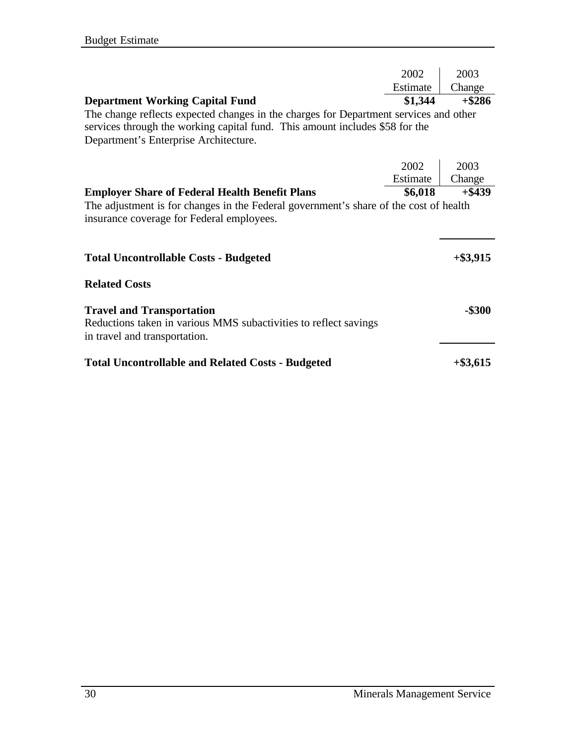|                                                                                                                                                                       | 2002     | 2003        |
|-----------------------------------------------------------------------------------------------------------------------------------------------------------------------|----------|-------------|
|                                                                                                                                                                       | Estimate | Change      |
| <b>Department Working Capital Fund</b>                                                                                                                                | \$1,344  | $+$ \$286   |
| The change reflects expected changes in the charges for Department services and other<br>services through the working capital fund. This amount includes \$58 for the |          |             |
| Department's Enterprise Architecture.                                                                                                                                 |          |             |
|                                                                                                                                                                       | 2002     | 2003        |
|                                                                                                                                                                       | Estimate | Change      |
| <b>Employer Share of Federal Health Benefit Plans</b>                                                                                                                 | \$6,018  | $+$ \$439   |
| The adjustment is for changes in the Federal government's share of the cost of health<br>insurance coverage for Federal employees.                                    |          |             |
| <b>Total Uncontrollable Costs - Budgeted</b>                                                                                                                          |          | $+$ \$3,915 |
| <b>Related Costs</b>                                                                                                                                                  |          |             |
| <b>Travel and Transportation</b><br>Reductions taken in various MMS subactivities to reflect savings<br>in travel and transportation.                                 |          | $-$ \$300   |
| <b>Total Uncontrollable and Related Costs - Budgeted</b>                                                                                                              |          | $+$ \$3,615 |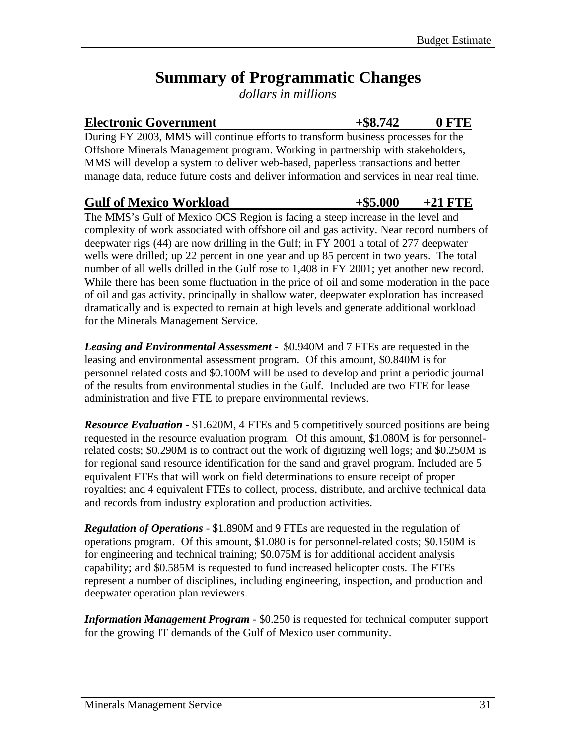## **Summary of Programmatic Changes**

*dollars in millions*

#### Electronic Government  $+$ \$8.742 0 FTE

During FY 2003, MMS will continue efforts to transform business processes for the Offshore Minerals Management program. Working in partnership with stakeholders, MMS will develop a system to deliver web-based, paperless transactions and better manage data, reduce future costs and deliver information and services in near real time.

#### Gulf of Mexico Workload  $+$ \$5.000  $+21$  FTE

The MMS's Gulf of Mexico OCS Region is facing a steep increase in the level and complexity of work associated with offshore oil and gas activity. Near record numbers of deepwater rigs (44) are now drilling in the Gulf; in FY 2001 a total of 277 deepwater wells were drilled; up 22 percent in one year and up 85 percent in two years. The total number of all wells drilled in the Gulf rose to 1,408 in FY 2001; yet another new record. While there has been some fluctuation in the price of oil and some moderation in the pace of oil and gas activity, principally in shallow water, deepwater exploration has increased dramatically and is expected to remain at high levels and generate additional workload for the Minerals Management Service.

*Leasing and Environmental Assessment* - \$0.940M and 7 FTEs are requested in the leasing and environmental assessment program. Of this amount, \$0.840M is for personnel related costs and \$0.100M will be used to develop and print a periodic journal of the results from environmental studies in the Gulf. Included are two FTE for lease administration and five FTE to prepare environmental reviews.

*Resource Evaluation* - \$1.620M, 4 FTEs and 5 competitively sourced positions are being requested in the resource evaluation program. Of this amount, \$1.080M is for personnelrelated costs; \$0.290M is to contract out the work of digitizing well logs; and \$0.250M is for regional sand resource identification for the sand and gravel program. Included are 5 equivalent FTEs that will work on field determinations to ensure receipt of proper royalties; and 4 equivalent FTEs to collect, process, distribute, and archive technical data and records from industry exploration and production activities.

*Regulation of Operations* - \$1.890M and 9 FTEs are requested in the regulation of operations program. Of this amount, \$1.080 is for personnel-related costs; \$0.150M is for engineering and technical training; \$0.075M is for additional accident analysis capability; and \$0.585M is requested to fund increased helicopter costs. The FTEs represent a number of disciplines, including engineering, inspection, and production and deepwater operation plan reviewers.

*Information Management Program* - \$0.250 is requested for technical computer support for the growing IT demands of the Gulf of Mexico user community.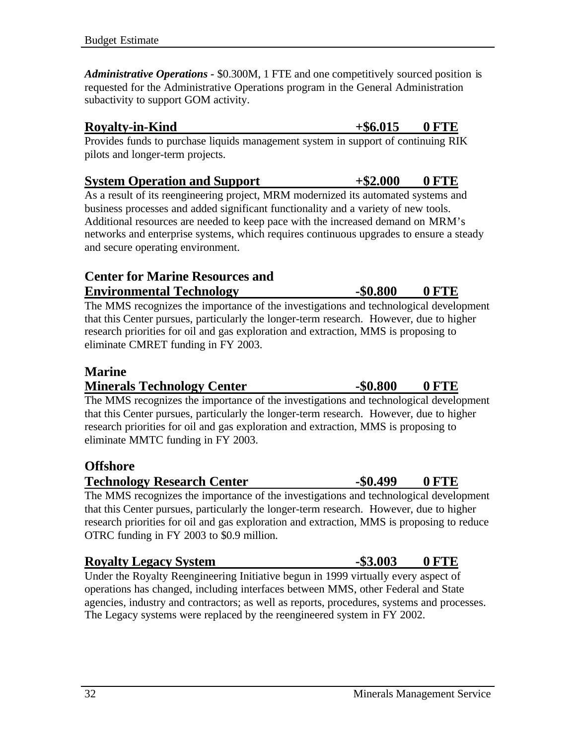*Administrative Operations -* \$0.300M, 1 FTE and one competitively sourced position is requested for the Administrative Operations program in the General Administration subactivity to support GOM activity.

#### **Royalty-in-Kind**  $+$  \$6.015 0 FTE

Provides funds to purchase liquids management system in support of continuing RIK pilots and longer-term projects.

#### **System Operation and Support +\$2.000 0 FTE**

As a result of its reengineering project, MRM modernized its automated systems and business processes and added significant functionality and a variety of new tools. Additional resources are needed to keep pace with the increased demand on MRM's networks and enterprise systems, which requires continuous upgrades to ensure a steady and secure operating environment.

#### **Center for Marine Resources and Environmental Technology -\$0.800 0 FTE**

The MMS recognizes the importance of the investigations and technological development that this Center pursues, particularly the longer-term research. However, due to higher research priorities for oil and gas exploration and extraction, MMS is proposing to eliminate CMRET funding in FY 2003.

#### **Marine**

#### **Minerals Technology Center -\$0.800 0 FTE**

The MMS recognizes the importance of the investigations and technological development that this Center pursues, particularly the longer-term research. However, due to higher research priorities for oil and gas exploration and extraction, MMS is proposing to eliminate MMTC funding in FY 2003.

#### **Offshore**

**Technology Research Center -\$0.499 0 FTE** 

The MMS recognizes the importance of the investigations and technological development that this Center pursues, particularly the longer-term research. However, due to higher research priorities for oil and gas exploration and extraction, MMS is proposing to reduce OTRC funding in FY 2003 to \$0.9 million.

## **Royalty Legacy System 4.53.003 UPTE**

Under the Royalty Reengineering Initiative begun in 1999 virtually every aspect of operations has changed, including interfaces between MMS, other Federal and State agencies, industry and contractors; as well as reports, procedures, systems and processes. The Legacy systems were replaced by the reengineered system in FY 2002.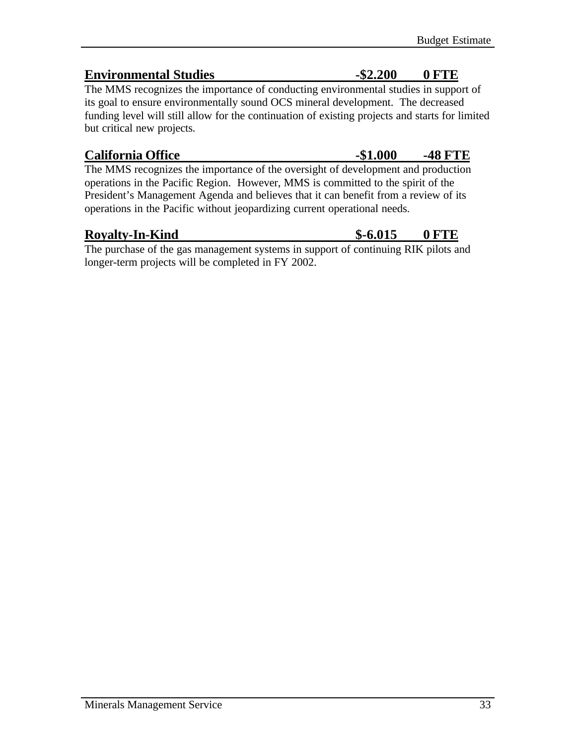### **Environmental Studies** -\$2.200 0 FTE

The MMS recognizes the importance of conducting environmental studies in support of its goal to ensure environmentally sound OCS mineral development. The decreased funding level will still allow for the continuation of existing projects and starts for limited but critical new projects.

### California Office **-\$1.000 -48 FTE**

The MMS recognizes the importance of the oversight of development and production operations in the Pacific Region. However, MMS is committed to the spirit of the President's Management Agenda and believes that it can benefit from a review of its operations in the Pacific without jeopardizing current operational needs.

The purchase of the gas management systems in support of continuing RIK pilots and longer-term projects will be completed in FY 2002.

### **Royalty-In-Kind \$-6.015 0 FTE**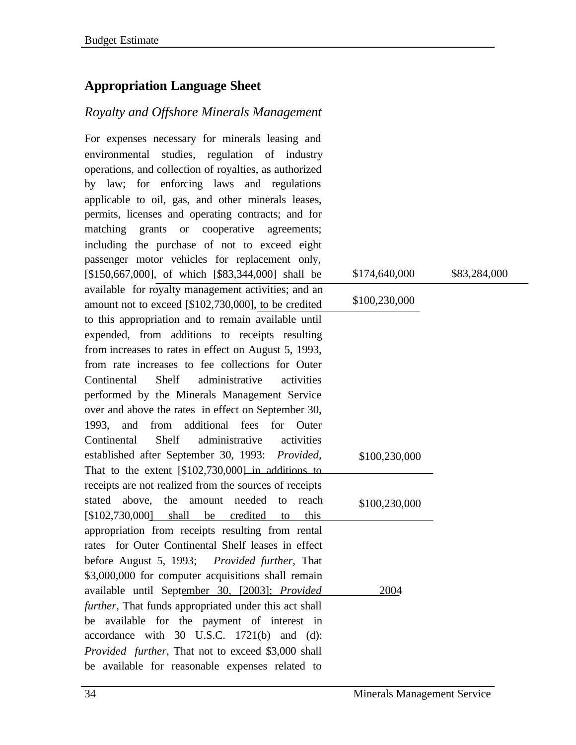### **Appropriation Language Sheet**

### *Royalty and Offshore Minerals Management*

For expenses necessary for minerals leasing and environmental studies, regulation of industry operations, and collection of royalties, as authorized by law; for enforcing laws and regulations applicable to oil, gas, and other minerals leases, permits, licenses and operating contracts; and for matching grants or cooperative agreements; including the purchase of not to exceed eight passenger motor vehicles for replacement only, [\$150,667,000], of which [\$83,344,000] shall be available for royalty management activities; and an amount not to exceed [\$102,730,000], to be credited to this appropriation and to remain available until expended, from additions to receipts resulting from increases to rates in effect on August 5, 1993, from rate increases to fee collections for Outer Continental Shelf administrative activities performed by the Minerals Management Service over and above the rates in effect on September 30, 1993, and from additional fees for Outer Continental Shelf administrative activities established after September 30, 1993: *Provided*, That to the extent [\$102,730,000] in additions to receipts are not realized from the sources of receipts stated above, the amount needed to reach [\$102,730,000] shall be credited to this appropriation from receipts resulting from rental rates for Outer Continental Shelf leases in effect before August 5, 1993; *Provided further*, That \$3,000,000 for computer acquisitions shall remain available until September 30, [2003]; *Provided further*, That funds appropriated under this act shall be available for the payment of interest in accordance with 30 U.S.C. 1721(b) and (d): *Provided further*, That not to exceed \$3,000 shall be available for reasonable expenses related to \$174,640,000 \$83,284,000 \$100,230,000 2004 \$100,230,000 \$100,230,000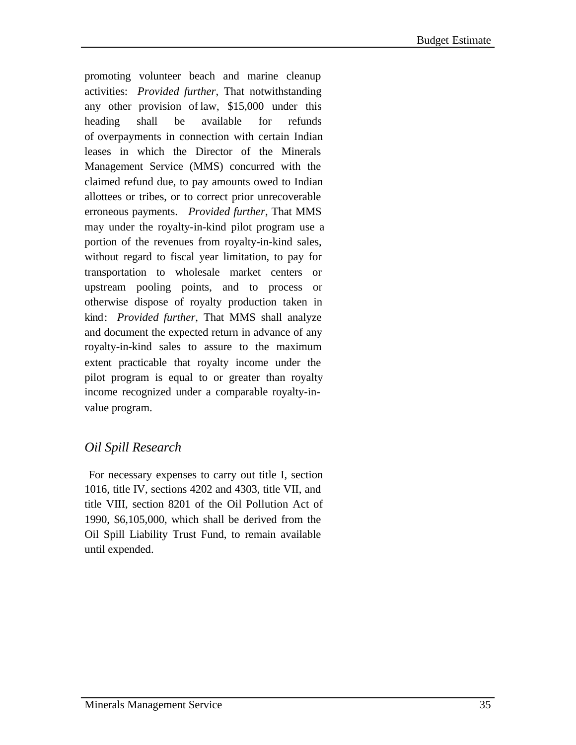promoting volunteer beach and marine cleanup activities: *Provided further*, That notwithstanding any other provision of law, \$15,000 under this heading shall be available for refunds of overpayments in connection with certain Indian leases in which the Director of the Minerals Management Service (MMS) concurred with the claimed refund due, to pay amounts owed to Indian allottees or tribes, or to correct prior unrecoverable erroneous payments. *Provided further*, That MMS may under the royalty-in-kind pilot program use a portion of the revenues from royalty-in-kind sales, without regard to fiscal year limitation, to pay for transportation to wholesale market centers or upstream pooling points, and to process or otherwise dispose of royalty production taken in kind: *Provided further*, That MMS shall analyze and document the expected return in advance of any royalty-in-kind sales to assure to the maximum extent practicable that royalty income under the pilot program is equal to or greater than royalty income recognized under a comparable royalty-invalue program.

### *Oil Spill Research*

 For necessary expenses to carry out title I, section 1016, title IV, sections 4202 and 4303, title VII, and title VIII, section 8201 of the Oil Pollution Act of 1990, \$6,105,000, which shall be derived from the Oil Spill Liability Trust Fund, to remain available until expended.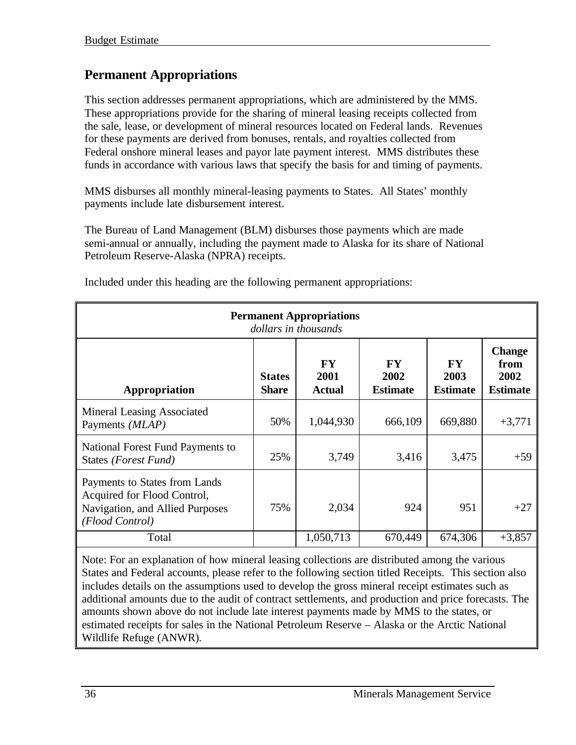### **Permanent Appropriations**

This section addresses permanent appropriations, which are administered by the MMS. These appropriations provide for the sharing of mineral leasing receipts collected from the sale, lease, or development of mineral resources located on Federal lands. Revenues for these payments are derived from bonuses, rentals, and royalties collected from Federal onshore mineral leases and payor late payment interest. MMS distributes these funds in accordance with various laws that specify the basis for and timing of payments.

MMS disburses all monthly mineral-leasing payments to States. All States' monthly payments include late disbursement interest.

The Bureau of Land Management (BLM) disburses those payments which are made semi-annual or annually, including the payment made to Alaska for its share of National Petroleum Reserve-Alaska (NPRA) receipts.

| <b>Permanent Appropriations</b><br>dollars in thousands                                                            |                               |                                    |                                      |                                      |                                                  |  |  |  |  |  |  |  |
|--------------------------------------------------------------------------------------------------------------------|-------------------------------|------------------------------------|--------------------------------------|--------------------------------------|--------------------------------------------------|--|--|--|--|--|--|--|
| Appropriation                                                                                                      | <b>States</b><br><b>Share</b> | <b>FY</b><br>2001<br><b>Actual</b> | <b>FY</b><br>2002<br><b>Estimate</b> | <b>FY</b><br>2003<br><b>Estimate</b> | <b>Change</b><br>from<br>2002<br><b>Estimate</b> |  |  |  |  |  |  |  |
| Mineral Leasing Associated<br>Payments ( <i>MLAP</i> )                                                             | 50%                           | 1,044,930                          | 666,109                              | 669,880                              | $+3,771$                                         |  |  |  |  |  |  |  |
| National Forest Fund Payments to<br>States (Forest Fund)                                                           | 25%                           | 3,749                              | 3,416                                | 3,475                                | $+59$                                            |  |  |  |  |  |  |  |
| Payments to States from Lands<br>Acquired for Flood Control,<br>Navigation, and Allied Purposes<br>(Flood Control) | 75%                           | 2,034                              | 924                                  | 951                                  | $+27$                                            |  |  |  |  |  |  |  |
| Total                                                                                                              |                               | 1,050,713                          | 670,449                              | 674,306                              | $+3,857$                                         |  |  |  |  |  |  |  |

Included under this heading are the following permanent appropriations:

Note: For an explanation of how mineral leasing collections are distributed among the various States and Federal accounts, please refer to the following section titled Receipts. This section also includes details on the assumptions used to develop the gross mineral receipt estimates such as additional amounts due to the audit of contract settlements, and production and price forecasts. The amounts shown above do not include late interest payments made by MMS to the states, or estimated receipts for sales in the National Petroleum Reserve – Alaska or the Arctic National Wildlife Refuge (ANWR).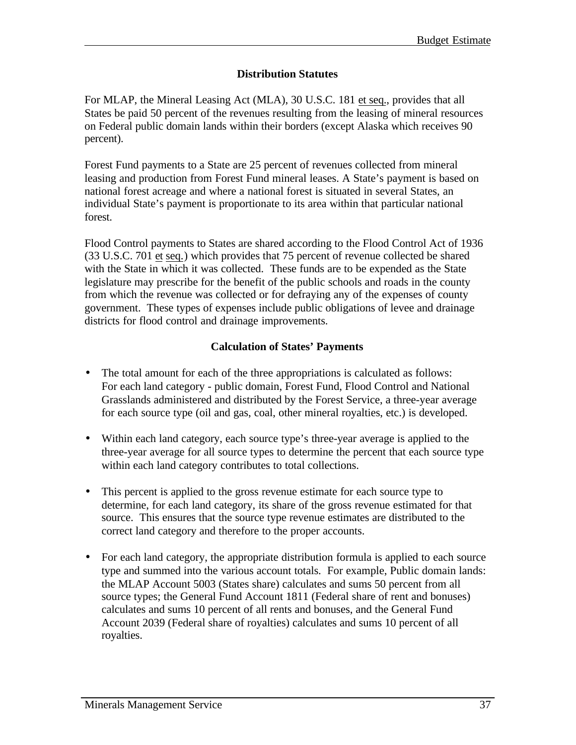### **Distribution Statutes**

For MLAP, the Mineral Leasing Act (MLA), 30 U.S.C. 181 et seq., provides that all States be paid 50 percent of the revenues resulting from the leasing of mineral resources on Federal public domain lands within their borders (except Alaska which receives 90 percent).

Forest Fund payments to a State are 25 percent of revenues collected from mineral leasing and production from Forest Fund mineral leases. A State's payment is based on national forest acreage and where a national forest is situated in several States, an individual State's payment is proportionate to its area within that particular national forest.

Flood Control payments to States are shared according to the Flood Control Act of 1936 (33 U.S.C. 701 et seq.) which provides that 75 percent of revenue collected be shared with the State in which it was collected. These funds are to be expended as the State legislature may prescribe for the benefit of the public schools and roads in the county from which the revenue was collected or for defraying any of the expenses of county government. These types of expenses include public obligations of levee and drainage districts for flood control and drainage improvements.

### **Calculation of States' Payments**

- The total amount for each of the three appropriations is calculated as follows: For each land category - public domain, Forest Fund, Flood Control and National Grasslands administered and distributed by the Forest Service, a three-year average for each source type (oil and gas, coal, other mineral royalties, etc.) is developed.
- Within each land category, each source type's three-year average is applied to the three-year average for all source types to determine the percent that each source type within each land category contributes to total collections.
- This percent is applied to the gross revenue estimate for each source type to determine, for each land category, its share of the gross revenue estimated for that source. This ensures that the source type revenue estimates are distributed to the correct land category and therefore to the proper accounts.
- For each land category, the appropriate distribution formula is applied to each source type and summed into the various account totals. For example, Public domain lands: the MLAP Account 5003 (States share) calculates and sums 50 percent from all source types; the General Fund Account 1811 (Federal share of rent and bonuses) calculates and sums 10 percent of all rents and bonuses, and the General Fund Account 2039 (Federal share of royalties) calculates and sums 10 percent of all royalties.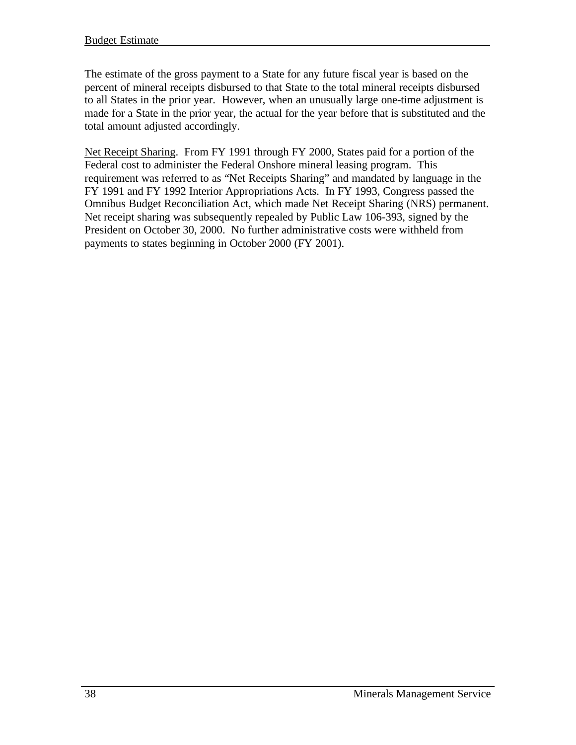The estimate of the gross payment to a State for any future fiscal year is based on the percent of mineral receipts disbursed to that State to the total mineral receipts disbursed to all States in the prior year. However, when an unusually large one-time adjustment is made for a State in the prior year, the actual for the year before that is substituted and the total amount adjusted accordingly.

Net Receipt Sharing. From FY 1991 through FY 2000, States paid for a portion of the Federal cost to administer the Federal Onshore mineral leasing program. This requirement was referred to as "Net Receipts Sharing" and mandated by language in the FY 1991 and FY 1992 Interior Appropriations Acts. In FY 1993, Congress passed the Omnibus Budget Reconciliation Act, which made Net Receipt Sharing (NRS) permanent. Net receipt sharing was subsequently repealed by Public Law 106-393, signed by the President on October 30, 2000. No further administrative costs were withheld from payments to states beginning in October 2000 (FY 2001).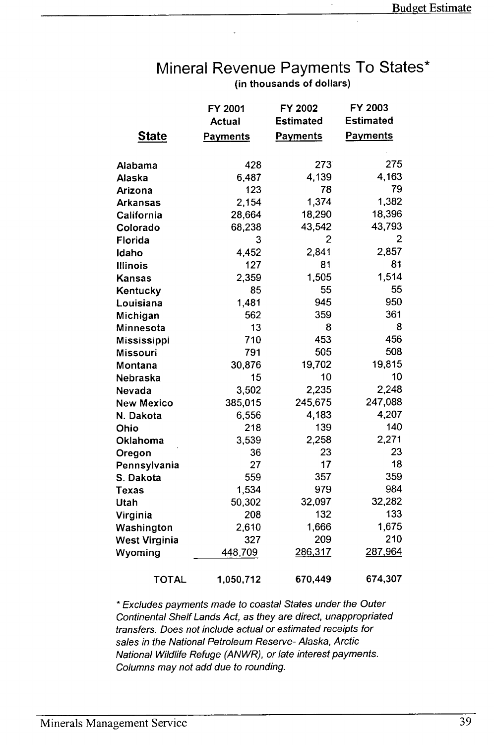### Mineral Revenue Payments To States\* (in thousands of dollars)

|               | FY 2001         | FY 2002          | FY 2003          |
|---------------|-----------------|------------------|------------------|
|               | <b>Actual</b>   | <b>Estimated</b> | <b>Estimated</b> |
| <b>State</b>  | <b>Payments</b> | <b>Payments</b>  | <b>Payments</b>  |
|               |                 |                  | 275              |
| Alabama       | 428<br>6,487    | 273<br>4,139     | 4,163            |
| Alaska        | 123             | 78               | 79               |
| Arizona       | 2,154           | 1,374            | 1,382            |
| Arkansas      |                 | 18,290           | 18,396           |
| California    | 28,664          |                  | 43,793           |
| Colorado      | 68,238          | 43,542<br>2      | 2                |
| Florida       | 3               |                  | 2,857            |
| Idaho         | 4,452           | 2,841            | 81               |
| Illinois      | 127             | 81               | 1,514            |
| Kansas        | 2,359           | 1,505            | 55               |
| Kentucky      | 85              | 55               |                  |
| Louisiana     | 1,481           | 945              | 950              |
| Michigan      | 562             | 359              | 361              |
| Minnesota     | 13              | 8                | 8                |
| Mississippi   | 710             | 453              | 456              |
| Missouri      | 791             | 505              | 508              |
| Montana       | 30,876          | 19,702           | 19,815           |
| Nebraska      | 15              | 10               | 10               |
| Nevada        | 3,502           | 2,235            | 2,248            |
| New Mexico    | 385,015         | 245,675          | 247,088          |
| N. Dakota     | 6,556           | 4,183            | 4,207            |
| Ohio          | 218             | 139              | 140              |
| Oklahoma      | 3,539           | 2.258            | 2,271            |
| Oregon        | 36              | 23               | 23               |
| Pennsylvania  | 27              | 17               | 18               |
| S. Dakota     | 559             | 357              | 359              |
| Texas         | 1,534           | 979              | 984              |
| Utah          | 50,302          | 32,097           | 32,282           |
| Virginia      | 208             | 132              | 133              |
| Washington    | 2,610           | 1,666            | 1,675            |
| West Virginia | 327             | 209              | 210              |
| Wyoming       | 448,709         | 286,317          | 287,964          |
| <b>TOTAL</b>  | 1,050,712       | 670,449          | 674,307          |

\* Excludes payments made to coastal States under the Outer Continental Shelf Lands Act, as they are direct, unappropriated transfers. Does not include actual or estimated receipts for sales in the National Petroleum Reserve- Alaska, Arctic National Wildlife Refuge (ANWR), or late interest payments. Columns may not add due to rounding.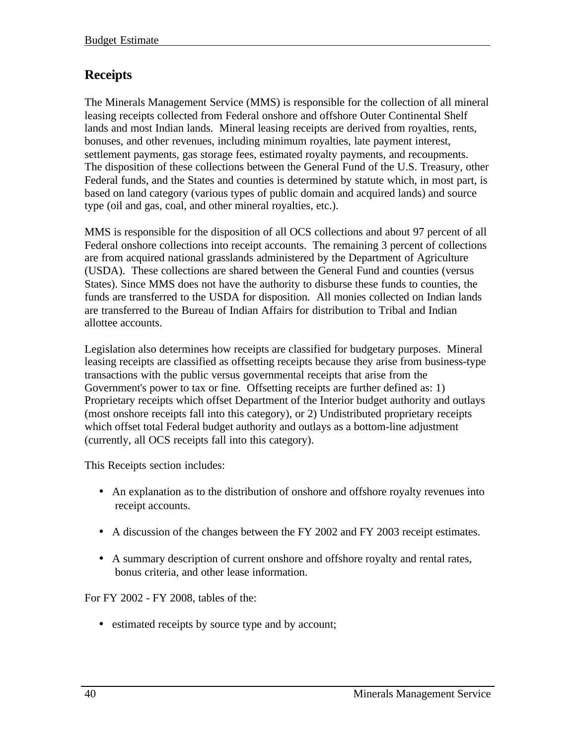### **Receipts**

The Minerals Management Service (MMS) is responsible for the collection of all mineral leasing receipts collected from Federal onshore and offshore Outer Continental Shelf lands and most Indian lands. Mineral leasing receipts are derived from royalties, rents, bonuses, and other revenues, including minimum royalties, late payment interest, settlement payments, gas storage fees, estimated royalty payments, and recoupments. The disposition of these collections between the General Fund of the U.S. Treasury, other Federal funds, and the States and counties is determined by statute which, in most part, is based on land category (various types of public domain and acquired lands) and source type (oil and gas, coal, and other mineral royalties, etc.).

MMS is responsible for the disposition of all OCS collections and about 97 percent of all Federal onshore collections into receipt accounts. The remaining 3 percent of collections are from acquired national grasslands administered by the Department of Agriculture (USDA). These collections are shared between the General Fund and counties (versus States). Since MMS does not have the authority to disburse these funds to counties, the funds are transferred to the USDA for disposition. All monies collected on Indian lands are transferred to the Bureau of Indian Affairs for distribution to Tribal and Indian allottee accounts.

Legislation also determines how receipts are classified for budgetary purposes. Mineral leasing receipts are classified as offsetting receipts because they arise from business-type transactions with the public versus governmental receipts that arise from the Government's power to tax or fine. Offsetting receipts are further defined as: 1) Proprietary receipts which offset Department of the Interior budget authority and outlays (most onshore receipts fall into this category), or 2) Undistributed proprietary receipts which offset total Federal budget authority and outlays as a bottom-line adjustment (currently, all OCS receipts fall into this category).

This Receipts section includes:

- An explanation as to the distribution of onshore and offshore royalty revenues into receipt accounts.
- A discussion of the changes between the FY 2002 and FY 2003 receipt estimates.
- A summary description of current onshore and offshore royalty and rental rates, bonus criteria, and other lease information.

For FY 2002 - FY 2008, tables of the:

• estimated receipts by source type and by account;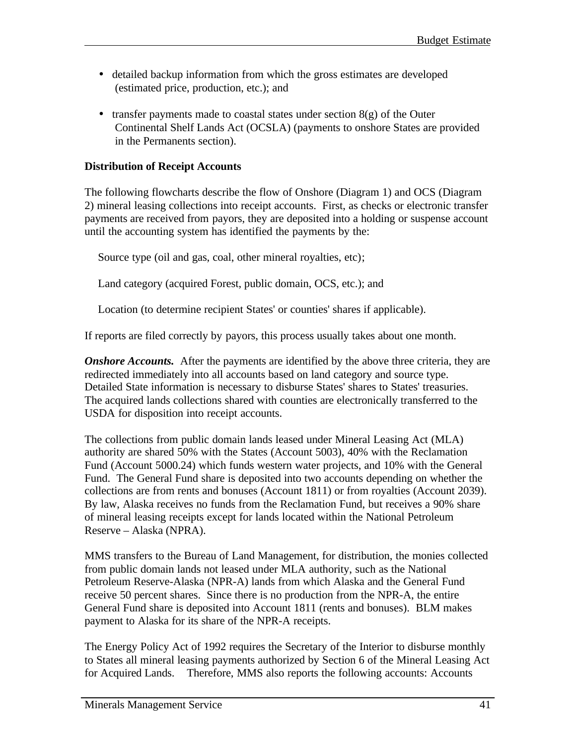- detailed backup information from which the gross estimates are developed (estimated price, production, etc.); and
- transfer payments made to coastal states under section  $8(g)$  of the Outer Continental Shelf Lands Act (OCSLA) (payments to onshore States are provided in the Permanents section).

### **Distribution of Receipt Accounts**

The following flowcharts describe the flow of Onshore (Diagram 1) and OCS (Diagram 2) mineral leasing collections into receipt accounts. First, as checks or electronic transfer payments are received from payors, they are deposited into a holding or suspense account until the accounting system has identified the payments by the:

Source type (oil and gas, coal, other mineral royalties, etc);

Land category (acquired Forest, public domain, OCS, etc.); and

Location (to determine recipient States' or counties' shares if applicable).

If reports are filed correctly by payors, this process usually takes about one month.

*Onshore Accounts.* After the payments are identified by the above three criteria, they are redirected immediately into all accounts based on land category and source type. Detailed State information is necessary to disburse States' shares to States' treasuries. The acquired lands collections shared with counties are electronically transferred to the USDA for disposition into receipt accounts.

The collections from public domain lands leased under Mineral Leasing Act (MLA) authority are shared 50% with the States (Account 5003), 40% with the Reclamation Fund (Account 5000.24) which funds western water projects, and 10% with the General Fund. The General Fund share is deposited into two accounts depending on whether the collections are from rents and bonuses (Account 1811) or from royalties (Account 2039). By law, Alaska receives no funds from the Reclamation Fund, but receives a 90% share of mineral leasing receipts except for lands located within the National Petroleum Reserve – Alaska (NPRA).

MMS transfers to the Bureau of Land Management, for distribution, the monies collected from public domain lands not leased under MLA authority, such as the National Petroleum Reserve-Alaska (NPR-A) lands from which Alaska and the General Fund receive 50 percent shares. Since there is no production from the NPR-A, the entire General Fund share is deposited into Account 1811 (rents and bonuses). BLM makes payment to Alaska for its share of the NPR-A receipts.

The Energy Policy Act of 1992 requires the Secretary of the Interior to disburse monthly to States all mineral leasing payments authorized by Section 6 of the Mineral Leasing Act for Acquired Lands. Therefore, MMS also reports the following accounts: Accounts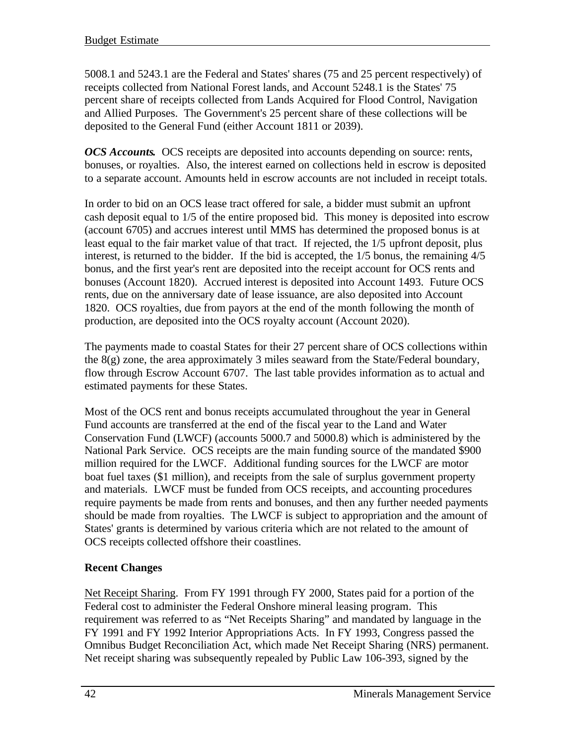5008.1 and 5243.1 are the Federal and States' shares (75 and 25 percent respectively) of receipts collected from National Forest lands, and Account 5248.1 is the States' 75 percent share of receipts collected from Lands Acquired for Flood Control, Navigation and Allied Purposes. The Government's 25 percent share of these collections will be deposited to the General Fund (either Account 1811 or 2039).

*OCS Accounts.* OCS receipts are deposited into accounts depending on source: rents, bonuses, or royalties. Also, the interest earned on collections held in escrow is deposited to a separate account. Amounts held in escrow accounts are not included in receipt totals.

In order to bid on an OCS lease tract offered for sale, a bidder must submit an upfront cash deposit equal to 1/5 of the entire proposed bid. This money is deposited into escrow (account 6705) and accrues interest until MMS has determined the proposed bonus is at least equal to the fair market value of that tract. If rejected, the 1/5 upfront deposit, plus interest, is returned to the bidder. If the bid is accepted, the 1/5 bonus, the remaining 4/5 bonus, and the first year's rent are deposited into the receipt account for OCS rents and bonuses (Account 1820). Accrued interest is deposited into Account 1493. Future OCS rents, due on the anniversary date of lease issuance, are also deposited into Account 1820. OCS royalties, due from payors at the end of the month following the month of production, are deposited into the OCS royalty account (Account 2020).

The payments made to coastal States for their 27 percent share of OCS collections within the 8(g) zone, the area approximately 3 miles seaward from the State/Federal boundary, flow through Escrow Account 6707. The last table provides information as to actual and estimated payments for these States.

Most of the OCS rent and bonus receipts accumulated throughout the year in General Fund accounts are transferred at the end of the fiscal year to the Land and Water Conservation Fund (LWCF) (accounts 5000.7 and 5000.8) which is administered by the National Park Service. OCS receipts are the main funding source of the mandated \$900 million required for the LWCF. Additional funding sources for the LWCF are motor boat fuel taxes (\$1 million), and receipts from the sale of surplus government property and materials. LWCF must be funded from OCS receipts, and accounting procedures require payments be made from rents and bonuses, and then any further needed payments should be made from royalties. The LWCF is subject to appropriation and the amount of States' grants is determined by various criteria which are not related to the amount of OCS receipts collected offshore their coastlines.

### **Recent Changes**

Net Receipt Sharing. From FY 1991 through FY 2000, States paid for a portion of the Federal cost to administer the Federal Onshore mineral leasing program. This requirement was referred to as "Net Receipts Sharing" and mandated by language in the FY 1991 and FY 1992 Interior Appropriations Acts. In FY 1993, Congress passed the Omnibus Budget Reconciliation Act, which made Net Receipt Sharing (NRS) permanent. Net receipt sharing was subsequently repealed by Public Law 106-393, signed by the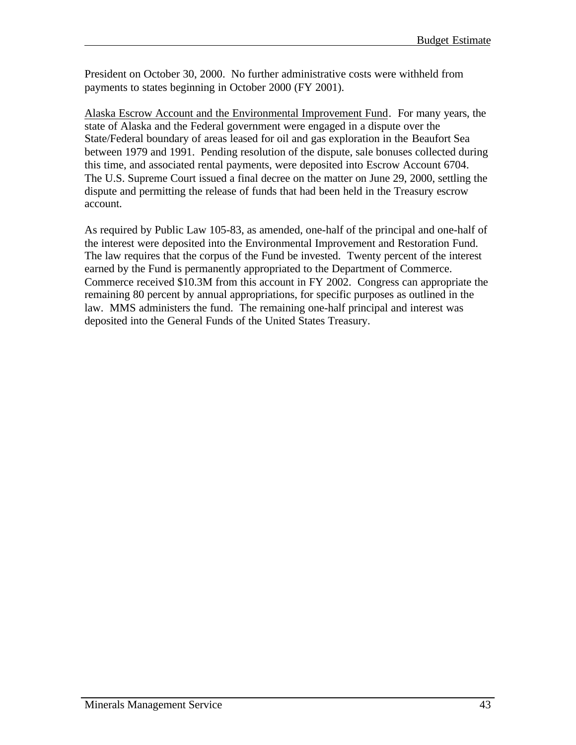President on October 30, 2000. No further administrative costs were withheld from payments to states beginning in October 2000 (FY 2001).

Alaska Escrow Account and the Environmental Improvement Fund. For many years, the state of Alaska and the Federal government were engaged in a dispute over the State/Federal boundary of areas leased for oil and gas exploration in the Beaufort Sea between 1979 and 1991. Pending resolution of the dispute, sale bonuses collected during this time, and associated rental payments, were deposited into Escrow Account 6704. The U.S. Supreme Court issued a final decree on the matter on June 29, 2000, settling the dispute and permitting the release of funds that had been held in the Treasury escrow account.

As required by Public Law 105-83, as amended, one-half of the principal and one-half of the interest were deposited into the Environmental Improvement and Restoration Fund. The law requires that the corpus of the Fund be invested. Twenty percent of the interest earned by the Fund is permanently appropriated to the Department of Commerce. Commerce received \$10.3M from this account in FY 2002. Congress can appropriate the remaining 80 percent by annual appropriations, for specific purposes as outlined in the law. MMS administers the fund. The remaining one-half principal and interest was deposited into the General Funds of the United States Treasury.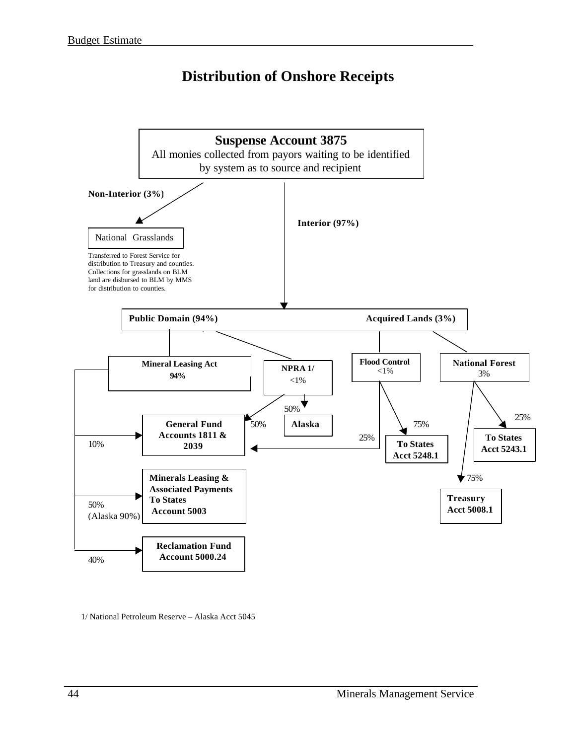### **Distribution of Onshore Receipts**



1/ National Petroleum Reserve – Alaska Acct 5045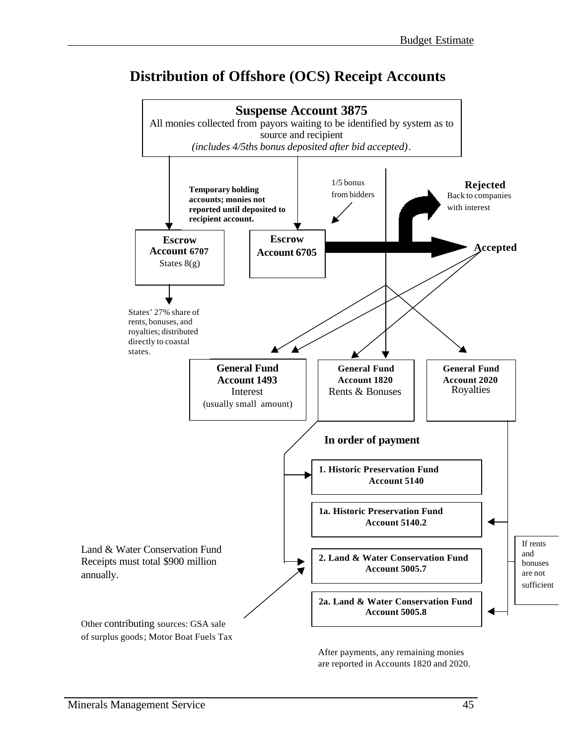### **Distribution of Offshore (OCS) Receipt Accounts**



are reported in Accounts 1820 and 2020.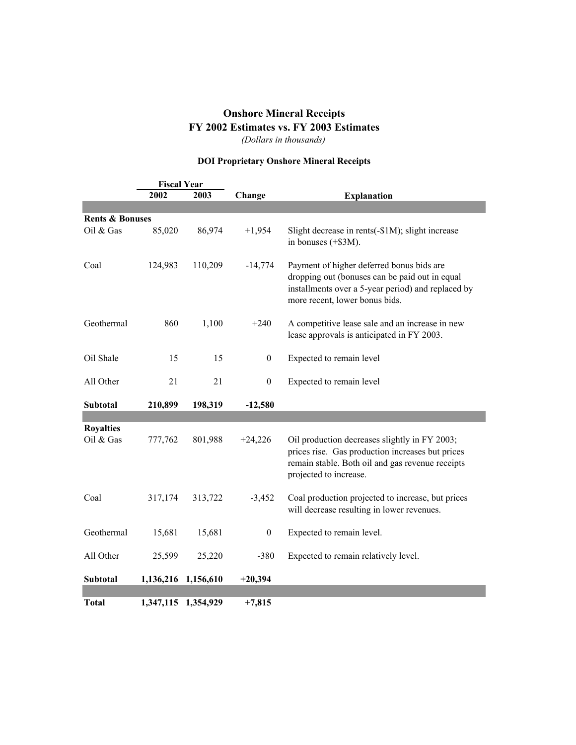### **Onshore Mineral Receipts FY 2002 Estimates vs. FY 2003 Estimates**

*(Dollars in thousands)*

#### **DOI Proprietary Onshore Mineral Receipts**

|                               | <b>Fiscal Year</b> |                     |                  |                                                                                                                                                                                     |
|-------------------------------|--------------------|---------------------|------------------|-------------------------------------------------------------------------------------------------------------------------------------------------------------------------------------|
|                               | 2002               | 2003                | Change           | <b>Explanation</b>                                                                                                                                                                  |
|                               |                    |                     |                  |                                                                                                                                                                                     |
| <b>Rents &amp; Bonuses</b>    |                    |                     |                  |                                                                                                                                                                                     |
| Oil & Gas                     | 85,020             | 86,974              | $+1,954$         | Slight decrease in rents(-\$1M); slight increase<br>in bonuses $(+\$3M)$ .                                                                                                          |
| Coal                          | 124,983            | 110,209             | $-14,774$        | Payment of higher deferred bonus bids are<br>dropping out (bonuses can be paid out in equal<br>installments over a 5-year period) and replaced by<br>more recent, lower bonus bids. |
| Geothermal                    | 860                | 1,100               | $+240$           | A competitive lease sale and an increase in new<br>lease approvals is anticipated in FY 2003.                                                                                       |
| Oil Shale                     | 15                 | 15                  | $\boldsymbol{0}$ | Expected to remain level                                                                                                                                                            |
| All Other                     | 21                 | 21                  | $\mathbf{0}$     | Expected to remain level                                                                                                                                                            |
| Subtotal                      | 210,899            | 198,319             | $-12,580$        |                                                                                                                                                                                     |
|                               |                    |                     |                  |                                                                                                                                                                                     |
| <b>Royalties</b><br>Oil & Gas | 777,762            | 801,988             | $+24,226$        | Oil production decreases slightly in FY 2003;<br>prices rise. Gas production increases but prices<br>remain stable. Both oil and gas revenue receipts<br>projected to increase.     |
| Coal                          | 317,174            | 313,722             | $-3,452$         | Coal production projected to increase, but prices<br>will decrease resulting in lower revenues.                                                                                     |
| Geothermal                    | 15,681             | 15,681              | $\boldsymbol{0}$ | Expected to remain level.                                                                                                                                                           |
| All Other                     | 25,599             | 25,220              | $-380$           | Expected to remain relatively level.                                                                                                                                                |
| <b>Subtotal</b>               |                    | 1,136,216 1,156,610 | $+20,394$        |                                                                                                                                                                                     |
| <b>Total</b>                  |                    | 1,347,115 1,354,929 | $+7,815$         |                                                                                                                                                                                     |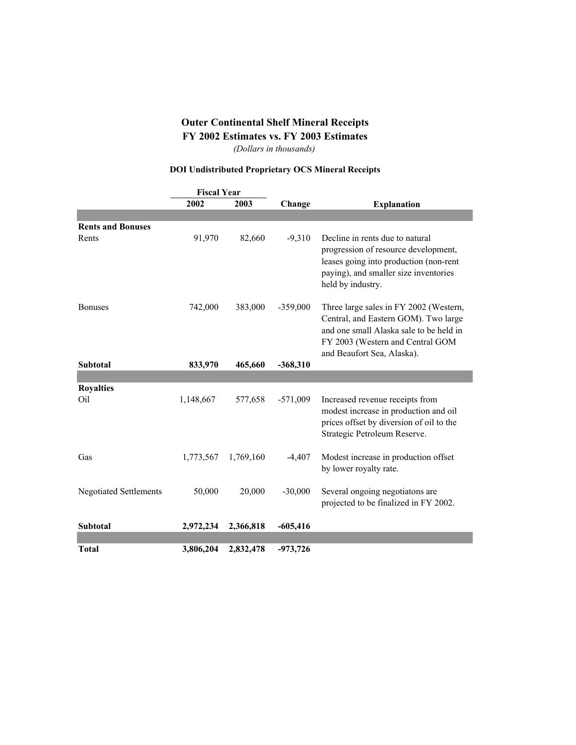### **Outer Continental Shelf Mineral Receipts FY 2002 Estimates vs. FY 2003 Estimates**

*(Dollars in thousands)*

### **DOI Undistributed Proprietary OCS Mineral Receipts**

|                                     | <b>Fiscal Year</b> |           |            |                                                                                                                                                                                             |
|-------------------------------------|--------------------|-----------|------------|---------------------------------------------------------------------------------------------------------------------------------------------------------------------------------------------|
|                                     | 2002               | 2003      | Change     | <b>Explanation</b>                                                                                                                                                                          |
|                                     |                    |           |            |                                                                                                                                                                                             |
| <b>Rents and Bonuses</b>            |                    |           |            |                                                                                                                                                                                             |
| Rents                               | 91,970             | 82,660    | $-9,310$   | Decline in rents due to natural<br>progression of resource development,<br>leases going into production (non-rent<br>paying), and smaller size inventories<br>held by industry.             |
| <b>Bonuses</b>                      | 742,000            | 383,000   | $-359,000$ | Three large sales in FY 2002 (Western,<br>Central, and Eastern GOM). Two large<br>and one small Alaska sale to be held in<br>FY 2003 (Western and Central GOM<br>and Beaufort Sea, Alaska). |
| <b>Subtotal</b>                     | 833,970            | 465,660   | $-368,310$ |                                                                                                                                                                                             |
|                                     |                    |           |            |                                                                                                                                                                                             |
| <b>Royalties</b><br>O <sub>il</sub> | 1,148,667          | 577,658   | $-571,009$ | Increased revenue receipts from<br>modest increase in production and oil<br>prices offset by diversion of oil to the<br>Strategic Petroleum Reserve.                                        |
| Gas                                 | 1,773,567          | 1,769,160 | $-4,407$   | Modest increase in production offset<br>by lower royalty rate.                                                                                                                              |
| <b>Negotiated Settlements</b>       | 50,000             | 20,000    | $-30,000$  | Several ongoing negotiatons are<br>projected to be finalized in FY 2002.                                                                                                                    |
| Subtotal                            | 2,972,234          | 2,366,818 | $-605,416$ |                                                                                                                                                                                             |
|                                     |                    |           |            |                                                                                                                                                                                             |
| <b>Total</b>                        | 3,806,204          | 2,832,478 | $-973,726$ |                                                                                                                                                                                             |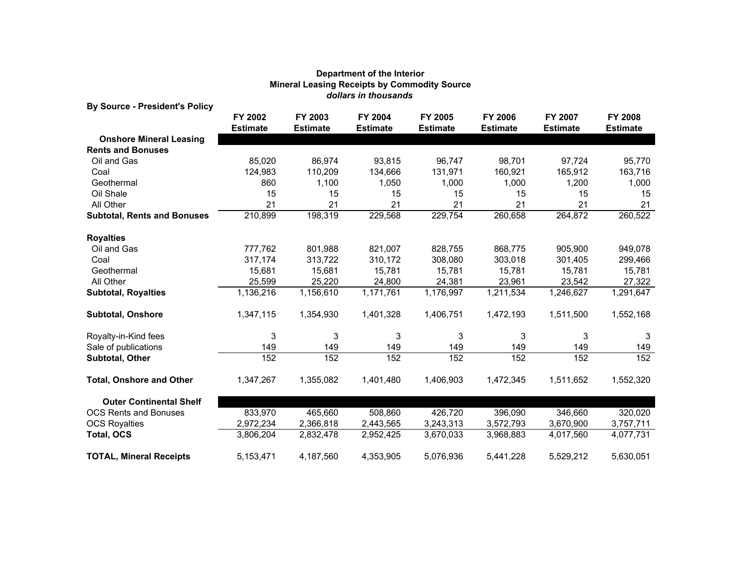| <b>By Source - President's Policy</b> |                            |                            |                            |                            |                                   |                            |                            |
|---------------------------------------|----------------------------|----------------------------|----------------------------|----------------------------|-----------------------------------|----------------------------|----------------------------|
|                                       | FY 2002<br><b>Estimate</b> | FY 2003<br><b>Estimate</b> | FY 2004<br><b>Estimate</b> | FY 2005<br><b>Estimate</b> | <b>FY 2006</b><br><b>Estimate</b> | FY 2007<br><b>Estimate</b> | FY 2008<br><b>Estimate</b> |
| <b>Onshore Mineral Leasing</b>        |                            |                            |                            |                            |                                   |                            |                            |
| <b>Rents and Bonuses</b>              |                            |                            |                            |                            |                                   |                            |                            |
| Oil and Gas                           | 85,020                     | 86,974                     | 93.815                     | 96.747                     | 98,701                            | 97,724                     | 95,770                     |
| Coal                                  | 124,983                    | 110,209                    | 134,666                    | 131,971                    | 160,921                           | 165,912                    | 163,716                    |
| Geothermal                            | 860                        | 1,100                      | 1,050                      | 1,000                      | 1,000                             | 1,200                      | 1,000                      |
| Oil Shale                             | 15                         | 15                         | 15                         | 15                         | 15                                | 15                         | 15                         |
| All Other                             | 21                         | 21                         | 21                         | 21                         | 21                                | 21                         | 21                         |
| <b>Subtotal, Rents and Bonuses</b>    | 210,899                    | 198,319                    | 229,568                    | 229,754                    | 260,658                           | 264,872                    | 260,522                    |
| <b>Royalties</b>                      |                            |                            |                            |                            |                                   |                            |                            |
| Oil and Gas                           | 777,762                    | 801,988                    | 821,007                    | 828,755                    | 868,775                           | 905,900                    | 949,078                    |
| Coal                                  | 317,174                    | 313,722                    | 310,172                    | 308,080                    | 303,018                           | 301,405                    | 299,466                    |
| Geothermal                            | 15,681                     | 15,681                     | 15,781                     | 15,781                     | 15,781                            | 15,781                     | 15,781                     |
| All Other                             | 25,599                     | 25,220                     | 24,800                     | 24,381                     | 23,961                            | 23,542                     | 27,322                     |
| <b>Subtotal, Royalties</b>            | 1,136,216                  | 1,156,610                  | 1,171,761                  | 1,176,997                  | 1,211,534                         | 1,246,627                  | 1,291,647                  |
| <b>Subtotal, Onshore</b>              | 1,347,115                  | 1,354,930                  | 1,401,328                  | 1,406,751                  | 1,472,193                         | 1,511,500                  | 1,552,168                  |
| Royalty-in-Kind fees                  | 3                          | 3                          | 3                          | 3                          | 3                                 | 3                          | 3                          |
| Sale of publications                  | 149                        | 149                        | 149                        | 149                        | 149                               | 149                        | 149                        |
| <b>Subtotal, Other</b>                | 152                        | 152                        | 152                        | 152                        | 152                               | 152                        | 152                        |
| <b>Total, Onshore and Other</b>       | 1,347,267                  | 1,355,082                  | 1,401,480                  | 1,406,903                  | 1,472,345                         | 1,511,652                  | 1,552,320                  |
| <b>Outer Continental Shelf</b>        |                            |                            |                            |                            |                                   |                            |                            |
| <b>OCS Rents and Bonuses</b>          | 833,970                    | 465,660                    | 508,860                    | 426,720                    | 396,090                           | 346,660                    | 320,020                    |
| <b>OCS Royalties</b>                  | 2,972,234                  | 2,366,818                  | 2,443,565                  | 3,243,313                  | 3,572,793                         | 3,670,900                  | 3,757,711                  |
| <b>Total, OCS</b>                     | 3,806,204                  | 2,832,478                  | 2,952,425                  | 3,670,033                  | 3,968,883                         | 4,017,560                  | 4,077,731                  |
| <b>TOTAL, Mineral Receipts</b>        | 5,153,471                  | 4,187,560                  | 4,353,905                  | 5,076,936                  | 5,441,228                         | 5,529,212                  | 5,630,051                  |

#### **Department of the Interior** *dollars in thousands* **Mineral Leasing Receipts by Commodity Source**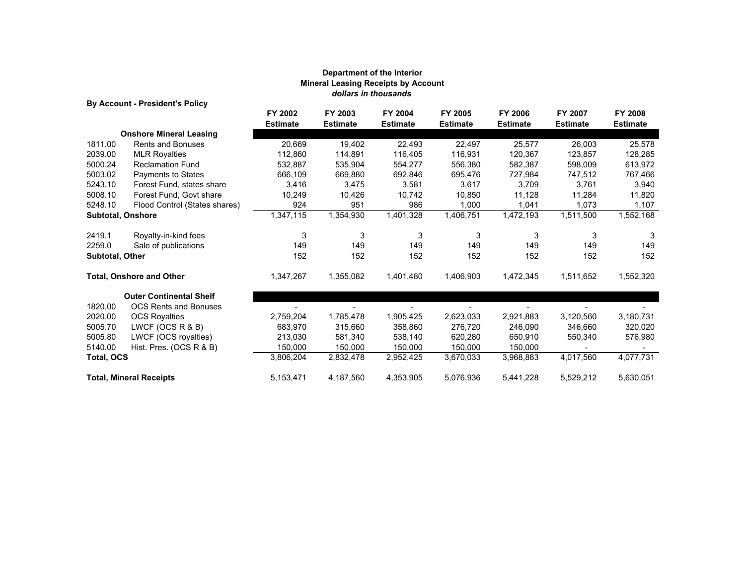#### **Department of the Interior Mineral Leasing Receipts by Account** *dollars in thousands*

**By Account - President's Policy**

|                          | 2, Account Proclasing Phoy      | FY 2002         | FY 2003         | FY 2004         | FY 2005         | <b>FY 2006</b>  | FY 2007         | FY 2008         |
|--------------------------|---------------------------------|-----------------|-----------------|-----------------|-----------------|-----------------|-----------------|-----------------|
|                          |                                 | <b>Estimate</b> | <b>Estimate</b> | <b>Estimate</b> | <b>Estimate</b> | <b>Estimate</b> | <b>Estimate</b> | <b>Estimate</b> |
|                          | <b>Onshore Mineral Leasing</b>  |                 |                 |                 |                 |                 |                 |                 |
| 1811.00                  | <b>Rents and Bonuses</b>        | 20,669          | 19,402          | 22,493          | 22,497          | 25.577          | 26,003          | 25,578          |
| 2039.00                  | <b>MLR Royalties</b>            | 112,860         | 114,891         | 116,405         | 116,931         | 120,367         | 123,857         | 128,285         |
| 5000.24                  | <b>Reclamation Fund</b>         | 532,887         | 535,904         | 554,277         | 556,380         | 582,387         | 598,009         | 613,972         |
| 5003.02                  | Payments to States              | 666,109         | 669,880         | 692,846         | 695,476         | 727,984         | 747,512         | 767,466         |
| 5243.10                  | Forest Fund, states share       | 3,416           | 3,475           | 3,581           | 3,617           | 3,709           | 3,761           | 3,940           |
| 5008.10                  | Forest Fund, Govt share         | 10,249          | 10,426          | 10.742          | 10.850          | 11,128          | 11,284          | 11,820          |
| 5248.10                  | Flood Control (States shares)   | 924             | 951             | 986             | 1,000           | 1,041           | 1,073           | 1,107           |
| <b>Subtotal, Onshore</b> |                                 | 1,347,115       | 1,354,930       | 1,401,328       | 1,406,751       | 1,472,193       | 1,511,500       | 1,552,168       |
| 2419.1                   | Royalty-in-kind fees            | 3               | 3               | 3               | 3               | 3               | 3               | 3               |
| 2259.0                   | Sale of publications            | 149             | 149             | 149             | 149             | 149             | 149             | 149             |
| <b>Subtotal, Other</b>   |                                 | 152             | 152             | 152             | 152             | 152             | 152             | 152             |
|                          | <b>Total, Onshore and Other</b> | 1,347,267       | 1,355,082       | 1,401,480       | 1,406,903       | 1,472,345       | 1,511,652       | 1,552,320       |
|                          | <b>Outer Continental Shelf</b>  |                 |                 |                 |                 |                 |                 |                 |
| 1820.00                  | <b>OCS Rents and Bonuses</b>    |                 |                 |                 |                 |                 |                 |                 |
| 2020.00                  | <b>OCS Royalties</b>            | 2,759,204       | 1,785,478       | 1,905,425       | 2,623,033       | 2,921,883       | 3,120,560       | 3,180,731       |
| 5005.70                  | LWCF (OCS R & B)                | 683,970         | 315,660         | 358,860         | 276,720         | 246,090         | 346,660         | 320,020         |
| 5005.80                  | LWCF (OCS royalties)            | 213,030         | 581,340         | 538,140         | 620,280         | 650,910         | 550,340         | 576,980         |
| 5140.00                  | Hist. Pres. (OCS R & B)         | 150,000         | 150,000         | 150,000         | 150,000         | 150,000         |                 |                 |
| <b>Total, OCS</b>        |                                 | 3,806,204       | 2,832,478       | 2,952,425       | 3,670,033       | 3,968,883       | 4,017,560       | 4,077,731       |
|                          | <b>Total, Mineral Receipts</b>  | 5,153,471       | 4,187,560       | 4,353,905       | 5,076,936       | 5,441,228       | 5,529,212       | 5,630,051       |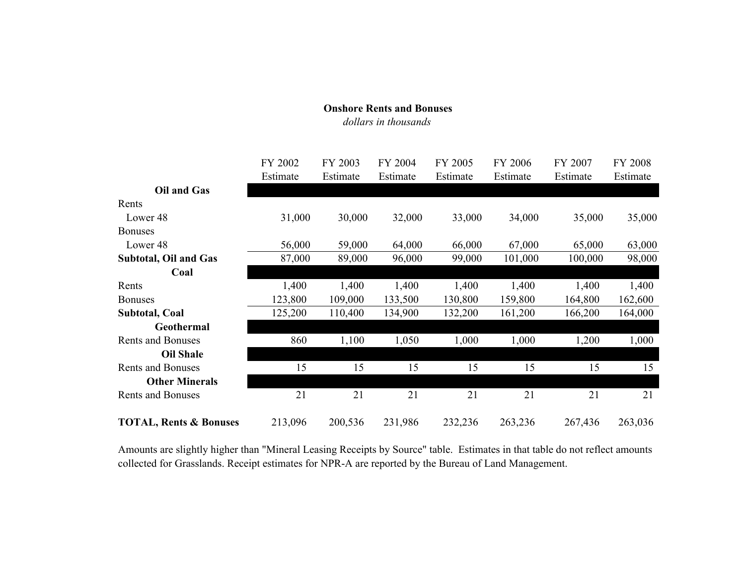#### **Onshore Rents and Bonuses** *dollars in thousands*

|                                   | FY 2002  | FY 2003  | FY 2004  | FY 2005  | <b>FY 2006</b> | <b>FY 2007</b> | <b>FY 2008</b> |
|-----------------------------------|----------|----------|----------|----------|----------------|----------------|----------------|
|                                   | Estimate | Estimate | Estimate | Estimate | Estimate       | Estimate       | Estimate       |
| <b>Oil and Gas</b>                |          |          |          |          |                |                |                |
| Rents                             |          |          |          |          |                |                |                |
| Lower <sub>48</sub>               | 31,000   | 30,000   | 32,000   | 33,000   | 34,000         | 35,000         | 35,000         |
| <b>Bonuses</b>                    |          |          |          |          |                |                |                |
| Lower 48                          | 56,000   | 59,000   | 64,000   | 66,000   | 67,000         | 65,000         | 63,000         |
| <b>Subtotal, Oil and Gas</b>      | 87,000   | 89,000   | 96,000   | 99,000   | 101,000        | 100,000        | 98,000         |
| Coal                              |          |          |          |          |                |                |                |
| Rents                             | 1,400    | 1,400    | 1,400    | 1,400    | 1,400          | 1,400          | 1,400          |
| <b>Bonuses</b>                    | 123,800  | 109,000  | 133,500  | 130,800  | 159,800        | 164,800        | 162,600        |
| <b>Subtotal, Coal</b>             | 125,200  | 110,400  | 134,900  | 132,200  | 161,200        | 166,200        | 164,000        |
| Geothermal                        |          |          |          |          |                |                |                |
| <b>Rents and Bonuses</b>          | 860      | 1,100    | 1,050    | 1,000    | 1,000          | 1,200          | 1,000          |
| <b>Oil Shale</b>                  |          |          |          |          |                |                |                |
| <b>Rents and Bonuses</b>          | 15       | 15       | 15       | 15       | 15             | 15             | 15             |
| <b>Other Minerals</b>             |          |          |          |          |                |                |                |
| <b>Rents and Bonuses</b>          | 21       | 21       | 21       | 21       | 21             | 21             | 21             |
| <b>TOTAL, Rents &amp; Bonuses</b> | 213,096  | 200,536  | 231,986  | 232,236  | 263,236        | 267,436        | 263,036        |

Amounts are slightly higher than "Mineral Leasing Receipts by Source" table. Estimates in that table do not reflect amounts collected for Grasslands. Receipt estimates for NPR-A are reported by the Bureau of Land Management.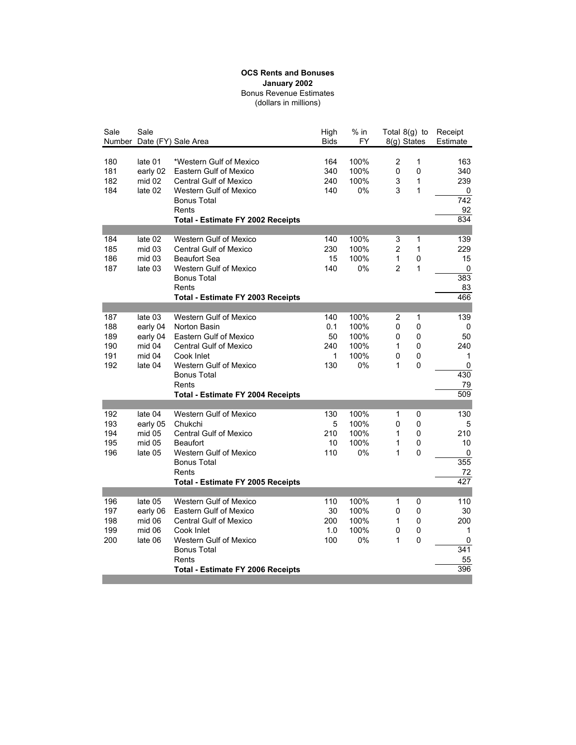#### Bonus Revenue Estimates (dollars in millions) **OCS Rents and Bonuses January 2002**

| Sale                                   | Sale                                                           | Number Date (FY) Sale Area                                                                                                                                                                                                  | High<br><b>Bids</b>                 | $%$ in<br>FY                               | Total 8(g) to<br>8(g) States    |                            | Receipt<br>Estimate                                     |
|----------------------------------------|----------------------------------------------------------------|-----------------------------------------------------------------------------------------------------------------------------------------------------------------------------------------------------------------------------|-------------------------------------|--------------------------------------------|---------------------------------|----------------------------|---------------------------------------------------------|
| 180<br>181<br>182<br>184               | late 01<br>early 02<br>mid 02<br>late 02                       | *Western Gulf of Mexico<br><b>Eastern Gulf of Mexico</b><br><b>Central Gulf of Mexico</b><br><b>Western Gulf of Mexico</b><br><b>Bonus Total</b><br>Rents<br><b>Total - Estimate FY 2002 Receipts</b>                       | 164<br>340<br>240<br>140            | 100%<br>100%<br>100%<br>0%                 | 2<br>0<br>3<br>3                | 1<br>$\pmb{0}$<br>1<br>1   | 163<br>340<br>239<br>0<br>$\overline{742}$<br>92<br>834 |
| 184<br>185<br>186<br>187               | late 02<br>mid 03<br>mid 03<br>late 03                         | <b>Western Gulf of Mexico</b><br><b>Central Gulf of Mexico</b><br><b>Beaufort Sea</b><br><b>Western Gulf of Mexico</b><br><b>Bonus Total</b><br>Rents<br>Total - Estimate FY 2003 Receipts                                  | 140<br>230<br>15<br>140             | 100%<br>100%<br>100%<br>0%                 | 3<br>$\overline{2}$<br>1<br>2   | 1<br>1<br>0<br>1           | 139<br>229<br>15<br>0<br>383<br>83<br>466               |
| 187<br>188<br>189<br>190<br>191<br>192 | late 03<br>early 04<br>early 04<br>mid 04<br>mid 04<br>late 04 | <b>Western Gulf of Mexico</b><br>Norton Basin<br>Eastern Gulf of Mexico<br><b>Central Gulf of Mexico</b><br>Cook Inlet<br><b>Western Gulf of Mexico</b><br><b>Bonus Total</b><br>Rents<br>Total - Estimate FY 2004 Receipts | 140<br>0.1<br>50<br>240<br>1<br>130 | 100%<br>100%<br>100%<br>100%<br>100%<br>0% | 2<br>0<br>0<br>1<br>0<br>1      | 1<br>0<br>0<br>0<br>0<br>0 | 139<br>0<br>50<br>240<br>1<br>0<br>430<br>79<br>509     |
| 192<br>193<br>194<br>195<br>196        | late 04<br>early 05<br>mid 05<br>mid 05<br>late 05             | <b>Western Gulf of Mexico</b><br>Chukchi<br><b>Central Gulf of Mexico</b><br><b>Beaufort</b><br><b>Western Gulf of Mexico</b><br><b>Bonus Total</b><br>Rents<br>Total - Estimate FY 2005 Receipts                           | 130<br>5<br>210<br>10<br>110        | 100%<br>100%<br>100%<br>100%<br>0%         | 1<br>0<br>1<br>1<br>1           | 0<br>0<br>0<br>0<br>0      | 130<br>5<br>210<br>10<br>0<br>355<br>72<br>427          |
| 196<br>197<br>198<br>199<br>200        | late 05<br>early 06<br>mid 06<br>mid 06<br>late 06             | <b>Western Gulf of Mexico</b><br><b>Eastern Gulf of Mexico</b><br><b>Central Gulf of Mexico</b><br>Cook Inlet<br>Western Gulf of Mexico<br><b>Bonus Total</b><br>Rents<br><b>Total - Estimate FY 2006 Receipts</b>          | 110<br>30<br>200<br>1.0<br>100      | 100%<br>100%<br>100%<br>100%<br>0%         | 1<br>0<br>1<br>$\mathbf 0$<br>1 | 0<br>0<br>0<br>0<br>0      | 110<br>30<br>200<br>1<br>0<br>341<br>55<br>396          |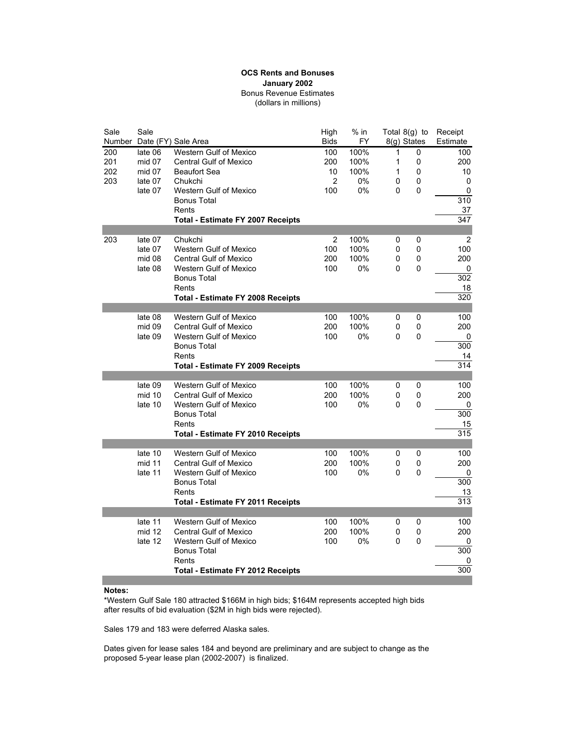#### Bonus Revenue Estimates (dollars in millions) **OCS Rents and Bonuses January 2002**

| Sale | Sale    |                                                     | High           | $%$ in | Total 8(g) to |             | Receipt   |
|------|---------|-----------------------------------------------------|----------------|--------|---------------|-------------|-----------|
|      |         | Number Date (FY) Sale Area                          | <b>Bids</b>    | FY.    | 8(g) States   |             | Estimate  |
| 200  | late 06 | <b>Western Gulf of Mexico</b>                       | 100            | 100%   | 1             | 0           | 100       |
| 201  | mid 07  | <b>Central Gulf of Mexico</b>                       | 200            | 100%   | 1             | 0           | 200       |
| 202  | mid 07  | <b>Beaufort Sea</b>                                 | 10             | 100%   | 1             | 0           | 10        |
| 203  | late 07 | Chukchi                                             | $\overline{2}$ | 0%     | 0             | 0           | 0         |
|      | late 07 | <b>Western Gulf of Mexico</b>                       | 100            | 0%     | 0             | 0           | 0         |
|      |         | <b>Bonus Total</b>                                  |                |        |               |             | 310       |
|      |         | Rents                                               |                |        |               |             | 37<br>347 |
|      |         | <b>Total - Estimate FY 2007 Receipts</b>            |                |        |               |             |           |
| 203  | late 07 | Chukchi                                             | 2              | 100%   | 0             | 0           | 2         |
|      | late 07 | <b>Western Gulf of Mexico</b>                       | 100            | 100%   | 0             | 0           | 100       |
|      | mid 08  | <b>Central Gulf of Mexico</b>                       | 200            | 100%   | 0             | 0           | 200       |
|      | late 08 | Western Gulf of Mexico                              | 100            | 0%     | 0             | 0           | 0         |
|      |         | <b>Bonus Total</b>                                  |                |        |               |             | 302       |
|      |         | Rents                                               |                |        |               |             | 18        |
|      |         | <b>Total - Estimate FY 2008 Receipts</b>            |                |        |               |             | 320       |
|      |         |                                                     |                |        |               |             |           |
|      | late 08 | <b>Western Gulf of Mexico</b>                       | 100            | 100%   | 0             | 0           | 100       |
|      | mid 09  | <b>Central Gulf of Mexico</b>                       | 200            | 100%   | 0             | 0           | 200       |
|      | late 09 | <b>Western Gulf of Mexico</b>                       | 100            | 0%     | 0             | 0           | 0         |
|      |         | <b>Bonus Total</b>                                  |                |        |               |             | 300       |
|      |         | Rents                                               |                |        |               |             | 14        |
|      |         | <b>Total - Estimate FY 2009 Receipts</b>            |                |        |               |             | 314       |
|      |         |                                                     |                |        |               |             |           |
|      | late 09 | <b>Western Gulf of Mexico</b>                       | 100            | 100%   | 0             | $\mathbf 0$ | 100       |
|      | mid 10  | <b>Central Gulf of Mexico</b>                       | 200            | 100%   | 0             | 0           | 200       |
|      | late 10 | <b>Western Gulf of Mexico</b><br><b>Bonus Total</b> | 100            | 0%     | 0             | 0           | 0<br>300  |
|      |         | Rents                                               |                |        |               |             | 15        |
|      |         | <b>Total - Estimate FY 2010 Receipts</b>            |                |        |               |             | 315       |
|      |         |                                                     |                |        |               |             |           |
|      | late 10 | <b>Western Gulf of Mexico</b>                       | 100            | 100%   | 0             | 0           | 100       |
|      | mid 11  | <b>Central Gulf of Mexico</b>                       | 200            | 100%   | 0             | 0           | 200       |
|      | late 11 | <b>Western Gulf of Mexico</b>                       | 100            | 0%     | 0             | 0           | 0         |
|      |         | <b>Bonus Total</b>                                  |                |        |               |             | 300       |
|      |         | Rents                                               |                |        |               |             | 13        |
|      |         | <b>Total - Estimate FY 2011 Receipts</b>            |                |        |               |             | 313       |
|      |         |                                                     |                |        |               |             |           |
|      | late 11 | Western Gulf of Mexico                              | 100            | 100%   | 0             | 0           | 100       |
|      | mid 12  | <b>Central Gulf of Mexico</b>                       | 200            | 100%   | 0             | 0           | 200       |
|      | late 12 | <b>Western Gulf of Mexico</b>                       | 100            | 0%     | 0             | $\mathbf 0$ | 0         |
|      |         | <b>Bonus Total</b>                                  |                |        |               |             | 300       |
|      |         | Rents                                               |                |        |               |             | 0         |
|      |         | <b>Total - Estimate FY 2012 Receipts</b>            |                |        |               |             | 300       |

#### **Notes:**

\*Western Gulf Sale 180 attracted \$166M in high bids; \$164M represents accepted high bids after results of bid evaluation (\$2M in high bids were rejected).

Sales 179 and 183 were deferred Alaska sales.

Dates given for lease sales 184 and beyond are preliminary and are subject to change as the proposed 5-year lease plan (2002-2007) is finalized.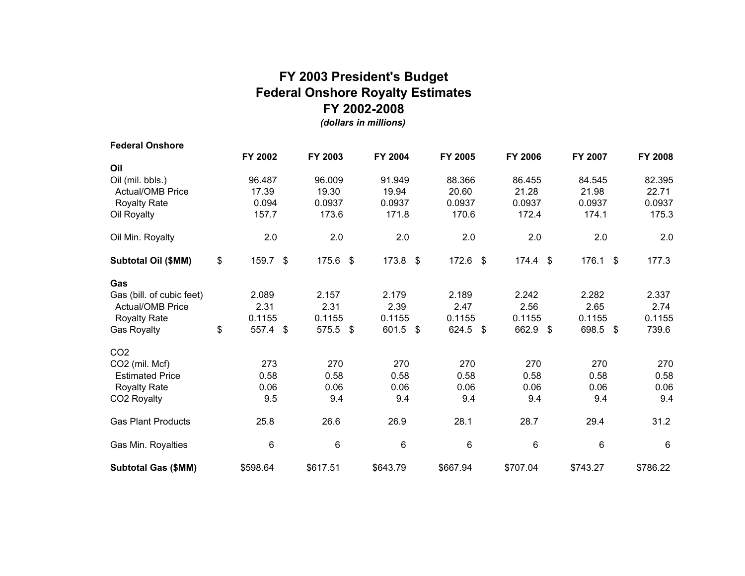### **FY 2003 President's Budget Federal Onshore Royalty Estimates FY 2002-2008**

*(dollars in millions)*

| <b>Federal Onshore</b>     |             |                  |            |            |                 |          |               |                |
|----------------------------|-------------|------------------|------------|------------|-----------------|----------|---------------|----------------|
|                            | FY 2002     | FY 2003          | FY 2004    | FY 2005    | <b>FY 2006</b>  | FY 2007  |               | <b>FY 2008</b> |
| Oil                        |             |                  |            |            |                 |          |               |                |
| Oil (mil. bbls.)           | 96.487      | 96.009           | 91.949     | 88.366     | 86.455          | 84.545   |               | 82.395         |
| <b>Actual/OMB Price</b>    | 17.39       | 19.30            | 19.94      | 20.60      | 21.28           | 21.98    |               | 22.71          |
| <b>Royalty Rate</b>        | 0.094       | 0.0937           | 0.0937     | 0.0937     | 0.0937          | 0.0937   |               | 0.0937         |
| Oil Royalty                | 157.7       | 173.6            | 171.8      | 170.6      | 172.4           | 174.1    |               | 175.3          |
| Oil Min. Royalty           | 2.0         | 2.0              | 2.0        | 2.0        | 2.0             | 2.0      |               | 2.0            |
| <b>Subtotal Oil (\$MM)</b> | \$<br>159.7 | \$<br>$175.6$ \$ | $173.8$ \$ | $172.6$ \$ | $174.4$ \$      | 176.1    | $\sqrt[6]{3}$ | 177.3          |
| Gas                        |             |                  |            |            |                 |          |               |                |
| Gas (bill. of cubic feet)  | 2.089       | 2.157            | 2.179      | 2.189      | 2.242           | 2.282    |               | 2.337          |
| <b>Actual/OMB Price</b>    | 2.31        | 2.31             | 2.39       | 2.47       | 2.56            | 2.65     |               | 2.74           |
| <b>Royalty Rate</b>        | 0.1155      | 0.1155           | 0.1155     | 0.1155     | 0.1155          | 0.1155   |               | 0.1155         |
| Gas Royalty                | \$<br>557.4 | \$<br>575.5 \$   | 601.5 \$   | 624.5 \$   | 662.9 \$        | 698.5 \$ |               | 739.6          |
| CO <sub>2</sub>            |             |                  |            |            |                 |          |               |                |
| CO2 (mil. Mcf)             | 273         | 270              | 270        | 270        | 270             | 270      |               | 270            |
| <b>Estimated Price</b>     | 0.58        | 0.58             | 0.58       | 0.58       | 0.58            | 0.58     |               | 0.58           |
| <b>Royalty Rate</b>        | 0.06        | 0.06             | 0.06       | 0.06       | 0.06            | 0.06     |               | 0.06           |
| CO2 Royalty                | 9.5         | 9.4              | 9.4        | 9.4        | 9.4             | 9.4      |               | 9.4            |
| <b>Gas Plant Products</b>  | 25.8        | 26.6             | 26.9       | 28.1       | 28.7            | 29.4     |               | 31.2           |
| Gas Min. Royalties         | 6           | 6                | 6          | 6          | $6\phantom{1}6$ | 6        |               | 6              |
| <b>Subtotal Gas (\$MM)</b> | \$598.64    | \$617.51         | \$643.79   | \$667.94   | \$707.04        | \$743.27 |               | \$786.22       |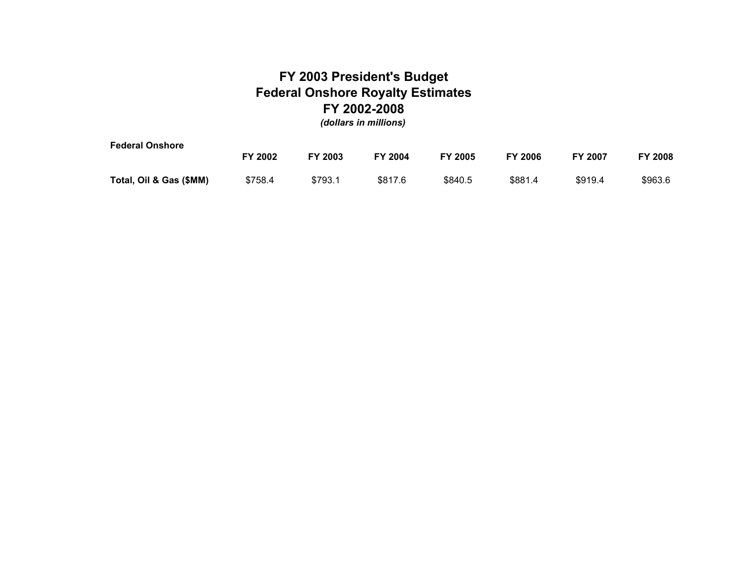### **FY 2003 President's Budget Federal Onshore Royalty Estimates FY 2002-2008** *(dollars in millions)*

**Federal Onshore FY 2002 FY 2003 FY 2004 FY 2005 FY 2006 FY 2007 FY 2008Total, Oil & Gas (\$MM)** \$758.4 \$793.1 \$817.6 \$840.5 \$881.4 \$919.4 \$963.6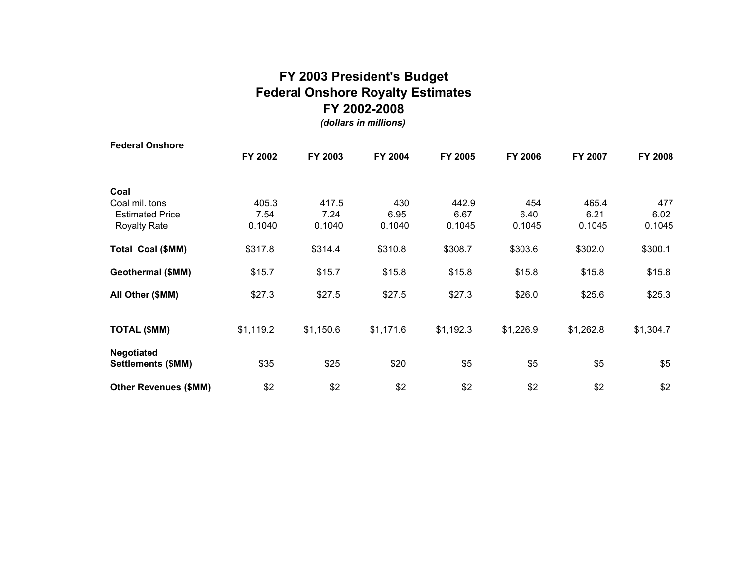### **FY 2003 President's Budget Federal Onshore Royalty Estimates FY 2002-2008**

*(dollars in millions)*

| <b>Federal Onshore</b>       |           |           |           |           |           |           |                |
|------------------------------|-----------|-----------|-----------|-----------|-----------|-----------|----------------|
|                              | FY 2002   | FY 2003   | FY 2004   | FY 2005   | FY 2006   | FY 2007   | <b>FY 2008</b> |
| Coal                         |           |           |           |           |           |           |                |
| Coal mil. tons               | 405.3     | 417.5     | 430       | 442.9     | 454       | 465.4     | 477            |
| <b>Estimated Price</b>       | 7.54      | 7.24      | 6.95      | 6.67      | 6.40      | 6.21      | 6.02           |
| <b>Royalty Rate</b>          | 0.1040    | 0.1040    | 0.1040    | 0.1045    | 0.1045    | 0.1045    | 0.1045         |
| Total Coal (\$MM)            | \$317.8   | \$314.4   | \$310.8   | \$308.7   | \$303.6   | \$302.0   | \$300.1        |
| Geothermal (\$MM)            | \$15.7    | \$15.7    | \$15.8    | \$15.8    | \$15.8    | \$15.8    | \$15.8         |
| All Other (\$MM)             | \$27.3    | \$27.5    | \$27.5    | \$27.3    | \$26.0    | \$25.6    | \$25.3         |
| <b>TOTAL (\$MM)</b>          | \$1,119.2 | \$1,150.6 | \$1,171.6 | \$1,192.3 | \$1,226.9 | \$1,262.8 | \$1,304.7      |
| <b>Negotiated</b>            |           |           |           |           |           |           |                |
| Settlements (\$MM)           | \$35      | \$25      | \$20      | \$5       | \$5       | \$5       | \$5            |
| <b>Other Revenues (\$MM)</b> | \$2       | \$2       | \$2       | \$2       | \$2       | \$2       | \$2            |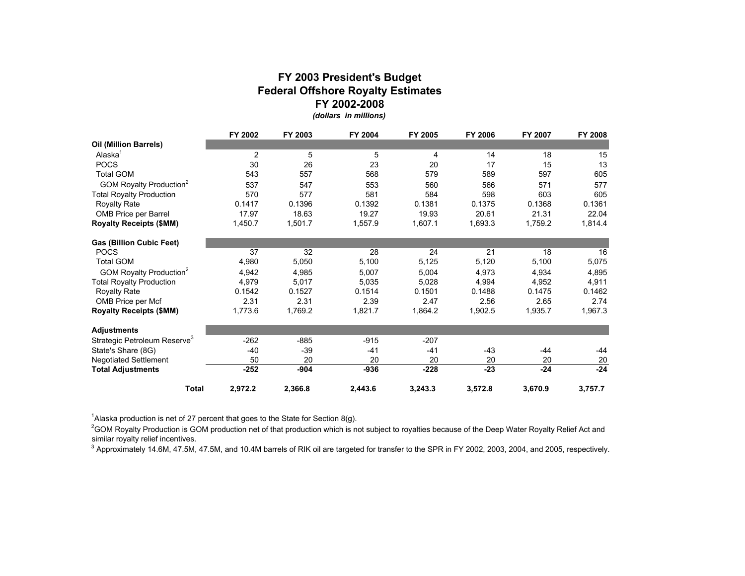#### **Federal Offshore Royalty Estimates FY 2002-2008***(dollars in millions)* **FY 2003 President's Budget**

|                                          | FY 2002        | FY 2003 | FY 2004 | FY 2005 | FY 2006 | FY 2007 | FY 2008 |
|------------------------------------------|----------------|---------|---------|---------|---------|---------|---------|
| Oil (Million Barrels)                    |                |         |         |         |         |         |         |
| Alaska <sup>1</sup>                      | $\overline{2}$ | 5       | 5       | 4       | 14      | 18      | 15      |
| <b>POCS</b>                              | 30             | 26      | 23      | 20      | 17      | 15      | 13      |
| <b>Total GOM</b>                         | 543            | 557     | 568     | 579     | 589     | 597     | 605     |
| GOM Royalty Production <sup>2</sup>      | 537            | 547     | 553     | 560     | 566     | 571     | 577     |
| <b>Total Royalty Production</b>          | 570            | 577     | 581     | 584     | 598     | 603     | 605     |
| <b>Royalty Rate</b>                      | 0.1417         | 0.1396  | 0.1392  | 0.1381  | 0.1375  | 0.1368  | 0.1361  |
| <b>OMB Price per Barrel</b>              | 17.97          | 18.63   | 19.27   | 19.93   | 20.61   | 21.31   | 22.04   |
| <b>Royalty Receipts (\$MM)</b>           | 1,450.7        | 1,501.7 | 1,557.9 | 1,607.1 | 1,693.3 | 1,759.2 | 1,814.4 |
| <b>Gas (Billion Cubic Feet)</b>          |                |         |         |         |         |         |         |
| <b>POCS</b>                              | 37             | 32      | 28      | 24      | 21      | 18      | 16      |
| <b>Total GOM</b>                         | 4,980          | 5,050   | 5,100   | 5,125   | 5,120   | 5,100   | 5,075   |
| GOM Royalty Production <sup>2</sup>      | 4,942          | 4,985   | 5,007   | 5,004   | 4,973   | 4,934   | 4,895   |
| <b>Total Royalty Production</b>          | 4,979          | 5,017   | 5,035   | 5,028   | 4,994   | 4,952   | 4,911   |
| <b>Royalty Rate</b>                      | 0.1542         | 0.1527  | 0.1514  | 0.1501  | 0.1488  | 0.1475  | 0.1462  |
| OMB Price per Mcf                        | 2.31           | 2.31    | 2.39    | 2.47    | 2.56    | 2.65    | 2.74    |
| <b>Royalty Receipts (\$MM)</b>           | 1,773.6        | 1,769.2 | 1,821.7 | 1,864.2 | 1,902.5 | 1,935.7 | 1,967.3 |
| <b>Adjustments</b>                       |                |         |         |         |         |         |         |
| Strategic Petroleum Reserve <sup>3</sup> | $-262$         | $-885$  | $-915$  | $-207$  |         |         |         |
| State's Share (8G)                       | $-40$          | $-39$   | $-41$   | -41     | $-43$   | $-44$   | -44     |
| <b>Negotiated Settlement</b>             | 50             | 20      | 20      | 20      | 20      | 20      | 20      |
| <b>Total Adjustments</b>                 | $-252$         | $-904$  | $-936$  | $-228$  | $-23$   | $-24$   | $-24$   |
| Total                                    | 2,972.2        | 2,366.8 | 2,443.6 | 3,243.3 | 3,572.8 | 3,670.9 | 3,757.7 |

<sup>1</sup> Alaska production is net of 27 percent that goes to the State for Section 8(g).

<sup>2</sup>GOM Royalty Production is GOM production net of that production which is not subject to royalties because of the Deep Water Royalty Relief Act and similar royalty relief incentives.

<sup>3</sup> Approximately 14.6M, 47.5M, 47.5M, and 10.4M barrels of RIK oil are targeted for transfer to the SPR in FY 2002, 2003, 2004, and 2005, respectively.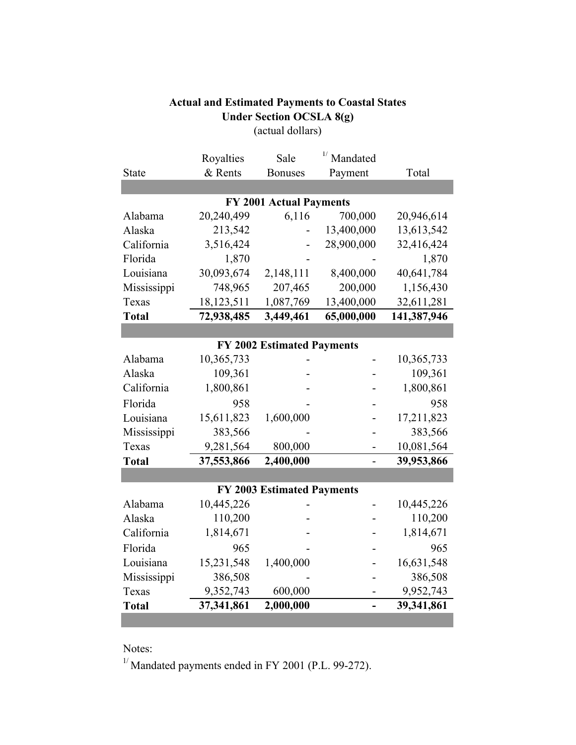|                                | Royalties  | Sale                              | $1/$ Mandated |             |  |  |  |  |
|--------------------------------|------------|-----------------------------------|---------------|-------------|--|--|--|--|
| <b>State</b>                   | & Rents    | <b>Bonuses</b>                    | Payment       | Total       |  |  |  |  |
|                                |            |                                   |               |             |  |  |  |  |
| <b>FY 2001 Actual Payments</b> |            |                                   |               |             |  |  |  |  |
| Alabama                        | 20,240,499 | 6,116                             | 700,000       | 20,946,614  |  |  |  |  |
| Alaska                         | 213,542    |                                   | 13,400,000    | 13,613,542  |  |  |  |  |
| California                     | 3,516,424  |                                   | 28,900,000    | 32,416,424  |  |  |  |  |
| Florida                        | 1,870      |                                   |               | 1,870       |  |  |  |  |
| Louisiana                      | 30,093,674 | 2,148,111                         | 8,400,000     | 40,641,784  |  |  |  |  |
| Mississippi                    | 748,965    | 207,465                           | 200,000       | 1,156,430   |  |  |  |  |
| Texas                          | 18,123,511 | 1,087,769                         | 13,400,000    | 32,611,281  |  |  |  |  |
| <b>Total</b>                   | 72,938,485 | 3,449,461                         | 65,000,000    | 141,387,946 |  |  |  |  |
|                                |            |                                   |               |             |  |  |  |  |
|                                |            | <b>FY 2002 Estimated Payments</b> |               |             |  |  |  |  |
| Alabama                        | 10,365,733 |                                   |               | 10,365,733  |  |  |  |  |
| Alaska                         | 109,361    |                                   |               | 109,361     |  |  |  |  |
| California                     | 1,800,861  |                                   |               | 1,800,861   |  |  |  |  |
| Florida                        | 958        |                                   |               | 958         |  |  |  |  |
| Louisiana                      | 15,611,823 | 1,600,000                         |               | 17,211,823  |  |  |  |  |
| Mississippi                    | 383,566    |                                   |               | 383,566     |  |  |  |  |
| Texas                          | 9,281,564  | 800,000                           |               | 10,081,564  |  |  |  |  |
| <b>Total</b>                   | 37,553,866 | 2,400,000                         |               | 39,953,866  |  |  |  |  |
|                                |            |                                   |               |             |  |  |  |  |
|                                |            | <b>FY 2003 Estimated Payments</b> |               |             |  |  |  |  |
| Alabama                        | 10,445,226 |                                   |               | 10,445,226  |  |  |  |  |
| Alaska                         | 110,200    |                                   |               | 110,200     |  |  |  |  |
| California                     | 1,814,671  |                                   |               | 1,814,671   |  |  |  |  |
| Florida                        | 965        |                                   |               | 965         |  |  |  |  |
| Louisiana                      | 15,231,548 | 1,400,000                         |               | 16,631,548  |  |  |  |  |
| Mississippi                    | 386,508    |                                   |               | 386,508     |  |  |  |  |
| Texas                          | 9,352,743  | 600,000                           |               | 9,952,743   |  |  |  |  |
| <b>Total</b>                   | 37,341,861 | 2,000,000                         |               | 39,341,861  |  |  |  |  |

### **Actual and Estimated Payments to Coastal States Under Section OCSLA 8(g)**

(actual dollars)

Notes:

 $1/$  Mandated payments ended in FY 2001 (P.L. 99-272).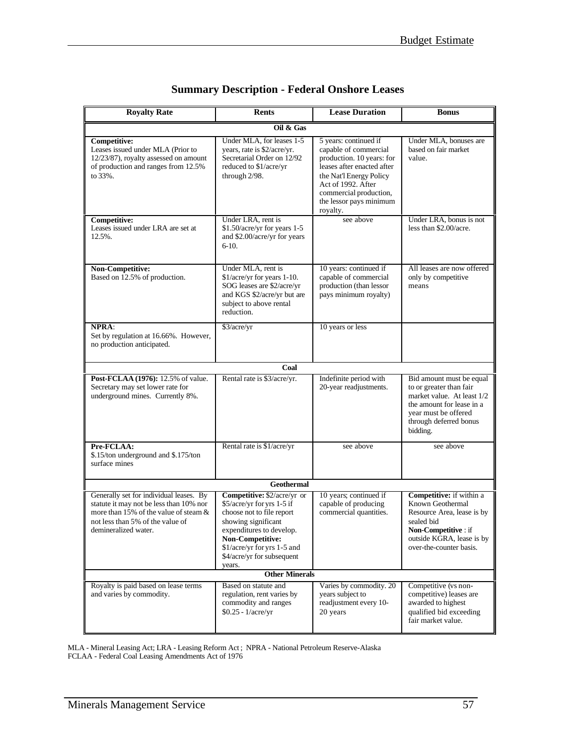| <b>Royalty Rate</b>                                                                                                                                                                     | <b>Rents</b>                                                                                                                                                                                                                                                  | <b>Lease Duration</b>                                                                                                                                                                                                       | <b>Bonus</b>                                                                                                                                                                 |  |
|-----------------------------------------------------------------------------------------------------------------------------------------------------------------------------------------|---------------------------------------------------------------------------------------------------------------------------------------------------------------------------------------------------------------------------------------------------------------|-----------------------------------------------------------------------------------------------------------------------------------------------------------------------------------------------------------------------------|------------------------------------------------------------------------------------------------------------------------------------------------------------------------------|--|
|                                                                                                                                                                                         | Oil & Gas                                                                                                                                                                                                                                                     |                                                                                                                                                                                                                             |                                                                                                                                                                              |  |
| <b>Competitive:</b><br>Leases issued under MLA (Prior to<br>12/23/87), royalty assessed on amount<br>of production and ranges from 12.5%<br>to 33%.                                     | Under MLA, for leases 1-5<br>years, rate is \$2/acre/yr.<br>Secretarial Order on 12/92<br>reduced to \$1/acre/yr<br>through 2/98.                                                                                                                             | 5 years: continued if<br>capable of commercial<br>production. 10 years: for<br>leases after enacted after<br>the Nat'l Energy Policy<br>Act of 1992. After<br>commercial production,<br>the lessor pays minimum<br>royalty. | Under MLA, bonuses are<br>based on fair market<br>value.                                                                                                                     |  |
| Competitive:<br>Leases issued under LRA are set at<br>12.5%.                                                                                                                            | Under LRA, rent is<br>\$1.50/acre/yr for years 1-5<br>and \$2.00/acre/yr for years<br>$6-10.$                                                                                                                                                                 | see above                                                                                                                                                                                                                   | Under LRA, bonus is not<br>less than \$2.00/acre.                                                                                                                            |  |
| Non-Competitive:<br>Based on 12.5% of production.                                                                                                                                       | Under MLA, rent is<br>\$1/acre/yr for years 1-10.<br>SOG leases are \$2/acre/yr<br>and KGS \$2/acre/yr but are<br>subject to above rental<br>reduction.                                                                                                       | 10 years: continued if<br>capable of commercial<br>production (than lessor<br>pays minimum royalty)                                                                                                                         | All leases are now offered<br>only by competitive<br>means                                                                                                                   |  |
| NPRA:<br>Set by regulation at 16.66%. However,<br>no production anticipated.                                                                                                            | \$3/acre/yr                                                                                                                                                                                                                                                   | 10 years or less                                                                                                                                                                                                            |                                                                                                                                                                              |  |
|                                                                                                                                                                                         | Coal                                                                                                                                                                                                                                                          |                                                                                                                                                                                                                             |                                                                                                                                                                              |  |
| Post-FCLAA (1976): 12.5% of value.<br>Secretary may set lower rate for<br>underground mines. Currently 8%.                                                                              | Rental rate is \$3/acre/yr.                                                                                                                                                                                                                                   | Indefinite period with<br>20-year readjustments.                                                                                                                                                                            | Bid amount must be equal<br>to or greater than fair<br>market value. At least 1/2<br>the amount for lease in a<br>year must be offered<br>through deferred bonus<br>bidding. |  |
| Pre-FCLAA:<br>\$.15/ton underground and \$.175/ton<br>surface mines                                                                                                                     | Rental rate is \$1/acre/yr                                                                                                                                                                                                                                    | see above                                                                                                                                                                                                                   | see above                                                                                                                                                                    |  |
|                                                                                                                                                                                         | <b>Geothermal</b>                                                                                                                                                                                                                                             |                                                                                                                                                                                                                             |                                                                                                                                                                              |  |
| Generally set for individual leases. By<br>statute it may not be less than 10% nor<br>more than 15% of the value of steam &<br>not less than 5% of the value of<br>demineralized water. | Competitive: \$2/acre/yr or<br>\$5/acre/yr for yrs 1-5 if<br>choose not to file report<br>showing significant<br>expenditures to develop.<br>Non-Competitive:<br>\$1/acre/yr for yrs 1-5 and<br>\$4/acre/yr for subsequent<br>years.<br><b>Other Minerals</b> | 10 years; continued if<br>capable of producing<br>commercial quantities.                                                                                                                                                    | Competitive: if within a<br>Known Geothermal<br>Resource Area, lease is by<br>sealed bid<br>Non-Competitive : if<br>outside KGRA, lease is by<br>over-the-counter basis.     |  |
| Royalty is paid based on lease terms                                                                                                                                                    | Based on statute and                                                                                                                                                                                                                                          | Varies by commodity. 20                                                                                                                                                                                                     | Competitive (vs non-                                                                                                                                                         |  |
| and varies by commodity.                                                                                                                                                                | regulation, rent varies by<br>commodity and ranges<br>\$0.25 - 1/acre/yr                                                                                                                                                                                      | vears subject to<br>readjustment every 10-<br>20 years                                                                                                                                                                      | competitive) leases are<br>awarded to highest<br>qualified bid exceeding<br>fair market value.                                                                               |  |

### **Summary Description - Federal Onshore Leases**

MLA - Mineral Leasing Act; LRA - Leasing Reform Act ; NPRA - National Petroleum Reserve-Alaska FCLAA - Federal Coal Leasing Amendments Act of 1976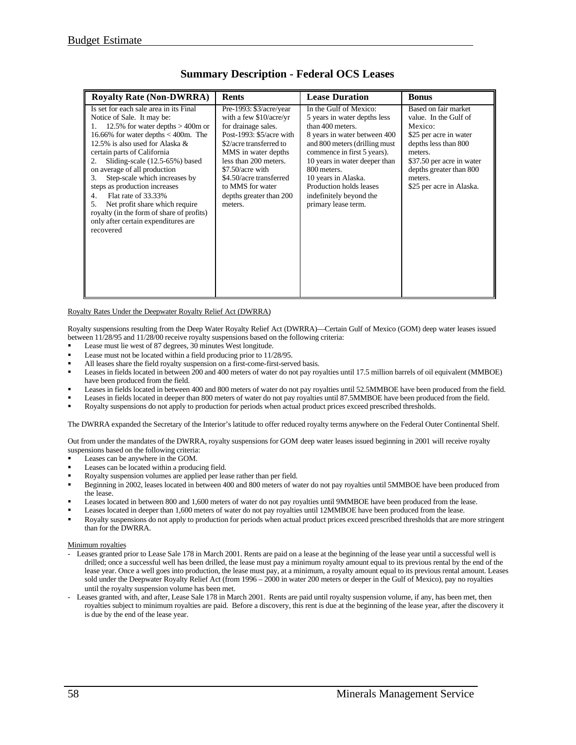| <b>Royalty Rate (Non-DWRRA)</b>                                                                                                                                                                                                                                                                                                                                                                                                                                                                                                                       | <b>Rents</b>                                                                                                                                                                                                                                                                                  | <b>Lease Duration</b>                                                                                                                                                                                                                                                                                                          | <b>Bonus</b>                                                                                                                                                                                                         |
|-------------------------------------------------------------------------------------------------------------------------------------------------------------------------------------------------------------------------------------------------------------------------------------------------------------------------------------------------------------------------------------------------------------------------------------------------------------------------------------------------------------------------------------------------------|-----------------------------------------------------------------------------------------------------------------------------------------------------------------------------------------------------------------------------------------------------------------------------------------------|--------------------------------------------------------------------------------------------------------------------------------------------------------------------------------------------------------------------------------------------------------------------------------------------------------------------------------|----------------------------------------------------------------------------------------------------------------------------------------------------------------------------------------------------------------------|
| Is set for each sale area in its Final<br>Notice of Sale. It may be:<br>12.5% for water depths $>$ 400m or<br>1.<br>16.66% for water depths $<$ 400m. The<br>12.5% is also used for Alaska $\&$<br>certain parts of California<br>Sliding-scale (12.5-65%) based<br>2.<br>on average of all production<br>Step-scale which increases by<br>3.<br>steps as production increases<br>Flat rate of 33.33%<br>4.<br>Net profit share which require<br>.5.<br>royalty (in the form of share of profits)<br>only after certain expenditures are<br>recovered | Pre-1993: $$3/acre/year$<br>with a few $$10/acre/yr$<br>for drainage sales.<br>Post-1993: $$5/acre$ with<br>\$2/acre transferred to<br>MMS in water depths<br>less than 200 meters.<br>$$7.50/acre$ with<br>\$4.50/acre transferred<br>to MMS for water<br>depths greater than 200<br>meters. | In the Gulf of Mexico:<br>5 years in water depths less<br>than 400 meters.<br>8 years in water between 400<br>and 800 meters (drilling must<br>commence in first 5 years).<br>10 years in water deeper than<br>800 meters.<br>10 years in Alaska.<br>Production holds leases<br>indefinitely beyond the<br>primary lease term. | Based on fair market<br>value. In the Gulf of<br>Mexico:<br>\$25 per acre in water<br>depths less than 800<br>meters.<br>\$37.50 per acre in water<br>depths greater than 800<br>meters.<br>\$25 per acre in Alaska. |

#### **Summary Description - Federal OCS Leases**

#### Royalty Rates Under the Deepwater Royalty Relief Act (DWRRA)

Royalty suspensions resulting from the Deep Water Royalty Relief Act (DWRRA)—Certain Gulf of Mexico (GOM) deep water leases issued between 11/28/95 and 11/28/00 receive royalty suspensions based on the following criteria:

- ß Lease must lie west of 87 degrees, 30 minutes West longitude.
- ß Lease must not be located within a field producing prior to 11/28/95.
- ß All leases share the field royalty suspension on a first-come-first-served basis.
- ß Leases in fields located in between 200 and 400 meters of water do not pay royalties until 17.5 million barrels of oil equivalent (MMBOE) have been produced from the field.
- ß Leases in fields located in between 400 and 800 meters of water do not pay royalties until 52.5MMBOE have been produced from the field.
- ß Leases in fields located in deeper than 800 meters of water do not pay royalties until 87.5MMBOE have been produced from the field.
- ß Royalty suspensions do not apply to production for periods when actual product prices exceed prescribed thresholds.

The DWRRA expanded the Secretary of the Interior's latitude to offer reduced royalty terms anywhere on the Federal Outer Continental Shelf.

Out from under the mandates of the DWRRA, royalty suspensions for GOM deep water leases issued beginning in 2001 will receive royalty suspensions based on the following criteria:

- ß Leases can be anywhere in the GOM.
- Leases can be located within a producing field.
- ß Royalty suspension volumes are applied per lease rather than per field.
- ß Beginning in 2002, leases located in between 400 and 800 meters of water do not pay royalties until 5MMBOE have been produced from the lease.
- ß Leases located in between 800 and 1,600 meters of water do not pay royalties until 9MMBOE have been produced from the lease.
- ß Leases located in deeper than 1,600 meters of water do not pay royalties until 12MMBOE have been produced from the lease.
- ß Royalty suspensions do not apply to production for periods when actual product prices exceed prescribed thresholds that are more stringent than for the DWRRA.

#### **Minimum** royalties

- Leases granted prior to Lease Sale 178 in March 2001. Rents are paid on a lease at the beginning of the lease year until a successful well is drilled; once a successful well has been drilled, the lease must pay a minimum royalty amount equal to its previous rental by the end of the lease year. Once a well goes into production, the lease must pay, at a minimum, a royalty amount equal to its previous rental amount. Leases sold under the Deepwater Royalty Relief Act (from 1996 – 2000 in water 200 meters or deeper in the Gulf of Mexico), pay no royalties until the royalty suspension volume has been met.
- Leases granted with, and after, Lease Sale 178 in March 2001. Rents are paid until royalty suspension volume, if any, has been met, then royalties subject to minimum royalties are paid. Before a discovery, this rent is due at the beginning of the lease year, after the discovery it is due by the end of the lease year.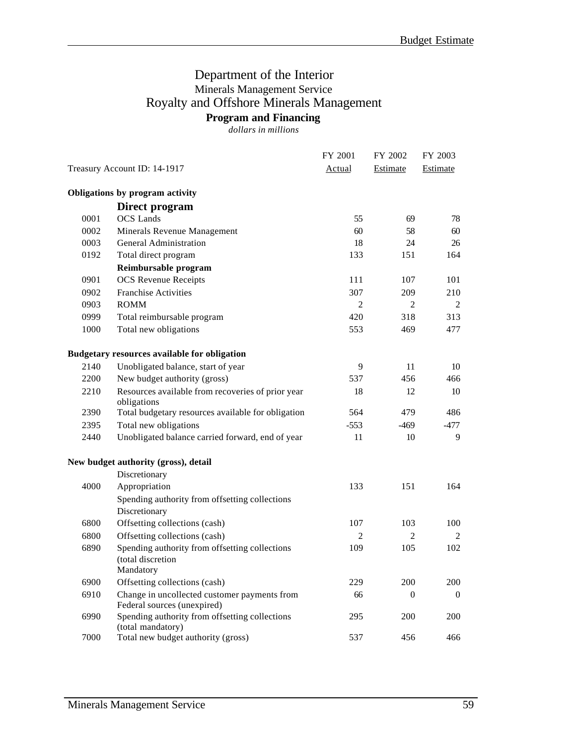### Department of the Interior Minerals Management Service Royalty and Offshore Minerals Management **Program and Financing**

*dollars in millions*

|                              |                                                                                  | FY 2001        | FY 2002        | FY 2003  |
|------------------------------|----------------------------------------------------------------------------------|----------------|----------------|----------|
| Treasury Account ID: 14-1917 |                                                                                  | Actual         | Estimate       | Estimate |
|                              | Obligations by program activity                                                  |                |                |          |
|                              | Direct program                                                                   |                |                |          |
| 0001                         | <b>OCS</b> Lands                                                                 | 55             | 69             | 78       |
| 0002                         | Minerals Revenue Management                                                      | 60             | 58             | 60       |
| 0003                         | <b>General Administration</b>                                                    | 18             | 24             | 26       |
| 0192                         | Total direct program                                                             | 133            | 151            | 164      |
|                              | Reimbursable program                                                             |                |                |          |
| 0901                         | <b>OCS</b> Revenue Receipts                                                      | 111            | 107            | 101      |
| 0902                         | <b>Franchise Activities</b>                                                      | 307            | 209            | 210      |
| 0903                         | <b>ROMM</b>                                                                      | 2              | 2              | 2        |
| 0999                         | Total reimbursable program                                                       | 420            | 318            | 313      |
| 1000                         | Total new obligations                                                            | 553            | 469            | 477      |
|                              | <b>Budgetary resources available for obligation</b>                              |                |                |          |
| 2140                         | Unobligated balance, start of year                                               | 9              | 11             | 10       |
| 2200                         | New budget authority (gross)                                                     | 537            | 456            | 466      |
| 2210                         | Resources available from recoveries of prior year<br>obligations                 | 18             | 12             | 10       |
| 2390                         | Total budgetary resources available for obligation                               | 564            | 479            | 486      |
| 2395                         | Total new obligations                                                            | $-553$         | $-469$         | $-477$   |
| 2440                         | Unobligated balance carried forward, end of year                                 | 11             | 10             | 9        |
|                              | New budget authority (gross), detail                                             |                |                |          |
|                              | Discretionary                                                                    |                |                |          |
| 4000                         | Appropriation                                                                    | 133            | 151            | 164      |
|                              | Spending authority from offsetting collections<br>Discretionary                  |                |                |          |
| 6800                         | Offsetting collections (cash)                                                    | 107            | 103            | 100      |
| 6800                         | Offsetting collections (cash)                                                    | $\overline{c}$ | $\overline{c}$ | 2        |
| 6890                         | Spending authority from offsetting collections<br>(total discretion<br>Mandatory | 109            | 105            | 102      |
| 6900                         | Offsetting collections (cash)                                                    | 229            | 200            | 200      |
| 6910                         | Change in uncollected customer payments from<br>Federal sources (unexpired)      | 66             | $\theta$       | $\theta$ |
| 6990                         | Spending authority from offsetting collections<br>(total mandatory)              | 295            | 200            | 200      |
| 7000                         | Total new budget authority (gross)                                               | 537            | 456            | 466      |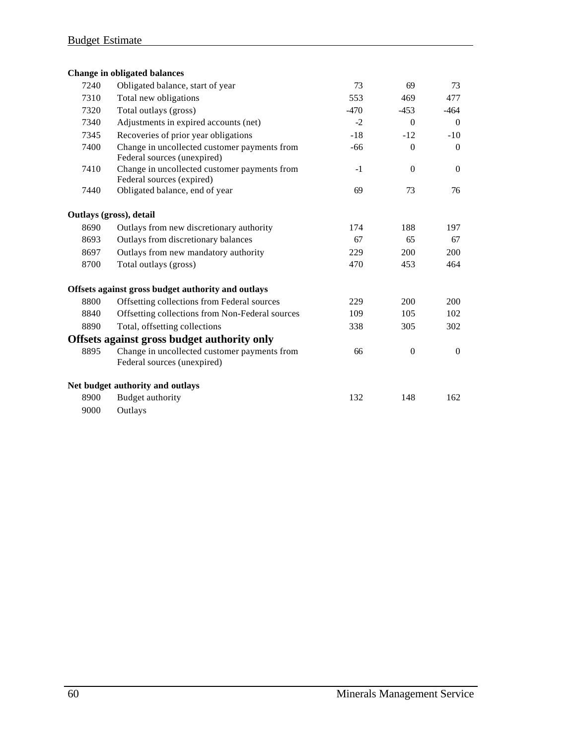|      | <b>Change in obligated balances</b>                                         |        |                  |          |
|------|-----------------------------------------------------------------------------|--------|------------------|----------|
| 7240 | Obligated balance, start of year                                            | 73     | 69               | 73       |
| 7310 | Total new obligations                                                       | 553    | 469              | 477      |
| 7320 | Total outlays (gross)                                                       | $-470$ | $-453$           | $-464$   |
| 7340 | Adjustments in expired accounts (net)                                       | $-2$   | $\Omega$         | $\Omega$ |
| 7345 | Recoveries of prior year obligations                                        | $-18$  | $-12$            | $-10$    |
| 7400 | Change in uncollected customer payments from<br>Federal sources (unexpired) | $-66$  | $\overline{0}$   | $\Omega$ |
| 7410 | Change in uncollected customer payments from<br>Federal sources (expired)   | $-1$   | $\overline{0}$   | $\Omega$ |
| 7440 | Obligated balance, end of year                                              | 69     | 73               | 76       |
|      | Outlays (gross), detail                                                     |        |                  |          |
| 8690 | Outlays from new discretionary authority                                    | 174    | 188              | 197      |
| 8693 | Outlays from discretionary balances                                         | 67     | 65               | 67       |
| 8697 | Outlays from new mandatory authority                                        | 229    | 200              | 200      |
| 8700 | Total outlays (gross)                                                       | 470    | 453              | 464      |
|      | Offsets against gross budget authority and outlays                          |        |                  |          |
| 8800 | Offsetting collections from Federal sources                                 | 229    | 200              | 200      |
| 8840 | Offsetting collections from Non-Federal sources                             | 109    | 105              | 102      |
| 8890 | Total, offsetting collections                                               | 338    | 305              | 302      |
|      | Offsets against gross budget authority only                                 |        |                  |          |
| 8895 | Change in uncollected customer payments from<br>Federal sources (unexpired) | 66     | $\boldsymbol{0}$ | $\theta$ |
|      | Net budget authority and outlays                                            |        |                  |          |
| 8900 | Budget authority                                                            | 132    | 148              | 162      |
| 9000 | Outlays                                                                     |        |                  |          |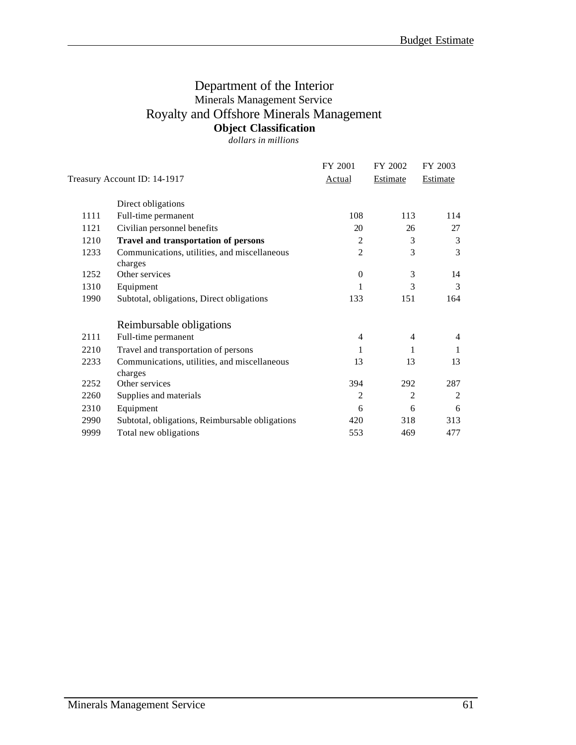### Department of the Interior Minerals Management Service Royalty and Offshore Minerals Management **Object Classification**

*dollars in millions*

|                                                         | FY 2001                                 | FY 2002        | FY 2003         |
|---------------------------------------------------------|-----------------------------------------|----------------|-----------------|
|                                                         | Actual                                  | Estimate       | <b>Estimate</b> |
| Direct obligations                                      |                                         |                |                 |
| Full-time permanent                                     | 108                                     | 113            | 114             |
| Civilian personnel benefits                             | 20                                      | 26             | 27              |
| <b>Travel and transportation of persons</b>             | $\overline{2}$                          | 3              | 3               |
| Communications, utilities, and miscellaneous            | $\mathfrak{2}$                          | 3              | 3               |
| Other services                                          | $\theta$                                | 3              | 14              |
| Equipment                                               | 1                                       | 3              | 3               |
| Subtotal, obligations, Direct obligations               | 133                                     | 151            | 164             |
| Reimbursable obligations                                |                                         |                |                 |
| Full-time permanent                                     | 4                                       | $\overline{4}$ | $\overline{4}$  |
| Travel and transportation of persons                    | 1                                       | 1              | 1               |
| Communications, utilities, and miscellaneous<br>charges | 13                                      | 13             | 13              |
| Other services                                          | 394                                     | 292            | 287             |
| Supplies and materials                                  | $\overline{2}$                          | 2              | 2               |
| Equipment                                               | 6                                       | 6              | 6               |
| Subtotal, obligations, Reimbursable obligations         | 420                                     | 318            | 313             |
| Total new obligations                                   | 553                                     | 469            | 477             |
|                                                         | Treasury Account ID: 14-1917<br>charges |                |                 |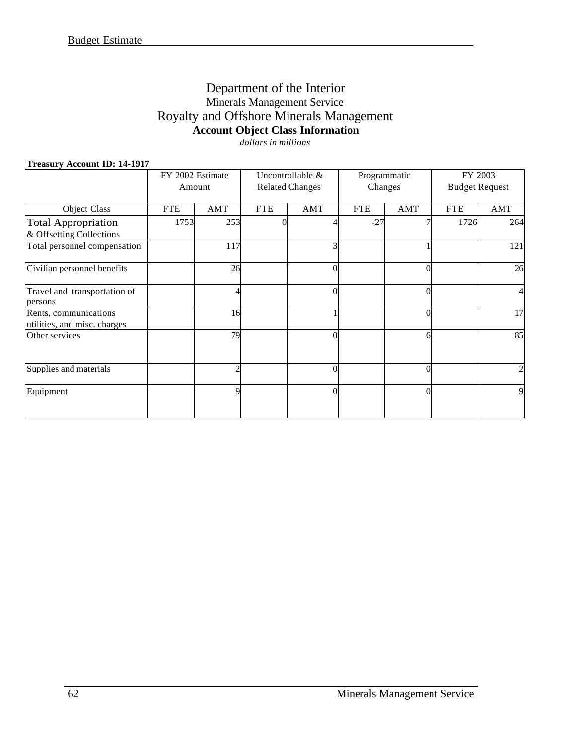### Department of the Interior Minerals Management Service Royalty and Offshore Minerals Management **Account Object Class Information** *dollars in millions*

### **Treasury Account ID: 14-1917**

| $\ldots$                                               | FY 2002 Estimate<br>Amount |            |            | Uncontrollable &<br><b>Related Changes</b> | Changes    | Programmatic |            | FY 2003<br><b>Budget Request</b> |
|--------------------------------------------------------|----------------------------|------------|------------|--------------------------------------------|------------|--------------|------------|----------------------------------|
| Object Class                                           | <b>FTE</b>                 | <b>AMT</b> | <b>FTE</b> | AMT                                        | <b>FTE</b> | AMT          | <b>FTE</b> | AMT                              |
| <b>Total Appropriation</b><br>& Offsetting Collections | 1753                       | 253        | $\Omega$   |                                            | $-27$      |              | 1726       | 264                              |
| Total personnel compensation                           |                            | 117        |            |                                            |            |              |            | 121                              |
| Civilian personnel benefits                            |                            | 26         |            | $\Omega$                                   |            | $\theta$     |            | 26                               |
| Travel and transportation of<br>persons                |                            |            |            |                                            |            | $\theta$     |            | 41                               |
| Rents, communications<br>utilities, and misc. charges  |                            | 16         |            |                                            |            | $\theta$     |            | 17                               |
| Other services                                         |                            | 79         |            | $\Omega$                                   |            | 6            |            | 85                               |
| Supplies and materials                                 |                            |            |            | $\Omega$                                   |            | $\theta$     |            | $\overline{2}$                   |
| Equipment                                              |                            |            |            | $\Omega$                                   |            | $\theta$     |            | 9                                |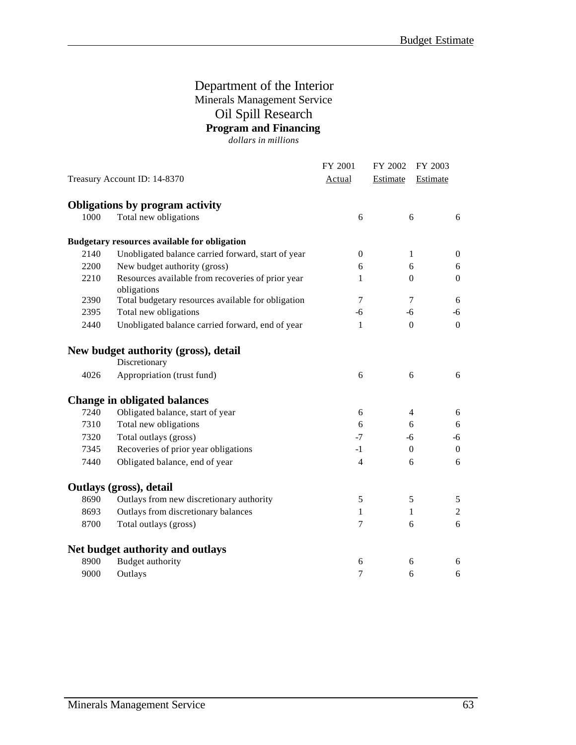### Department of the Interior Minerals Management Service Oil Spill Research **Program and Financing**

*dollars in millions*

|      |                                                                  | FY 2001          | FY 2002  | FY 2003                          |
|------|------------------------------------------------------------------|------------------|----------|----------------------------------|
|      | Treasury Account ID: 14-8370                                     | <b>Actual</b>    | Estimate | Estimate                         |
|      | Obligations by program activity                                  |                  |          |                                  |
| 1000 | Total new obligations                                            | 6                |          | 6<br>6                           |
|      | <b>Budgetary resources available for obligation</b>              |                  |          |                                  |
| 2140 | Unobligated balance carried forward, start of year               | $\boldsymbol{0}$ |          | 1<br>$\boldsymbol{0}$            |
| 2200 | New budget authority (gross)                                     | 6                |          | 6<br>6                           |
| 2210 | Resources available from recoveries of prior year<br>obligations | 1                |          | $\mathbf{0}$<br>$\theta$         |
| 2390 | Total budgetary resources available for obligation               | $\tau$           |          | $\tau$<br>6                      |
| 2395 | Total new obligations                                            | $-6$             | $-6$     | $-6$                             |
| 2440 | Unobligated balance carried forward, end of year                 | 1                |          | $\mathbf{0}$<br>$\Omega$         |
|      | New budget authority (gross), detail                             |                  |          |                                  |
|      | Discretionary                                                    |                  |          |                                  |
| 4026 | Appropriation (trust fund)                                       | 6                |          | 6<br>6                           |
|      | <b>Change in obligated balances</b>                              |                  |          |                                  |
| 7240 | Obligated balance, start of year                                 | 6                |          | $\overline{4}$<br>$6\,$          |
| 7310 | Total new obligations                                            | 6                |          | 6<br>6                           |
| 7320 | Total outlays (gross)                                            | $-7$             | -6       | $-6$                             |
| 7345 | Recoveries of prior year obligations                             | $-1$             |          | $\overline{0}$<br>$\Omega$       |
| 7440 | Obligated balance, end of year                                   | $\overline{4}$   |          | 6<br>6                           |
|      | Outlays (gross), detail                                          |                  |          |                                  |
| 8690 | Outlays from new discretionary authority                         | 5                | 5        | 5                                |
| 8693 | Outlays from discretionary balances                              | 1                |          | $\boldsymbol{2}$<br>$\mathbf{1}$ |
| 8700 | Total outlays (gross)                                            | $\tau$           |          | 6<br>6                           |
|      | Net budget authority and outlays                                 |                  |          |                                  |
| 8900 | <b>Budget authority</b>                                          | 6                |          | 6<br>6                           |
| 9000 | Outlays                                                          | $\tau$           |          | 6<br>6                           |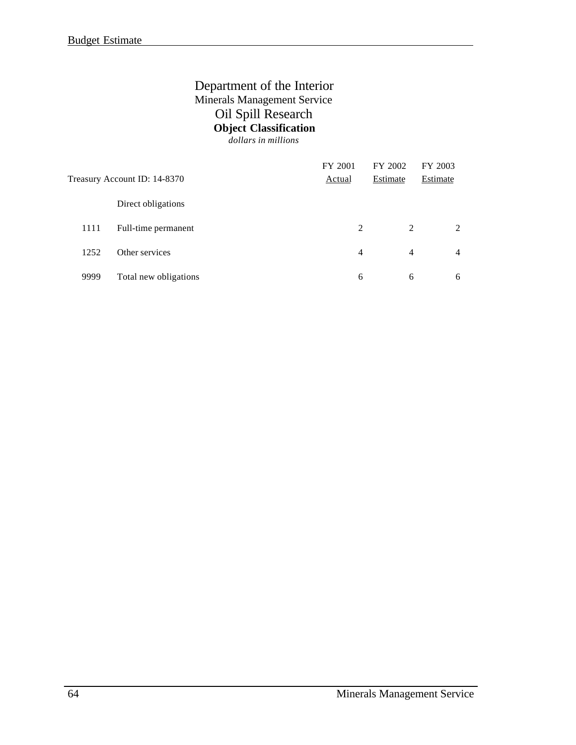### Department of the Interior Minerals Management Service Oil Spill Research **Object Classification**

*dollars in millions*

|      | Treasury Account ID: 14-8370 | FY 2001<br>Actual | FY 2002<br>Estimate | FY 2003<br>Estimate |
|------|------------------------------|-------------------|---------------------|---------------------|
|      | Direct obligations           |                   |                     |                     |
| 1111 | Full-time permanent          | 2                 | 2                   | 2                   |
| 1252 | Other services               | 4                 | $\overline{4}$      | $\overline{4}$      |
| 9999 | Total new obligations        | 6                 | 6                   | 6                   |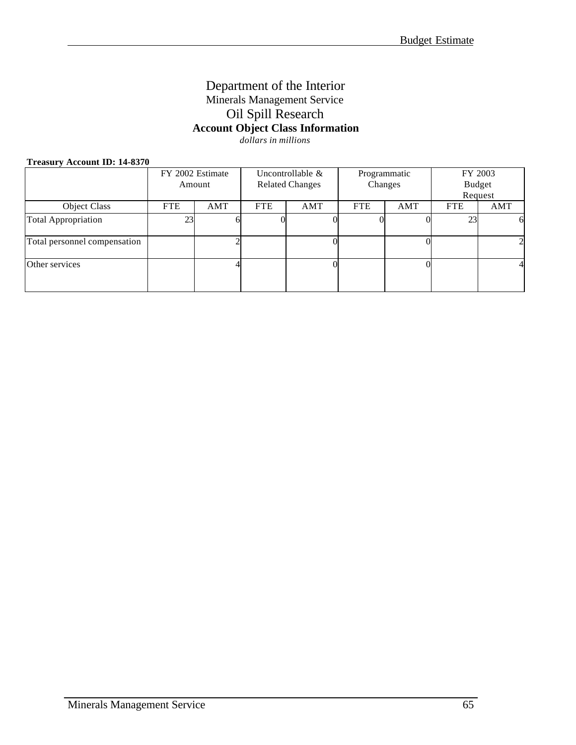### Department of the Interior Minerals Management Service Oil Spill Research **Account Object Class Information** *dollars in millions*

## **Treasury Account ID: 14-8370**

| $11$ capar, recognition $11.0070$ |                                                         |        |            |                        |            |     |            |                |
|-----------------------------------|---------------------------------------------------------|--------|------------|------------------------|------------|-----|------------|----------------|
|                                   | FY 2002 Estimate<br>Uncontrollable $\&$<br>Programmatic |        |            | FY 2003                |            |     |            |                |
|                                   |                                                         | Amount |            | <b>Related Changes</b> | Changes    |     |            | <b>Budget</b>  |
|                                   |                                                         |        |            |                        |            |     |            | Request        |
| Object Class                      | <b>FTE</b>                                              | AMT    | <b>FTE</b> | AMT                    | <b>FTE</b> | AMT | <b>FTE</b> | AMT            |
| <b>Total Appropriation</b>        | 23                                                      |        |            |                        |            |     | 23         | 6              |
| Total personnel compensation      |                                                         |        |            |                        |            |     |            | $\overline{c}$ |
| Other services                    |                                                         |        |            |                        |            |     |            | 4              |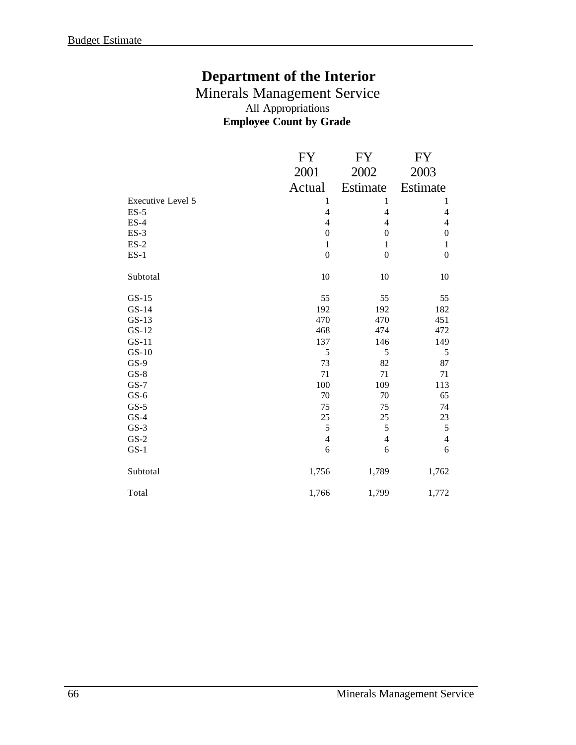## **Department of the Interior**

### Minerals Management Service All Appropriations **Employee Count by Grade**

|                   | <b>FY</b>                | FY               | <b>FY</b>        |
|-------------------|--------------------------|------------------|------------------|
|                   | 2001                     | 2002             | 2003             |
|                   | Actual                   | Estimate         | Estimate         |
| Executive Level 5 | 1                        | $\mathbf{1}$     | 1                |
| $ES-5$            | $\overline{4}$           | $\overline{4}$   | 4                |
| $ES-4$            | $\overline{4}$           | $\overline{4}$   | 4                |
| $ES-3$            | $\boldsymbol{0}$         | $\boldsymbol{0}$ | $\boldsymbol{0}$ |
| $ES-2$            | $\mathbf{1}$             | $\mathbf{1}$     | $\mathbf{1}$     |
| $ES-1$            | $\boldsymbol{0}$         | $\boldsymbol{0}$ | $\overline{0}$   |
| Subtotal          | 10                       | 10               | 10               |
| $GS-15$           | 55                       | 55               | 55               |
| $GS-14$           | 192                      | 192              | 182              |
| $GS-13$           | 470                      | 470              | 451              |
| $GS-12$           | 468                      | 474              | 472              |
| $GS-11$           | 137                      | 146              | 149              |
| $GS-10$           | 5                        | 5                | 5                |
| $GS-9$            | 73                       | 82               | 87               |
| $GS-8$            | 71                       | 71               | 71               |
| $GS-7$            | 100                      | 109              | 113              |
| $GS-6$            | 70                       | 70               | 65               |
| $GS-5$            | 75                       | 75               | 74               |
| $GS-4$            | 25                       | 25               | 23               |
| $GS-3$            | 5                        | $\mathfrak s$    | 5                |
| $GS-2$            | $\overline{\mathcal{L}}$ | 4                | $\overline{4}$   |
| $GS-1$            | 6                        | 6                | 6                |
| Subtotal          | 1,756                    | 1,789            | 1,762            |
| Total             | 1,766                    | 1,799            | 1,772            |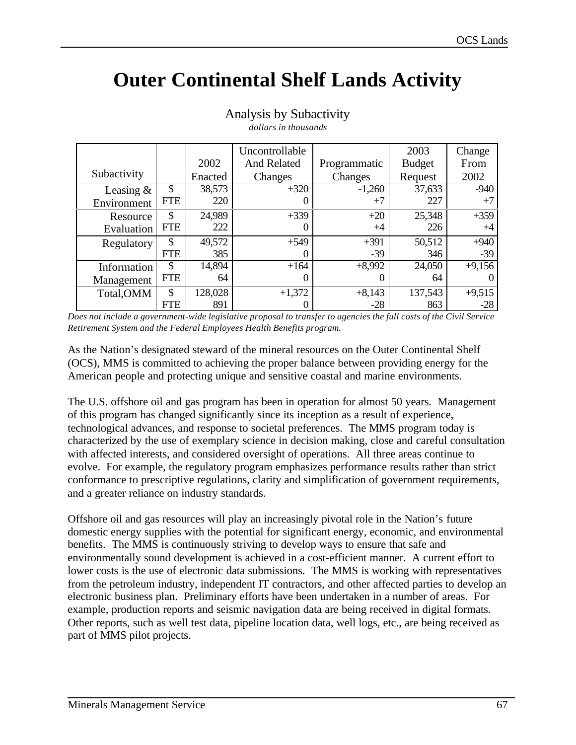# **Outer Continental Shelf Lands Activity**

|             |               |         | Uncontrollable     |              | 2003          | Change   |
|-------------|---------------|---------|--------------------|--------------|---------------|----------|
|             |               | 2002    | <b>And Related</b> | Programmatic | <b>Budget</b> | From     |
| Subactivity |               | Enacted | Changes            | Changes      | Request       | 2002     |
| Leasing $&$ | \$            | 38,573  | $+320$             | $-1,260$     | 37,633        | $-940$   |
| Environment | <b>FTE</b>    | 220     |                    | $+7$         | 227           | $+7$     |
| Resource    | \$            | 24,989  | $+339$             | $+20$        | 25,348        | $+359$   |
| Evaluation  | <b>FTE</b>    | 222     |                    | $+4$         | 226           | $+4$     |
| Regulatory  | \$            | 49,572  | $+549$             | $+391$       | 50,512        | $+940$   |
|             | <b>FTE</b>    | 385     |                    | $-39$        | 346           | $-39$    |
| Information | \$            | 14,894  | $+164$             | $+8,992$     | 24,050        | $+9,156$ |
| Management  | <b>FTE</b>    | 64      | 0                  | 0            | 64            |          |
| Total, OMM  | $\mathcal{S}$ | 128,028 | $+1,372$           | $+8,143$     | 137,543       | $+9,515$ |
|             | <b>FTE</b>    | 891     |                    | $-28$        | 863           | $-28$    |

#### Analysis by Subactivity *dollars in thousands*

*Does not include a government-wide legislative proposal to transfer to agencies the full costs of the Civil Service Retirement System and the Federal Employees Health Benefits program.*

As the Nation's designated steward of the mineral resources on the Outer Continental Shelf (OCS), MMS is committed to achieving the proper balance between providing energy for the American people and protecting unique and sensitive coastal and marine environments.

The U.S. offshore oil and gas program has been in operation for almost 50 years. Management of this program has changed significantly since its inception as a result of experience, technological advances, and response to societal preferences. The MMS program today is characterized by the use of exemplary science in decision making, close and careful consultation with affected interests, and considered oversight of operations. All three areas continue to evolve. For example, the regulatory program emphasizes performance results rather than strict conformance to prescriptive regulations, clarity and simplification of government requirements, and a greater reliance on industry standards.

Offshore oil and gas resources will play an increasingly pivotal role in the Nation's future domestic energy supplies with the potential for significant energy, economic, and environmental benefits. The MMS is continuously striving to develop ways to ensure that safe and environmentally sound development is achieved in a cost-efficient manner. A current effort to lower costs is the use of electronic data submissions. The MMS is working with representatives from the petroleum industry, independent IT contractors, and other affected parties to develop an electronic business plan. Preliminary efforts have been undertaken in a number of areas. For example, production reports and seismic navigation data are being received in digital formats. Other reports, such as well test data, pipeline location data, well logs, etc., are being received as part of MMS pilot projects.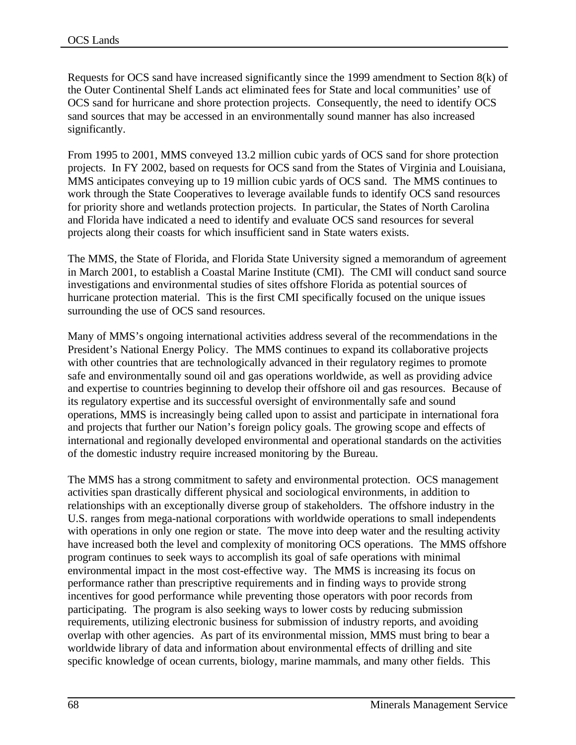Requests for OCS sand have increased significantly since the 1999 amendment to Section 8(k) of the Outer Continental Shelf Lands act eliminated fees for State and local communities' use of OCS sand for hurricane and shore protection projects. Consequently, the need to identify OCS sand sources that may be accessed in an environmentally sound manner has also increased significantly.

From 1995 to 2001, MMS conveyed 13.2 million cubic yards of OCS sand for shore protection projects. In FY 2002, based on requests for OCS sand from the States of Virginia and Louisiana, MMS anticipates conveying up to 19 million cubic yards of OCS sand. The MMS continues to work through the State Cooperatives to leverage available funds to identify OCS sand resources for priority shore and wetlands protection projects. In particular, the States of North Carolina and Florida have indicated a need to identify and evaluate OCS sand resources for several projects along their coasts for which insufficient sand in State waters exists.

The MMS, the State of Florida, and Florida State University signed a memorandum of agreement in March 2001, to establish a Coastal Marine Institute (CMI). The CMI will conduct sand source investigations and environmental studies of sites offshore Florida as potential sources of hurricane protection material. This is the first CMI specifically focused on the unique issues surrounding the use of OCS sand resources.

Many of MMS's ongoing international activities address several of the recommendations in the President's National Energy Policy. The MMS continues to expand its collaborative projects with other countries that are technologically advanced in their regulatory regimes to promote safe and environmentally sound oil and gas operations worldwide, as well as providing advice and expertise to countries beginning to develop their offshore oil and gas resources. Because of its regulatory expertise and its successful oversight of environmentally safe and sound operations, MMS is increasingly being called upon to assist and participate in international fora and projects that further our Nation's foreign policy goals. The growing scope and effects of international and regionally developed environmental and operational standards on the activities of the domestic industry require increased monitoring by the Bureau.

The MMS has a strong commitment to safety and environmental protection. OCS management activities span drastically different physical and sociological environments, in addition to relationships with an exceptionally diverse group of stakeholders. The offshore industry in the U.S. ranges from mega-national corporations with worldwide operations to small independents with operations in only one region or state. The move into deep water and the resulting activity have increased both the level and complexity of monitoring OCS operations. The MMS offshore program continues to seek ways to accomplish its goal of safe operations with minimal environmental impact in the most cost-effective way. The MMS is increasing its focus on performance rather than prescriptive requirements and in finding ways to provide strong incentives for good performance while preventing those operators with poor records from participating. The program is also seeking ways to lower costs by reducing submission requirements, utilizing electronic business for submission of industry reports, and avoiding overlap with other agencies. As part of its environmental mission, MMS must bring to bear a worldwide library of data and information about environmental effects of drilling and site specific knowledge of ocean currents, biology, marine mammals, and many other fields. This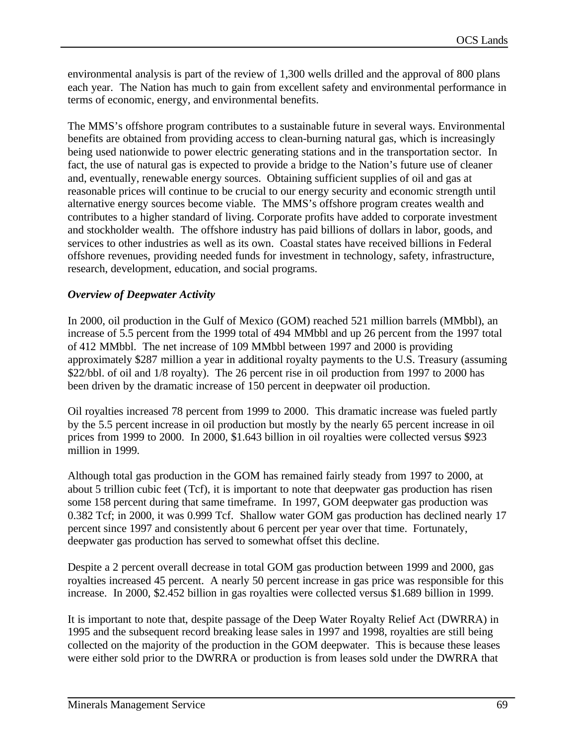environmental analysis is part of the review of 1,300 wells drilled and the approval of 800 plans each year. The Nation has much to gain from excellent safety and environmental performance in terms of economic, energy, and environmental benefits.

The MMS's offshore program contributes to a sustainable future in several ways. Environmental benefits are obtained from providing access to clean-burning natural gas, which is increasingly being used nationwide to power electric generating stations and in the transportation sector. In fact, the use of natural gas is expected to provide a bridge to the Nation's future use of cleaner and, eventually, renewable energy sources. Obtaining sufficient supplies of oil and gas at reasonable prices will continue to be crucial to our energy security and economic strength until alternative energy sources become viable. The MMS's offshore program creates wealth and contributes to a higher standard of living. Corporate profits have added to corporate investment and stockholder wealth. The offshore industry has paid billions of dollars in labor, goods, and services to other industries as well as its own. Coastal states have received billions in Federal offshore revenues, providing needed funds for investment in technology, safety, infrastructure, research, development, education, and social programs.

## *Overview of Deepwater Activity*

In 2000, oil production in the Gulf of Mexico (GOM) reached 521 million barrels (MMbbl), an increase of 5.5 percent from the 1999 total of 494 MMbbl and up 26 percent from the 1997 total of 412 MMbbl. The net increase of 109 MMbbl between 1997 and 2000 is providing approximately \$287 million a year in additional royalty payments to the U.S. Treasury (assuming \$22/bbl. of oil and 1/8 royalty). The 26 percent rise in oil production from 1997 to 2000 has been driven by the dramatic increase of 150 percent in deepwater oil production.

Oil royalties increased 78 percent from 1999 to 2000. This dramatic increase was fueled partly by the 5.5 percent increase in oil production but mostly by the nearly 65 percent increase in oil prices from 1999 to 2000. In 2000, \$1.643 billion in oil royalties were collected versus \$923 million in 1999.

Although total gas production in the GOM has remained fairly steady from 1997 to 2000, at about 5 trillion cubic feet (Tcf), it is important to note that deepwater gas production has risen some 158 percent during that same timeframe. In 1997, GOM deepwater gas production was 0.382 Tcf; in 2000, it was 0.999 Tcf. Shallow water GOM gas production has declined nearly 17 percent since 1997 and consistently about 6 percent per year over that time. Fortunately, deepwater gas production has served to somewhat offset this decline.

Despite a 2 percent overall decrease in total GOM gas production between 1999 and 2000, gas royalties increased 45 percent. A nearly 50 percent increase in gas price was responsible for this increase. In 2000, \$2.452 billion in gas royalties were collected versus \$1.689 billion in 1999.

It is important to note that, despite passage of the Deep Water Royalty Relief Act (DWRRA) in 1995 and the subsequent record breaking lease sales in 1997 and 1998, royalties are still being collected on the majority of the production in the GOM deepwater. This is because these leases were either sold prior to the DWRRA or production is from leases sold under the DWRRA that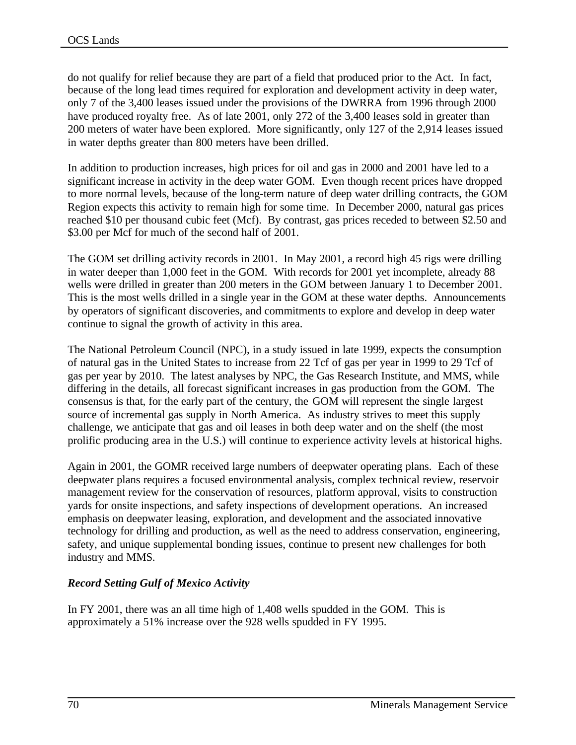do not qualify for relief because they are part of a field that produced prior to the Act. In fact, because of the long lead times required for exploration and development activity in deep water, only 7 of the 3,400 leases issued under the provisions of the DWRRA from 1996 through 2000 have produced royalty free. As of late 2001, only 272 of the 3,400 leases sold in greater than 200 meters of water have been explored. More significantly, only 127 of the 2,914 leases issued in water depths greater than 800 meters have been drilled.

In addition to production increases, high prices for oil and gas in 2000 and 2001 have led to a significant increase in activity in the deep water GOM. Even though recent prices have dropped to more normal levels, because of the long-term nature of deep water drilling contracts, the GOM Region expects this activity to remain high for some time. In December 2000, natural gas prices reached \$10 per thousand cubic feet (Mcf). By contrast, gas prices receded to between \$2.50 and \$3.00 per Mcf for much of the second half of 2001.

The GOM set drilling activity records in 2001. In May 2001, a record high 45 rigs were drilling in water deeper than 1,000 feet in the GOM. With records for 2001 yet incomplete, already 88 wells were drilled in greater than 200 meters in the GOM between January 1 to December 2001. This is the most wells drilled in a single year in the GOM at these water depths. Announcements by operators of significant discoveries, and commitments to explore and develop in deep water continue to signal the growth of activity in this area.

The National Petroleum Council (NPC), in a study issued in late 1999, expects the consumption of natural gas in the United States to increase from 22 Tcf of gas per year in 1999 to 29 Tcf of gas per year by 2010. The latest analyses by NPC, the Gas Research Institute, and MMS, while differing in the details, all forecast significant increases in gas production from the GOM. The consensus is that, for the early part of the century, the GOM will represent the single largest source of incremental gas supply in North America. As industry strives to meet this supply challenge, we anticipate that gas and oil leases in both deep water and on the shelf (the most prolific producing area in the U.S.) will continue to experience activity levels at historical highs.

Again in 2001, the GOMR received large numbers of deepwater operating plans. Each of these deepwater plans requires a focused environmental analysis, complex technical review, reservoir management review for the conservation of resources, platform approval, visits to construction yards for onsite inspections, and safety inspections of development operations. An increased emphasis on deepwater leasing, exploration, and development and the associated innovative technology for drilling and production, as well as the need to address conservation, engineering, safety, and unique supplemental bonding issues, continue to present new challenges for both industry and MMS.

# *Record Setting Gulf of Mexico Activity*

In FY 2001, there was an all time high of 1,408 wells spudded in the GOM. This is approximately a 51% increase over the 928 wells spudded in FY 1995.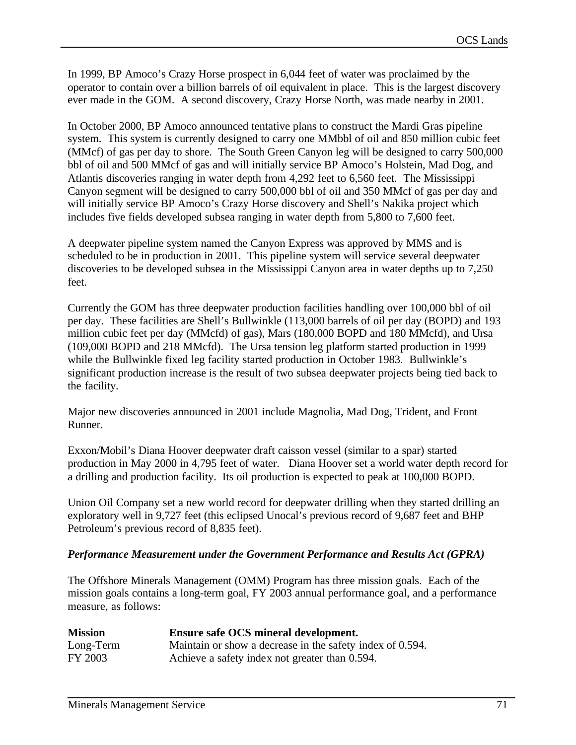In 1999, BP Amoco's Crazy Horse prospect in 6,044 feet of water was proclaimed by the operator to contain over a billion barrels of oil equivalent in place. This is the largest discovery ever made in the GOM. A second discovery, Crazy Horse North, was made nearby in 2001.

In October 2000, BP Amoco announced tentative plans to construct the Mardi Gras pipeline system. This system is currently designed to carry one MMbbl of oil and 850 million cubic feet (MMcf) of gas per day to shore. The South Green Canyon leg will be designed to carry 500,000 bbl of oil and 500 MMcf of gas and will initially service BP Amoco's Holstein, Mad Dog, and Atlantis discoveries ranging in water depth from 4,292 feet to 6,560 feet. The Mississippi Canyon segment will be designed to carry 500,000 bbl of oil and 350 MMcf of gas per day and will initially service BP Amoco's Crazy Horse discovery and Shell's Nakika project which includes five fields developed subsea ranging in water depth from 5,800 to 7,600 feet.

A deepwater pipeline system named the Canyon Express was approved by MMS and is scheduled to be in production in 2001. This pipeline system will service several deepwater discoveries to be developed subsea in the Mississippi Canyon area in water depths up to 7,250 feet.

Currently the GOM has three deepwater production facilities handling over 100,000 bbl of oil per day. These facilities are Shell's Bullwinkle (113,000 barrels of oil per day (BOPD) and 193 million cubic feet per day (MMcfd) of gas), Mars (180,000 BOPD and 180 MMcfd), and Ursa (109,000 BOPD and 218 MMcfd). The Ursa tension leg platform started production in 1999 while the Bullwinkle fixed leg facility started production in October 1983. Bullwinkle's significant production increase is the result of two subsea deepwater projects being tied back to the facility.

Major new discoveries announced in 2001 include Magnolia, Mad Dog, Trident, and Front Runner.

Exxon/Mobil's Diana Hoover deepwater draft caisson vessel (similar to a spar) started production in May 2000 in 4,795 feet of water. Diana Hoover set a world water depth record for a drilling and production facility. Its oil production is expected to peak at 100,000 BOPD.

Union Oil Company set a new world record for deepwater drilling when they started drilling an exploratory well in 9,727 feet (this eclipsed Unocal's previous record of 9,687 feet and BHP Petroleum's previous record of 8,835 feet).

## *Performance Measurement under the Government Performance and Results Act (GPRA)*

The Offshore Minerals Management (OMM) Program has three mission goals. Each of the mission goals contains a long-term goal, FY 2003 annual performance goal, and a performance measure, as follows:

| <b>Mission</b> | Ensure safe OCS mineral development.                      |
|----------------|-----------------------------------------------------------|
| Long-Term      | Maintain or show a decrease in the safety index of 0.594. |
| FY 2003        | Achieve a safety index not greater than 0.594.            |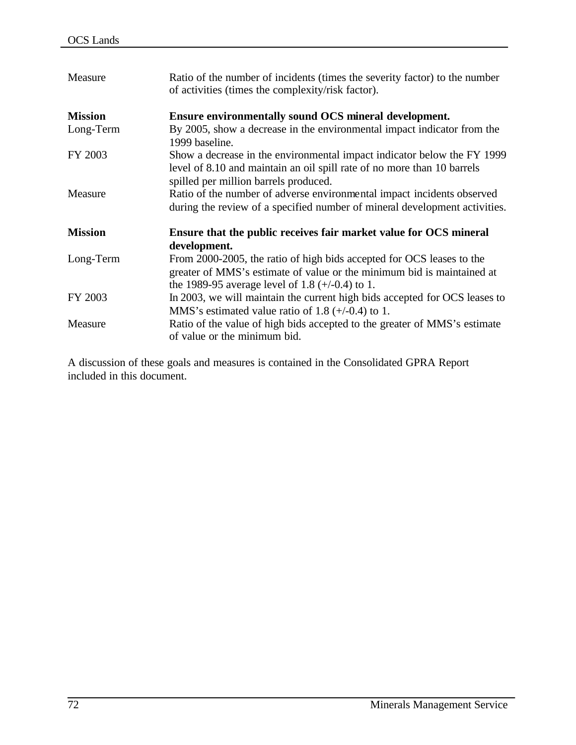| Measure        | Ratio of the number of incidents (times the severity factor) to the number<br>of activities (times the complexity/risk factor).                                                                      |
|----------------|------------------------------------------------------------------------------------------------------------------------------------------------------------------------------------------------------|
| <b>Mission</b> | Ensure environmentally sound OCS mineral development.                                                                                                                                                |
| Long-Term      | By 2005, show a decrease in the environmental impact indicator from the<br>1999 baseline.                                                                                                            |
| FY 2003        | Show a decrease in the environmental impact indicator below the FY 1999<br>level of 8.10 and maintain an oil spill rate of no more than 10 barrels<br>spilled per million barrels produced.          |
| Measure        | Ratio of the number of adverse environmental impact incidents observed<br>during the review of a specified number of mineral development activities.                                                 |
| <b>Mission</b> | Ensure that the public receives fair market value for OCS mineral<br>development.                                                                                                                    |
| Long-Term      | From 2000-2005, the ratio of high bids accepted for OCS leases to the<br>greater of MMS's estimate of value or the minimum bid is maintained at<br>the 1989-95 average level of 1.8 $(+/-0.4)$ to 1. |
| FY 2003        | In 2003, we will maintain the current high bids accepted for OCS leases to<br>MMS's estimated value ratio of 1.8 $(+/-0.4)$ to 1.                                                                    |
| Measure        | Ratio of the value of high bids accepted to the greater of MMS's estimate<br>of value or the minimum bid.                                                                                            |

A discussion of these goals and measures is contained in the Consolidated GPRA Report included in this document.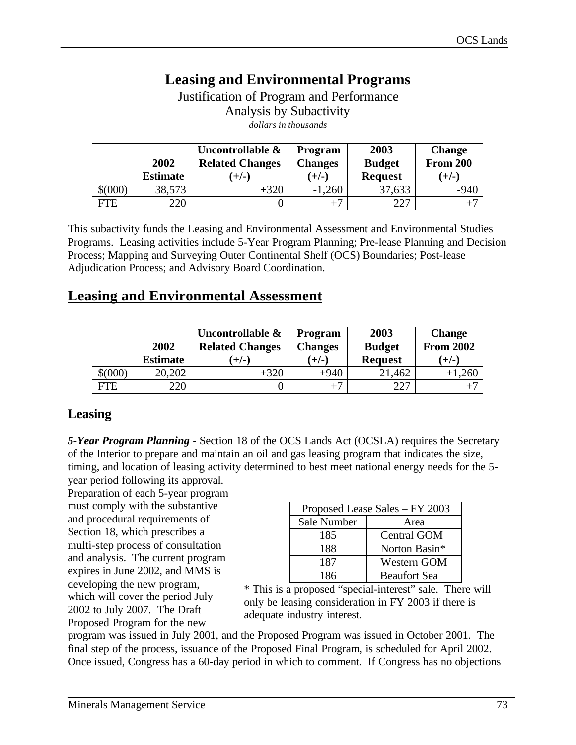# **Leasing and Environmental Programs**

Justification of Program and Performance Analysis by Subactivity *dollars in thousands*

|            |                 | Uncontrollable &       | <b>Program</b> | 2003           | <b>Change</b>   |
|------------|-----------------|------------------------|----------------|----------------|-----------------|
|            | 2002            | <b>Related Changes</b> | <b>Changes</b> | <b>Budget</b>  | <b>From 200</b> |
|            | <b>Estimate</b> | $(+/-)$                | $(+/-)$        | <b>Request</b> | $(+/-)$         |
| \$000      | 38,573          | +320                   | ,260<br>-1     | 37,633         | $-940$          |
| <b>FTE</b> | 220             |                        | $+7$           | 227            |                 |

This subactivity funds the Leasing and Environmental Assessment and Environmental Studies Programs. Leasing activities include 5-Year Program Planning; Pre-lease Planning and Decision Process; Mapping and Surveying Outer Continental Shelf (OCS) Boundaries; Post-lease Adjudication Process; and Advisory Board Coordination.

# **Leasing and Environmental Assessment**

|         | 2002            | Uncontrollable &<br><b>Related Changes</b> | <b>Program</b><br><b>Changes</b> | 2003<br><b>Budget</b> | <b>Change</b><br><b>From 2002</b> |
|---------|-----------------|--------------------------------------------|----------------------------------|-----------------------|-----------------------------------|
|         | <b>Estimate</b> | $(+/-)$                                    | $(+/-)$                          | <b>Request</b>        | $(+/-)$                           |
| \$(000) | 20,202          | +320                                       | $+940$                           | 21,462                | $+1,260$                          |
| FTE.    | 220             |                                            | $+^7$                            | つつつ                   |                                   |

# **Leasing**

*5-Year Program Planning* - Section 18 of the OCS Lands Act (OCSLA) requires the Secretary of the Interior to prepare and maintain an oil and gas leasing program that indicates the size, timing, and location of leasing activity determined to best meet national energy needs for the 5 year period following its approval.

Preparation of each 5-year program must comply with the substantive and procedural requirements of Section 18, which prescribes a multi-step process of consultation and analysis. The current program expires in June 2002, and MMS is developing the new program, which will cover the period July 2002 to July 2007. The Draft Proposed Program for the new

| Proposed Lease Sales - FY 2003 |                     |  |  |
|--------------------------------|---------------------|--|--|
| Sale Number                    | Area                |  |  |
| 185                            | Central GOM         |  |  |
| 188                            | Norton Basin*       |  |  |
| 187                            | <b>Western GOM</b>  |  |  |
| 186                            | <b>Beaufort Sea</b> |  |  |

\* This is a proposed "special-interest" sale. There will only be leasing consideration in FY 2003 if there is adequate industry interest.

program was issued in July 2001, and the Proposed Program was issued in October 2001. The final step of the process, issuance of the Proposed Final Program, is scheduled for April 2002. Once issued, Congress has a 60-day period in which to comment. If Congress has no objections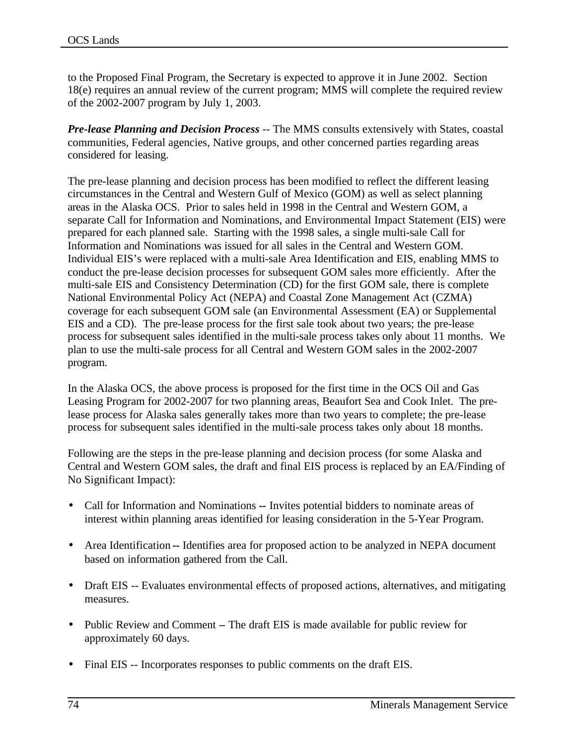to the Proposed Final Program, the Secretary is expected to approve it in June 2002. Section 18(e) requires an annual review of the current program; MMS will complete the required review of the 2002-2007 program by July 1, 2003.

*Pre-lease Planning and Decision Process* -- The MMS consults extensively with States, coastal communities, Federal agencies, Native groups, and other concerned parties regarding areas considered for leasing.

The pre-lease planning and decision process has been modified to reflect the different leasing circumstances in the Central and Western Gulf of Mexico (GOM) as well as select planning areas in the Alaska OCS. Prior to sales held in 1998 in the Central and Western GOM, a separate Call for Information and Nominations, and Environmental Impact Statement (EIS) were prepared for each planned sale. Starting with the 1998 sales, a single multi-sale Call for Information and Nominations was issued for all sales in the Central and Western GOM. Individual EIS's were replaced with a multi-sale Area Identification and EIS, enabling MMS to conduct the pre-lease decision processes for subsequent GOM sales more efficiently. After the multi-sale EIS and Consistency Determination (CD) for the first GOM sale, there is complete National Environmental Policy Act (NEPA) and Coastal Zone Management Act (CZMA) coverage for each subsequent GOM sale (an Environmental Assessment (EA) or Supplemental EIS and a CD). The pre-lease process for the first sale took about two years; the pre-lease process for subsequent sales identified in the multi-sale process takes only about 11 months. We plan to use the multi-sale process for all Central and Western GOM sales in the 2002-2007 program.

In the Alaska OCS, the above process is proposed for the first time in the OCS Oil and Gas Leasing Program for 2002-2007 for two planning areas, Beaufort Sea and Cook Inlet. The prelease process for Alaska sales generally takes more than two years to complete; the pre-lease process for subsequent sales identified in the multi-sale process takes only about 18 months.

Following are the steps in the pre-lease planning and decision process (for some Alaska and Central and Western GOM sales, the draft and final EIS process is replaced by an EA/Finding of No Significant Impact):

- Call for Information and Nominations **--** Invites potential bidders to nominate areas of interest within planning areas identified for leasing consideration in the 5-Year Program.
- Area Identification -- Identifies area for proposed action to be analyzed in NEPA document based on information gathered from the Call.
- Draft EIS -- Evaluates environmental effects of proposed actions, alternatives, and mitigating measures.
- Public Review and CommentThe draft EIS is made available for public review for approximately 60 days.
- Final EIS -- Incorporates responses to public comments on the draft EIS.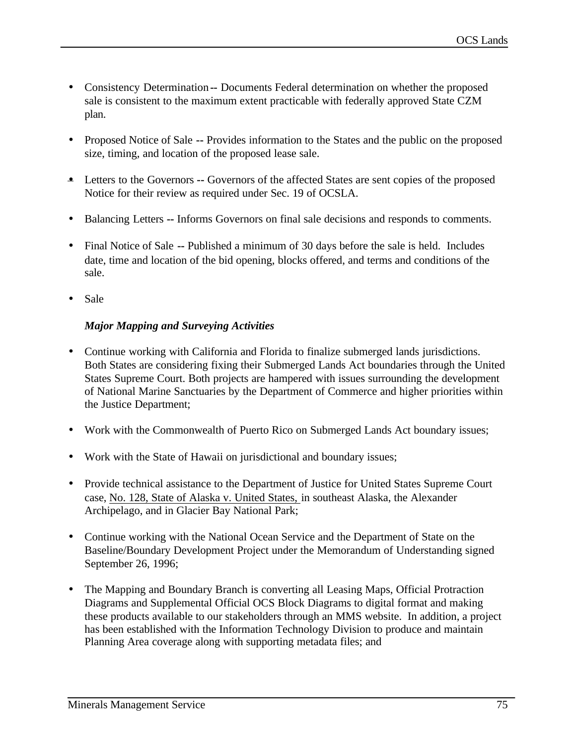- Consistency Determination -- Documents Federal determination on whether the proposed sale is consistent to the maximum extent practicable with federally approved State CZM plan.
- Proposed Notice of Sale **--** Provides information to the States and the public on the proposed size, timing, and location of the proposed lease sale.
- Letters to the Governors -- Governors of the affected States are sent copies of the proposed Notice for their review as required under Sec. 19 of OCSLA.
- Balancing Letters **--** Informs Governors on final sale decisions and responds to comments.
- Final Notice of Sale **--** Published a minimum of 30 days before the sale is held. Includes date, time and location of the bid opening, blocks offered, and terms and conditions of the sale.
- Sale

# *Major Mapping and Surveying Activities*

- Continue working with California and Florida to finalize submerged lands jurisdictions. Both States are considering fixing their Submerged Lands Act boundaries through the United States Supreme Court. Both projects are hampered with issues surrounding the development of National Marine Sanctuaries by the Department of Commerce and higher priorities within the Justice Department;
- Work with the Commonwealth of Puerto Rico on Submerged Lands Act boundary issues;
- Work with the State of Hawaii on jurisdictional and boundary issues;
- Provide technical assistance to the Department of Justice for United States Supreme Court case, No. 128, State of Alaska v. United States, in southeast Alaska, the Alexander Archipelago, and in Glacier Bay National Park;
- Continue working with the National Ocean Service and the Department of State on the Baseline/Boundary Development Project under the Memorandum of Understanding signed September 26, 1996;
- The Mapping and Boundary Branch is converting all Leasing Maps, Official Protraction Diagrams and Supplemental Official OCS Block Diagrams to digital format and making these products available to our stakeholders through an MMS website. In addition, a project has been established with the Information Technology Division to produce and maintain Planning Area coverage along with supporting metadata files; and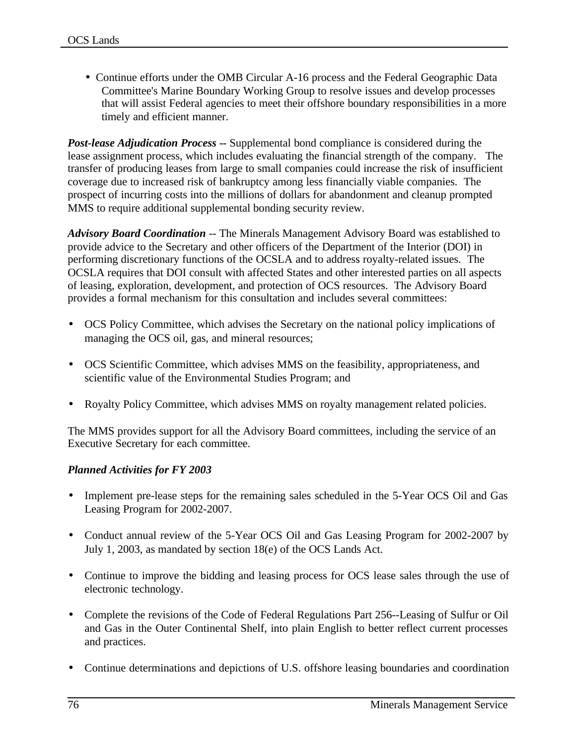• Continue efforts under the OMB Circular A-16 process and the Federal Geographic Data Committee's Marine Boundary Working Group to resolve issues and develop processes that will assist Federal agencies to meet their offshore boundary responsibilities in a more timely and efficient manner.

*Post-lease Adjudication Process* **--** Supplemental bond compliance is considered during the lease assignment process, which includes evaluating the financial strength of the company. The transfer of producing leases from large to small companies could increase the risk of insufficient coverage due to increased risk of bankruptcy among less financially viable companies. The prospect of incurring costs into the millions of dollars for abandonment and cleanup prompted MMS to require additional supplemental bonding security review.

*Advisory Board Coordination* -- The Minerals Management Advisory Board was established to provide advice to the Secretary and other officers of the Department of the Interior (DOI) in performing discretionary functions of the OCSLA and to address royalty-related issues. The OCSLA requires that DOI consult with affected States and other interested parties on all aspects of leasing, exploration, development, and protection of OCS resources. The Advisory Board provides a formal mechanism for this consultation and includes several committees:

- OCS Policy Committee, which advises the Secretary on the national policy implications of managing the OCS oil, gas, and mineral resources;
- OCS Scientific Committee, which advises MMS on the feasibility, appropriateness, and scientific value of the Environmental Studies Program; and
- Royalty Policy Committee, which advises MMS on royalty management related policies.

The MMS provides support for all the Advisory Board committees, including the service of an Executive Secretary for each committee.

## *Planned Activities for FY 2003*

- Implement pre-lease steps for the remaining sales scheduled in the 5-Year OCS Oil and Gas Leasing Program for 2002-2007.
- Conduct annual review of the 5-Year OCS Oil and Gas Leasing Program for 2002-2007 by July 1, 2003, as mandated by section 18(e) of the OCS Lands Act.
- Continue to improve the bidding and leasing process for OCS lease sales through the use of electronic technology.
- Complete the revisions of the Code of Federal Regulations Part 256--Leasing of Sulfur or Oil and Gas in the Outer Continental Shelf, into plain English to better reflect current processes and practices.
- Continue determinations and depictions of U.S. offshore leasing boundaries and coordination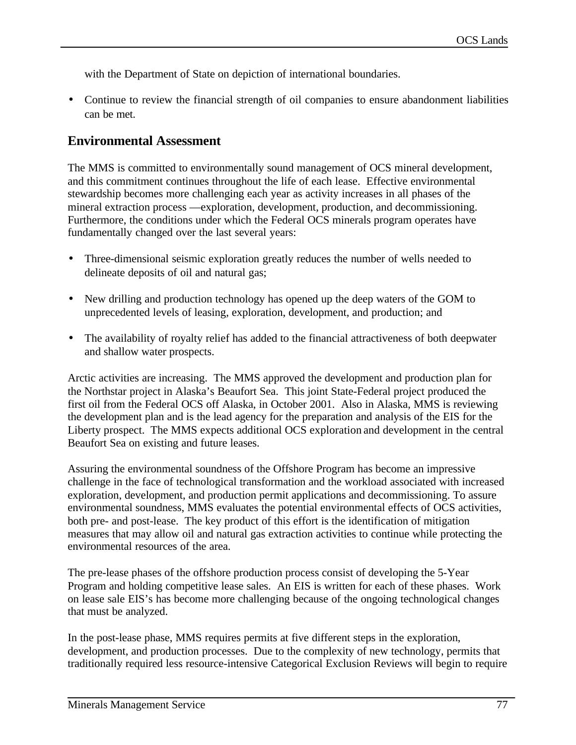with the Department of State on depiction of international boundaries.

• Continue to review the financial strength of oil companies to ensure abandonment liabilities can be met.

# **Environmental Assessment**

The MMS is committed to environmentally sound management of OCS mineral development, and this commitment continues throughout the life of each lease. Effective environmental stewardship becomes more challenging each year as activity increases in all phases of the mineral extraction process —exploration, development, production, and decommissioning. Furthermore, the conditions under which the Federal OCS minerals program operates have fundamentally changed over the last several years:

- Three-dimensional seismic exploration greatly reduces the number of wells needed to delineate deposits of oil and natural gas;
- New drilling and production technology has opened up the deep waters of the GOM to unprecedented levels of leasing, exploration, development, and production; and
- The availability of royalty relief has added to the financial attractiveness of both deepwater and shallow water prospects.

Arctic activities are increasing. The MMS approved the development and production plan for the Northstar project in Alaska's Beaufort Sea. This joint State-Federal project produced the first oil from the Federal OCS off Alaska, in October 2001. Also in Alaska, MMS is reviewing the development plan and is the lead agency for the preparation and analysis of the EIS for the Liberty prospect. The MMS expects additional OCS exploration and development in the central Beaufort Sea on existing and future leases.

Assuring the environmental soundness of the Offshore Program has become an impressive challenge in the face of technological transformation and the workload associated with increased exploration, development, and production permit applications and decommissioning. To assure environmental soundness, MMS evaluates the potential environmental effects of OCS activities, both pre- and post-lease. The key product of this effort is the identification of mitigation measures that may allow oil and natural gas extraction activities to continue while protecting the environmental resources of the area.

The pre-lease phases of the offshore production process consist of developing the 5-Year Program and holding competitive lease sales. An EIS is written for each of these phases. Work on lease sale EIS's has become more challenging because of the ongoing technological changes that must be analyzed.

In the post-lease phase, MMS requires permits at five different steps in the exploration, development, and production processes. Due to the complexity of new technology, permits that traditionally required less resource-intensive Categorical Exclusion Reviews will begin to require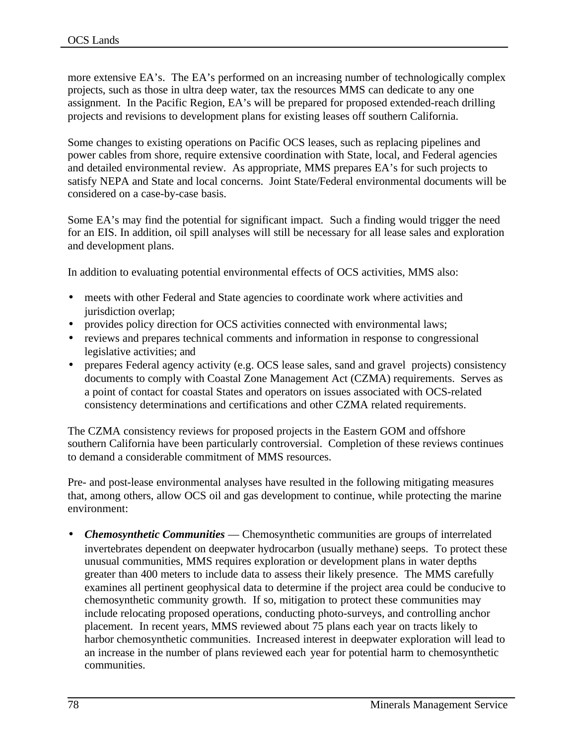more extensive EA's. The EA's performed on an increasing number of technologically complex projects, such as those in ultra deep water, tax the resources MMS can dedicate to any one assignment. In the Pacific Region, EA's will be prepared for proposed extended-reach drilling projects and revisions to development plans for existing leases off southern California.

Some changes to existing operations on Pacific OCS leases, such as replacing pipelines and power cables from shore, require extensive coordination with State, local, and Federal agencies and detailed environmental review. As appropriate, MMS prepares EA's for such projects to satisfy NEPA and State and local concerns. Joint State/Federal environmental documents will be considered on a case-by-case basis.

Some EA's may find the potential for significant impact. Such a finding would trigger the need for an EIS. In addition, oil spill analyses will still be necessary for all lease sales and exploration and development plans.

In addition to evaluating potential environmental effects of OCS activities, MMS also:

- meets with other Federal and State agencies to coordinate work where activities and jurisdiction overlap:
- provides policy direction for OCS activities connected with environmental laws;
- reviews and prepares technical comments and information in response to congressional legislative activities; and
- prepares Federal agency activity (e.g. OCS lease sales, sand and gravel projects) consistency documents to comply with Coastal Zone Management Act (CZMA) requirements. Serves as a point of contact for coastal States and operators on issues associated with OCS-related consistency determinations and certifications and other CZMA related requirements.

The CZMA consistency reviews for proposed projects in the Eastern GOM and offshore southern California have been particularly controversial. Completion of these reviews continues to demand a considerable commitment of MMS resources.

Pre- and post-lease environmental analyses have resulted in the following mitigating measures that, among others, allow OCS oil and gas development to continue, while protecting the marine environment:

• *Chemosynthetic Communities* — Chemosynthetic communities are groups of interrelated invertebrates dependent on deepwater hydrocarbon (usually methane) seeps. To protect these unusual communities, MMS requires exploration or development plans in water depths greater than 400 meters to include data to assess their likely presence. The MMS carefully examines all pertinent geophysical data to determine if the project area could be conducive to chemosynthetic community growth. If so, mitigation to protect these communities may include relocating proposed operations, conducting photo-surveys, and controlling anchor placement. In recent years, MMS reviewed about 75 plans each year on tracts likely to harbor chemosynthetic communities. Increased interest in deepwater exploration will lead to an increase in the number of plans reviewed each year for potential harm to chemosynthetic communities.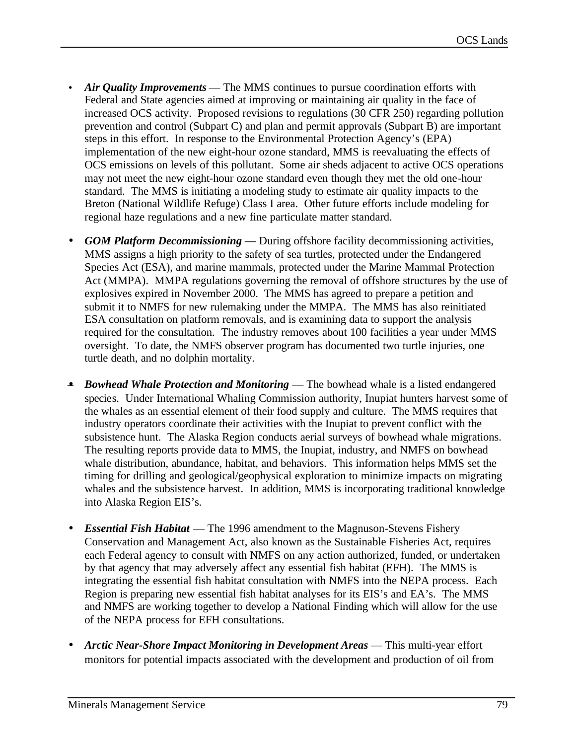- *Air Quality Improvements* The MMS continues to pursue coordination efforts with Federal and State agencies aimed at improving or maintaining air quality in the face of increased OCS activity. Proposed revisions to regulations (30 CFR 250) regarding pollution prevention and control (Subpart C) and plan and permit approvals (Subpart B) are important steps in this effort. In response to the Environmental Protection Agency's (EPA) implementation of the new eight-hour ozone standard, MMS is reevaluating the effects of OCS emissions on levels of this pollutant. Some air sheds adjacent to active OCS operations may not meet the new eight-hour ozone standard even though they met the old one-hour standard. The MMS is initiating a modeling study to estimate air quality impacts to the Breton (National Wildlife Refuge) Class I area. Other future efforts include modeling for regional haze regulations and a new fine particulate matter standard.
- *GOM Platform Decommissioning* During offshore facility decommissioning activities, MMS assigns a high priority to the safety of sea turtles, protected under the Endangered Species Act (ESA), and marine mammals, protected under the Marine Mammal Protection Act (MMPA). MMPA regulations governing the removal of offshore structures by the use of explosives expired in November 2000. The MMS has agreed to prepare a petition and submit it to NMFS for new rulemaking under the MMPA. The MMS has also reinitiated ESA consultation on platform removals, and is examining data to support the analysis required for the consultation. The industry removes about 100 facilities a year under MMS oversight. To date, the NMFS observer program has documented two turtle injuries, one turtle death, and no dolphin mortality.
- *Bowhead Whale Protection and Monitoring* The bowhead whale is a listed endangered species. Under International Whaling Commission authority, Inupiat hunters harvest some of the whales as an essential element of their food supply and culture. The MMS requires that industry operators coordinate their activities with the Inupiat to prevent conflict with the subsistence hunt. The Alaska Region conducts aerial surveys of bowhead whale migrations. The resulting reports provide data to MMS, the Inupiat, industry, and NMFS on bowhead whale distribution, abundance, habitat, and behaviors. This information helps MMS set the timing for drilling and geological/geophysical exploration to minimize impacts on migrating whales and the subsistence harvest. In addition, MMS is incorporating traditional knowledge into Alaska Region EIS's.
- *Essential Fish Habitat* The 1996 amendment to the Magnuson-Stevens Fishery Conservation and Management Act, also known as the Sustainable Fisheries Act, requires each Federal agency to consult with NMFS on any action authorized, funded, or undertaken by that agency that may adversely affect any essential fish habitat (EFH). The MMS is integrating the essential fish habitat consultation with NMFS into the NEPA process. Each Region is preparing new essential fish habitat analyses for its EIS's and EA's. The MMS and NMFS are working together to develop a National Finding which will allow for the use of the NEPA process for EFH consultations.
- *Arctic Near-Shore Impact Monitoring in Development Areas* This multi-year effort monitors for potential impacts associated with the development and production of oil from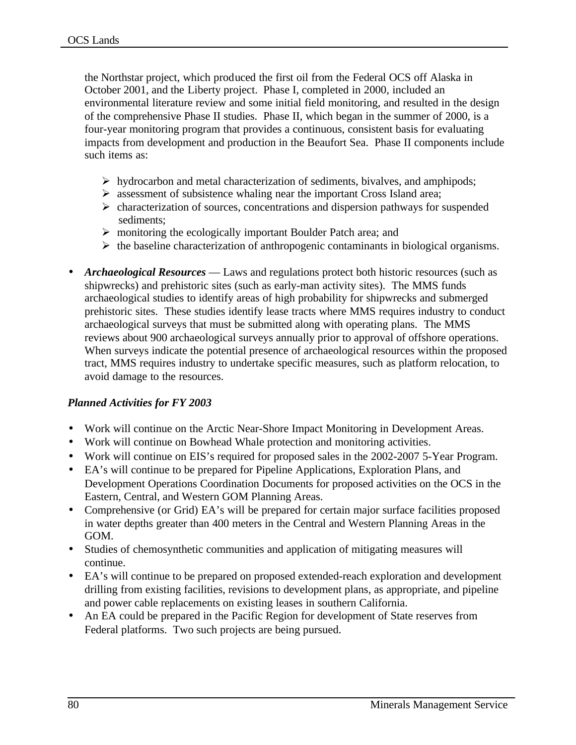the Northstar project, which produced the first oil from the Federal OCS off Alaska in October 2001, and the Liberty project. Phase I, completed in 2000, included an environmental literature review and some initial field monitoring, and resulted in the design of the comprehensive Phase II studies. Phase II, which began in the summer of 2000, is a four-year monitoring program that provides a continuous, consistent basis for evaluating impacts from development and production in the Beaufort Sea. Phase II components include such items as:

- $\triangleright$  hydrocarbon and metal characterization of sediments, bivalves, and amphipods;
- $\triangleright$  assessment of subsistence whaling near the important Cross Island area;
- $\triangleright$  characterization of sources, concentrations and dispersion pathways for suspended sediments;
- $\triangleright$  monitoring the ecologically important Boulder Patch area; and
- $\triangleright$  the baseline characterization of anthropogenic contaminants in biological organisms.
- *Archaeological Resources* Laws and regulations protect both historic resources (such as shipwrecks) and prehistoric sites (such as early-man activity sites). The MMS funds archaeological studies to identify areas of high probability for shipwrecks and submerged prehistoric sites. These studies identify lease tracts where MMS requires industry to conduct archaeological surveys that must be submitted along with operating plans. The MMS reviews about 900 archaeological surveys annually prior to approval of offshore operations. When surveys indicate the potential presence of archaeological resources within the proposed tract, MMS requires industry to undertake specific measures, such as platform relocation, to avoid damage to the resources.

#### *Planned Activities for FY 2003*

- Work will continue on the Arctic Near-Shore Impact Monitoring in Development Areas.
- Work will continue on Bowhead Whale protection and monitoring activities.
- Work will continue on EIS's required for proposed sales in the 2002-2007 5-Year Program.
- EA's will continue to be prepared for Pipeline Applications, Exploration Plans, and Development Operations Coordination Documents for proposed activities on the OCS in the Eastern, Central, and Western GOM Planning Areas.
- Comprehensive (or Grid) EA's will be prepared for certain major surface facilities proposed in water depths greater than 400 meters in the Central and Western Planning Areas in the GOM.
- Studies of chemosynthetic communities and application of mitigating measures will continue.
- EA's will continue to be prepared on proposed extended-reach exploration and development drilling from existing facilities, revisions to development plans, as appropriate, and pipeline and power cable replacements on existing leases in southern California.
- An EA could be prepared in the Pacific Region for development of State reserves from Federal platforms. Two such projects are being pursued.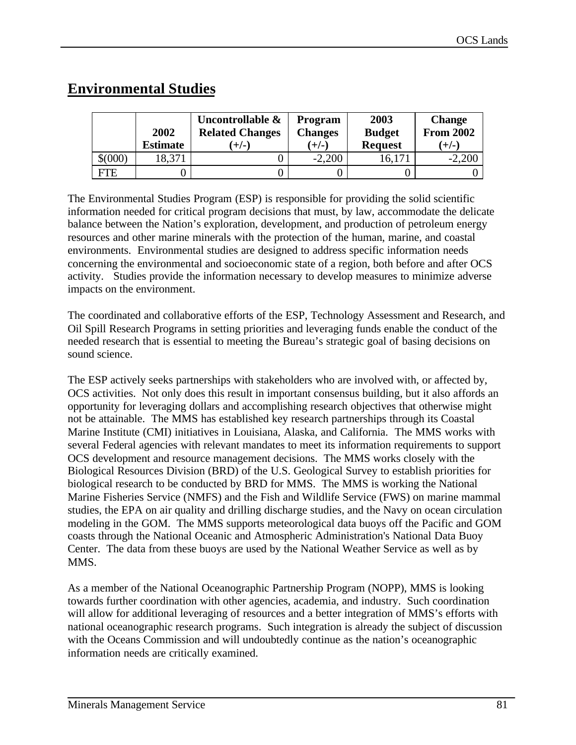# **Environmental Studies**

|             | 2002<br><b>Estimate</b> | Uncontrollable &<br><b>Related Changes</b><br>$(+/-)$ | <b>Program</b><br><b>Changes</b><br>$(+/-)$ | 2003<br><b>Budget</b><br><b>Request</b> | <b>Change</b><br><b>From 2002</b><br>$(+/-)$ |
|-------------|-------------------------|-------------------------------------------------------|---------------------------------------------|-----------------------------------------|----------------------------------------------|
| $$^{(000)}$ | 18,371                  |                                                       | $-2,200$                                    | 16,171                                  | $-2,200$                                     |
| <b>FTE</b>  |                         |                                                       |                                             |                                         |                                              |

The Environmental Studies Program (ESP) is responsible for providing the solid scientific information needed for critical program decisions that must, by law, accommodate the delicate balance between the Nation's exploration, development, and production of petroleum energy resources and other marine minerals with the protection of the human, marine, and coastal environments. Environmental studies are designed to address specific information needs concerning the environmental and socioeconomic state of a region, both before and after OCS activity. Studies provide the information necessary to develop measures to minimize adverse impacts on the environment.

The coordinated and collaborative efforts of the ESP, Technology Assessment and Research, and Oil Spill Research Programs in setting priorities and leveraging funds enable the conduct of the needed research that is essential to meeting the Bureau's strategic goal of basing decisions on sound science.

The ESP actively seeks partnerships with stakeholders who are involved with, or affected by, OCS activities. Not only does this result in important consensus building, but it also affords an opportunity for leveraging dollars and accomplishing research objectives that otherwise might not be attainable. The MMS has established key research partnerships through its Coastal Marine Institute (CMI) initiatives in Louisiana, Alaska, and California. The MMS works with several Federal agencies with relevant mandates to meet its information requirements to support OCS development and resource management decisions. The MMS works closely with the Biological Resources Division (BRD) of the U.S. Geological Survey to establish priorities for biological research to be conducted by BRD for MMS. The MMS is working the National Marine Fisheries Service (NMFS) and the Fish and Wildlife Service (FWS) on marine mammal studies, the EPA on air quality and drilling discharge studies, and the Navy on ocean circulation modeling in the GOM. The MMS supports meteorological data buoys off the Pacific and GOM coasts through the National Oceanic and Atmospheric Administration's National Data Buoy Center. The data from these buoys are used by the National Weather Service as well as by MMS.

As a member of the National Oceanographic Partnership Program (NOPP), MMS is looking towards further coordination with other agencies, academia, and industry. Such coordination will allow for additional leveraging of resources and a better integration of MMS's efforts with national oceanographic research programs. Such integration is already the subject of discussion with the Oceans Commission and will undoubtedly continue as the nation's oceanographic information needs are critically examined.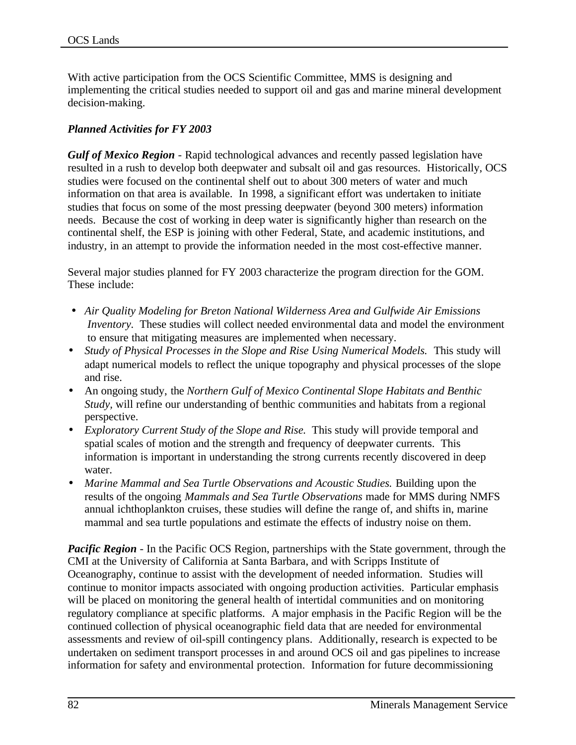With active participation from the OCS Scientific Committee, MMS is designing and implementing the critical studies needed to support oil and gas and marine mineral development decision-making.

# *Planned Activities for FY 2003*

*Gulf of Mexico Region* - Rapid technological advances and recently passed legislation have resulted in a rush to develop both deepwater and subsalt oil and gas resources. Historically, OCS studies were focused on the continental shelf out to about 300 meters of water and much information on that area is available. In 1998, a significant effort was undertaken to initiate studies that focus on some of the most pressing deepwater (beyond 300 meters) information needs. Because the cost of working in deep water is significantly higher than research on the continental shelf, the ESP is joining with other Federal, State, and academic institutions, and industry, in an attempt to provide the information needed in the most cost-effective manner.

Several major studies planned for FY 2003 characterize the program direction for the GOM. These include:

- *Air Quality Modeling for Breton National Wilderness Area and Gulfwide Air Emissions Inventory*. These studies will collect needed environmental data and model the environment to ensure that mitigating measures are implemented when necessary.
- *Study of Physical Processes in the Slope and Rise Using Numerical Models.* This study will adapt numerical models to reflect the unique topography and physical processes of the slope and rise.
- An ongoing study, the *Northern Gulf of Mexico Continental Slope Habitats and Benthic Study,* will refine our understanding of benthic communities and habitats from a regional perspective.
- *Exploratory Current Study of the Slope and Rise.* This study will provide temporal and spatial scales of motion and the strength and frequency of deepwater currents. This information is important in understanding the strong currents recently discovered in deep water.
- *Marine Mammal and Sea Turtle Observations and Acoustic Studies.* Building upon the results of the ongoing *Mammals and Sea Turtle Observations* made for MMS during NMFS annual ichthoplankton cruises, these studies will define the range of, and shifts in, marine mammal and sea turtle populations and estimate the effects of industry noise on them.

*Pacific Region* - In the Pacific OCS Region, partnerships with the State government, through the CMI at the University of California at Santa Barbara, and with Scripps Institute of Oceanography, continue to assist with the development of needed information. Studies will continue to monitor impacts associated with ongoing production activities. Particular emphasis will be placed on monitoring the general health of intertidal communities and on monitoring regulatory compliance at specific platforms. A major emphasis in the Pacific Region will be the continued collection of physical oceanographic field data that are needed for environmental assessments and review of oil-spill contingency plans. Additionally, research is expected to be undertaken on sediment transport processes in and around OCS oil and gas pipelines to increase information for safety and environmental protection. Information for future decommissioning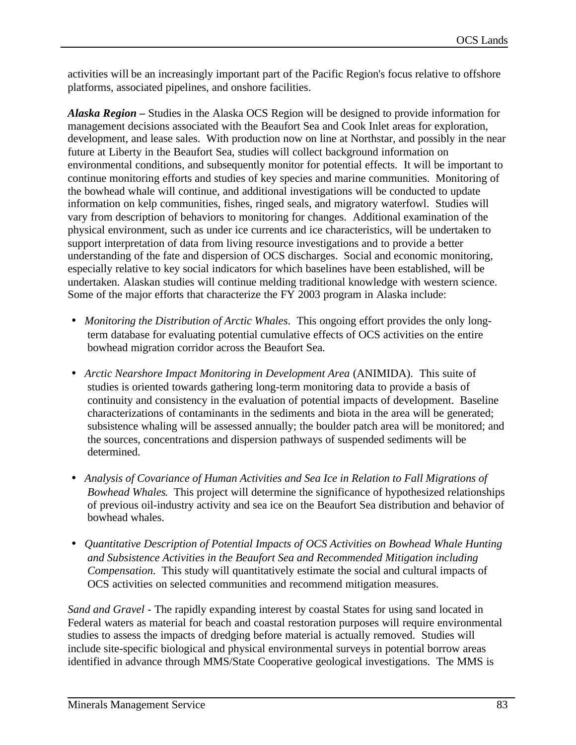activities will be an increasingly important part of the Pacific Region's focus relative to offshore platforms, associated pipelines, and onshore facilities.

*Alaska Region –* Studies in the Alaska OCS Region will be designed to provide information for management decisions associated with the Beaufort Sea and Cook Inlet areas for exploration, development, and lease sales. With production now on line at Northstar, and possibly in the near future at Liberty in the Beaufort Sea, studies will collect background information on environmental conditions, and subsequently monitor for potential effects. It will be important to continue monitoring efforts and studies of key species and marine communities. Monitoring of the bowhead whale will continue, and additional investigations will be conducted to update information on kelp communities, fishes, ringed seals, and migratory waterfowl. Studies will vary from description of behaviors to monitoring for changes. Additional examination of the physical environment, such as under ice currents and ice characteristics, will be undertaken to support interpretation of data from living resource investigations and to provide a better understanding of the fate and dispersion of OCS discharges. Social and economic monitoring, especially relative to key social indicators for which baselines have been established, will be undertaken. Alaskan studies will continue melding traditional knowledge with western science. Some of the major efforts that characterize the FY 2003 program in Alaska include:

- *Monitoring the Distribution of Arctic Whales*. This ongoing effort provides the only longterm database for evaluating potential cumulative effects of OCS activities on the entire bowhead migration corridor across the Beaufort Sea.
- *Arctic Nearshore Impact Monitoring in Development Area* (ANIMIDA). This suite of studies is oriented towards gathering long-term monitoring data to provide a basis of continuity and consistency in the evaluation of potential impacts of development. Baseline characterizations of contaminants in the sediments and biota in the area will be generated; subsistence whaling will be assessed annually; the boulder patch area will be monitored; and the sources, concentrations and dispersion pathways of suspended sediments will be determined.
- *Analysis of Covariance of Human Activities and Sea Ice in Relation to Fall Migrations of Bowhead Whales*. This project will determine the significance of hypothesized relationships of previous oil-industry activity and sea ice on the Beaufort Sea distribution and behavior of bowhead whales.
- *Quantitative Description of Potential Impacts of OCS Activities on Bowhead Whale Hunting and Subsistence Activities in the Beaufort Sea and Recommended Mitigation including Compensation*. This study will quantitatively estimate the social and cultural impacts of OCS activities on selected communities and recommend mitigation measures.

*Sand and Gravel* - The rapidly expanding interest by coastal States for using sand located in Federal waters as material for beach and coastal restoration purposes will require environmental studies to assess the impacts of dredging before material is actually removed. Studies will include site-specific biological and physical environmental surveys in potential borrow areas identified in advance through MMS/State Cooperative geological investigations. The MMS is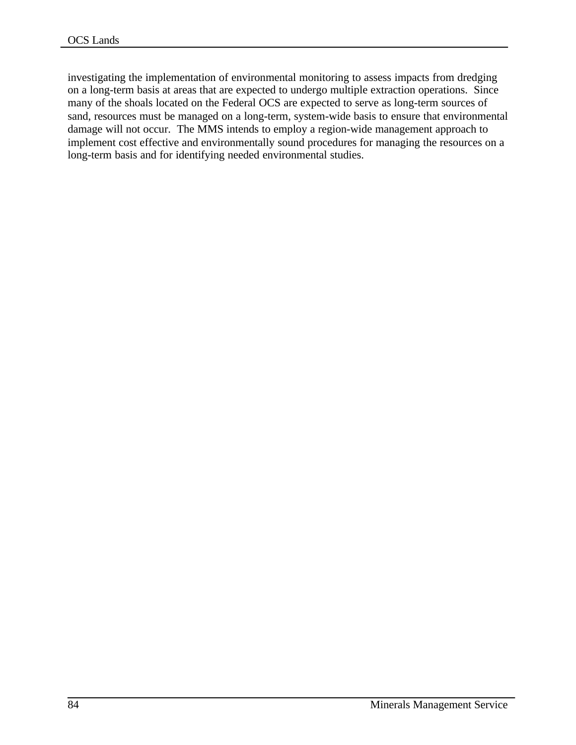investigating the implementation of environmental monitoring to assess impacts from dredging on a long-term basis at areas that are expected to undergo multiple extraction operations. Since many of the shoals located on the Federal OCS are expected to serve as long-term sources of sand, resources must be managed on a long-term, system-wide basis to ensure that environmental damage will not occur. The MMS intends to employ a region-wide management approach to implement cost effective and environmentally sound procedures for managing the resources on a long-term basis and for identifying needed environmental studies.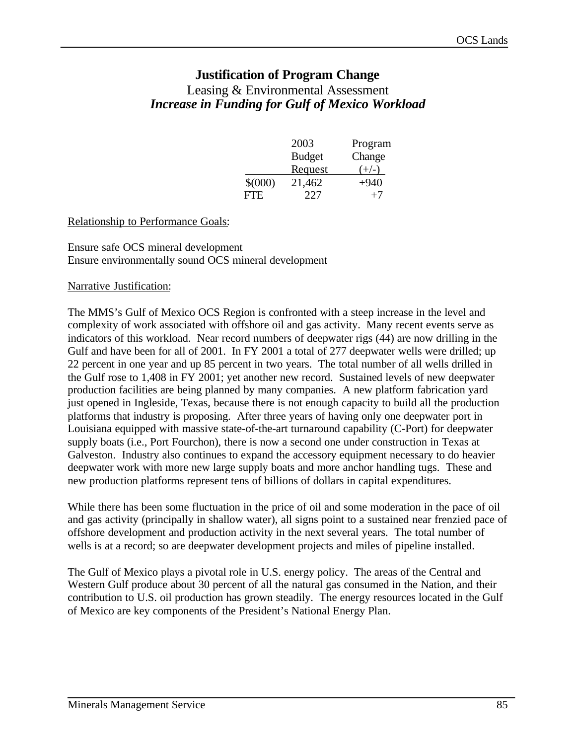# **Justification of Program Change**

# Leasing & Environmental Assessment *Increase in Funding for Gulf of Mexico Workload*

|             | 2003          | Program |
|-------------|---------------|---------|
|             | <b>Budget</b> | Change  |
|             | Request       | $(+/-)$ |
| $$^{(000)}$ | 21,462        | $+940$  |
| FTE.        | 227           | $+7$    |

#### Relationship to Performance Goals:

#### Ensure safe OCS mineral development Ensure environmentally sound OCS mineral development

#### Narrative Justification:

The MMS's Gulf of Mexico OCS Region is confronted with a steep increase in the level and complexity of work associated with offshore oil and gas activity. Many recent events serve as indicators of this workload. Near record numbers of deepwater rigs (44) are now drilling in the Gulf and have been for all of 2001. In FY 2001 a total of 277 deepwater wells were drilled; up 22 percent in one year and up 85 percent in two years. The total number of all wells drilled in the Gulf rose to 1,408 in FY 2001; yet another new record. Sustained levels of new deepwater production facilities are being planned by many companies. A new platform fabrication yard just opened in Ingleside, Texas, because there is not enough capacity to build all the production platforms that industry is proposing. After three years of having only one deepwater port in Louisiana equipped with massive state-of-the-art turnaround capability (C-Port) for deepwater supply boats (i.e., Port Fourchon), there is now a second one under construction in Texas at Galveston. Industry also continues to expand the accessory equipment necessary to do heavier deepwater work with more new large supply boats and more anchor handling tugs. These and new production platforms represent tens of billions of dollars in capital expenditures.

While there has been some fluctuation in the price of oil and some moderation in the pace of oil and gas activity (principally in shallow water), all signs point to a sustained near frenzied pace of offshore development and production activity in the next several years. The total number of wells is at a record; so are deepwater development projects and miles of pipeline installed.

The Gulf of Mexico plays a pivotal role in U.S. energy policy. The areas of the Central and Western Gulf produce about 30 percent of all the natural gas consumed in the Nation, and their contribution to U.S. oil production has grown steadily. The energy resources located in the Gulf of Mexico are key components of the President's National Energy Plan.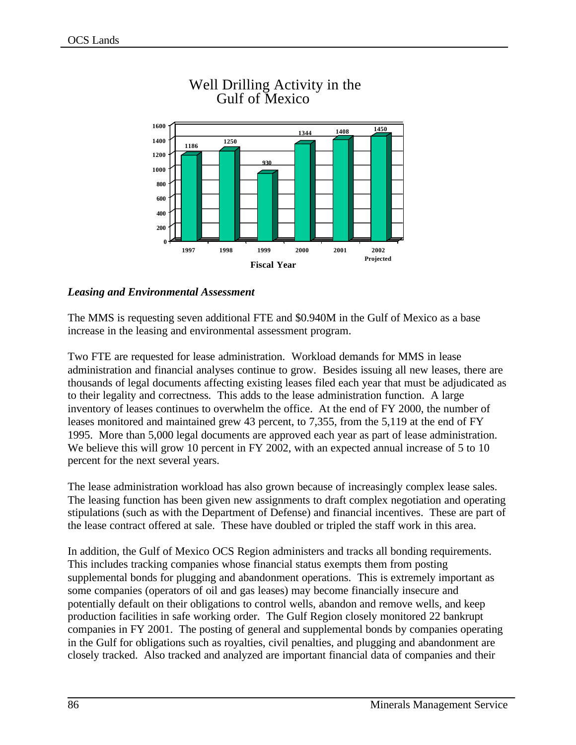

# Well Drilling Activity in the Gulf of Mexico

## *Leasing and Environmental Assessment*

The MMS is requesting seven additional FTE and \$0.940M in the Gulf of Mexico as a base increase in the leasing and environmental assessment program.

Two FTE are requested for lease administration. Workload demands for MMS in lease administration and financial analyses continue to grow. Besides issuing all new leases, there are thousands of legal documents affecting existing leases filed each year that must be adjudicated as to their legality and correctness. This adds to the lease administration function. A large inventory of leases continues to overwhelm the office. At the end of FY 2000, the number of leases monitored and maintained grew 43 percent, to 7,355, from the 5,119 at the end of FY 1995. More than 5,000 legal documents are approved each year as part of lease administration. We believe this will grow 10 percent in FY 2002, with an expected annual increase of 5 to 10 percent for the next several years.

The lease administration workload has also grown because of increasingly complex lease sales. The leasing function has been given new assignments to draft complex negotiation and operating stipulations (such as with the Department of Defense) and financial incentives. These are part of the lease contract offered at sale. These have doubled or tripled the staff work in this area.

In addition, the Gulf of Mexico OCS Region administers and tracks all bonding requirements. This includes tracking companies whose financial status exempts them from posting supplemental bonds for plugging and abandonment operations. This is extremely important as some companies (operators of oil and gas leases) may become financially insecure and potentially default on their obligations to control wells, abandon and remove wells, and keep production facilities in safe working order. The Gulf Region closely monitored 22 bankrupt companies in FY 2001. The posting of general and supplemental bonds by companies operating in the Gulf for obligations such as royalties, civil penalties, and plugging and abandonment are closely tracked. Also tracked and analyzed are important financial data of companies and their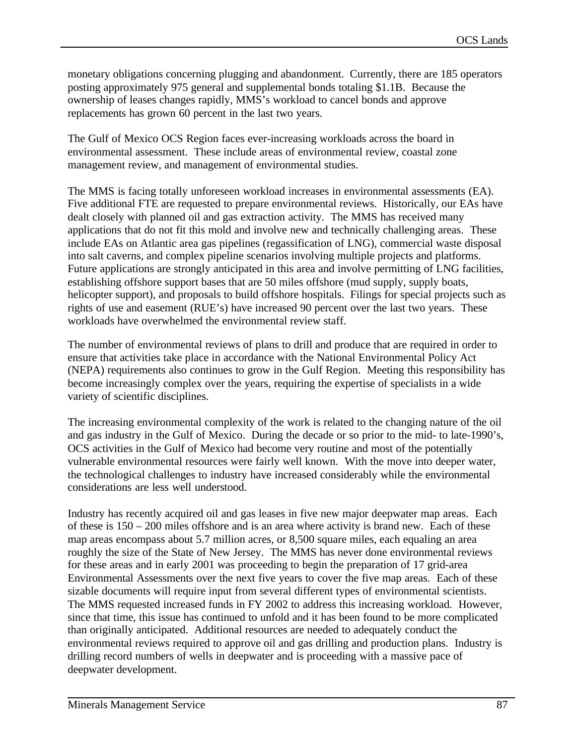monetary obligations concerning plugging and abandonment. Currently, there are 185 operators posting approximately 975 general and supplemental bonds totaling \$1.1B. Because the ownership of leases changes rapidly, MMS's workload to cancel bonds and approve replacements has grown 60 percent in the last two years.

The Gulf of Mexico OCS Region faces ever-increasing workloads across the board in environmental assessment. These include areas of environmental review, coastal zone management review, and management of environmental studies.

The MMS is facing totally unforeseen workload increases in environmental assessments (EA). Five additional FTE are requested to prepare environmental reviews. Historically, our EAs have dealt closely with planned oil and gas extraction activity. The MMS has received many applications that do not fit this mold and involve new and technically challenging areas. These include EAs on Atlantic area gas pipelines (regassification of LNG), commercial waste disposal into salt caverns, and complex pipeline scenarios involving multiple projects and platforms. Future applications are strongly anticipated in this area and involve permitting of LNG facilities, establishing offshore support bases that are 50 miles offshore (mud supply, supply boats, helicopter support), and proposals to build offshore hospitals. Filings for special projects such as rights of use and easement (RUE's) have increased 90 percent over the last two years. These workloads have overwhelmed the environmental review staff.

The number of environmental reviews of plans to drill and produce that are required in order to ensure that activities take place in accordance with the National Environmental Policy Act (NEPA) requirements also continues to grow in the Gulf Region. Meeting this responsibility has become increasingly complex over the years, requiring the expertise of specialists in a wide variety of scientific disciplines.

The increasing environmental complexity of the work is related to the changing nature of the oil and gas industry in the Gulf of Mexico. During the decade or so prior to the mid- to late-1990's, OCS activities in the Gulf of Mexico had become very routine and most of the potentially vulnerable environmental resources were fairly well known. With the move into deeper water, the technological challenges to industry have increased considerably while the environmental considerations are less well understood.

Industry has recently acquired oil and gas leases in five new major deepwater map areas. Each of these is 150 – 200 miles offshore and is an area where activity is brand new. Each of these map areas encompass about 5.7 million acres, or 8,500 square miles, each equaling an area roughly the size of the State of New Jersey. The MMS has never done environmental reviews for these areas and in early 2001 was proceeding to begin the preparation of 17 grid-area Environmental Assessments over the next five years to cover the five map areas. Each of these sizable documents will require input from several different types of environmental scientists. The MMS requested increased funds in FY 2002 to address this increasing workload. However, since that time, this issue has continued to unfold and it has been found to be more complicated than originally anticipated. Additional resources are needed to adequately conduct the environmental reviews required to approve oil and gas drilling and production plans. Industry is drilling record numbers of wells in deepwater and is proceeding with a massive pace of deepwater development.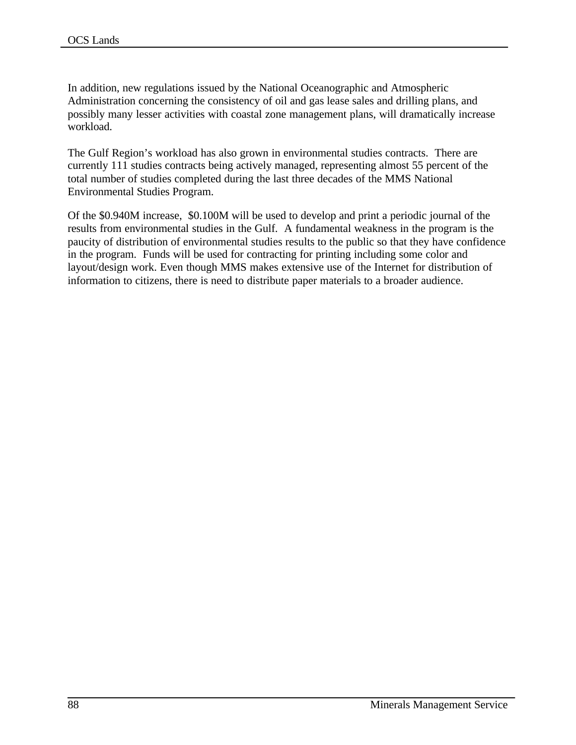In addition, new regulations issued by the National Oceanographic and Atmospheric Administration concerning the consistency of oil and gas lease sales and drilling plans, and possibly many lesser activities with coastal zone management plans, will dramatically increase workload.

The Gulf Region's workload has also grown in environmental studies contracts. There are currently 111 studies contracts being actively managed, representing almost 55 percent of the total number of studies completed during the last three decades of the MMS National Environmental Studies Program.

Of the \$0.940M increase, \$0.100M will be used to develop and print a periodic journal of the results from environmental studies in the Gulf. A fundamental weakness in the program is the paucity of distribution of environmental studies results to the public so that they have confidence in the program. Funds will be used for contracting for printing including some color and layout/design work. Even though MMS makes extensive use of the Internet for distribution of information to citizens, there is need to distribute paper materials to a broader audience.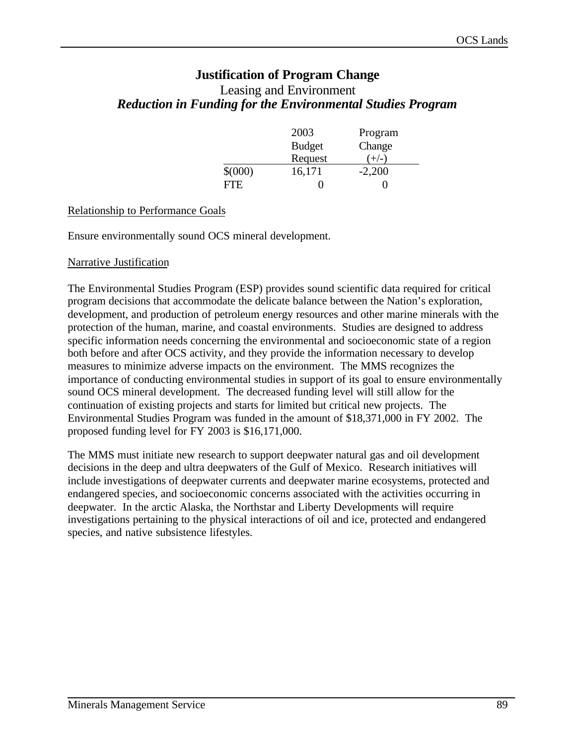# **Justification of Program Change** Leasing and Environment *Reduction in Funding for the Environmental Studies Program*

|             | 2003          | Program  |
|-------------|---------------|----------|
|             | <b>Budget</b> | Change   |
|             | Request       | $+/-$    |
| $$^{(000)}$ | 16,171        | $-2,200$ |
| FTF         |               |          |

#### Relationship to Performance Goals

Ensure environmentally sound OCS mineral development.

#### Narrative Justification

The Environmental Studies Program (ESP) provides sound scientific data required for critical program decisions that accommodate the delicate balance between the Nation's exploration, development, and production of petroleum energy resources and other marine minerals with the protection of the human, marine, and coastal environments. Studies are designed to address specific information needs concerning the environmental and socioeconomic state of a region both before and after OCS activity, and they provide the information necessary to develop measures to minimize adverse impacts on the environment. The MMS recognizes the importance of conducting environmental studies in support of its goal to ensure environmentally sound OCS mineral development. The decreased funding level will still allow for the continuation of existing projects and starts for limited but critical new projects. The Environmental Studies Program was funded in the amount of \$18,371,000 in FY 2002. The proposed funding level for FY 2003 is \$16,171,000.

The MMS must initiate new research to support deepwater natural gas and oil development decisions in the deep and ultra deepwaters of the Gulf of Mexico. Research initiatives will include investigations of deepwater currents and deepwater marine ecosystems, protected and endangered species, and socioeconomic concerns associated with the activities occurring in deepwater. In the arctic Alaska, the Northstar and Liberty Developments will require investigations pertaining to the physical interactions of oil and ice, protected and endangered species, and native subsistence lifestyles.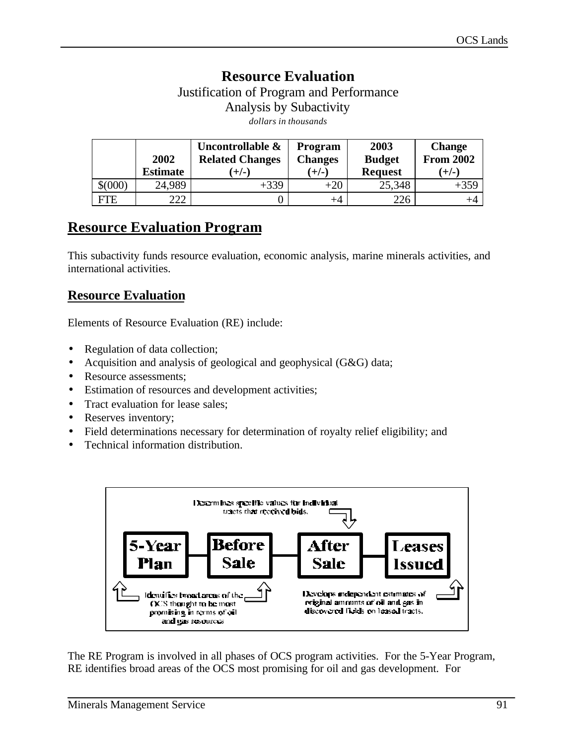# **Resource Evaluation**

Justification of Program and Performance Analysis by Subactivity *dollars in thousands*

|             | 2002<br><b>Estimate</b> | Uncontrollable &<br><b>Related Changes</b><br>ั+/- เ | <b>Program</b><br><b>Changes</b><br>$(+/-)$ | 2003<br><b>Budget</b><br><b>Request</b> | <b>Change</b><br><b>From 2002</b><br>$(+/-)$ |
|-------------|-------------------------|------------------------------------------------------|---------------------------------------------|-----------------------------------------|----------------------------------------------|
| $$^{(000)}$ | 24,989                  | $+339$                                               | $+20$                                       | 25,348                                  | $+359$                                       |
| FTE         | າາາ                     |                                                      | $^{+4}$                                     | 226                                     |                                              |

# **Resource Evaluation Program**

This subactivity funds resource evaluation, economic analysis, marine minerals activities, and international activities.

# **Resource Evaluation**

Elements of Resource Evaluation (RE) include:

- Regulation of data collection;
- Acquisition and analysis of geological and geophysical (G&G) data;
- Resource assessments;
- Estimation of resources and development activities;
- Tract evaluation for lease sales;
- Reserves inventory;
- Field determinations necessary for determination of royalty relief eligibility; and
- Technical information distribution.



The RE Program is involved in all phases of OCS program activities. For the 5-Year Program, RE identifies broad areas of the OCS most promising for oil and gas development. For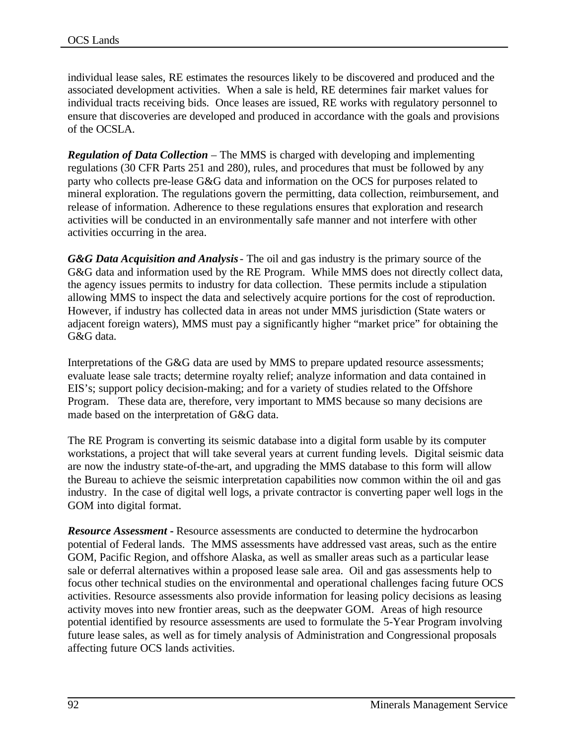individual lease sales, RE estimates the resources likely to be discovered and produced and the associated development activities. When a sale is held, RE determines fair market values for individual tracts receiving bids. Once leases are issued, RE works with regulatory personnel to ensure that discoveries are developed and produced in accordance with the goals and provisions of the OCSLA.

*Regulation of Data Collection* – The MMS is charged with developing and implementing regulations (30 CFR Parts 251 and 280), rules, and procedures that must be followed by any party who collects pre-lease G&G data and information on the OCS for purposes related to mineral exploration. The regulations govern the permitting, data collection, reimbursement, and release of information. Adherence to these regulations ensures that exploration and research activities will be conducted in an environmentally safe manner and not interfere with other activities occurring in the area.

*G&G Data Acquisition and Analysis*- The oil and gas industry is the primary source of the G&G data and information used by the RE Program. While MMS does not directly collect data, the agency issues permits to industry for data collection. These permits include a stipulation allowing MMS to inspect the data and selectively acquire portions for the cost of reproduction. However, if industry has collected data in areas not under MMS jurisdiction (State waters or adjacent foreign waters), MMS must pay a significantly higher "market price" for obtaining the G&G data.

Interpretations of the G&G data are used by MMS to prepare updated resource assessments; evaluate lease sale tracts; determine royalty relief; analyze information and data contained in EIS's; support policy decision-making; and for a variety of studies related to the Offshore Program. These data are, therefore, very important to MMS because so many decisions are made based on the interpretation of G&G data.

The RE Program is converting its seismic database into a digital form usable by its computer workstations, a project that will take several years at current funding levels. Digital seismic data are now the industry state-of-the-art, and upgrading the MMS database to this form will allow the Bureau to achieve the seismic interpretation capabilities now common within the oil and gas industry. In the case of digital well logs, a private contractor is converting paper well logs in the GOM into digital format.

*Resource Assessment* - Resource assessments are conducted to determine the hydrocarbon potential of Federal lands. The MMS assessments have addressed vast areas, such as the entire GOM, Pacific Region, and offshore Alaska, as well as smaller areas such as a particular lease sale or deferral alternatives within a proposed lease sale area. Oil and gas assessments help to focus other technical studies on the environmental and operational challenges facing future OCS activities. Resource assessments also provide information for leasing policy decisions as leasing activity moves into new frontier areas, such as the deepwater GOM. Areas of high resource potential identified by resource assessments are used to formulate the 5-Year Program involving future lease sales, as well as for timely analysis of Administration and Congressional proposals affecting future OCS lands activities.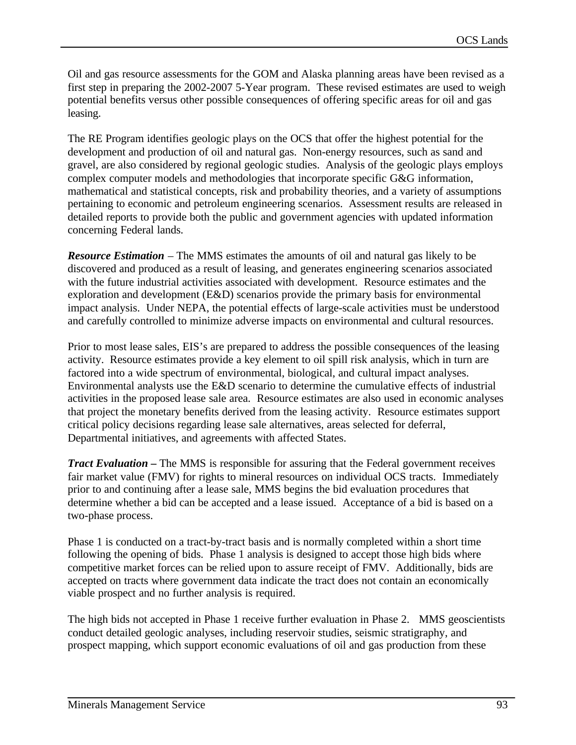Oil and gas resource assessments for the GOM and Alaska planning areas have been revised as a first step in preparing the 2002-2007 5-Year program. These revised estimates are used to weigh potential benefits versus other possible consequences of offering specific areas for oil and gas leasing.

The RE Program identifies geologic plays on the OCS that offer the highest potential for the development and production of oil and natural gas. Non-energy resources, such as sand and gravel, are also considered by regional geologic studies. Analysis of the geologic plays employs complex computer models and methodologies that incorporate specific G&G information, mathematical and statistical concepts, risk and probability theories, and a variety of assumptions pertaining to economic and petroleum engineering scenarios. Assessment results are released in detailed reports to provide both the public and government agencies with updated information concerning Federal lands.

*Resource Estimation* – The MMS estimates the amounts of oil and natural gas likely to be discovered and produced as a result of leasing, and generates engineering scenarios associated with the future industrial activities associated with development. Resource estimates and the exploration and development (E&D) scenarios provide the primary basis for environmental impact analysis. Under NEPA, the potential effects of large-scale activities must be understood and carefully controlled to minimize adverse impacts on environmental and cultural resources.

Prior to most lease sales, EIS's are prepared to address the possible consequences of the leasing activity. Resource estimates provide a key element to oil spill risk analysis, which in turn are factored into a wide spectrum of environmental, biological, and cultural impact analyses. Environmental analysts use the E&D scenario to determine the cumulative effects of industrial activities in the proposed lease sale area. Resource estimates are also used in economic analyses that project the monetary benefits derived from the leasing activity. Resource estimates support critical policy decisions regarding lease sale alternatives, areas selected for deferral, Departmental initiatives, and agreements with affected States.

*Tract Evaluation* – The MMS is responsible for assuring that the Federal government receives fair market value (FMV) for rights to mineral resources on individual OCS tracts. Immediately prior to and continuing after a lease sale, MMS begins the bid evaluation procedures that determine whether a bid can be accepted and a lease issued. Acceptance of a bid is based on a two-phase process.

Phase 1 is conducted on a tract-by-tract basis and is normally completed within a short time following the opening of bids. Phase 1 analysis is designed to accept those high bids where competitive market forces can be relied upon to assure receipt of FMV. Additionally, bids are accepted on tracts where government data indicate the tract does not contain an economically viable prospect and no further analysis is required.

The high bids not accepted in Phase 1 receive further evaluation in Phase 2. MMS geoscientists conduct detailed geologic analyses, including reservoir studies, seismic stratigraphy, and prospect mapping, which support economic evaluations of oil and gas production from these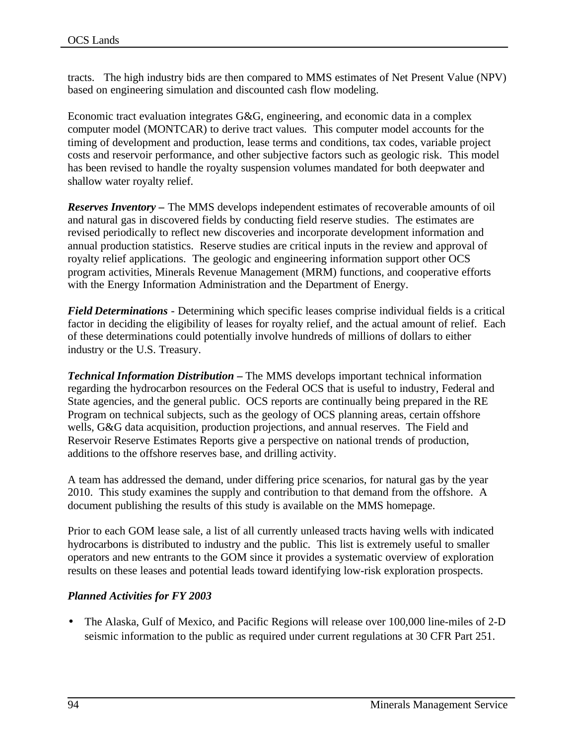tracts. The high industry bids are then compared to MMS estimates of Net Present Value (NPV) based on engineering simulation and discounted cash flow modeling.

Economic tract evaluation integrates G&G, engineering, and economic data in a complex computer model (MONTCAR) to derive tract values. This computer model accounts for the timing of development and production, lease terms and conditions, tax codes, variable project costs and reservoir performance, and other subjective factors such as geologic risk. This model has been revised to handle the royalty suspension volumes mandated for both deepwater and shallow water royalty relief.

*Reserves Inventory* **–** The MMS develops independent estimates of recoverable amounts of oil and natural gas in discovered fields by conducting field reserve studies. The estimates are revised periodically to reflect new discoveries and incorporate development information and annual production statistics. Reserve studies are critical inputs in the review and approval of royalty relief applications. The geologic and engineering information support other OCS program activities, Minerals Revenue Management (MRM) functions, and cooperative efforts with the Energy Information Administration and the Department of Energy.

*Field Determinations* - Determining which specific leases comprise individual fields is a critical factor in deciding the eligibility of leases for royalty relief, and the actual amount of relief. Each of these determinations could potentially involve hundreds of millions of dollars to either industry or the U.S. Treasury.

*Technical Information Distribution* – The MMS develops important technical information regarding the hydrocarbon resources on the Federal OCS that is useful to industry, Federal and State agencies, and the general public. OCS reports are continually being prepared in the RE Program on technical subjects, such as the geology of OCS planning areas, certain offshore wells, G&G data acquisition, production projections, and annual reserves. The Field and Reservoir Reserve Estimates Reports give a perspective on national trends of production, additions to the offshore reserves base, and drilling activity.

A team has addressed the demand, under differing price scenarios, for natural gas by the year 2010. This study examines the supply and contribution to that demand from the offshore. A document publishing the results of this study is available on the MMS homepage.

Prior to each GOM lease sale, a list of all currently unleased tracts having wells with indicated hydrocarbons is distributed to industry and the public. This list is extremely useful to smaller operators and new entrants to the GOM since it provides a systematic overview of exploration results on these leases and potential leads toward identifying low-risk exploration prospects.

## *Planned Activities for FY 2003*

• The Alaska, Gulf of Mexico, and Pacific Regions will release over 100,000 line-miles of 2-D seismic information to the public as required under current regulations at 30 CFR Part 251.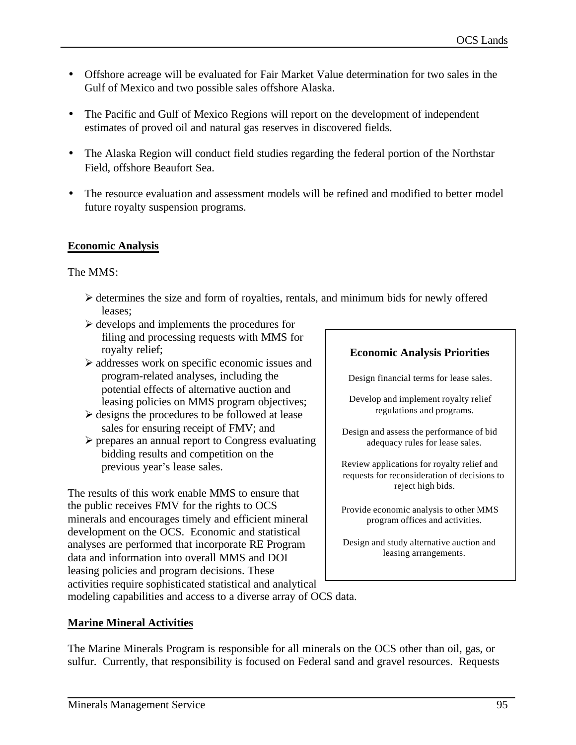- Offshore acreage will be evaluated for Fair Market Value determination for two sales in the Gulf of Mexico and two possible sales offshore Alaska.
- The Pacific and Gulf of Mexico Regions will report on the development of independent estimates of proved oil and natural gas reserves in discovered fields.
- The Alaska Region will conduct field studies regarding the federal portion of the Northstar Field, offshore Beaufort Sea.
- The resource evaluation and assessment models will be refined and modified to better model future royalty suspension programs.

# **Economic Analysis**

The MMS:

- $\triangleright$  determines the size and form of royalties, rentals, and minimum bids for newly offered leases;
- $\triangleright$  develops and implements the procedures for filing and processing requests with MMS for royalty relief;
- $\triangleright$  addresses work on specific economic issues and program-related analyses, including the potential effects of alternative auction and leasing policies on MMS program objectives;
- $\triangleright$  designs the procedures to be followed at lease sales for ensuring receipt of FMV; and
- $\triangleright$  prepares an annual report to Congress evaluating bidding results and competition on the previous year's lease sales.

The results of this work enable MMS to ensure that the public receives FMV for the rights to OCS minerals and encourages timely and efficient mineral development on the OCS. Economic and statistical analyses are performed that incorporate RE Program data and information into overall MMS and DOI leasing policies and program decisions. These activities require sophisticated statistical and analytical

# **Economic Analysis Priorities**

Design financial terms for lease sales.

Develop and implement royalty relief regulations and programs.

Design and assess the performance of bid adequacy rules for lease sales.

Review applications for royalty relief and requests for reconsideration of decisions to reject high bids.

Provide economic analysis to other MMS program offices and activities.

Design and study alternative auction and leasing arrangements.

modeling capabilities and access to a diverse array of OCS data.

# **Marine Mineral Activities**

The Marine Minerals Program is responsible for all minerals on the OCS other than oil, gas, or sulfur. Currently, that responsibility is focused on Federal sand and gravel resources. Requests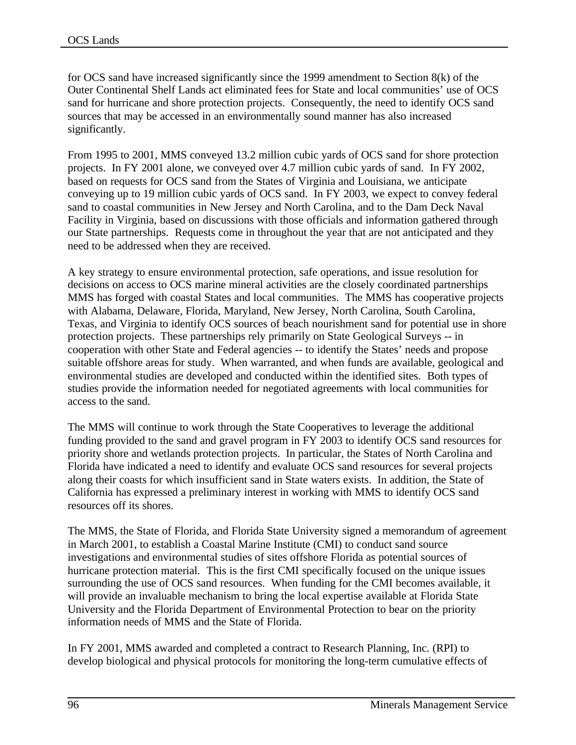for OCS sand have increased significantly since the 1999 amendment to Section 8(k) of the Outer Continental Shelf Lands act eliminated fees for State and local communities' use of OCS sand for hurricane and shore protection projects. Consequently, the need to identify OCS sand sources that may be accessed in an environmentally sound manner has also increased significantly.

From 1995 to 2001, MMS conveyed 13.2 million cubic yards of OCS sand for shore protection projects. In FY 2001 alone, we conveyed over 4.7 million cubic yards of sand. In FY 2002, based on requests for OCS sand from the States of Virginia and Louisiana, we anticipate conveying up to 19 million cubic yards of OCS sand. In FY 2003, we expect to convey federal sand to coastal communities in New Jersey and North Carolina, and to the Dam Deck Naval Facility in Virginia, based on discussions with those officials and information gathered through our State partnerships. Requests come in throughout the year that are not anticipated and they need to be addressed when they are received.

A key strategy to ensure environmental protection, safe operations, and issue resolution for decisions on access to OCS marine mineral activities are the closely coordinated partnerships MMS has forged with coastal States and local communities. The MMS has cooperative projects with Alabama, Delaware, Florida, Maryland, New Jersey, North Carolina, South Carolina, Texas, and Virginia to identify OCS sources of beach nourishment sand for potential use in shore protection projects. These partnerships rely primarily on State Geological Surveys -- in cooperation with other State and Federal agencies -- to identify the States' needs and propose suitable offshore areas for study. When warranted, and when funds are available, geological and environmental studies are developed and conducted within the identified sites. Both types of studies provide the information needed for negotiated agreements with local communities for access to the sand.

The MMS will continue to work through the State Cooperatives to leverage the additional funding provided to the sand and gravel program in FY 2003 to identify OCS sand resources for priority shore and wetlands protection projects. In particular, the States of North Carolina and Florida have indicated a need to identify and evaluate OCS sand resources for several projects along their coasts for which insufficient sand in State waters exists. In addition, the State of California has expressed a preliminary interest in working with MMS to identify OCS sand resources off its shores.

The MMS, the State of Florida, and Florida State University signed a memorandum of agreement in March 2001, to establish a Coastal Marine Institute (CMI) to conduct sand source investigations and environmental studies of sites offshore Florida as potential sources of hurricane protection material. This is the first CMI specifically focused on the unique issues surrounding the use of OCS sand resources. When funding for the CMI becomes available, it will provide an invaluable mechanism to bring the local expertise available at Florida State University and the Florida Department of Environmental Protection to bear on the priority information needs of MMS and the State of Florida.

In FY 2001, MMS awarded and completed a contract to Research Planning, Inc. (RPI) to develop biological and physical protocols for monitoring the long-term cumulative effects of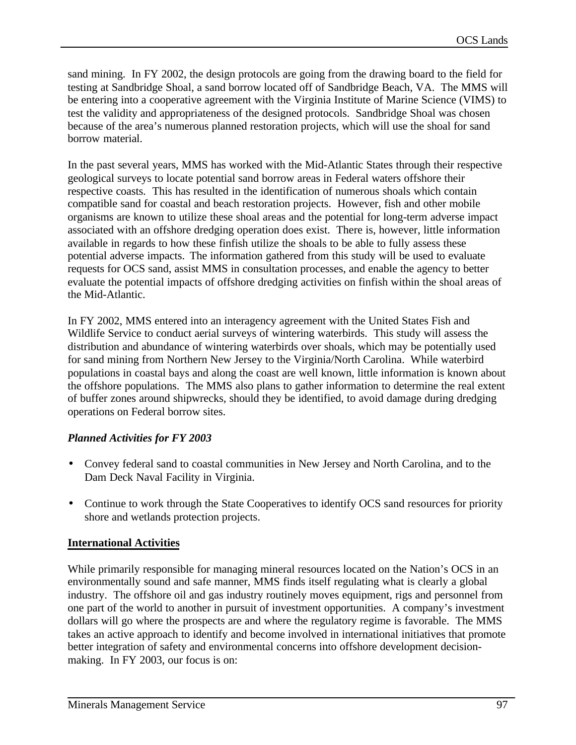sand mining. In FY 2002, the design protocols are going from the drawing board to the field for testing at Sandbridge Shoal, a sand borrow located off of Sandbridge Beach, VA. The MMS will be entering into a cooperative agreement with the Virginia Institute of Marine Science (VIMS) to test the validity and appropriateness of the designed protocols. Sandbridge Shoal was chosen because of the area's numerous planned restoration projects, which will use the shoal for sand borrow material.

In the past several years, MMS has worked with the Mid-Atlantic States through their respective geological surveys to locate potential sand borrow areas in Federal waters offshore their respective coasts. This has resulted in the identification of numerous shoals which contain compatible sand for coastal and beach restoration projects. However, fish and other mobile organisms are known to utilize these shoal areas and the potential for long-term adverse impact associated with an offshore dredging operation does exist. There is, however, little information available in regards to how these finfish utilize the shoals to be able to fully assess these potential adverse impacts. The information gathered from this study will be used to evaluate requests for OCS sand, assist MMS in consultation processes, and enable the agency to better evaluate the potential impacts of offshore dredging activities on finfish within the shoal areas of the Mid-Atlantic.

In FY 2002, MMS entered into an interagency agreement with the United States Fish and Wildlife Service to conduct aerial surveys of wintering waterbirds. This study will assess the distribution and abundance of wintering waterbirds over shoals, which may be potentially used for sand mining from Northern New Jersey to the Virginia/North Carolina. While waterbird populations in coastal bays and along the coast are well known, little information is known about the offshore populations. The MMS also plans to gather information to determine the real extent of buffer zones around shipwrecks, should they be identified, to avoid damage during dredging operations on Federal borrow sites.

## *Planned Activities for FY 2003*

- Convey federal sand to coastal communities in New Jersey and North Carolina, and to the Dam Deck Naval Facility in Virginia.
- Continue to work through the State Cooperatives to identify OCS sand resources for priority shore and wetlands protection projects.

# **International Activities**

While primarily responsible for managing mineral resources located on the Nation's OCS in an environmentally sound and safe manner, MMS finds itself regulating what is clearly a global industry. The offshore oil and gas industry routinely moves equipment, rigs and personnel from one part of the world to another in pursuit of investment opportunities. A company's investment dollars will go where the prospects are and where the regulatory regime is favorable. The MMS takes an active approach to identify and become involved in international initiatives that promote better integration of safety and environmental concerns into offshore development decisionmaking. In FY 2003, our focus is on: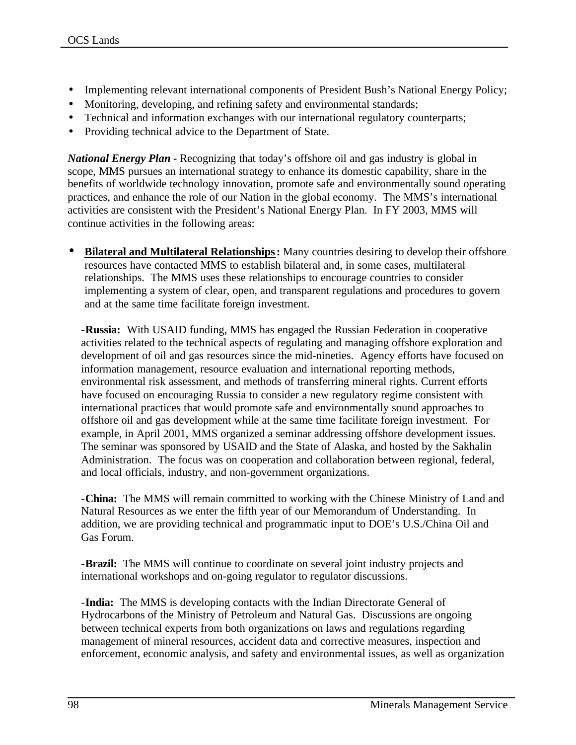- Implementing relevant international components of President Bush's National Energy Policy;
- Monitoring, developing, and refining safety and environmental standards;
- Technical and information exchanges with our international regulatory counterparts;
- Providing technical advice to the Department of State.

*National Energy Plan -* Recognizing that today's offshore oil and gas industry is global in scope, MMS pursues an international strategy to enhance its domestic capability, share in the benefits of worldwide technology innovation, promote safe and environmentally sound operating practices, and enhance the role of our Nation in the global economy. The MMS's international activities are consistent with the President's National Energy Plan. In FY 2003, MMS will continue activities in the following areas:

• **Bilateral and Multilateral Relationships:** Many countries desiring to develop their offshore resources have contacted MMS to establish bilateral and, in some cases, multilateral relationships. The MMS uses these relationships to encourage countries to consider implementing a system of clear, open, and transparent regulations and procedures to govern and at the same time facilitate foreign investment.

-**Russia:** With USAID funding, MMS has engaged the Russian Federation in cooperative activities related to the technical aspects of regulating and managing offshore exploration and development of oil and gas resources since the mid-nineties. Agency efforts have focused on information management, resource evaluation and international reporting methods, environmental risk assessment, and methods of transferring mineral rights. Current efforts have focused on encouraging Russia to consider a new regulatory regime consistent with international practices that would promote safe and environmentally sound approaches to offshore oil and gas development while at the same time facilitate foreign investment. For example, in April 2001, MMS organized a seminar addressing offshore development issues. The seminar was sponsored by USAID and the State of Alaska, and hosted by the Sakhalin Administration. The focus was on cooperation and collaboration between regional, federal, and local officials, industry, and non-government organizations.

-**China:** The MMS will remain committed to working with the Chinese Ministry of Land and Natural Resources as we enter the fifth year of our Memorandum of Understanding. In addition, we are providing technical and programmatic input to DOE's U.S./China Oil and Gas Forum.

-**Brazil:** The MMS will continue to coordinate on several joint industry projects and international workshops and on-going regulator to regulator discussions.

-**India:** The MMS is developing contacts with the Indian Directorate General of Hydrocarbons of the Ministry of Petroleum and Natural Gas. Discussions are ongoing between technical experts from both organizations on laws and regulations regarding management of mineral resources, accident data and corrective measures, inspection and enforcement, economic analysis, and safety and environmental issues, as well as organization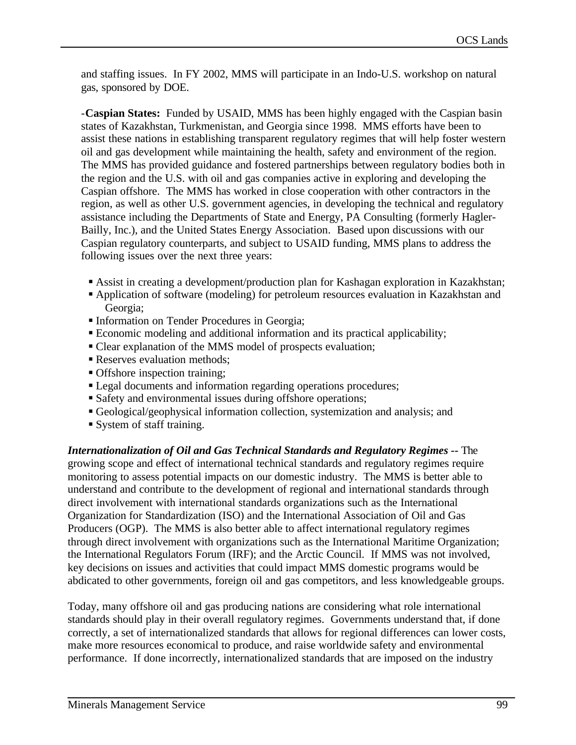and staffing issues. In FY 2002, MMS will participate in an Indo-U.S. workshop on natural gas, sponsored by DOE.

-**Caspian States:** Funded by USAID, MMS has been highly engaged with the Caspian basin states of Kazakhstan, Turkmenistan, and Georgia since 1998. MMS efforts have been to assist these nations in establishing transparent regulatory regimes that will help foster western oil and gas development while maintaining the health, safety and environment of the region. The MMS has provided guidance and fostered partnerships between regulatory bodies both in the region and the U.S. with oil and gas companies active in exploring and developing the Caspian offshore. The MMS has worked in close cooperation with other contractors in the region, as well as other U.S. government agencies, in developing the technical and regulatory assistance including the Departments of State and Energy, PA Consulting (formerly Hagler-Bailly, Inc.), and the United States Energy Association. Based upon discussions with our Caspian regulatory counterparts, and subject to USAID funding, MMS plans to address the following issues over the next three years:

- ß Assist in creating a development/production plan for Kashagan exploration in Kazakhstan;
- ß Application of software (modeling) for petroleum resources evaluation in Kazakhstan and Georgia;
- **Information on Tender Procedures in Georgia;**
- ß Economic modeling and additional information and its practical applicability;
- Clear explanation of the MMS model of prospects evaluation;
- Reserves evaluation methods:
- ß Offshore inspection training;
- Legal documents and information regarding operations procedures;
- Safety and environmental issues during offshore operations;
- ß Geological/geophysical information collection, systemization and analysis; and
- ß System of staff training.

*Internationalization of Oil and Gas Technical Standards and Regulatory Regimes --* The growing scope and effect of international technical standards and regulatory regimes require monitoring to assess potential impacts on our domestic industry. The MMS is better able to understand and contribute to the development of regional and international standards through direct involvement with international standards organizations such as the International Organization for Standardization (ISO) and the International Association of Oil and Gas Producers (OGP). The MMS is also better able to affect international regulatory regimes through direct involvement with organizations such as the International Maritime Organization; the International Regulators Forum (IRF); and the Arctic Council. If MMS was not involved, key decisions on issues and activities that could impact MMS domestic programs would be abdicated to other governments, foreign oil and gas competitors, and less knowledgeable groups.

Today, many offshore oil and gas producing nations are considering what role international standards should play in their overall regulatory regimes. Governments understand that, if done correctly, a set of internationalized standards that allows for regional differences can lower costs, make more resources economical to produce, and raise worldwide safety and environmental performance. If done incorrectly, internationalized standards that are imposed on the industry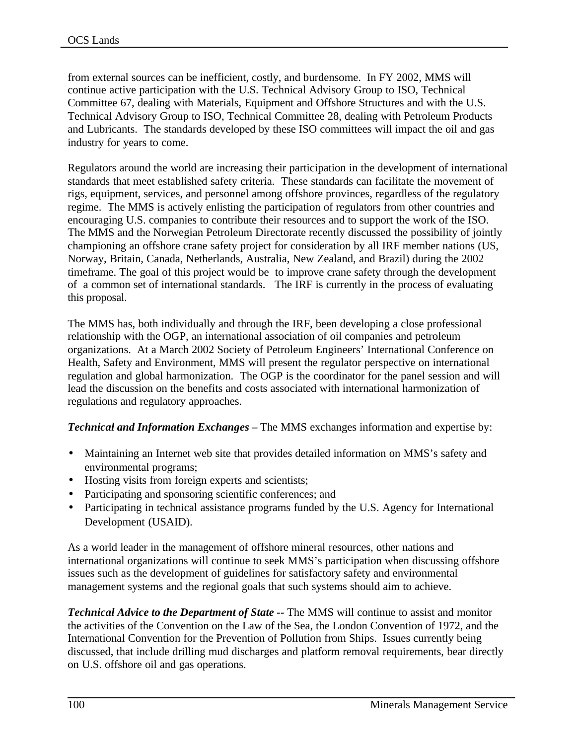from external sources can be inefficient, costly, and burdensome. In FY 2002, MMS will continue active participation with the U.S. Technical Advisory Group to ISO, Technical Committee 67, dealing with Materials, Equipment and Offshore Structures and with the U.S. Technical Advisory Group to ISO, Technical Committee 28, dealing with Petroleum Products and Lubricants. The standards developed by these ISO committees will impact the oil and gas industry for years to come.

Regulators around the world are increasing their participation in the development of international standards that meet established safety criteria. These standards can facilitate the movement of rigs, equipment, services, and personnel among offshore provinces, regardless of the regulatory regime. The MMS is actively enlisting the participation of regulators from other countries and encouraging U.S. companies to contribute their resources and to support the work of the ISO. The MMS and the Norwegian Petroleum Directorate recently discussed the possibility of jointly championing an offshore crane safety project for consideration by all IRF member nations (US, Norway, Britain, Canada, Netherlands, Australia, New Zealand, and Brazil) during the 2002 timeframe. The goal of this project would be to improve crane safety through the development of a common set of international standards. The IRF is currently in the process of evaluating this proposal.

The MMS has, both individually and through the IRF, been developing a close professional relationship with the OGP, an international association of oil companies and petroleum organizations. At a March 2002 Society of Petroleum Engineers' International Conference on Health, Safety and Environment, MMS will present the regulator perspective on international regulation and global harmonization. The OGP is the coordinator for the panel session and will lead the discussion on the benefits and costs associated with international harmonization of regulations and regulatory approaches.

*Technical and Information Exchanges –* The MMS exchanges information and expertise by:

- Maintaining an Internet web site that provides detailed information on MMS's safety and environmental programs;
- Hosting visits from foreign experts and scientists;
- Participating and sponsoring scientific conferences; and
- Participating in technical assistance programs funded by the U.S. Agency for International Development (USAID).

As a world leader in the management of offshore mineral resources, other nations and international organizations will continue to seek MMS's participation when discussing offshore issues such as the development of guidelines for satisfactory safety and environmental management systems and the regional goals that such systems should aim to achieve.

*Technical Advice to the Department of State --* The MMS will continue to assist and monitor the activities of the Convention on the Law of the Sea, the London Convention of 1972, and the International Convention for the Prevention of Pollution from Ships. Issues currently being discussed, that include drilling mud discharges and platform removal requirements, bear directly on U.S. offshore oil and gas operations.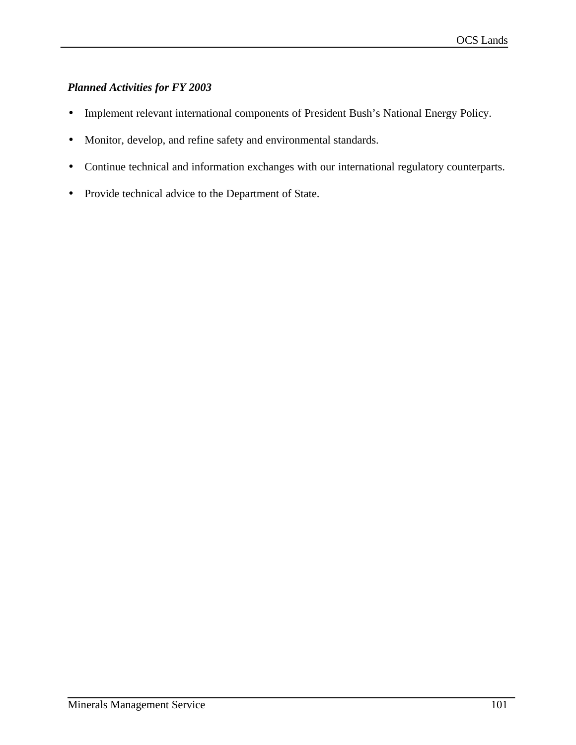# *Planned Activities for FY 2003*

- Implement relevant international components of President Bush's National Energy Policy.
- Monitor, develop, and refine safety and environmental standards.
- Continue technical and information exchanges with our international regulatory counterparts.
- Provide technical advice to the Department of State.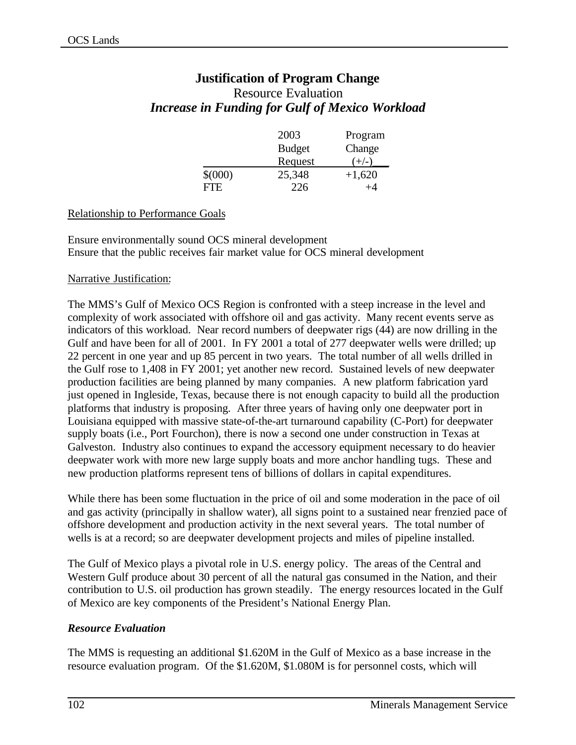# **Justification of Program Change** Resource Evaluation *Increase in Funding for Gulf of Mexico Workload*

|            | 2003          | Program  |
|------------|---------------|----------|
|            | <b>Budget</b> | Change   |
|            | Request       | $+/-$    |
| \$(000)    | 25,348        | $+1,620$ |
| <b>FTE</b> | 226           | $^{+4}$  |

## Relationship to Performance Goals

Ensure environmentally sound OCS mineral development Ensure that the public receives fair market value for OCS mineral development

#### Narrative Justification:

The MMS's Gulf of Mexico OCS Region is confronted with a steep increase in the level and complexity of work associated with offshore oil and gas activity. Many recent events serve as indicators of this workload. Near record numbers of deepwater rigs (44) are now drilling in the Gulf and have been for all of 2001. In FY 2001 a total of 277 deepwater wells were drilled; up 22 percent in one year and up 85 percent in two years. The total number of all wells drilled in the Gulf rose to 1,408 in FY 2001; yet another new record. Sustained levels of new deepwater production facilities are being planned by many companies. A new platform fabrication yard just opened in Ingleside, Texas, because there is not enough capacity to build all the production platforms that industry is proposing. After three years of having only one deepwater port in Louisiana equipped with massive state-of-the-art turnaround capability (C-Port) for deepwater supply boats (i.e., Port Fourchon), there is now a second one under construction in Texas at Galveston. Industry also continues to expand the accessory equipment necessary to do heavier deepwater work with more new large supply boats and more anchor handling tugs. These and new production platforms represent tens of billions of dollars in capital expenditures.

While there has been some fluctuation in the price of oil and some moderation in the pace of oil and gas activity (principally in shallow water), all signs point to a sustained near frenzied pace of offshore development and production activity in the next several years. The total number of wells is at a record; so are deepwater development projects and miles of pipeline installed.

The Gulf of Mexico plays a pivotal role in U.S. energy policy. The areas of the Central and Western Gulf produce about 30 percent of all the natural gas consumed in the Nation, and their contribution to U.S. oil production has grown steadily. The energy resources located in the Gulf of Mexico are key components of the President's National Energy Plan.

## *Resource Evaluation*

The MMS is requesting an additional \$1.620M in the Gulf of Mexico as a base increase in the resource evaluation program. Of the \$1.620M, \$1.080M is for personnel costs, which will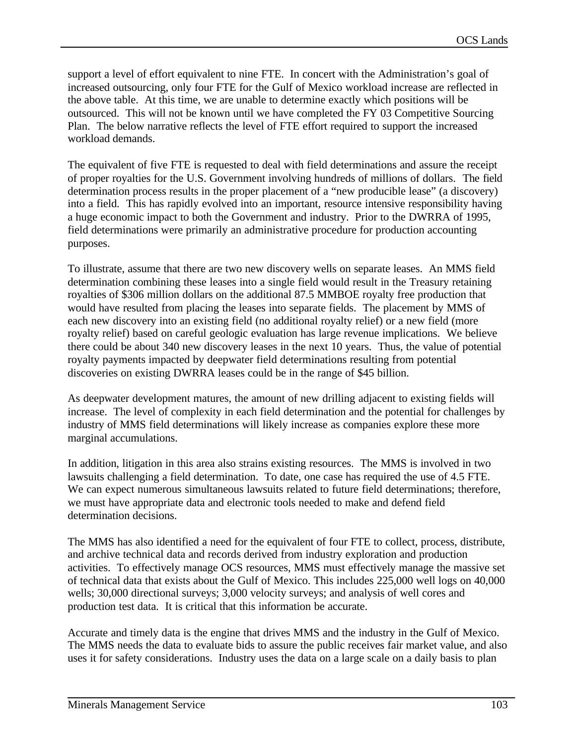support a level of effort equivalent to nine FTE. In concert with the Administration's goal of increased outsourcing, only four FTE for the Gulf of Mexico workload increase are reflected in the above table. At this time, we are unable to determine exactly which positions will be outsourced. This will not be known until we have completed the FY 03 Competitive Sourcing Plan. The below narrative reflects the level of FTE effort required to support the increased workload demands.

The equivalent of five FTE is requested to deal with field determinations and assure the receipt of proper royalties for the U.S. Government involving hundreds of millions of dollars. The field determination process results in the proper placement of a "new producible lease" (a discovery) into a field. This has rapidly evolved into an important, resource intensive responsibility having a huge economic impact to both the Government and industry. Prior to the DWRRA of 1995, field determinations were primarily an administrative procedure for production accounting purposes.

To illustrate, assume that there are two new discovery wells on separate leases. An MMS field determination combining these leases into a single field would result in the Treasury retaining royalties of \$306 million dollars on the additional 87.5 MMBOE royalty free production that would have resulted from placing the leases into separate fields. The placement by MMS of each new discovery into an existing field (no additional royalty relief) or a new field (more royalty relief) based on careful geologic evaluation has large revenue implications. We believe there could be about 340 new discovery leases in the next 10 years. Thus, the value of potential royalty payments impacted by deepwater field determinations resulting from potential discoveries on existing DWRRA leases could be in the range of \$45 billion.

As deepwater development matures, the amount of new drilling adjacent to existing fields will increase. The level of complexity in each field determination and the potential for challenges by industry of MMS field determinations will likely increase as companies explore these more marginal accumulations.

In addition, litigation in this area also strains existing resources. The MMS is involved in two lawsuits challenging a field determination. To date, one case has required the use of 4.5 FTE. We can expect numerous simultaneous lawsuits related to future field determinations; therefore, we must have appropriate data and electronic tools needed to make and defend field determination decisions.

The MMS has also identified a need for the equivalent of four FTE to collect, process, distribute, and archive technical data and records derived from industry exploration and production activities. To effectively manage OCS resources, MMS must effectively manage the massive set of technical data that exists about the Gulf of Mexico. This includes 225,000 well logs on 40,000 wells; 30,000 directional surveys; 3,000 velocity surveys; and analysis of well cores and production test data. It is critical that this information be accurate.

Accurate and timely data is the engine that drives MMS and the industry in the Gulf of Mexico. The MMS needs the data to evaluate bids to assure the public receives fair market value, and also uses it for safety considerations. Industry uses the data on a large scale on a daily basis to plan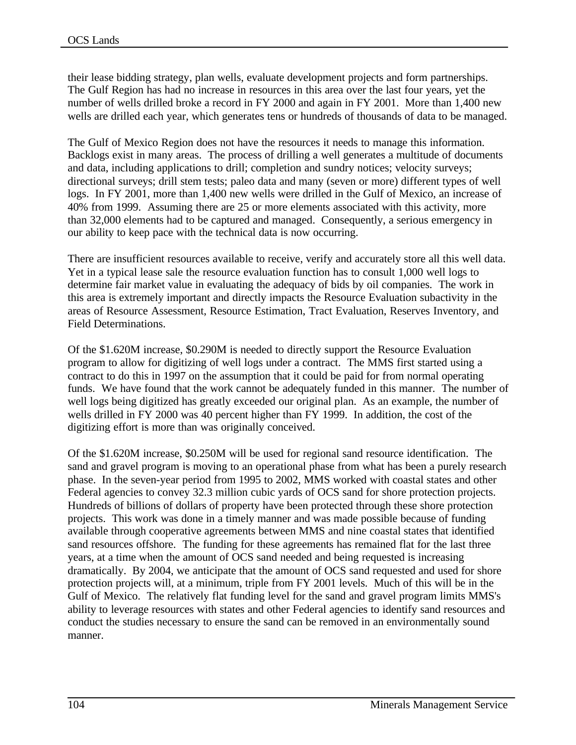their lease bidding strategy, plan wells, evaluate development projects and form partnerships. The Gulf Region has had no increase in resources in this area over the last four years, yet the number of wells drilled broke a record in FY 2000 and again in FY 2001. More than 1,400 new wells are drilled each year, which generates tens or hundreds of thousands of data to be managed.

The Gulf of Mexico Region does not have the resources it needs to manage this information. Backlogs exist in many areas. The process of drilling a well generates a multitude of documents and data, including applications to drill; completion and sundry notices; velocity surveys; directional surveys; drill stem tests; paleo data and many (seven or more) different types of well logs. In FY 2001, more than 1,400 new wells were drilled in the Gulf of Mexico, an increase of 40% from 1999. Assuming there are 25 or more elements associated with this activity, more than 32,000 elements had to be captured and managed. Consequently, a serious emergency in our ability to keep pace with the technical data is now occurring.

There are insufficient resources available to receive, verify and accurately store all this well data. Yet in a typical lease sale the resource evaluation function has to consult 1,000 well logs to determine fair market value in evaluating the adequacy of bids by oil companies. The work in this area is extremely important and directly impacts the Resource Evaluation subactivity in the areas of Resource Assessment, Resource Estimation, Tract Evaluation, Reserves Inventory, and Field Determinations.

Of the \$1.620M increase, \$0.290M is needed to directly support the Resource Evaluation program to allow for digitizing of well logs under a contract. The MMS first started using a contract to do this in 1997 on the assumption that it could be paid for from normal operating funds. We have found that the work cannot be adequately funded in this manner. The number of well logs being digitized has greatly exceeded our original plan. As an example, the number of wells drilled in FY 2000 was 40 percent higher than FY 1999. In addition, the cost of the digitizing effort is more than was originally conceived.

Of the \$1.620M increase, \$0.250M will be used for regional sand resource identification. The sand and gravel program is moving to an operational phase from what has been a purely research phase. In the seven-year period from 1995 to 2002, MMS worked with coastal states and other Federal agencies to convey 32.3 million cubic yards of OCS sand for shore protection projects. Hundreds of billions of dollars of property have been protected through these shore protection projects. This work was done in a timely manner and was made possible because of funding available through cooperative agreements between MMS and nine coastal states that identified sand resources offshore. The funding for these agreements has remained flat for the last three years, at a time when the amount of OCS sand needed and being requested is increasing dramatically. By 2004, we anticipate that the amount of OCS sand requested and used for shore protection projects will, at a minimum, triple from FY 2001 levels. Much of this will be in the Gulf of Mexico. The relatively flat funding level for the sand and gravel program limits MMS's ability to leverage resources with states and other Federal agencies to identify sand resources and conduct the studies necessary to ensure the sand can be removed in an environmentally sound manner.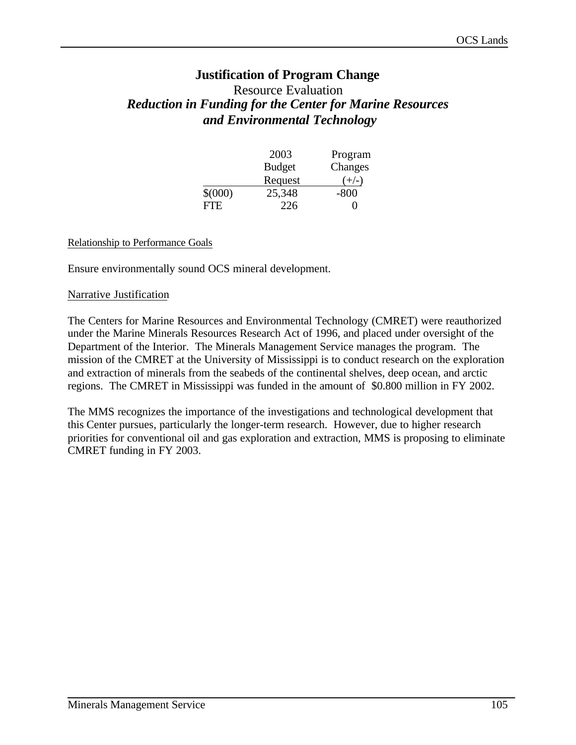# **Justification of Program Change**

# Resource Evaluation *Reduction in Funding for the Center for Marine Resources and Environmental Technology*

|             | 2003          | Program |
|-------------|---------------|---------|
|             | <b>Budget</b> | Changes |
|             | Request       | $(+/-)$ |
| $$^{(000)}$ | 25,348        | $-800$  |
| <b>FTE</b>  | 226           | 0       |

#### Relationship to Performance Goals

Ensure environmentally sound OCS mineral development.

#### Narrative Justification

The Centers for Marine Resources and Environmental Technology (CMRET) were reauthorized under the Marine Minerals Resources Research Act of 1996, and placed under oversight of the Department of the Interior. The Minerals Management Service manages the program. The mission of the CMRET at the University of Mississippi is to conduct research on the exploration and extraction of minerals from the seabeds of the continental shelves, deep ocean, and arctic regions. The CMRET in Mississippi was funded in the amount of \$0.800 million in FY 2002.

The MMS recognizes the importance of the investigations and technological development that this Center pursues, particularly the longer-term research. However, due to higher research priorities for conventional oil and gas exploration and extraction, MMS is proposing to eliminate CMRET funding in FY 2003.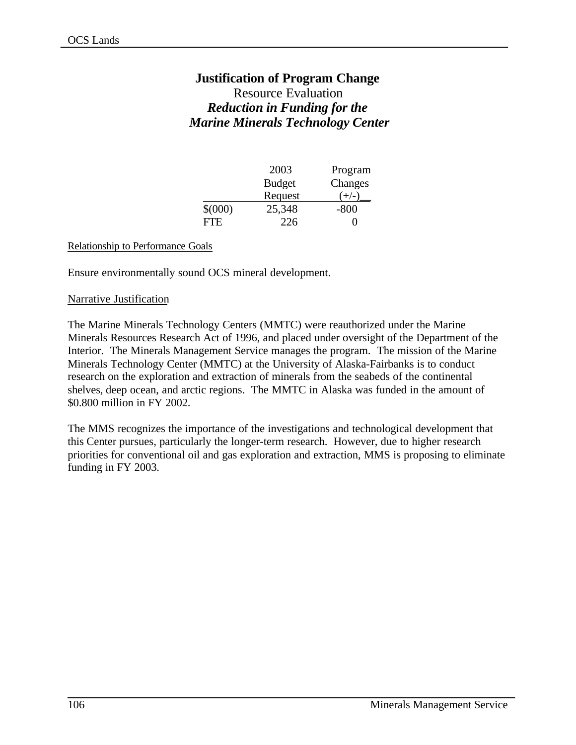# **Justification of Program Change**

# Resource Evaluation *Reduction in Funding for the Marine Minerals Technology Center*

|             | 2003          | Program |
|-------------|---------------|---------|
|             | <b>Budget</b> | Changes |
|             | Request       | $(+/-)$ |
| $$^{(000)}$ | 25,348        | $-800$  |
| FTE.        | 226           |         |

#### Relationship to Performance Goals

Ensure environmentally sound OCS mineral development.

#### Narrative Justification

The Marine Minerals Technology Centers (MMTC) were reauthorized under the Marine Minerals Resources Research Act of 1996, and placed under oversight of the Department of the Interior. The Minerals Management Service manages the program. The mission of the Marine Minerals Technology Center (MMTC) at the University of Alaska-Fairbanks is to conduct research on the exploration and extraction of minerals from the seabeds of the continental shelves, deep ocean, and arctic regions. The MMTC in Alaska was funded in the amount of \$0.800 million in FY 2002.

The MMS recognizes the importance of the investigations and technological development that this Center pursues, particularly the longer-term research. However, due to higher research priorities for conventional oil and gas exploration and extraction, MMS is proposing to eliminate funding in FY 2003.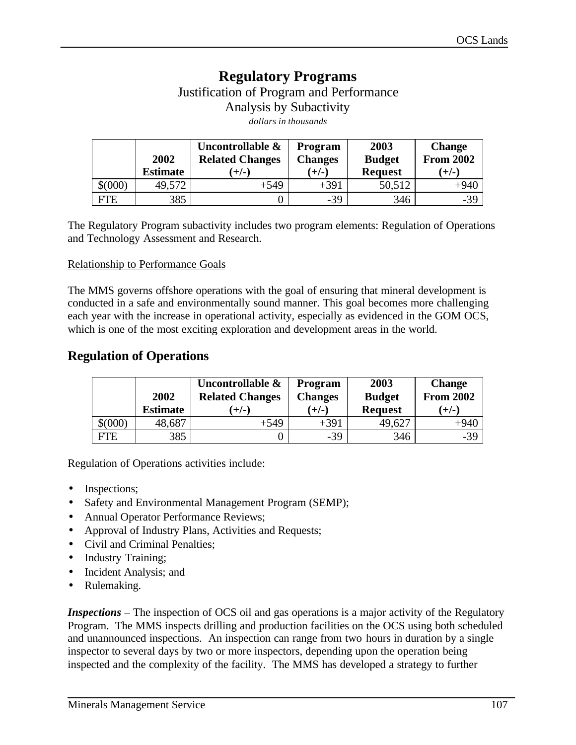# **Regulatory Programs** Justification of Program and Performance Analysis by Subactivity *dollars in thousands*

|             | 2002<br><b>Estimate</b> | Uncontrollable &<br><b>Related Changes</b><br>ั+/-` | Program<br><b>Changes</b><br>$(+/-)$ | 2003<br><b>Budget</b><br><b>Request</b> | <b>Change</b><br><b>From 2002</b><br>$(+/-)$ |
|-------------|-------------------------|-----------------------------------------------------|--------------------------------------|-----------------------------------------|----------------------------------------------|
| $$^{(000)}$ | 49,572                  | $+549$                                              | $+391$                               | 50,512                                  | $+940$                                       |
| FTE         | 385                     |                                                     | $-39$                                | 346                                     | $-39$                                        |

The Regulatory Program subactivity includes two program elements: Regulation of Operations and Technology Assessment and Research.

#### Relationship to Performance Goals

The MMS governs offshore operations with the goal of ensuring that mineral development is conducted in a safe and environmentally sound manner. This goal becomes more challenging each year with the increase in operational activity, especially as evidenced in the GOM OCS, which is one of the most exciting exploration and development areas in the world.

# **Regulation of Operations**

|             | 2002            | Uncontrollable &<br><b>Related Changes</b> | <b>Program</b><br><b>Changes</b> | 2003<br><b>Budget</b> | <b>Change</b><br><b>From 2002</b> |
|-------------|-----------------|--------------------------------------------|----------------------------------|-----------------------|-----------------------------------|
|             | <b>Estimate</b> | $(+/-)$                                    | $(+/-)$                          | <b>Request</b>        | $(+/-)$                           |
| $$^{(000)}$ | 48,687          | $+549$                                     | $+391$                           | 49,627                | $+940$                            |
| FTE         | 385             |                                            | $-39$                            | 346                   | $-39$                             |

Regulation of Operations activities include:

- Inspections;
- Safety and Environmental Management Program (SEMP);
- Annual Operator Performance Reviews;
- Approval of Industry Plans, Activities and Requests;
- Civil and Criminal Penalties;
- Industry Training;
- Incident Analysis; and
- Rulemaking.

*Inspections* – The inspection of OCS oil and gas operations is a major activity of the Regulatory Program. The MMS inspects drilling and production facilities on the OCS using both scheduled and unannounced inspections. An inspection can range from two hours in duration by a single inspector to several days by two or more inspectors, depending upon the operation being inspected and the complexity of the facility. The MMS has developed a strategy to further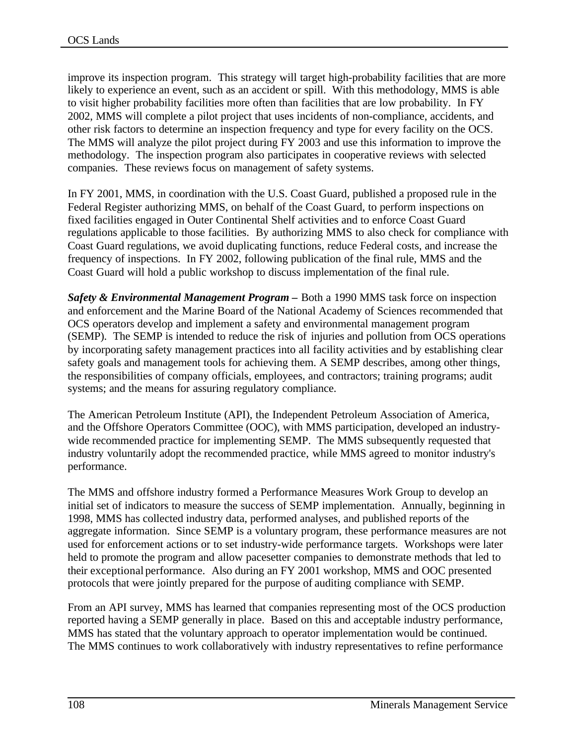improve its inspection program. This strategy will target high-probability facilities that are more likely to experience an event, such as an accident or spill. With this methodology, MMS is able to visit higher probability facilities more often than facilities that are low probability. In FY 2002, MMS will complete a pilot project that uses incidents of non-compliance, accidents, and other risk factors to determine an inspection frequency and type for every facility on the OCS. The MMS will analyze the pilot project during FY 2003 and use this information to improve the methodology. The inspection program also participates in cooperative reviews with selected companies. These reviews focus on management of safety systems.

In FY 2001, MMS, in coordination with the U.S. Coast Guard, published a proposed rule in the Federal Register authorizing MMS, on behalf of the Coast Guard, to perform inspections on fixed facilities engaged in Outer Continental Shelf activities and to enforce Coast Guard regulations applicable to those facilities. By authorizing MMS to also check for compliance with Coast Guard regulations, we avoid duplicating functions, reduce Federal costs, and increase the frequency of inspections. In FY 2002, following publication of the final rule, MMS and the Coast Guard will hold a public workshop to discuss implementation of the final rule.

*Safety & Environmental Management Program –* Both a 1990 MMS task force on inspection and enforcement and the Marine Board of the National Academy of Sciences recommended that OCS operators develop and implement a safety and environmental management program (SEMP). The SEMP is intended to reduce the risk of injuries and pollution from OCS operations by incorporating safety management practices into all facility activities and by establishing clear safety goals and management tools for achieving them. A SEMP describes, among other things, the responsibilities of company officials, employees, and contractors; training programs; audit systems; and the means for assuring regulatory compliance.

The American Petroleum Institute (API), the Independent Petroleum Association of America, and the Offshore Operators Committee (OOC), with MMS participation, developed an industrywide recommended practice for implementing SEMP. The MMS subsequently requested that industry voluntarily adopt the recommended practice, while MMS agreed to monitor industry's performance.

The MMS and offshore industry formed a Performance Measures Work Group to develop an initial set of indicators to measure the success of SEMP implementation. Annually, beginning in 1998, MMS has collected industry data, performed analyses, and published reports of the aggregate information. Since SEMP is a voluntary program, these performance measures are not used for enforcement actions or to set industry-wide performance targets. Workshops were later held to promote the program and allow pacesetter companies to demonstrate methods that led to their exceptional performance. Also during an FY 2001 workshop, MMS and OOC presented protocols that were jointly prepared for the purpose of auditing compliance with SEMP.

From an API survey, MMS has learned that companies representing most of the OCS production reported having a SEMP generally in place. Based on this and acceptable industry performance, MMS has stated that the voluntary approach to operator implementation would be continued. The MMS continues to work collaboratively with industry representatives to refine performance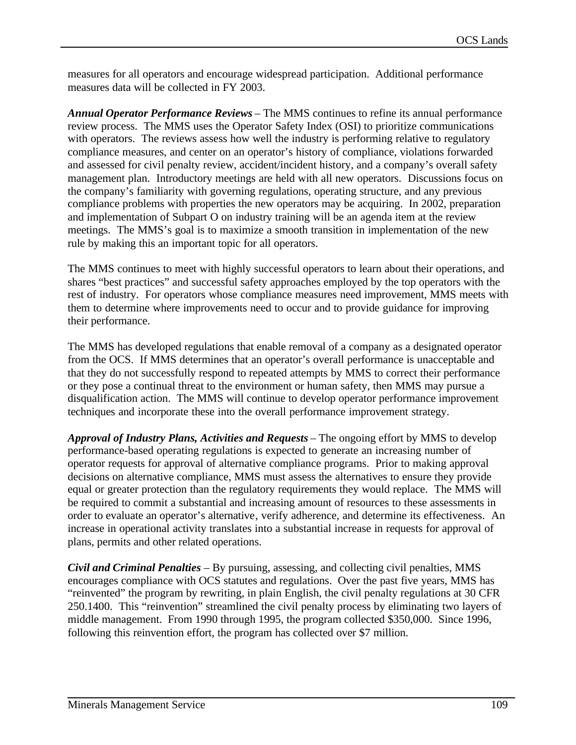measures for all operators and encourage widespread participation. Additional performance measures data will be collected in FY 2003.

*Annual Operator Performance Reviews* – The MMS continues to refine its annual performance review process. The MMS uses the Operator Safety Index (OSI) to prioritize communications with operators. The reviews assess how well the industry is performing relative to regulatory compliance measures, and center on an operator's history of compliance, violations forwarded and assessed for civil penalty review, accident/incident history, and a company's overall safety management plan. Introductory meetings are held with all new operators. Discussions focus on the company's familiarity with governing regulations, operating structure, and any previous compliance problems with properties the new operators may be acquiring. In 2002, preparation and implementation of Subpart O on industry training will be an agenda item at the review meetings. The MMS's goal is to maximize a smooth transition in implementation of the new rule by making this an important topic for all operators.

The MMS continues to meet with highly successful operators to learn about their operations, and shares "best practices" and successful safety approaches employed by the top operators with the rest of industry. For operators whose compliance measures need improvement, MMS meets with them to determine where improvements need to occur and to provide guidance for improving their performance.

The MMS has developed regulations that enable removal of a company as a designated operator from the OCS. If MMS determines that an operator's overall performance is unacceptable and that they do not successfully respond to repeated attempts by MMS to correct their performance or they pose a continual threat to the environment or human safety, then MMS may pursue a disqualification action. The MMS will continue to develop operator performance improvement techniques and incorporate these into the overall performance improvement strategy.

*Approval of Industry Plans, Activities and Requests* – The ongoing effort by MMS to develop performance-based operating regulations is expected to generate an increasing number of operator requests for approval of alternative compliance programs. Prior to making approval decisions on alternative compliance, MMS must assess the alternatives to ensure they provide equal or greater protection than the regulatory requirements they would replace. The MMS will be required to commit a substantial and increasing amount of resources to these assessments in order to evaluate an operator's alternative, verify adherence, and determine its effectiveness. An increase in operational activity translates into a substantial increase in requests for approval of plans, permits and other related operations.

*Civil and Criminal Penalties* – By pursuing, assessing, and collecting civil penalties, MMS encourages compliance with OCS statutes and regulations. Over the past five years, MMS has "reinvented" the program by rewriting, in plain English, the civil penalty regulations at 30 CFR 250.1400. This "reinvention" streamlined the civil penalty process by eliminating two layers of middle management. From 1990 through 1995, the program collected \$350,000. Since 1996, following this reinvention effort, the program has collected over \$7 million.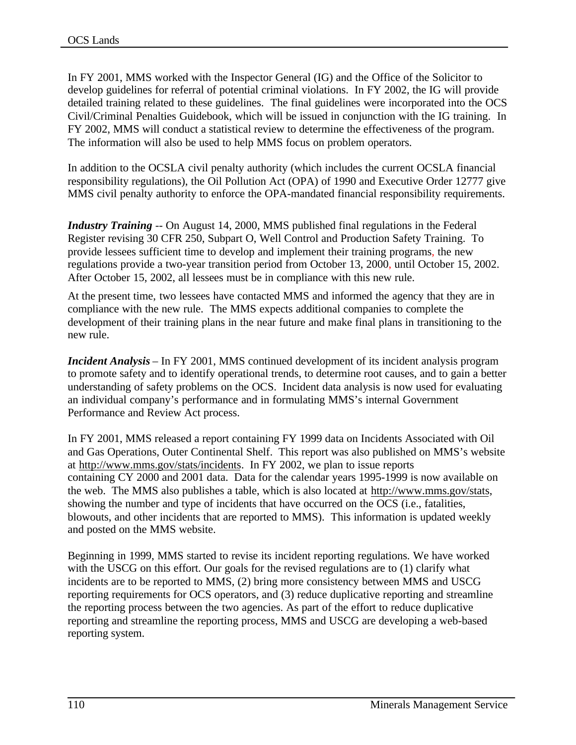In FY 2001, MMS worked with the Inspector General (IG) and the Office of the Solicitor to develop guidelines for referral of potential criminal violations. In FY 2002, the IG will provide detailed training related to these guidelines. The final guidelines were incorporated into the OCS Civil/Criminal Penalties Guidebook, which will be issued in conjunction with the IG training. In FY 2002, MMS will conduct a statistical review to determine the effectiveness of the program. The information will also be used to help MMS focus on problem operators.

In addition to the OCSLA civil penalty authority (which includes the current OCSLA financial responsibility regulations), the Oil Pollution Act (OPA) of 1990 and Executive Order 12777 give MMS civil penalty authority to enforce the OPA-mandated financial responsibility requirements.

*Industry Training* -- On August 14, 2000, MMS published final regulations in the Federal Register revising 30 CFR 250, Subpart O, Well Control and Production Safety Training. To provide lessees sufficient time to develop and implement their training programs, the new regulations provide a two-year transition period from October 13, 2000, until October 15, 2002. After October 15, 2002, all lessees must be in compliance with this new rule.

At the present time, two lessees have contacted MMS and informed the agency that they are in compliance with the new rule. The MMS expects additional companies to complete the development of their training plans in the near future and make final plans in transitioning to the new rule.

*Incident Analysis* – In FY 2001, MMS continued development of its incident analysis program to promote safety and to identify operational trends, to determine root causes, and to gain a better understanding of safety problems on the OCS. Incident data analysis is now used for evaluating an individual company's performance and in formulating MMS's internal Government Performance and Review Act process.

In FY 2001, MMS released a report containing FY 1999 data on Incidents Associated with Oil and Gas Operations, Outer Continental Shelf. This report was also published on MMS's website at http://www.mms.gov/stats/incidents. In FY 2002, we plan to issue reports containing CY 2000 and 2001 data. Data for the calendar years 1995-1999 is now available on the web. The MMS also publishes a table, which is also located at http://www.mms.gov/stats, showing the number and type of incidents that have occurred on the OCS (i.e., fatalities, blowouts, and other incidents that are reported to MMS). This information is updated weekly and posted on the MMS website.

Beginning in 1999, MMS started to revise its incident reporting regulations. We have worked with the USCG on this effort. Our goals for the revised regulations are to (1) clarify what incidents are to be reported to MMS, (2) bring more consistency between MMS and USCG reporting requirements for OCS operators, and (3) reduce duplicative reporting and streamline the reporting process between the two agencies. As part of the effort to reduce duplicative reporting and streamline the reporting process, MMS and USCG are developing a web-based reporting system.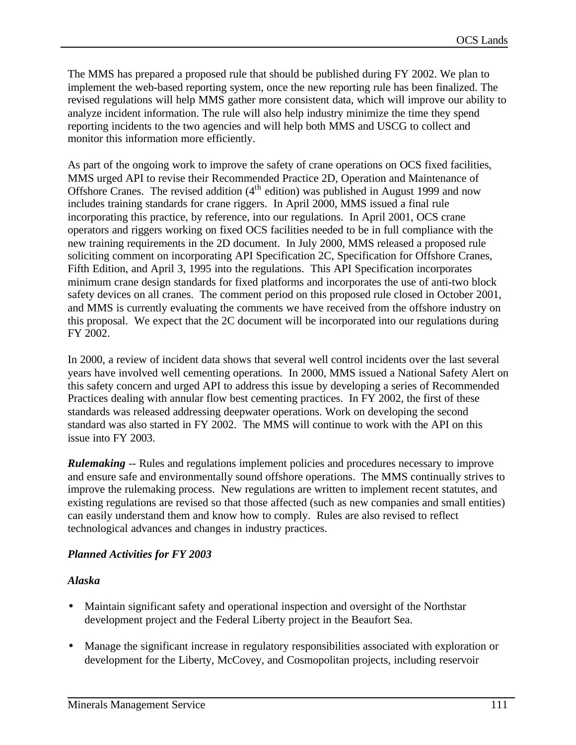The MMS has prepared a proposed rule that should be published during FY 2002. We plan to implement the web-based reporting system, once the new reporting rule has been finalized. The revised regulations will help MMS gather more consistent data, which will improve our ability to analyze incident information. The rule will also help industry minimize the time they spend reporting incidents to the two agencies and will help both MMS and USCG to collect and monitor this information more efficiently.

As part of the ongoing work to improve the safety of crane operations on OCS fixed facilities, MMS urged API to revise their Recommended Practice 2D, Operation and Maintenance of Offshore Cranes. The revised addition  $(4<sup>th</sup>$  edition) was published in August 1999 and now includes training standards for crane riggers. In April 2000, MMS issued a final rule incorporating this practice, by reference, into our regulations. In April 2001, OCS crane operators and riggers working on fixed OCS facilities needed to be in full compliance with the new training requirements in the 2D document. In July 2000, MMS released a proposed rule soliciting comment on incorporating API Specification 2C, Specification for Offshore Cranes, Fifth Edition, and April 3, 1995 into the regulations. This API Specification incorporates minimum crane design standards for fixed platforms and incorporates the use of anti-two block safety devices on all cranes. The comment period on this proposed rule closed in October 2001, and MMS is currently evaluating the comments we have received from the offshore industry on this proposal. We expect that the 2C document will be incorporated into our regulations during FY 2002.

In 2000, a review of incident data shows that several well control incidents over the last several years have involved well cementing operations. In 2000, MMS issued a National Safety Alert on this safety concern and urged API to address this issue by developing a series of Recommended Practices dealing with annular flow best cementing practices. In FY 2002, the first of these standards was released addressing deepwater operations. Work on developing the second standard was also started in FY 2002. The MMS will continue to work with the API on this issue into FY 2003.

*Rulemaking* -- Rules and regulations implement policies and procedures necessary to improve and ensure safe and environmentally sound offshore operations. The MMS continually strives to improve the rulemaking process. New regulations are written to implement recent statutes, and existing regulations are revised so that those affected (such as new companies and small entities) can easily understand them and know how to comply. Rules are also revised to reflect technological advances and changes in industry practices.

### *Planned Activities for FY 2003*

### *Alaska*

- Maintain significant safety and operational inspection and oversight of the Northstar development project and the Federal Liberty project in the Beaufort Sea.
- Manage the significant increase in regulatory responsibilities associated with exploration or development for the Liberty, McCovey, and Cosmopolitan projects, including reservoir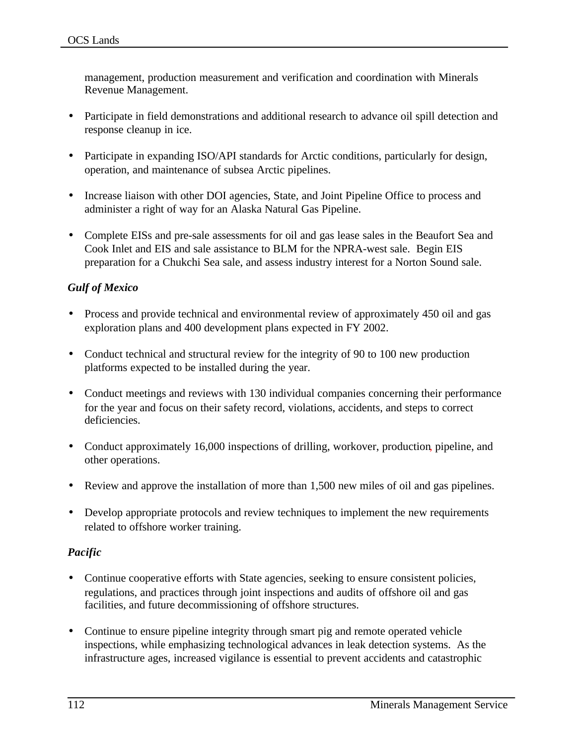management, production measurement and verification and coordination with Minerals Revenue Management.

- Participate in field demonstrations and additional research to advance oil spill detection and response cleanup in ice.
- Participate in expanding ISO/API standards for Arctic conditions, particularly for design, operation, and maintenance of subsea Arctic pipelines.
- Increase liaison with other DOI agencies, State, and Joint Pipeline Office to process and administer a right of way for an Alaska Natural Gas Pipeline.
- Complete EISs and pre-sale assessments for oil and gas lease sales in the Beaufort Sea and Cook Inlet and EIS and sale assistance to BLM for the NPRA-west sale. Begin EIS preparation for a Chukchi Sea sale, and assess industry interest for a Norton Sound sale.

### *Gulf of Mexico*

- Process and provide technical and environmental review of approximately 450 oil and gas exploration plans and 400 development plans expected in FY 2002.
- Conduct technical and structural review for the integrity of 90 to 100 new production platforms expected to be installed during the year.
- Conduct meetings and reviews with 130 individual companies concerning their performance for the year and focus on their safety record, violations, accidents, and steps to correct deficiencies.
- Conduct approximately 16,000 inspections of drilling, workover, production, pipeline, and other operations.
- Review and approve the installation of more than 1,500 new miles of oil and gas pipelines.
- Develop appropriate protocols and review techniques to implement the new requirements related to offshore worker training.

### *Pacific*

- Continue cooperative efforts with State agencies, seeking to ensure consistent policies, regulations, and practices through joint inspections and audits of offshore oil and gas facilities, and future decommissioning of offshore structures.
- Continue to ensure pipeline integrity through smart pig and remote operated vehicle inspections, while emphasizing technological advances in leak detection systems. As the infrastructure ages, increased vigilance is essential to prevent accidents and catastrophic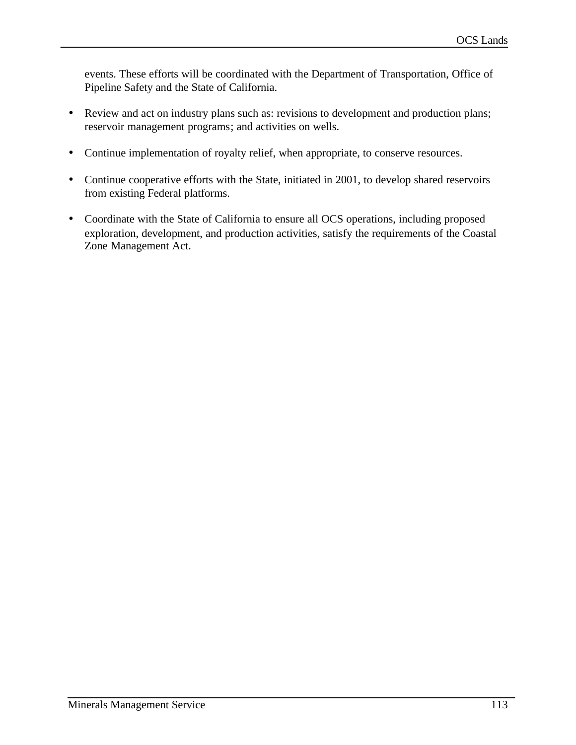events. These efforts will be coordinated with the Department of Transportation, Office of Pipeline Safety and the State of California.

- Review and act on industry plans such as: revisions to development and production plans; reservoir management programs; and activities on wells.
- Continue implementation of royalty relief, when appropriate, to conserve resources.
- Continue cooperative efforts with the State, initiated in 2001, to develop shared reservoirs from existing Federal platforms.
- Coordinate with the State of California to ensure all OCS operations, including proposed exploration, development, and production activities, satisfy the requirements of the Coastal Zone Management Act.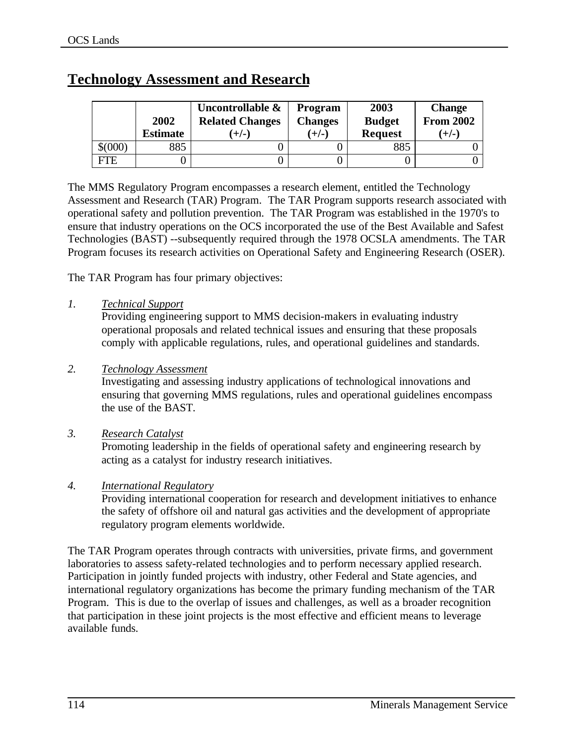|            | 2002<br><b>Estimate</b> | Uncontrollable &<br><b>Related Changes</b><br>$(+/-)$ | <b>Program</b><br><b>Changes</b><br>$(+/-)$ | 2003<br><b>Budget</b><br><b>Request</b> | <b>Change</b><br><b>From 2002</b><br>$(+/-)$ |
|------------|-------------------------|-------------------------------------------------------|---------------------------------------------|-----------------------------------------|----------------------------------------------|
| \$000      | 885                     |                                                       |                                             | 885                                     |                                              |
| <b>FTE</b> |                         |                                                       |                                             |                                         |                                              |

# **Technology Assessment and Research**

The MMS Regulatory Program encompasses a research element, entitled the Technology Assessment and Research (TAR) Program. The TAR Program supports research associated with operational safety and pollution prevention. The TAR Program was established in the 1970's to ensure that industry operations on the OCS incorporated the use of the Best Available and Safest Technologies (BAST) --subsequently required through the 1978 OCSLA amendments. The TAR Program focuses its research activities on Operational Safety and Engineering Research (OSER).

The TAR Program has four primary objectives:

### *1. Technical Support*

Providing engineering support to MMS decision-makers in evaluating industry operational proposals and related technical issues and ensuring that these proposals comply with applicable regulations, rules, and operational guidelines and standards.

### *2. Technology Assessment*

Investigating and assessing industry applications of technological innovations and ensuring that governing MMS regulations, rules and operational guidelines encompass the use of the BAST.

### *3. Research Catalyst*

Promoting leadership in the fields of operational safety and engineering research by acting as a catalyst for industry research initiatives.

### *4. International Regulatory*

Providing international cooperation for research and development initiatives to enhance the safety of offshore oil and natural gas activities and the development of appropriate regulatory program elements worldwide.

The TAR Program operates through contracts with universities, private firms, and government laboratories to assess safety-related technologies and to perform necessary applied research. Participation in jointly funded projects with industry, other Federal and State agencies, and international regulatory organizations has become the primary funding mechanism of the TAR Program. This is due to the overlap of issues and challenges, as well as a broader recognition that participation in these joint projects is the most effective and efficient means to leverage available funds.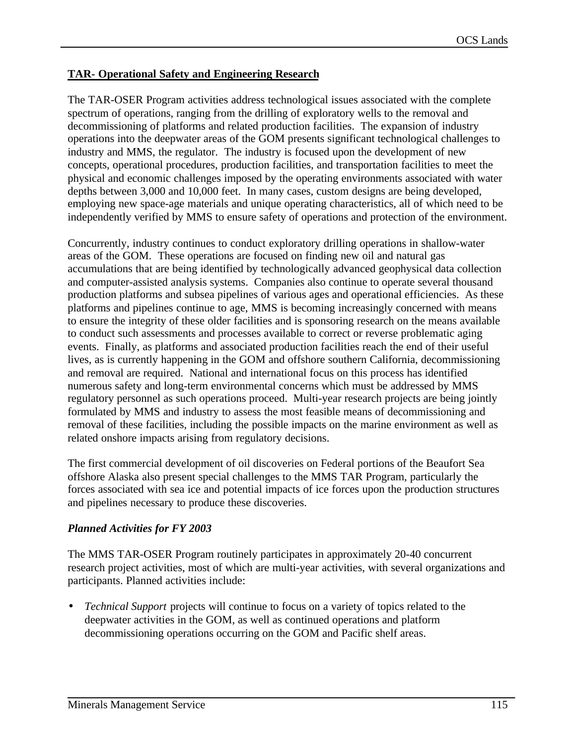### **TAR- Operational Safety and Engineering Research**

The TAR-OSER Program activities address technological issues associated with the complete spectrum of operations, ranging from the drilling of exploratory wells to the removal and decommissioning of platforms and related production facilities. The expansion of industry operations into the deepwater areas of the GOM presents significant technological challenges to industry and MMS, the regulator. The industry is focused upon the development of new concepts, operational procedures, production facilities, and transportation facilities to meet the physical and economic challenges imposed by the operating environments associated with water depths between 3,000 and 10,000 feet. In many cases, custom designs are being developed, employing new space-age materials and unique operating characteristics, all of which need to be independently verified by MMS to ensure safety of operations and protection of the environment.

Concurrently, industry continues to conduct exploratory drilling operations in shallow-water areas of the GOM. These operations are focused on finding new oil and natural gas accumulations that are being identified by technologically advanced geophysical data collection and computer-assisted analysis systems. Companies also continue to operate several thousand production platforms and subsea pipelines of various ages and operational efficiencies. As these platforms and pipelines continue to age, MMS is becoming increasingly concerned with means to ensure the integrity of these older facilities and is sponsoring research on the means available to conduct such assessments and processes available to correct or reverse problematic aging events. Finally, as platforms and associated production facilities reach the end of their useful lives, as is currently happening in the GOM and offshore southern California, decommissioning and removal are required. National and international focus on this process has identified numerous safety and long-term environmental concerns which must be addressed by MMS regulatory personnel as such operations proceed. Multi-year research projects are being jointly formulated by MMS and industry to assess the most feasible means of decommissioning and removal of these facilities, including the possible impacts on the marine environment as well as related onshore impacts arising from regulatory decisions.

The first commercial development of oil discoveries on Federal portions of the Beaufort Sea offshore Alaska also present special challenges to the MMS TAR Program, particularly the forces associated with sea ice and potential impacts of ice forces upon the production structures and pipelines necessary to produce these discoveries.

### *Planned Activities for FY 2003*

The MMS TAR-OSER Program routinely participates in approximately 20-40 concurrent research project activities, most of which are multi-year activities, with several organizations and participants. Planned activities include:

• *Technical Support* projects will continue to focus on a variety of topics related to the deepwater activities in the GOM, as well as continued operations and platform decommissioning operations occurring on the GOM and Pacific shelf areas.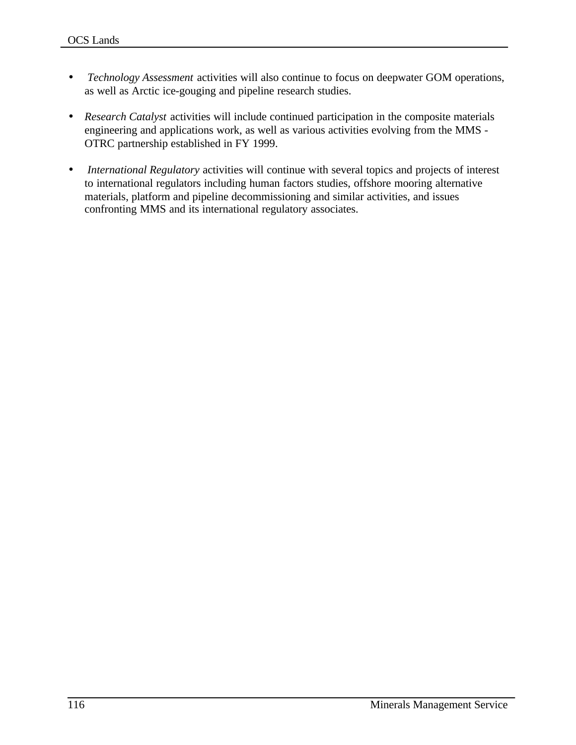- *Technology Assessment* activities will also continue to focus on deepwater GOM operations, as well as Arctic ice-gouging and pipeline research studies.
- *Research Catalyst* activities will include continued participation in the composite materials engineering and applications work, as well as various activities evolving from the MMS - OTRC partnership established in FY 1999.
- *International Regulatory* activities will continue with several topics and projects of interest to international regulators including human factors studies, offshore mooring alternative materials, platform and pipeline decommissioning and similar activities, and issues confronting MMS and its international regulatory associates.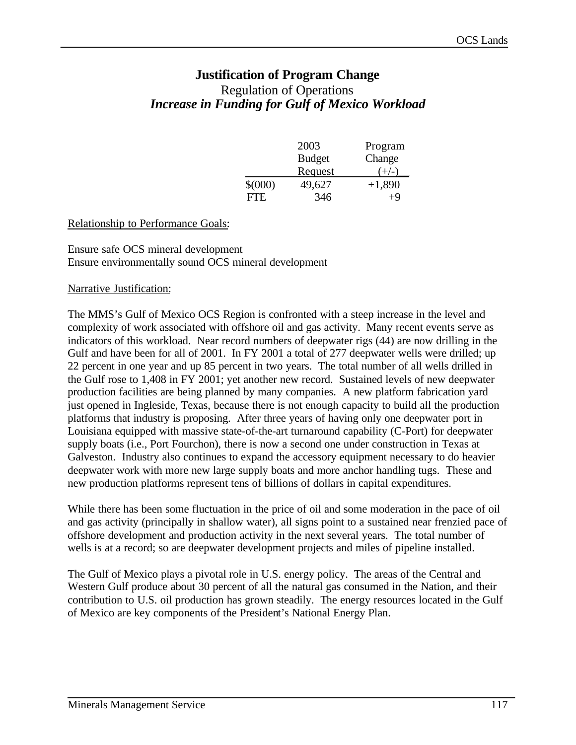# **Justification of Program Change** Regulation of Operations *Increase in Funding for Gulf of Mexico Workload*

|             | 2003          | Program  |
|-------------|---------------|----------|
|             | <b>Budget</b> | Change   |
|             | Request       | $(+/-)$  |
| $$^{(000)}$ | 49,627        | $+1,890$ |
| FTE.        | 346           | +9       |

#### Relationship to Performance Goals:

#### Ensure safe OCS mineral development Ensure environmentally sound OCS mineral development

#### Narrative Justification:

The MMS's Gulf of Mexico OCS Region is confronted with a steep increase in the level and complexity of work associated with offshore oil and gas activity. Many recent events serve as indicators of this workload. Near record numbers of deepwater rigs (44) are now drilling in the Gulf and have been for all of 2001. In FY 2001 a total of 277 deepwater wells were drilled; up 22 percent in one year and up 85 percent in two years. The total number of all wells drilled in the Gulf rose to 1,408 in FY 2001; yet another new record. Sustained levels of new deepwater production facilities are being planned by many companies. A new platform fabrication yard just opened in Ingleside, Texas, because there is not enough capacity to build all the production platforms that industry is proposing. After three years of having only one deepwater port in Louisiana equipped with massive state-of-the-art turnaround capability (C-Port) for deepwater supply boats (i.e., Port Fourchon), there is now a second one under construction in Texas at Galveston. Industry also continues to expand the accessory equipment necessary to do heavier deepwater work with more new large supply boats and more anchor handling tugs. These and new production platforms represent tens of billions of dollars in capital expenditures.

While there has been some fluctuation in the price of oil and some moderation in the pace of oil and gas activity (principally in shallow water), all signs point to a sustained near frenzied pace of offshore development and production activity in the next several years. The total number of wells is at a record; so are deepwater development projects and miles of pipeline installed.

The Gulf of Mexico plays a pivotal role in U.S. energy policy. The areas of the Central and Western Gulf produce about 30 percent of all the natural gas consumed in the Nation, and their contribution to U.S. oil production has grown steadily. The energy resources located in the Gulf of Mexico are key components of the President's National Energy Plan.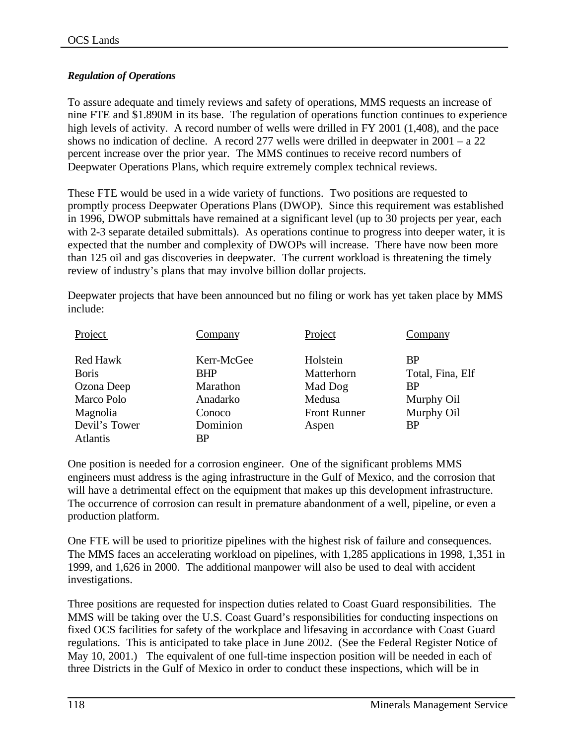### *Regulation of Operations*

To assure adequate and timely reviews and safety of operations, MMS requests an increase of nine FTE and \$1.890M in its base. The regulation of operations function continues to experience high levels of activity. A record number of wells were drilled in FY 2001 (1,408), and the pace shows no indication of decline. A record 277 wells were drilled in deepwater in  $2001 - a\ 22$ percent increase over the prior year. The MMS continues to receive record numbers of Deepwater Operations Plans, which require extremely complex technical reviews.

These FTE would be used in a wide variety of functions. Two positions are requested to promptly process Deepwater Operations Plans (DWOP). Since this requirement was established in 1996, DWOP submittals have remained at a significant level (up to 30 projects per year, each with 2-3 separate detailed submittals). As operations continue to progress into deeper water, it is expected that the number and complexity of DWOPs will increase. There have now been more than 125 oil and gas discoveries in deepwater. The current workload is threatening the timely review of industry's plans that may involve billion dollar projects.

Deepwater projects that have been announced but no filing or work has yet taken place by MMS include:

| Project                                                                                   | Company                                                                | Project                                                                     | Company                                                                             |
|-------------------------------------------------------------------------------------------|------------------------------------------------------------------------|-----------------------------------------------------------------------------|-------------------------------------------------------------------------------------|
| <b>Red Hawk</b><br><b>B</b> oris<br>Ozona Deep<br>Marco Polo<br>Magnolia<br>Devil's Tower | Kerr-McGee<br><b>BHP</b><br>Marathon<br>Anadarko<br>Conoco<br>Dominion | Holstein<br>Matterhorn<br>Mad Dog<br>Medusa<br><b>Front Runner</b><br>Aspen | <b>BP</b><br>Total, Fina, Elf<br><b>BP</b><br>Murphy Oil<br>Murphy Oil<br><b>BP</b> |
| <b>Atlantis</b>                                                                           | <b>BP</b>                                                              |                                                                             |                                                                                     |

One position is needed for a corrosion engineer. One of the significant problems MMS engineers must address is the aging infrastructure in the Gulf of Mexico, and the corrosion that will have a detrimental effect on the equipment that makes up this development infrastructure. The occurrence of corrosion can result in premature abandonment of a well, pipeline, or even a production platform.

One FTE will be used to prioritize pipelines with the highest risk of failure and consequences. The MMS faces an accelerating workload on pipelines, with 1,285 applications in 1998, 1,351 in 1999, and 1,626 in 2000. The additional manpower will also be used to deal with accident investigations.

Three positions are requested for inspection duties related to Coast Guard responsibilities. The MMS will be taking over the U.S. Coast Guard's responsibilities for conducting inspections on fixed OCS facilities for safety of the workplace and lifesaving in accordance with Coast Guard regulations. This is anticipated to take place in June 2002. (See the Federal Register Notice of May 10, 2001.) The equivalent of one full-time inspection position will be needed in each of three Districts in the Gulf of Mexico in order to conduct these inspections, which will be in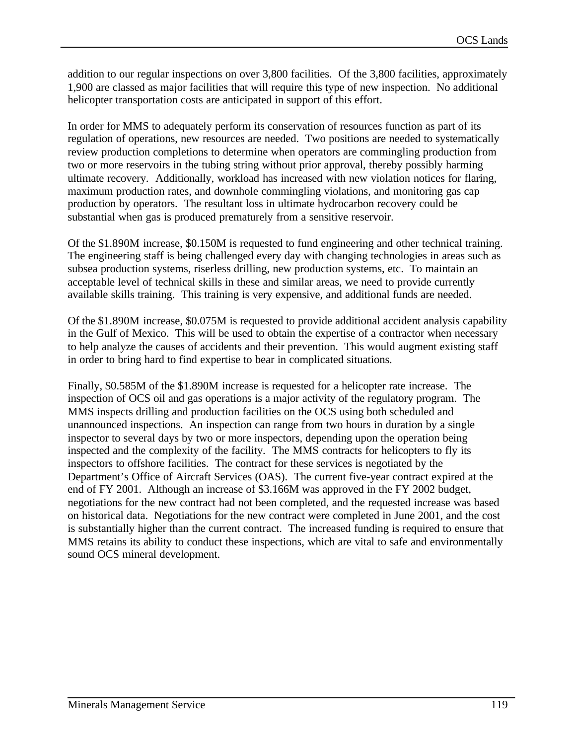addition to our regular inspections on over 3,800 facilities. Of the 3,800 facilities, approximately 1,900 are classed as major facilities that will require this type of new inspection. No additional helicopter transportation costs are anticipated in support of this effort.

In order for MMS to adequately perform its conservation of resources function as part of its regulation of operations, new resources are needed. Two positions are needed to systematically review production completions to determine when operators are commingling production from two or more reservoirs in the tubing string without prior approval, thereby possibly harming ultimate recovery. Additionally, workload has increased with new violation notices for flaring, maximum production rates, and downhole commingling violations, and monitoring gas cap production by operators. The resultant loss in ultimate hydrocarbon recovery could be substantial when gas is produced prematurely from a sensitive reservoir.

Of the \$1.890M increase, \$0.150M is requested to fund engineering and other technical training. The engineering staff is being challenged every day with changing technologies in areas such as subsea production systems, riserless drilling, new production systems, etc. To maintain an acceptable level of technical skills in these and similar areas, we need to provide currently available skills training. This training is very expensive, and additional funds are needed.

Of the \$1.890M increase, \$0.075M is requested to provide additional accident analysis capability in the Gulf of Mexico. This will be used to obtain the expertise of a contractor when necessary to help analyze the causes of accidents and their prevention. This would augment existing staff in order to bring hard to find expertise to bear in complicated situations.

Finally, \$0.585M of the \$1.890M increase is requested for a helicopter rate increase. The inspection of OCS oil and gas operations is a major activity of the regulatory program. The MMS inspects drilling and production facilities on the OCS using both scheduled and unannounced inspections. An inspection can range from two hours in duration by a single inspector to several days by two or more inspectors, depending upon the operation being inspected and the complexity of the facility. The MMS contracts for helicopters to fly its inspectors to offshore facilities. The contract for these services is negotiated by the Department's Office of Aircraft Services (OAS). The current five-year contract expired at the end of FY 2001. Although an increase of \$3.166M was approved in the FY 2002 budget, negotiations for the new contract had not been completed, and the requested increase was based on historical data. Negotiations for the new contract were completed in June 2001, and the cost is substantially higher than the current contract. The increased funding is required to ensure that MMS retains its ability to conduct these inspections, which are vital to safe and environmentally sound OCS mineral development.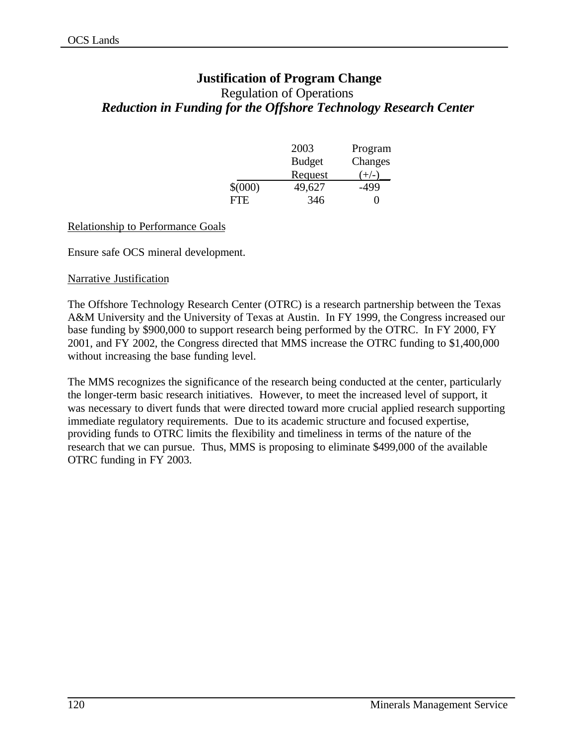# **Justification of Program Change**

# Regulation of Operations *Reduction in Funding for the Offshore Technology Research Center*

|             | 2003          | Program           |
|-------------|---------------|-------------------|
|             | <b>Budget</b> | Changes           |
|             | Request       | $(+/-)$           |
| $$^{(000)}$ | 49,627        | -499              |
| FTE.        | 346           | $\mathbf{\Omega}$ |

#### Relationship to Performance Goals

Ensure safe OCS mineral development.

#### Narrative Justification

The Offshore Technology Research Center (OTRC) is a research partnership between the Texas A&M University and the University of Texas at Austin. In FY 1999, the Congress increased our base funding by \$900,000 to support research being performed by the OTRC. In FY 2000, FY 2001, and FY 2002, the Congress directed that MMS increase the OTRC funding to \$1,400,000 without increasing the base funding level.

The MMS recognizes the significance of the research being conducted at the center, particularly the longer-term basic research initiatives. However, to meet the increased level of support, it was necessary to divert funds that were directed toward more crucial applied research supporting immediate regulatory requirements. Due to its academic structure and focused expertise, providing funds to OTRC limits the flexibility and timeliness in terms of the nature of the research that we can pursue. Thus, MMS is proposing to eliminate \$499,000 of the available OTRC funding in FY 2003.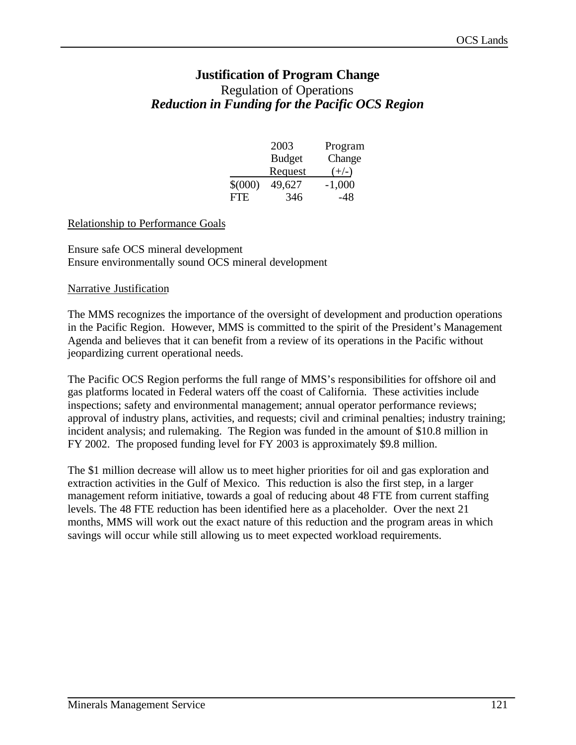# **Justification of Program Change** Regulation of Operations *Reduction in Funding for the Pacific OCS Region*

|             | 2003          | Program  |
|-------------|---------------|----------|
|             | <b>Budget</b> | Change   |
|             | Request       | $(+/-)$  |
| $$^{(000)}$ | 49,627        | $-1,000$ |
| FTE.        | 346           | -48      |

#### Relationship to Performance Goals

Ensure safe OCS mineral development Ensure environmentally sound OCS mineral development

#### Narrative Justification

The MMS recognizes the importance of the oversight of development and production operations in the Pacific Region. However, MMS is committed to the spirit of the President's Management Agenda and believes that it can benefit from a review of its operations in the Pacific without jeopardizing current operational needs.

The Pacific OCS Region performs the full range of MMS's responsibilities for offshore oil and gas platforms located in Federal waters off the coast of California. These activities include inspections; safety and environmental management; annual operator performance reviews; approval of industry plans, activities, and requests; civil and criminal penalties; industry training; incident analysis; and rulemaking. The Region was funded in the amount of \$10.8 million in FY 2002. The proposed funding level for FY 2003 is approximately \$9.8 million.

The \$1 million decrease will allow us to meet higher priorities for oil and gas exploration and extraction activities in the Gulf of Mexico. This reduction is also the first step, in a larger management reform initiative, towards a goal of reducing about 48 FTE from current staffing levels. The 48 FTE reduction has been identified here as a placeholder. Over the next 21 months, MMS will work out the exact nature of this reduction and the program areas in which savings will occur while still allowing us to meet expected workload requirements.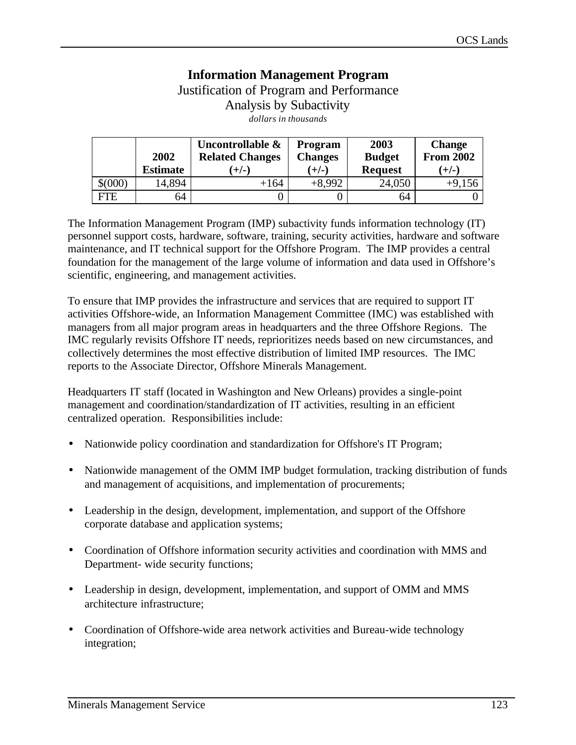# **Information Management Program** Justification of Program and Performance

Analysis by Subactivity

*dollars in thousands*

|       | 2002            | Uncontrollable &<br><b>Related Changes</b> | <b>Program</b><br><b>Changes</b> | 2003<br><b>Budget</b> | <b>Change</b><br><b>From 2002</b> |
|-------|-----------------|--------------------------------------------|----------------------------------|-----------------------|-----------------------------------|
|       | <b>Estimate</b> | $(+/-)$                                    | $(+/-)$                          | <b>Request</b>        | $(+/-)$                           |
| \$000 | 14,894          | $+164$                                     | $+8,992$                         | 24,050                | $+9,156$                          |
| FTE   | 64              |                                            |                                  | 64                    |                                   |

The Information Management Program (IMP) subactivity funds information technology (IT) personnel support costs, hardware, software, training, security activities, hardware and software maintenance, and IT technical support for the Offshore Program. The IMP provides a central foundation for the management of the large volume of information and data used in Offshore's scientific, engineering, and management activities.

To ensure that IMP provides the infrastructure and services that are required to support IT activities Offshore-wide, an Information Management Committee (IMC) was established with managers from all major program areas in headquarters and the three Offshore Regions. The IMC regularly revisits Offshore IT needs, reprioritizes needs based on new circumstances, and collectively determines the most effective distribution of limited IMP resources. The IMC reports to the Associate Director, Offshore Minerals Management.

Headquarters IT staff (located in Washington and New Orleans) provides a single-point management and coordination/standardization of IT activities, resulting in an efficient centralized operation. Responsibilities include:

- Nationwide policy coordination and standardization for Offshore's IT Program;
- Nationwide management of the OMM IMP budget formulation, tracking distribution of funds and management of acquisitions, and implementation of procurements;
- Leadership in the design, development, implementation, and support of the Offshore corporate database and application systems;
- Coordination of Offshore information security activities and coordination with MMS and Department- wide security functions;
- Leadership in design, development, implementation, and support of OMM and MMS architecture infrastructure;
- Coordination of Offshore-wide area network activities and Bureau-wide technology integration;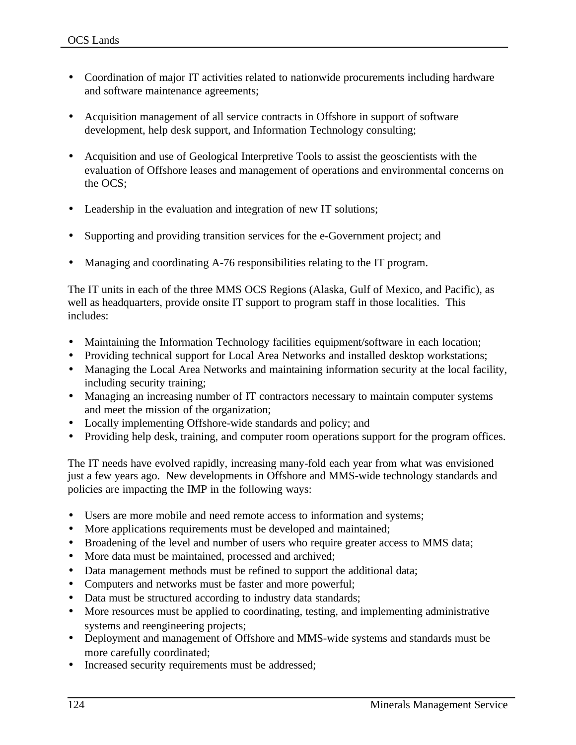- Coordination of major IT activities related to nationwide procurements including hardware and software maintenance agreements;
- Acquisition management of all service contracts in Offshore in support of software development, help desk support, and Information Technology consulting;
- Acquisition and use of Geological Interpretive Tools to assist the geoscientists with the evaluation of Offshore leases and management of operations and environmental concerns on the OCS;
- Leadership in the evaluation and integration of new IT solutions;
- Supporting and providing transition services for the e-Government project; and
- Managing and coordinating A-76 responsibilities relating to the IT program.

The IT units in each of the three MMS OCS Regions (Alaska, Gulf of Mexico, and Pacific), as well as headquarters, provide onsite IT support to program staff in those localities. This includes:

- Maintaining the Information Technology facilities equipment/software in each location;
- Providing technical support for Local Area Networks and installed desktop workstations;
- Managing the Local Area Networks and maintaining information security at the local facility, including security training;
- Managing an increasing number of IT contractors necessary to maintain computer systems and meet the mission of the organization;
- Locally implementing Offshore-wide standards and policy; and
- Providing help desk, training, and computer room operations support for the program offices.

The IT needs have evolved rapidly, increasing many-fold each year from what was envisioned just a few years ago. New developments in Offshore and MMS-wide technology standards and policies are impacting the IMP in the following ways:

- Users are more mobile and need remote access to information and systems;
- More applications requirements must be developed and maintained;
- Broadening of the level and number of users who require greater access to MMS data;
- More data must be maintained, processed and archived;
- Data management methods must be refined to support the additional data;
- Computers and networks must be faster and more powerful;
- Data must be structured according to industry data standards;
- More resources must be applied to coordinating, testing, and implementing administrative systems and reengineering projects;
- Deployment and management of Offshore and MMS-wide systems and standards must be more carefully coordinated;
- Increased security requirements must be addressed;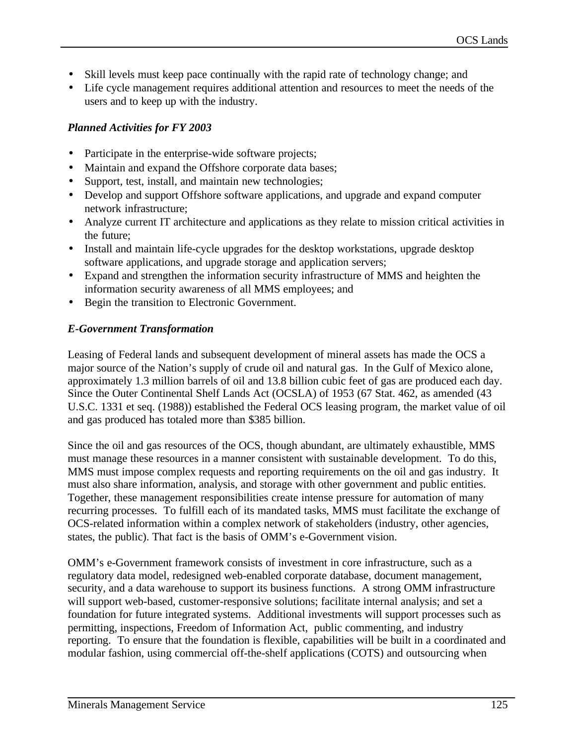- Skill levels must keep pace continually with the rapid rate of technology change; and
- Life cycle management requires additional attention and resources to meet the needs of the users and to keep up with the industry.

### *Planned Activities for FY 2003*

- Participate in the enterprise-wide software projects;
- Maintain and expand the Offshore corporate data bases;
- Support, test, install, and maintain new technologies;
- Develop and support Offshore software applications, and upgrade and expand computer network infrastructure;
- Analyze current IT architecture and applications as they relate to mission critical activities in the future;
- Install and maintain life-cycle upgrades for the desktop workstations, upgrade desktop software applications, and upgrade storage and application servers;
- Expand and strengthen the information security infrastructure of MMS and heighten the information security awareness of all MMS employees; and
- Begin the transition to Electronic Government.

### *E-Government Transformation*

Leasing of Federal lands and subsequent development of mineral assets has made the OCS a major source of the Nation's supply of crude oil and natural gas. In the Gulf of Mexico alone, approximately 1.3 million barrels of oil and 13.8 billion cubic feet of gas are produced each day. Since the Outer Continental Shelf Lands Act (OCSLA) of 1953 (67 Stat. 462, as amended (43 U.S.C. 1331 et seq. (1988)) established the Federal OCS leasing program, the market value of oil and gas produced has totaled more than \$385 billion.

Since the oil and gas resources of the OCS, though abundant, are ultimately exhaustible, MMS must manage these resources in a manner consistent with sustainable development. To do this, MMS must impose complex requests and reporting requirements on the oil and gas industry. It must also share information, analysis, and storage with other government and public entities. Together, these management responsibilities create intense pressure for automation of many recurring processes. To fulfill each of its mandated tasks, MMS must facilitate the exchange of OCS-related information within a complex network of stakeholders (industry, other agencies, states, the public). That fact is the basis of OMM's e-Government vision.

OMM's e-Government framework consists of investment in core infrastructure, such as a regulatory data model, redesigned web-enabled corporate database, document management, security, and a data warehouse to support its business functions. A strong OMM infrastructure will support web-based, customer-responsive solutions; facilitate internal analysis; and set a foundation for future integrated systems. Additional investments will support processes such as permitting, inspections, Freedom of Information Act, public commenting, and industry reporting. To ensure that the foundation is flexible, capabilities will be built in a coordinated and modular fashion, using commercial off-the-shelf applications (COTS) and outsourcing when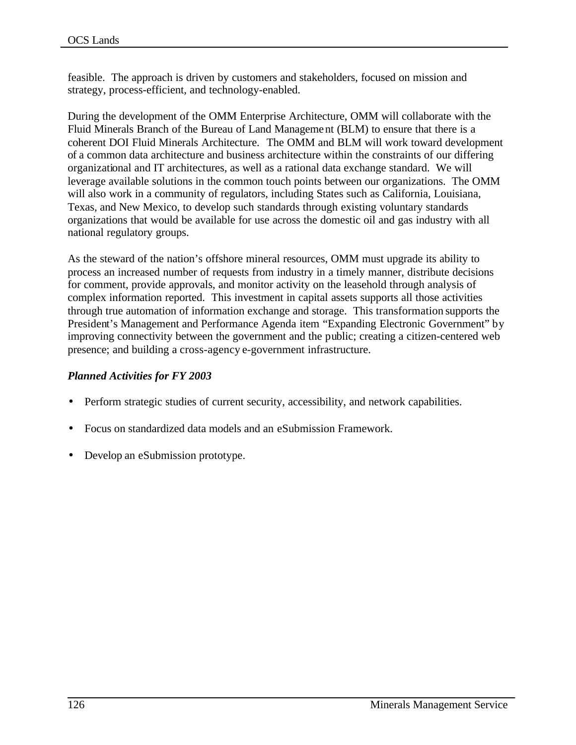feasible. The approach is driven by customers and stakeholders, focused on mission and strategy, process-efficient, and technology-enabled.

During the development of the OMM Enterprise Architecture, OMM will collaborate with the Fluid Minerals Branch of the Bureau of Land Management (BLM) to ensure that there is a coherent DOI Fluid Minerals Architecture. The OMM and BLM will work toward development of a common data architecture and business architecture within the constraints of our differing organizational and IT architectures, as well as a rational data exchange standard. We will leverage available solutions in the common touch points between our organizations. The OMM will also work in a community of regulators, including States such as California, Louisiana, Texas, and New Mexico, to develop such standards through existing voluntary standards organizations that would be available for use across the domestic oil and gas industry with all national regulatory groups.

As the steward of the nation's offshore mineral resources, OMM must upgrade its ability to process an increased number of requests from industry in a timely manner, distribute decisions for comment, provide approvals, and monitor activity on the leasehold through analysis of complex information reported. This investment in capital assets supports all those activities through true automation of information exchange and storage. This transformation supports the President's Management and Performance Agenda item "Expanding Electronic Government" by improving connectivity between the government and the public; creating a citizen-centered web presence; and building a cross-agency e-government infrastructure.

### *Planned Activities for FY 2003*

- Perform strategic studies of current security, accessibility, and network capabilities.
- Focus on standardized data models and an eSubmission Framework.
- Develop an eSubmission prototype.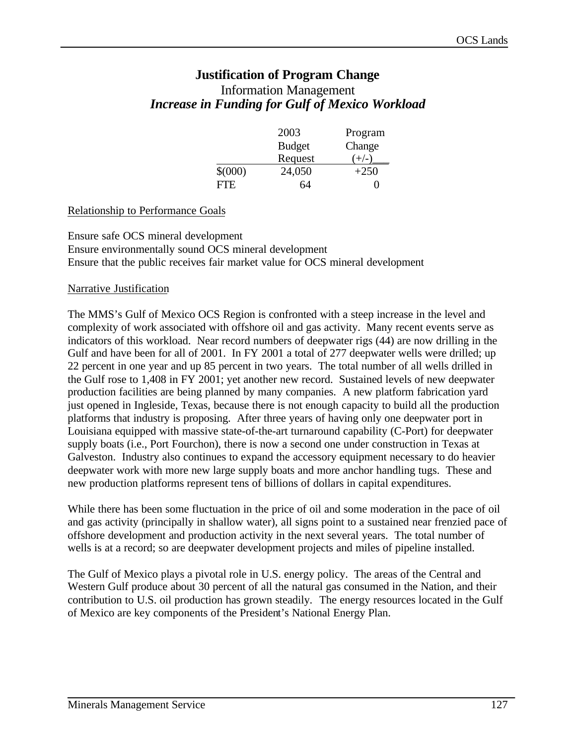# **Justification of Program Change** Information Management *Increase in Funding for Gulf of Mexico Workload*

|         | 2003          | Program |
|---------|---------------|---------|
|         | <b>Budget</b> | Change  |
|         | Request       | $+/-$   |
| \$(000) | 24,050        | $+250$  |
| FIE     | 64            |         |

#### Relationship to Performance Goals

Ensure safe OCS mineral development Ensure environmentally sound OCS mineral development Ensure that the public receives fair market value for OCS mineral development

#### Narrative Justification

The MMS's Gulf of Mexico OCS Region is confronted with a steep increase in the level and complexity of work associated with offshore oil and gas activity. Many recent events serve as indicators of this workload. Near record numbers of deepwater rigs (44) are now drilling in the Gulf and have been for all of 2001. In FY 2001 a total of 277 deepwater wells were drilled; up 22 percent in one year and up 85 percent in two years. The total number of all wells drilled in the Gulf rose to 1,408 in FY 2001; yet another new record. Sustained levels of new deepwater production facilities are being planned by many companies. A new platform fabrication yard just opened in Ingleside, Texas, because there is not enough capacity to build all the production platforms that industry is proposing. After three years of having only one deepwater port in Louisiana equipped with massive state-of-the-art turnaround capability (C-Port) for deepwater supply boats (i.e., Port Fourchon), there is now a second one under construction in Texas at Galveston. Industry also continues to expand the accessory equipment necessary to do heavier deepwater work with more new large supply boats and more anchor handling tugs. These and new production platforms represent tens of billions of dollars in capital expenditures.

While there has been some fluctuation in the price of oil and some moderation in the pace of oil and gas activity (principally in shallow water), all signs point to a sustained near frenzied pace of offshore development and production activity in the next several years. The total number of wells is at a record; so are deepwater development projects and miles of pipeline installed.

The Gulf of Mexico plays a pivotal role in U.S. energy policy. The areas of the Central and Western Gulf produce about 30 percent of all the natural gas consumed in the Nation, and their contribution to U.S. oil production has grown steadily. The energy resources located in the Gulf of Mexico are key components of the President's National Energy Plan.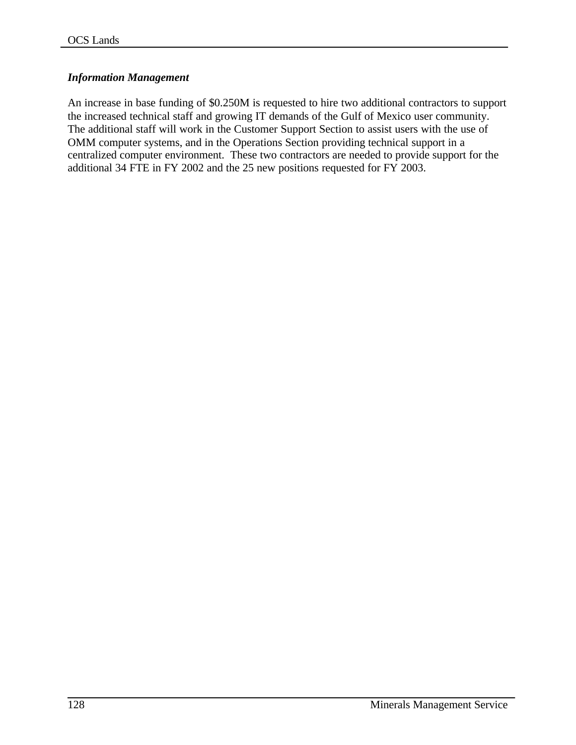### *Information Management*

An increase in base funding of \$0.250M is requested to hire two additional contractors to support the increased technical staff and growing IT demands of the Gulf of Mexico user community. The additional staff will work in the Customer Support Section to assist users with the use of OMM computer systems, and in the Operations Section providing technical support in a centralized computer environment. These two contractors are needed to provide support for the additional 34 FTE in FY 2002 and the 25 new positions requested for FY 2003.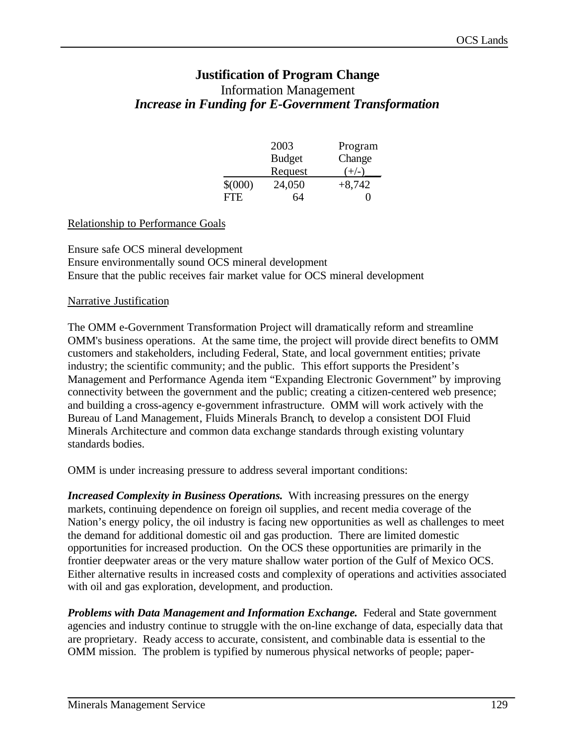# **Justification of Program Change** Information Management *Increase in Funding for E-Government Transformation*

|             | 2003          | Program  |
|-------------|---------------|----------|
|             | <b>Budget</b> | Change   |
|             | Request       | ,  _     |
| $$^{(000)}$ | 24,050        | $+8,742$ |
| FTE         | 64            |          |

#### Relationship to Performance Goals

Ensure safe OCS mineral development Ensure environmentally sound OCS mineral development Ensure that the public receives fair market value for OCS mineral development

#### Narrative Justification

The OMM e-Government Transformation Project will dramatically reform and streamline OMM's business operations. At the same time, the project will provide direct benefits to OMM customers and stakeholders, including Federal, State, and local government entities; private industry; the scientific community; and the public. This effort supports the President's Management and Performance Agenda item "Expanding Electronic Government" by improving connectivity between the government and the public; creating a citizen-centered web presence; and building a cross-agency e-government infrastructure. OMM will work actively with the Bureau of Land Management, Fluids Minerals Branch, to develop a consistent DOI Fluid Minerals Architecture and common data exchange standards through existing voluntary standards bodies.

OMM is under increasing pressure to address several important conditions:

**Increased Complexity in Business Operations.** With increasing pressures on the energy markets, continuing dependence on foreign oil supplies, and recent media coverage of the Nation's energy policy, the oil industry is facing new opportunities as well as challenges to meet the demand for additional domestic oil and gas production. There are limited domestic opportunities for increased production. On the OCS these opportunities are primarily in the frontier deepwater areas or the very mature shallow water portion of the Gulf of Mexico OCS. Either alternative results in increased costs and complexity of operations and activities associated with oil and gas exploration, development, and production.

*Problems with Data Management and Information Exchange.* Federal and State government agencies and industry continue to struggle with the on-line exchange of data, especially data that are proprietary. Ready access to accurate, consistent, and combinable data is essential to the OMM mission. The problem is typified by numerous physical networks of people; paper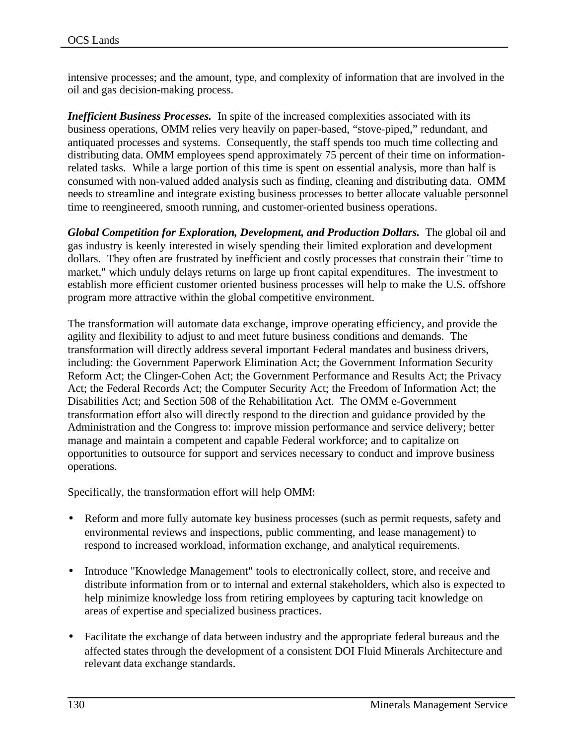intensive processes; and the amount, type, and complexity of information that are involved in the oil and gas decision-making process.

*Inefficient Business Processes.* In spite of the increased complexities associated with its business operations, OMM relies very heavily on paper-based, "stove-piped," redundant, and antiquated processes and systems. Consequently, the staff spends too much time collecting and distributing data. OMM employees spend approximately 75 percent of their time on informationrelated tasks. While a large portion of this time is spent on essential analysis, more than half is consumed with non-valued added analysis such as finding, cleaning and distributing data. OMM needs to streamline and integrate existing business processes to better allocate valuable personnel time to reengineered, smooth running, and customer-oriented business operations.

*Global Competition for Exploration, Development, and Production Dollars.*The global oil and gas industry is keenly interested in wisely spending their limited exploration and development dollars. They often are frustrated by inefficient and costly processes that constrain their "time to market," which unduly delays returns on large up front capital expenditures. The investment to establish more efficient customer oriented business processes will help to make the U.S. offshore program more attractive within the global competitive environment.

The transformation will automate data exchange, improve operating efficiency, and provide the agility and flexibility to adjust to and meet future business conditions and demands. The transformation will directly address several important Federal mandates and business drivers, including: the Government Paperwork Elimination Act; the Government Information Security Reform Act; the Clinger-Cohen Act; the Government Performance and Results Act; the Privacy Act; the Federal Records Act; the Computer Security Act; the Freedom of Information Act; the Disabilities Act; and Section 508 of the Rehabilitation Act. The OMM e-Government transformation effort also will directly respond to the direction and guidance provided by the Administration and the Congress to: improve mission performance and service delivery; better manage and maintain a competent and capable Federal workforce; and to capitalize on opportunities to outsource for support and services necessary to conduct and improve business operations.

Specifically, the transformation effort will help OMM:

- Reform and more fully automate key business processes (such as permit requests, safety and environmental reviews and inspections, public commenting, and lease management) to respond to increased workload, information exchange, and analytical requirements.
- Introduce "Knowledge Management" tools to electronically collect, store, and receive and distribute information from or to internal and external stakeholders, which also is expected to help minimize knowledge loss from retiring employees by capturing tacit knowledge on areas of expertise and specialized business practices.
- Facilitate the exchange of data between industry and the appropriate federal bureaus and the affected states through the development of a consistent DOI Fluid Minerals Architecture and relevant data exchange standards.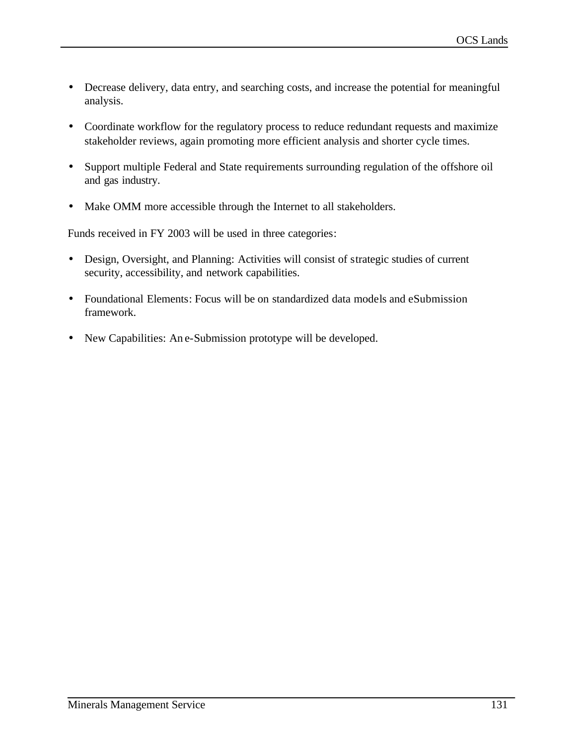- Decrease delivery, data entry, and searching costs, and increase the potential for meaningful analysis.
- Coordinate workflow for the regulatory process to reduce redundant requests and maximize stakeholder reviews, again promoting more efficient analysis and shorter cycle times.
- Support multiple Federal and State requirements surrounding regulation of the offshore oil and gas industry.
- Make OMM more accessible through the Internet to all stakeholders.

Funds received in FY 2003 will be used in three categories:

- Design, Oversight, and Planning: Activities will consist of strategic studies of current security, accessibility, and network capabilities.
- Foundational Elements: Focus will be on standardized data models and eSubmission framework.
- New Capabilities: An e-Submission prototype will be developed.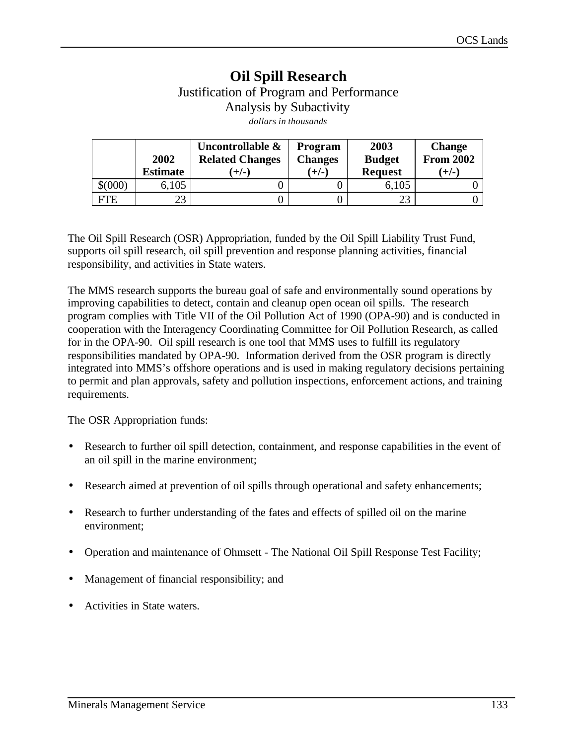# **Oil Spill Research** Justification of Program and Performance Analysis by Subactivity *dollars in thousands*

|       | 2002<br><b>Estimate</b> | Uncontrollable &<br><b>Related Changes</b><br>$(+/-)$ | <b>Program</b><br><b>Changes</b><br>$(+/-)$ | 2003<br><b>Budget</b><br><b>Request</b> | <b>Change</b><br><b>From 2002</b><br>$(+/-)$ |
|-------|-------------------------|-------------------------------------------------------|---------------------------------------------|-----------------------------------------|----------------------------------------------|
| \$000 | 6,105                   |                                                       |                                             | 6,105                                   |                                              |
| FTE   | າາ                      |                                                       |                                             | 23                                      |                                              |

The Oil Spill Research (OSR) Appropriation, funded by the Oil Spill Liability Trust Fund, supports oil spill research, oil spill prevention and response planning activities, financial responsibility, and activities in State waters.

The MMS research supports the bureau goal of safe and environmentally sound operations by improving capabilities to detect, contain and cleanup open ocean oil spills. The research program complies with Title VII of the Oil Pollution Act of 1990 (OPA-90) and is conducted in cooperation with the Interagency Coordinating Committee for Oil Pollution Research, as called for in the OPA-90. Oil spill research is one tool that MMS uses to fulfill its regulatory responsibilities mandated by OPA-90. Information derived from the OSR program is directly integrated into MMS's offshore operations and is used in making regulatory decisions pertaining to permit and plan approvals, safety and pollution inspections, enforcement actions, and training requirements.

The OSR Appropriation funds:

- Research to further oil spill detection, containment, and response capabilities in the event of an oil spill in the marine environment;
- Research aimed at prevention of oil spills through operational and safety enhancements;
- Research to further understanding of the fates and effects of spilled oil on the marine environment;
- Operation and maintenance of Ohmsett The National Oil Spill Response Test Facility;
- Management of financial responsibility; and
- Activities in State waters.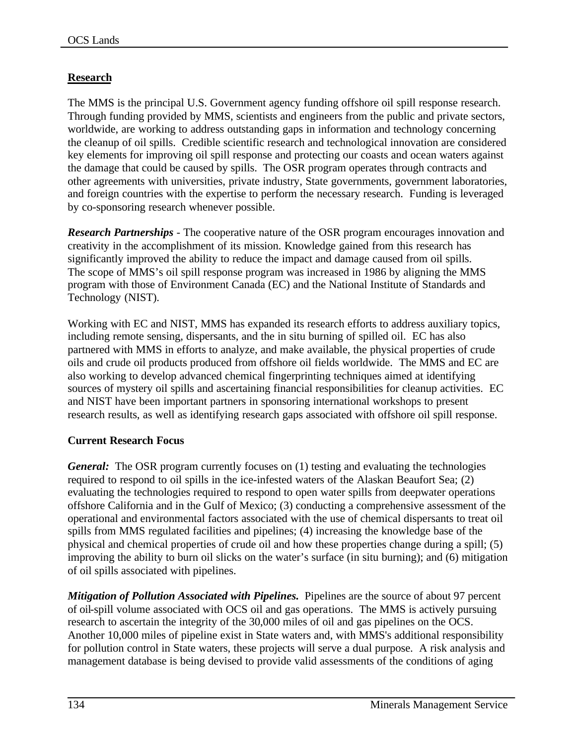# **Research**

The MMS is the principal U.S. Government agency funding offshore oil spill response research. Through funding provided by MMS, scientists and engineers from the public and private sectors, worldwide, are working to address outstanding gaps in information and technology concerning the cleanup of oil spills. Credible scientific research and technological innovation are considered key elements for improving oil spill response and protecting our coasts and ocean waters against the damage that could be caused by spills. The OSR program operates through contracts and other agreements with universities, private industry, State governments, government laboratories, and foreign countries with the expertise to perform the necessary research. Funding is leveraged by co-sponsoring research whenever possible.

*Research Partnerships* - The cooperative nature of the OSR program encourages innovation and creativity in the accomplishment of its mission. Knowledge gained from this research has significantly improved the ability to reduce the impact and damage caused from oil spills. The scope of MMS's oil spill response program was increased in 1986 by aligning the MMS program with those of Environment Canada (EC) and the National Institute of Standards and Technology (NIST).

Working with EC and NIST, MMS has expanded its research efforts to address auxiliary topics, including remote sensing, dispersants, and the in situ burning of spilled oil. EC has also partnered with MMS in efforts to analyze, and make available, the physical properties of crude oils and crude oil products produced from offshore oil fields worldwide. The MMS and EC are also working to develop advanced chemical fingerprinting techniques aimed at identifying sources of mystery oil spills and ascertaining financial responsibilities for cleanup activities. EC and NIST have been important partners in sponsoring international workshops to present research results, as well as identifying research gaps associated with offshore oil spill response.

# **Current Research Focus**

*General:* The OSR program currently focuses on (1) testing and evaluating the technologies required to respond to oil spills in the ice-infested waters of the Alaskan Beaufort Sea; (2) evaluating the technologies required to respond to open water spills from deepwater operations offshore California and in the Gulf of Mexico; (3) conducting a comprehensive assessment of the operational and environmental factors associated with the use of chemical dispersants to treat oil spills from MMS regulated facilities and pipelines; (4) increasing the knowledge base of the physical and chemical properties of crude oil and how these properties change during a spill; (5) improving the ability to burn oil slicks on the water's surface (in situ burning); and (6) mitigation of oil spills associated with pipelines.

*Mitigation of Pollution Associated with Pipelines.* Pipelines are the source of about 97 percent of oil-spill volume associated with OCS oil and gas operations. The MMS is actively pursuing research to ascertain the integrity of the 30,000 miles of oil and gas pipelines on the OCS. Another 10,000 miles of pipeline exist in State waters and, with MMS's additional responsibility for pollution control in State waters, these projects will serve a dual purpose. A risk analysis and management database is being devised to provide valid assessments of the conditions of aging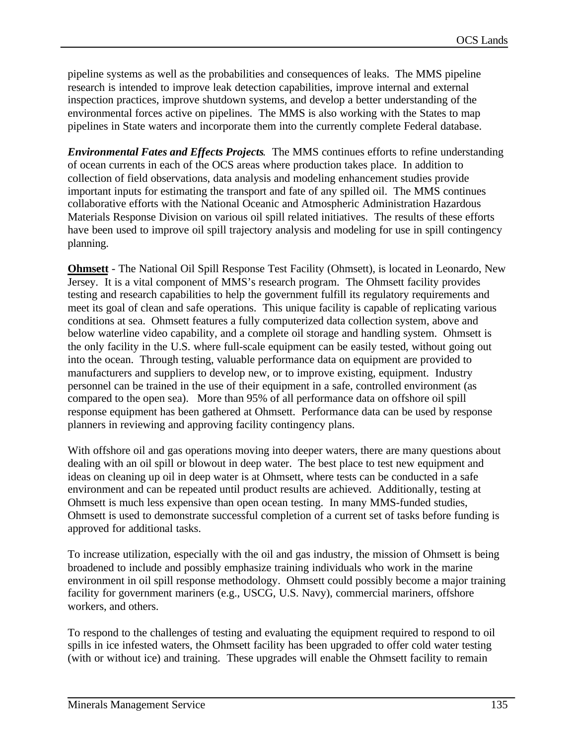pipeline systems as well as the probabilities and consequences of leaks. The MMS pipeline research is intended to improve leak detection capabilities, improve internal and external inspection practices, improve shutdown systems, and develop a better understanding of the environmental forces active on pipelines. The MMS is also working with the States to map pipelines in State waters and incorporate them into the currently complete Federal database.

*Environmental Fates and Effects Projects.* The MMS continues efforts to refine understanding of ocean currents in each of the OCS areas where production takes place. In addition to collection of field observations, data analysis and modeling enhancement studies provide important inputs for estimating the transport and fate of any spilled oil. The MMS continues collaborative efforts with the National Oceanic and Atmospheric Administration Hazardous Materials Response Division on various oil spill related initiatives. The results of these efforts have been used to improve oil spill trajectory analysis and modeling for use in spill contingency planning.

**Ohmsett** - The National Oil Spill Response Test Facility (Ohmsett), is located in Leonardo, New Jersey. It is a vital component of MMS's research program. The Ohmsett facility provides testing and research capabilities to help the government fulfill its regulatory requirements and meet its goal of clean and safe operations. This unique facility is capable of replicating various conditions at sea. Ohmsett features a fully computerized data collection system, above and below waterline video capability, and a complete oil storage and handling system. Ohmsett is the only facility in the U.S. where full-scale equipment can be easily tested, without going out into the ocean. Through testing, valuable performance data on equipment are provided to manufacturers and suppliers to develop new, or to improve existing, equipment. Industry personnel can be trained in the use of their equipment in a safe, controlled environment (as compared to the open sea). More than 95% of all performance data on offshore oil spill response equipment has been gathered at Ohmsett. Performance data can be used by response planners in reviewing and approving facility contingency plans.

With offshore oil and gas operations moving into deeper waters, there are many questions about dealing with an oil spill or blowout in deep water. The best place to test new equipment and ideas on cleaning up oil in deep water is at Ohmsett, where tests can be conducted in a safe environment and can be repeated until product results are achieved. Additionally, testing at Ohmsett is much less expensive than open ocean testing. In many MMS-funded studies, Ohmsett is used to demonstrate successful completion of a current set of tasks before funding is approved for additional tasks.

To increase utilization, especially with the oil and gas industry, the mission of Ohmsett is being broadened to include and possibly emphasize training individuals who work in the marine environment in oil spill response methodology. Ohmsett could possibly become a major training facility for government mariners (e.g., USCG, U.S. Navy), commercial mariners, offshore workers, and others.

To respond to the challenges of testing and evaluating the equipment required to respond to oil spills in ice infested waters, the Ohmsett facility has been upgraded to offer cold water testing (with or without ice) and training. These upgrades will enable the Ohmsett facility to remain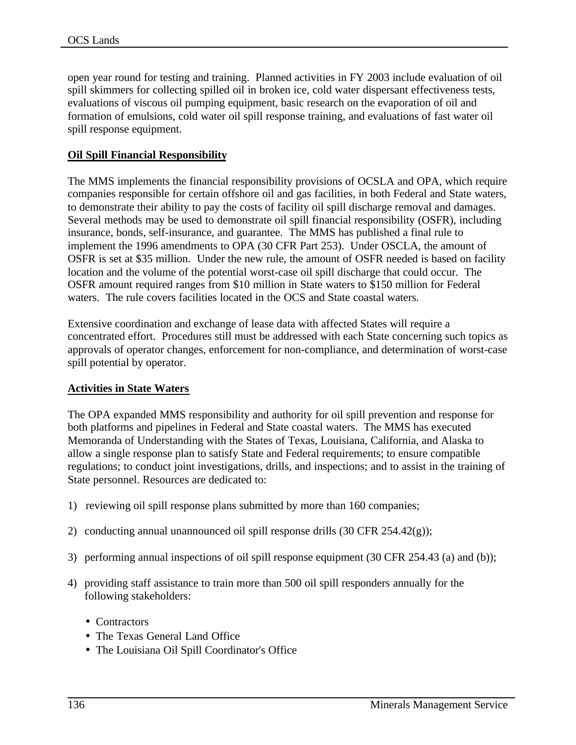open year round for testing and training. Planned activities in FY 2003 include evaluation of oil spill skimmers for collecting spilled oil in broken ice, cold water dispersant effectiveness tests, evaluations of viscous oil pumping equipment, basic research on the evaporation of oil and formation of emulsions, cold water oil spill response training, and evaluations of fast water oil spill response equipment.

### **Oil Spill Financial Responsibility**

The MMS implements the financial responsibility provisions of OCSLA and OPA, which require companies responsible for certain offshore oil and gas facilities, in both Federal and State waters, to demonstrate their ability to pay the costs of facility oil spill discharge removal and damages. Several methods may be used to demonstrate oil spill financial responsibility (OSFR), including insurance, bonds, self-insurance, and guarantee. The MMS has published a final rule to implement the 1996 amendments to OPA (30 CFR Part 253). Under OSCLA, the amount of OSFR is set at \$35 million. Under the new rule, the amount of OSFR needed is based on facility location and the volume of the potential worst-case oil spill discharge that could occur. The OSFR amount required ranges from \$10 million in State waters to \$150 million for Federal waters. The rule covers facilities located in the OCS and State coastal waters.

Extensive coordination and exchange of lease data with affected States will require a concentrated effort. Procedures still must be addressed with each State concerning such topics as approvals of operator changes, enforcement for non-compliance, and determination of worst-case spill potential by operator.

#### **Activities in State Waters**

The OPA expanded MMS responsibility and authority for oil spill prevention and response for both platforms and pipelines in Federal and State coastal waters. The MMS has executed Memoranda of Understanding with the States of Texas, Louisiana, California, and Alaska to allow a single response plan to satisfy State and Federal requirements; to ensure compatible regulations; to conduct joint investigations, drills, and inspections; and to assist in the training of State personnel. Resources are dedicated to:

- 1) reviewing oil spill response plans submitted by more than 160 companies;
- 2) conducting annual unannounced oil spill response drills (30 CFR 254.42(g));
- 3) performing annual inspections of oil spill response equipment (30 CFR 254.43 (a) and (b));
- 4) providing staff assistance to train more than 500 oil spill responders annually for the following stakeholders:
	- Contractors
	- The Texas General Land Office
	- The Louisiana Oil Spill Coordinator's Office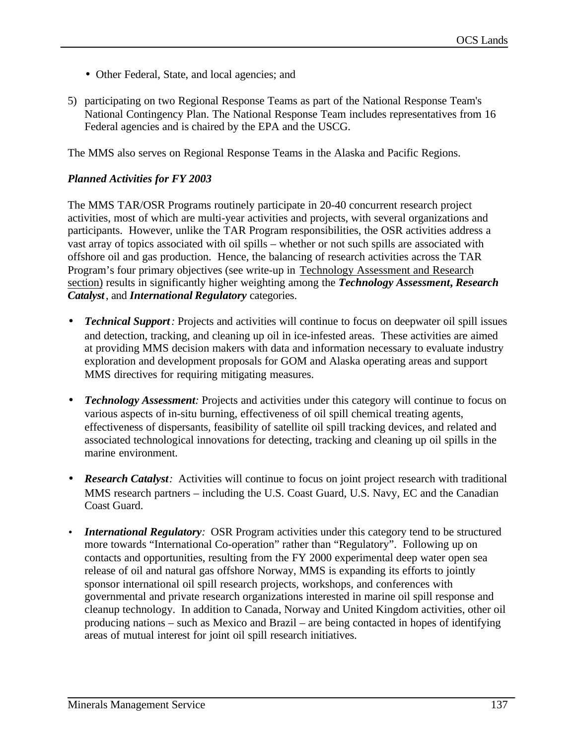- Other Federal, State, and local agencies; and
- 5) participating on two Regional Response Teams as part of the National Response Team's National Contingency Plan. The National Response Team includes representatives from 16 Federal agencies and is chaired by the EPA and the USCG.

The MMS also serves on Regional Response Teams in the Alaska and Pacific Regions.

### *Planned Activities for FY 2003*

The MMS TAR/OSR Programs routinely participate in 20-40 concurrent research project activities, most of which are multi-year activities and projects, with several organizations and participants. However, unlike the TAR Program responsibilities, the OSR activities address a vast array of topics associated with oil spills – whether or not such spills are associated with offshore oil and gas production. Hence, the balancing of research activities across the TAR Program's four primary objectives (see write-up in Technology Assessment and Research section) results in significantly higher weighting among the *Technology Assessment***,** *Research Catalyst*, and *International Regulatory* categories.

- *Technical Support*: Projects and activities will continue to focus on deepwater oil spill issues and detection, tracking, and cleaning up oil in ice-infested areas. These activities are aimed at providing MMS decision makers with data and information necessary to evaluate industry exploration and development proposals for GOM and Alaska operating areas and support MMS directives for requiring mitigating measures.
- *Technology Assessment:* Projects and activities under this category will continue to focus on various aspects of in-situ burning, effectiveness of oil spill chemical treating agents, effectiveness of dispersants, feasibility of satellite oil spill tracking devices, and related and associated technological innovations for detecting, tracking and cleaning up oil spills in the marine environment.
- *Research Catalyst:* Activities will continue to focus on joint project research with traditional MMS research partners – including the U.S. Coast Guard, U.S. Navy, EC and the Canadian Coast Guard.
- *International Regulatory:* OSR Program activities under this category tend to be structured more towards "International Co-operation" rather than "Regulatory". Following up on contacts and opportunities, resulting from the FY 2000 experimental deep water open sea release of oil and natural gas offshore Norway, MMS is expanding its efforts to jointly sponsor international oil spill research projects, workshops, and conferences with governmental and private research organizations interested in marine oil spill response and cleanup technology. In addition to Canada, Norway and United Kingdom activities, other oil producing nations – such as Mexico and Brazil – are being contacted in hopes of identifying areas of mutual interest for joint oil spill research initiatives.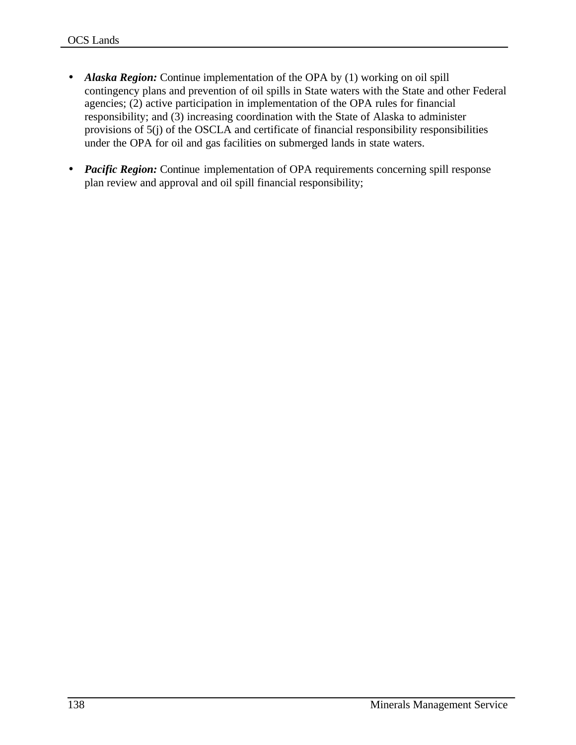- *Alaska Region:* Continue implementation of the OPA by (1) working on oil spill contingency plans and prevention of oil spills in State waters with the State and other Federal agencies; (2) active participation in implementation of the OPA rules for financial responsibility; and (3) increasing coordination with the State of Alaska to administer provisions of 5(j) of the OSCLA and certificate of financial responsibility responsibilities under the OPA for oil and gas facilities on submerged lands in state waters.
- *Pacific Region:* Continue implementation of OPA requirements concerning spill response plan review and approval and oil spill financial responsibility;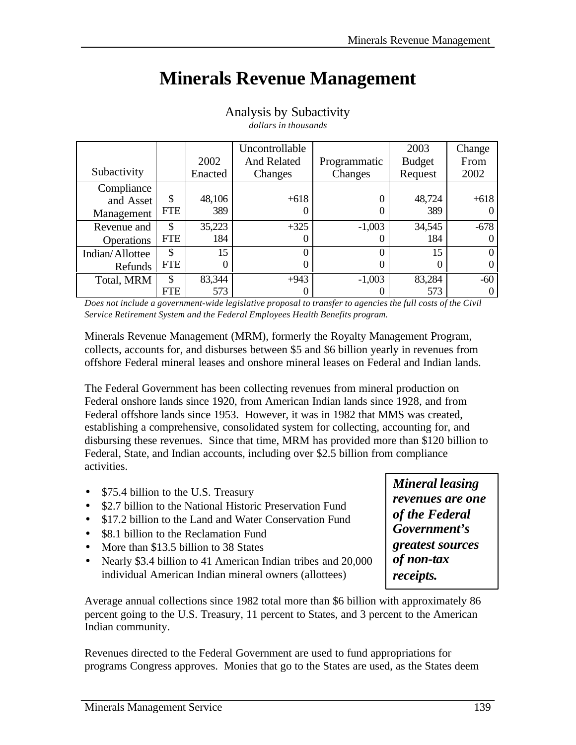# **Minerals Revenue Management**

|                   |            |         | Uncontrollable     |              | 2003          | Change |
|-------------------|------------|---------|--------------------|--------------|---------------|--------|
|                   |            | 2002    | <b>And Related</b> | Programmatic | <b>Budget</b> | From   |
| Subactivity       |            | Enacted | Changes            | Changes      | Request       | 2002   |
| Compliance        |            |         |                    |              |               |        |
| and Asset         | \$         | 48,106  | $+618$             | 0            | 48,724        | $+618$ |
| Management        | <b>FTE</b> | 389     |                    | 0            | 389           |        |
| Revenue and       | \$         | 35,223  | $+325$             | $-1,003$     | 34,545        | $-678$ |
| <b>Operations</b> | <b>FTE</b> | 184     |                    | 0            | 184           |        |
| Indian/Allottee   | \$         | 15      |                    | 0            | 15            | 0      |
| Refunds           | FTE        |         |                    | O            |               | 0      |
| Total, MRM        | \$         | 83,344  | $+943$             | $-1,003$     | 83,284        | $-60$  |
|                   | FTE        | 573     |                    |              | 573           |        |

Analysis by Subactivity *dollars in thousands*

*Does not include a government-wide legislative proposal to transfer to agencies the full costs of the Civil Service Retirement System and the Federal Employees Health Benefits program.*

Minerals Revenue Management (MRM), formerly the Royalty Management Program, collects, accounts for, and disburses between \$5 and \$6 billion yearly in revenues from offshore Federal mineral leases and onshore mineral leases on Federal and Indian lands.

The Federal Government has been collecting revenues from mineral production on Federal onshore lands since 1920, from American Indian lands since 1928, and from Federal offshore lands since 1953. However, it was in 1982 that MMS was created, establishing a comprehensive, consolidated system for collecting, accounting for, and disbursing these revenues. Since that time, MRM has provided more than \$120 billion to Federal, State, and Indian accounts, including over \$2.5 billion from compliance activities.

- \$75.4 billion to the U.S. Treasury
- \$2.7 billion to the National Historic Preservation Fund
- \$17.2 billion to the Land and Water Conservation Fund
- \$8.1 billion to the Reclamation Fund
- More than \$13.5 billion to 38 States
- Nearly \$3.4 billion to 41 American Indian tribes and 20,000 individual American Indian mineral owners (allottees)

*Mineral leasing revenues are one of the Federal Government's greatest sources of non-tax receipts.*

Average annual collections since 1982 total more than \$6 billion with approximately 86 percent going to the U.S. Treasury, 11 percent to States, and 3 percent to the American Indian community.

Revenues directed to the Federal Government are used to fund appropriations for programs Congress approves. Monies that go to the States are used, as the States deem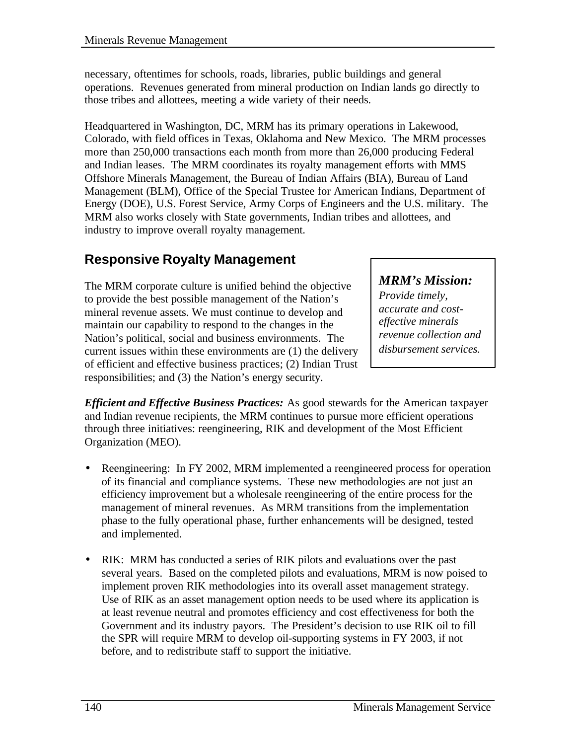necessary, oftentimes for schools, roads, libraries, public buildings and general operations. Revenues generated from mineral production on Indian lands go directly to those tribes and allottees, meeting a wide variety of their needs.

Headquartered in Washington, DC, MRM has its primary operations in Lakewood, Colorado, with field offices in Texas, Oklahoma and New Mexico. The MRM processes more than 250,000 transactions each month from more than 26,000 producing Federal and Indian leases. The MRM coordinates its royalty management efforts with MMS Offshore Minerals Management, the Bureau of Indian Affairs (BIA), Bureau of Land Management (BLM), Office of the Special Trustee for American Indians, Department of Energy (DOE), U.S. Forest Service, Army Corps of Engineers and the U.S. military. The MRM also works closely with State governments, Indian tribes and allottees, and industry to improve overall royalty management.

## **Responsive Royalty Management**

The MRM corporate culture is unified behind the objective to provide the best possible management of the Nation's mineral revenue assets. We must continue to develop and maintain our capability to respond to the changes in the Nation's political, social and business environments. The current issues within these environments are (1) the delivery of efficient and effective business practices; (2) Indian Trust responsibilities; and (3) the Nation's energy security.

## *MRM's Mission:*

*Provide timely, accurate and costeffective minerals revenue collection and disbursement services.*

*Efficient and Effective Business Practices:* As good stewards for the American taxpayer and Indian revenue recipients, the MRM continues to pursue more efficient operations through three initiatives: reengineering, RIK and development of the Most Efficient Organization (MEO).

- Reengineering: In FY 2002, MRM implemented a reengineered process for operation of its financial and compliance systems. These new methodologies are not just an efficiency improvement but a wholesale reengineering of the entire process for the management of mineral revenues. As MRM transitions from the implementation phase to the fully operational phase, further enhancements will be designed, tested and implemented.
- RIK: MRM has conducted a series of RIK pilots and evaluations over the past several years. Based on the completed pilots and evaluations, MRM is now poised to implement proven RIK methodologies into its overall asset management strategy. Use of RIK as an asset management option needs to be used where its application is at least revenue neutral and promotes efficiency and cost effectiveness for both the Government and its industry payors. The President's decision to use RIK oil to fill the SPR will require MRM to develop oil-supporting systems in FY 2003, if not before, and to redistribute staff to support the initiative.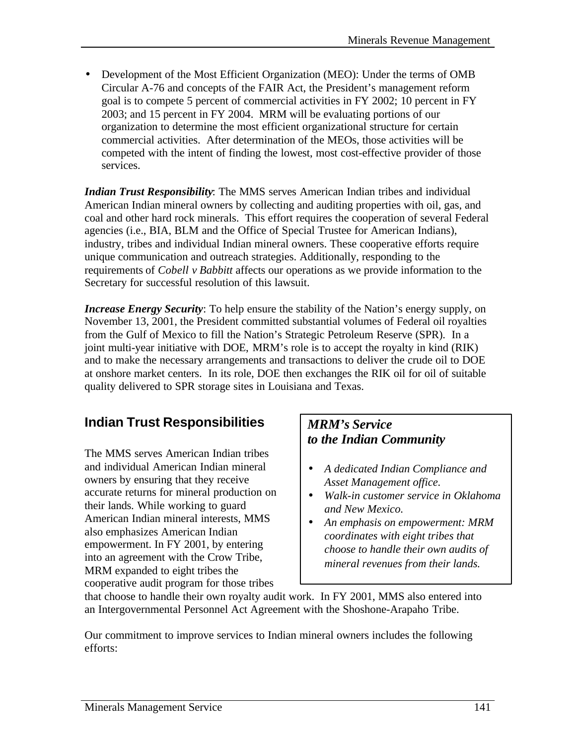• Development of the Most Efficient Organization (MEO): Under the terms of OMB Circular A-76 and concepts of the FAIR Act, the President's management reform goal is to compete 5 percent of commercial activities in FY 2002; 10 percent in FY 2003; and 15 percent in FY 2004. MRM will be evaluating portions of our organization to determine the most efficient organizational structure for certain commercial activities. After determination of the MEOs, those activities will be competed with the intent of finding the lowest, most cost-effective provider of those services.

*Indian Trust Responsibility*: The MMS serves American Indian tribes and individual American Indian mineral owners by collecting and auditing properties with oil, gas, and coal and other hard rock minerals. This effort requires the cooperation of several Federal agencies (i.e., BIA, BLM and the Office of Special Trustee for American Indians), industry, tribes and individual Indian mineral owners. These cooperative efforts require unique communication and outreach strategies. Additionally, responding to the requirements of *Cobell v Babbitt* affects our operations as we provide information to the Secretary for successful resolution of this lawsuit.

*Increase Energy Security*: To help ensure the stability of the Nation's energy supply, on November 13, 2001, the President committed substantial volumes of Federal oil royalties from the Gulf of Mexico to fill the Nation's Strategic Petroleum Reserve (SPR). In a joint multi-year initiative with DOE, MRM's role is to accept the royalty in kind (RIK) and to make the necessary arrangements and transactions to deliver the crude oil to DOE at onshore market centers. In its role, DOE then exchanges the RIK oil for oil of suitable quality delivered to SPR storage sites in Louisiana and Texas.

## **Indian Trust Responsibilities**

The MMS serves American Indian tribes and individual American Indian mineral owners by ensuring that they receive accurate returns for mineral production on their lands. While working to guard American Indian mineral interests, MMS also emphasizes American Indian empowerment. In FY 2001, by entering into an agreement with the Crow Tribe, MRM expanded to eight tribes the cooperative audit program for those tribes

## *MRM's Service to the Indian Community*

- *A dedicated Indian Compliance and Asset Management office.*
- *Walk-in customer service in Oklahoma and New Mexico.*
- *An emphasis on empowerment: MRM coordinates with eight tribes that choose to handle their own audits of mineral revenues from their lands.*

that choose to handle their own royalty audit work. In FY 2001, MMS also entered into an Intergovernmental Personnel Act Agreement with the Shoshone-Arapaho Tribe.

Our commitment to improve services to Indian mineral owners includes the following efforts: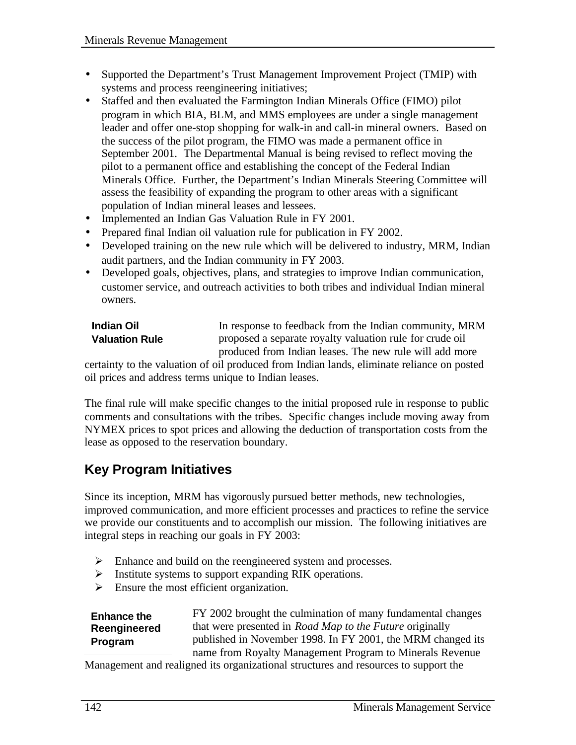- Supported the Department's Trust Management Improvement Project (TMIP) with systems and process reengineering initiatives;
- Staffed and then evaluated the Farmington Indian Minerals Office (FIMO) pilot program in which BIA, BLM, and MMS employees are under a single management leader and offer one-stop shopping for walk-in and call-in mineral owners. Based on the success of the pilot program, the FIMO was made a permanent office in September 2001. The Departmental Manual is being revised to reflect moving the pilot to a permanent office and establishing the concept of the Federal Indian Minerals Office. Further, the Department's Indian Minerals Steering Committee will assess the feasibility of expanding the program to other areas with a significant population of Indian mineral leases and lessees.
- Implemented an Indian Gas Valuation Rule in FY 2001.
- Prepared final Indian oil valuation rule for publication in FY 2002.
- Developed training on the new rule which will be delivered to industry, MRM, Indian audit partners, and the Indian community in FY 2003.
- Developed goals, objectives, plans, and strategies to improve Indian communication, customer service, and outreach activities to both tribes and individual Indian mineral owners.

| <b>Indian Oil</b>     | In response to feedback from the Indian community, MRM   |
|-----------------------|----------------------------------------------------------|
| <b>Valuation Rule</b> | proposed a separate royalty valuation rule for crude oil |
|                       | produced from Indian leases. The new rule will add more  |

certainty to the valuation of oil produced from Indian lands, eliminate reliance on posted oil prices and address terms unique to Indian leases.

The final rule will make specific changes to the initial proposed rule in response to public comments and consultations with the tribes. Specific changes include moving away from NYMEX prices to spot prices and allowing the deduction of transportation costs from the lease as opposed to the reservation boundary.

## **Key Program Initiatives**

Since its inception, MRM has vigorously pursued better methods, new technologies, improved communication, and more efficient processes and practices to refine the service we provide our constituents and to accomplish our mission. The following initiatives are integral steps in reaching our goals in FY 2003:

- $\triangleright$  Enhance and build on the reengineered system and processes.
- $\triangleright$  Institute systems to support expanding RIK operations.
- $\triangleright$  Ensure the most efficient organization.

**Enhance the Reengineered Program**

FY 2002 brought the culmination of many fundamental changes that were presented in *Road Map to the Future* originally published in November 1998. In FY 2001, the MRM changed its name from Royalty Management Program to Minerals Revenue

Management and realigned its organizational structures and resources to support the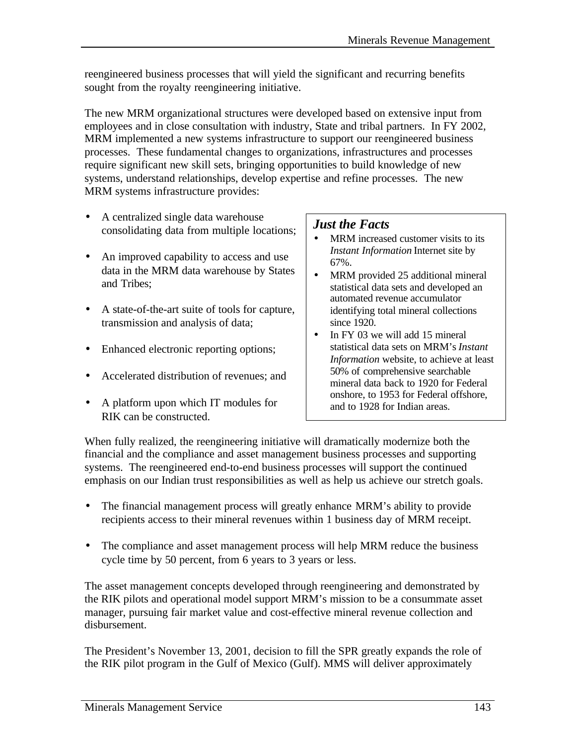reengineered business processes that will yield the significant and recurring benefits sought from the royalty reengineering initiative.

The new MRM organizational structures were developed based on extensive input from employees and in close consultation with industry, State and tribal partners. In FY 2002, MRM implemented a new systems infrastructure to support our reengineered business processes. These fundamental changes to organizations, infrastructures and processes require significant new skill sets, bringing opportunities to build knowledge of new systems, understand relationships, develop expertise and refine processes. The new MRM systems infrastructure provides:

- A centralized single data warehouse consolidating data from multiple locations;
- An improved capability to access and use data in the MRM data warehouse by States and Tribes;
- A state-of-the-art suite of tools for capture, transmission and analysis of data;
- Enhanced electronic reporting options;
- Accelerated distribution of revenues: and
- A platform upon which IT modules for RIK can be constructed.

## *Just the Facts*

- MRM increased customer visits to its *Instant Information* Internet site by 67%.
- MRM provided 25 additional mineral statistical data sets and developed an automated revenue accumulator identifying total mineral collections since 1920.
- In FY 03 we will add 15 mineral statistical data sets on MRM's*Instant Information* website, to achieve at least 50% of comprehensive searchable mineral data back to 1920 for Federal onshore, to 1953 for Federal offshore, and to 1928 for Indian areas.

When fully realized, the reengineering initiative will dramatically modernize both the financial and the compliance and asset management business processes and supporting systems. The reengineered end-to-end business processes will support the continued emphasis on our Indian trust responsibilities as well as help us achieve our stretch goals.

- The financial management process will greatly enhance MRM's ability to provide recipients access to their mineral revenues within 1 business day of MRM receipt.
- The compliance and asset management process will help MRM reduce the business cycle time by 50 percent, from 6 years to 3 years or less.

The asset management concepts developed through reengineering and demonstrated by the RIK pilots and operational model support MRM's mission to be a consummate asset manager, pursuing fair market value and cost-effective mineral revenue collection and disbursement.

The President's November 13, 2001, decision to fill the SPR greatly expands the role of the RIK pilot program in the Gulf of Mexico (Gulf). MMS will deliver approximately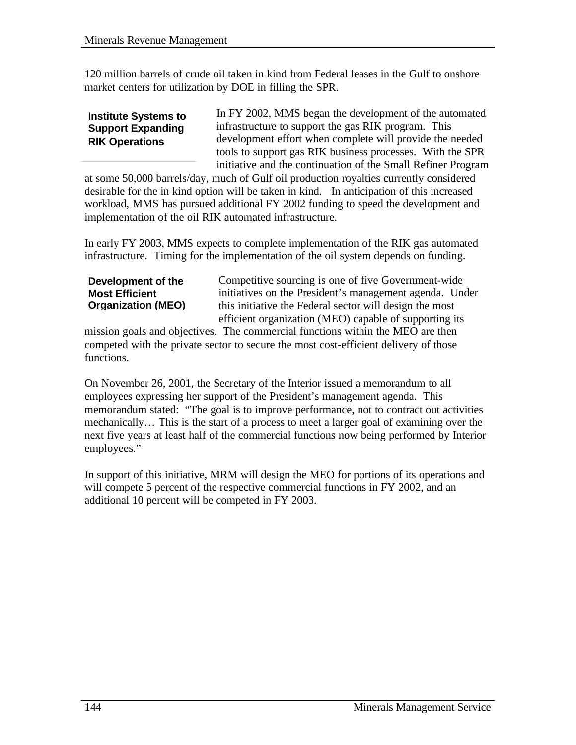120 million barrels of crude oil taken in kind from Federal leases in the Gulf to onshore market centers for utilization by DOE in filling the SPR.

#### **Institute Systems to Support Expanding RIK Operations**

In FY 2002, MMS began the development of the automated infrastructure to support the gas RIK program. This development effort when complete will provide the needed tools to support gas RIK business processes. With the SPR initiative and the continuation of the Small Refiner Program

at some 50,000 barrels/day, much of Gulf oil production royalties currently considered desirable for the in kind option will be taken in kind. In anticipation of this increased workload, MMS has pursued additional FY 2002 funding to speed the development and implementation of the oil RIK automated infrastructure.

In early FY 2003, MMS expects to complete implementation of the RIK gas automated infrastructure. Timing for the implementation of the oil system depends on funding.

**Development of the Most Efficient Organization (MEO)** Competitive sourcing is one of five Government-wide initiatives on the President's management agenda. Under this initiative the Federal sector will design the most efficient organization (MEO) capable of supporting its

mission goals and objectives. The commercial functions within the MEO are then competed with the private sector to secure the most cost-efficient delivery of those functions.

On November 26, 2001, the Secretary of the Interior issued a memorandum to all employees expressing her support of the President's management agenda. This memorandum stated: "The goal is to improve performance, not to contract out activities mechanically… This is the start of a process to meet a larger goal of examining over the next five years at least half of the commercial functions now being performed by Interior employees."

In support of this initiative, MRM will design the MEO for portions of its operations and will compete 5 percent of the respective commercial functions in FY 2002, and an additional 10 percent will be competed in FY 2003.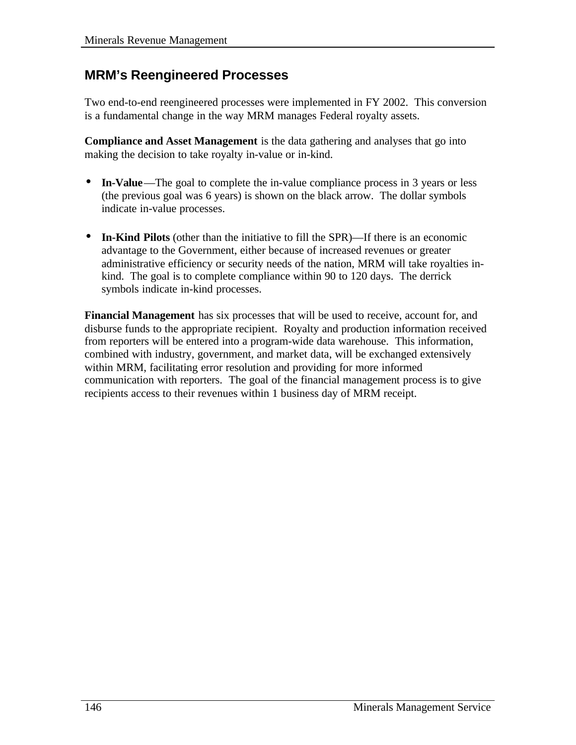## **MRM's Reengineered Processes**

Two end-to-end reengineered processes were implemented in FY 2002. This conversion is a fundamental change in the way MRM manages Federal royalty assets.

**Compliance and Asset Management** is the data gathering and analyses that go into making the decision to take royalty in-value or in-kind.

- **In-Value**—The goal to complete the in-value compliance process in 3 years or less (the previous goal was 6 years) is shown on the black arrow. The dollar symbols indicate in-value processes.
- **In-Kind Pilots** (other than the initiative to fill the SPR)—If there is an economic advantage to the Government, either because of increased revenues or greater administrative efficiency or security needs of the nation, MRM will take royalties inkind. The goal is to complete compliance within 90 to 120 days. The derrick symbols indicate in-kind processes.

**Financial Management** has six processes that will be used to receive, account for, and disburse funds to the appropriate recipient. Royalty and production information received from reporters will be entered into a program-wide data warehouse. This information, combined with industry, government, and market data, will be exchanged extensively within MRM, facilitating error resolution and providing for more informed communication with reporters. The goal of the financial management process is to give recipients access to their revenues within 1 business day of MRM receipt.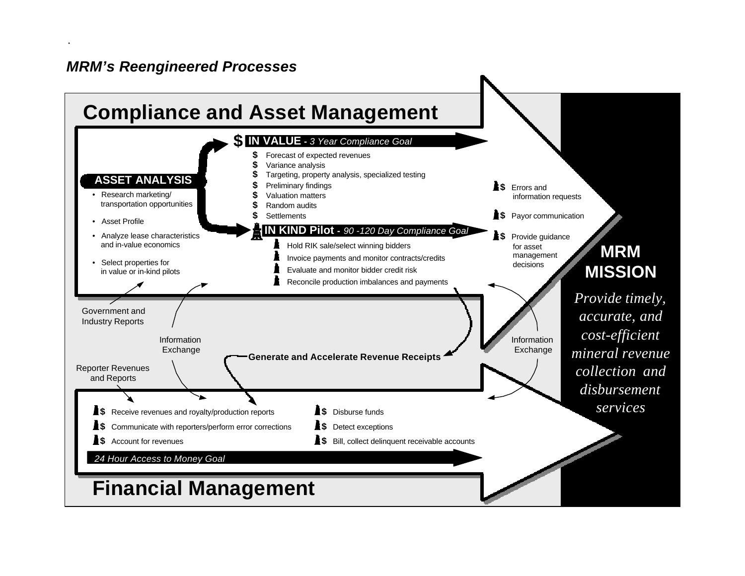## *MRM's Reengineered Processes*

.

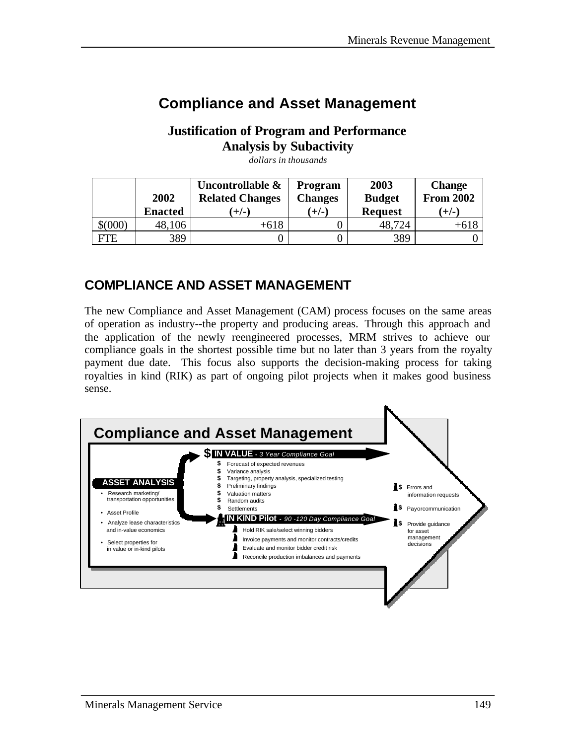# **Compliance and Asset Management**

## **Justification of Program and Performance Analysis by Subactivity**

|             | 2002           | Uncontrollable &<br><b>Related Changes</b> | <b>Program</b><br><b>Changes</b> | 2003<br><b>Budget</b> | <b>Change</b><br><b>From 2002</b> |
|-------------|----------------|--------------------------------------------|----------------------------------|-----------------------|-----------------------------------|
|             | <b>Enacted</b> | $(+/-)$                                    | $(+/-)$                          | <b>Request</b>        | $(+/-)$                           |
| $$^{(000)}$ | 48,106         | +618                                       |                                  | 48,724                | $+618$                            |
| <b>FTE</b>  | 389            |                                            |                                  | 389                   |                                   |

*dollars in thousands*

## **COMPLIANCE AND ASSET MANAGEMENT**

The new Compliance and Asset Management (CAM) process focuses on the same areas of operation as industry--the property and producing areas. Through this approach and the application of the newly reengineered processes, MRM strives to achieve our compliance goals in the shortest possible time but no later than 3 years from the royalty payment due date. This focus also supports the decision-making process for taking royalties in kind (RIK) as part of ongoing pilot projects when it makes good business sense.

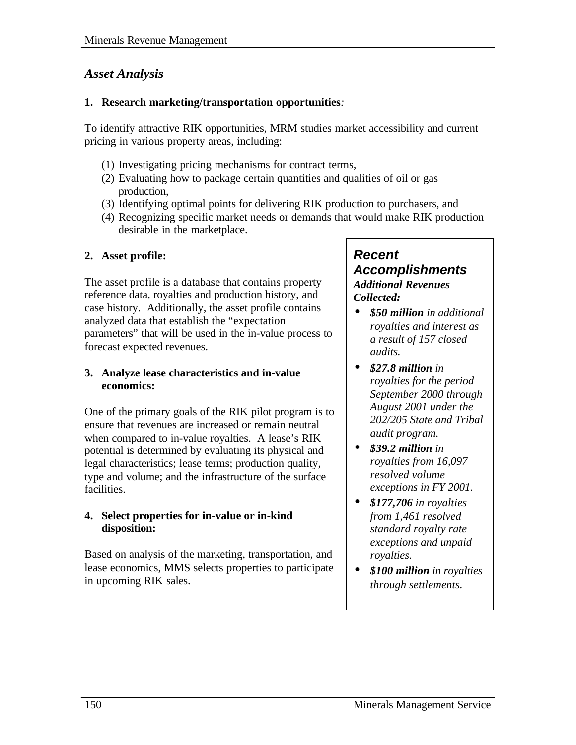## *Asset Analysis*

#### **1. Research marketing/transportation opportunities***:*

To identify attractive RIK opportunities, MRM studies market accessibility and current pricing in various property areas, including:

- (1) Investigating pricing mechanisms for contract terms,
- (2) Evaluating how to package certain quantities and qualities of oil or gas production,
- (3) Identifying optimal points for delivering RIK production to purchasers, and
- (4) Recognizing specific market needs or demands that would make RIK production desirable in the marketplace.

### **2. Asset profile:**

The asset profile is a database that contains property reference data, royalties and production history, and case history. Additionally, the asset profile contains analyzed data that establish the "expectation parameters" that will be used in the in-value process to forecast expected revenues.

#### **3. Analyze lease characteristics and in-value economics:**

One of the primary goals of the RIK pilot program is to ensure that revenues are increased or remain neutral when compared to in-value royalties. A lease's RIK potential is determined by evaluating its physical and legal characteristics; lease terms; production quality, type and volume; and the infrastructure of the surface facilities.

#### **4. Select properties for in-value or in-kind disposition:**

Based on analysis of the marketing, transportation, and lease economics, MMS selects properties to participate in upcoming RIK sales.

#### *Recent Accomplishments Additional Revenues Collected:*

- *\$50 million in additional royalties and interest as a result of 157 closed audits.*
- *\$27.8 million in royalties for the period September 2000 through August 2001 under the 202/205 State and Tribal audit program.*
- *\$39.2 million in royalties from 16,097 resolved volume exceptions in FY 2001.*
- *\$177,706 in royalties from 1,461 resolved standard royalty rate exceptions and unpaid royalties.*
- *\$100 million in royalties through settlements.*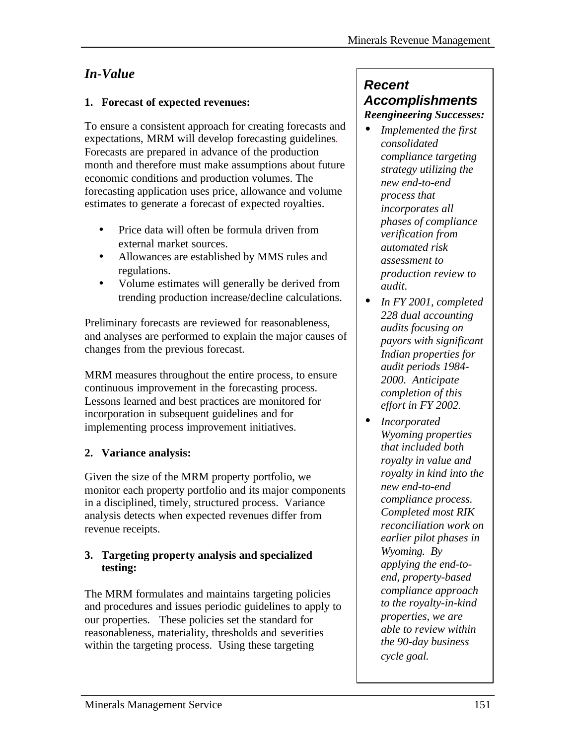## *In-Value*

### **1. Forecast of expected revenues:**

To ensure a consistent approach for creating forecasts and expectations, MRM will develop forecasting guidelines. Forecasts are prepared in advance of the production month and therefore must make assumptions about future economic conditions and production volumes. The forecasting application uses price, allowance and volume estimates to generate a forecast of expected royalties.

- Price data will often be formula driven from external market sources.
- Allowances are established by MMS rules and regulations.
- Volume estimates will generally be derived from trending production increase/decline calculations.

Preliminary forecasts are reviewed for reasonableness, and analyses are performed to explain the major causes of changes from the previous forecast.

MRM measures throughout the entire process, to ensure continuous improvement in the forecasting process. Lessons learned and best practices are monitored for incorporation in subsequent guidelines and for implementing process improvement initiatives.

### **2. Variance analysis:**

Given the size of the MRM property portfolio, we monitor each property portfolio and its major components in a disciplined, timely, structured process. Variance analysis detects when expected revenues differ from revenue receipts.

#### **3. Targeting property analysis and specialized testing:**

The MRM formulates and maintains targeting policies and procedures and issues periodic guidelines to apply to our properties. These policies set the standard for reasonableness, materiality, thresholds and severities within the targeting process. Using these targeting

## *Recent Accomplishments Reengineering Successes:*

- *Implemented the first consolidated compliance targeting strategy utilizing the new end-to-end process that incorporates all phases of compliance verification from automated risk assessment to production review to audit.*
- *In FY 2001, completed 228 dual accounting audits focusing on payors with significant Indian properties for audit periods 1984- 2000. Anticipate completion of this effort in FY 2002.*
- *Incorporated Wyoming properties that included both royalty in value and royalty in kind into the new end-to-end compliance process. Completed most RIK reconciliation work on earlier pilot phases in Wyoming. By applying the end-toend, property-based compliance approach to the royalty-in-kind properties, we are able to review within the 90-day business cycle goal.*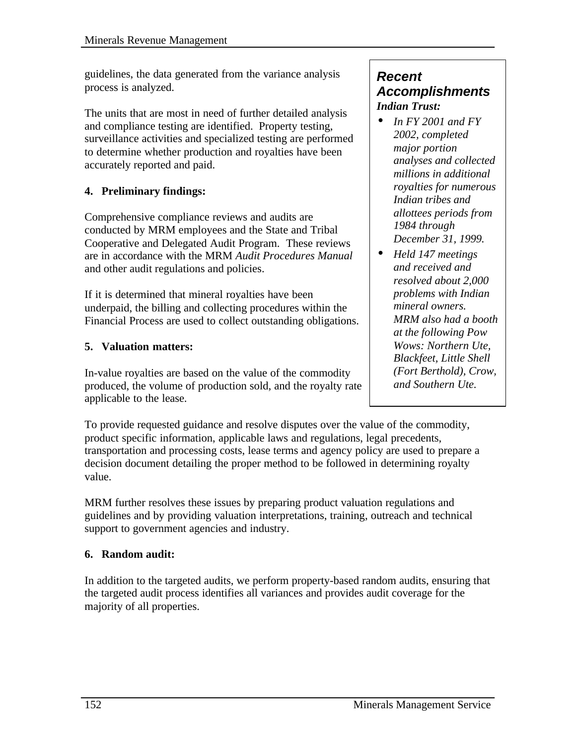guidelines, the data generated from the variance analysis process is analyzed.

The units that are most in need of further detailed analysis and compliance testing are identified. Property testing, surveillance activities and specialized testing are performed to determine whether production and royalties have been accurately reported and paid.

## **4. Preliminary findings:**

Comprehensive compliance reviews and audits are conducted by MRM employees and the State and Tribal Cooperative and Delegated Audit Program. These reviews are in accordance with the MRM *Audit Procedures Manual* and other audit regulations and policies.

If it is determined that mineral royalties have been underpaid, the billing and collecting procedures within the Financial Process are used to collect outstanding obligations.

### **5. Valuation matters:**

In-value royalties are based on the value of the commodity produced, the volume of production sold, and the royalty rate applicable to the lease.

To provide requested guidance and resolve disputes over the value of the commodity, product specific information, applicable laws and regulations, legal precedents, transportation and processing costs, lease terms and agency policy are used to prepare a decision document detailing the proper method to be followed in determining royalty value.

MRM further resolves these issues by preparing product valuation regulations and guidelines and by providing valuation interpretations, training, outreach and technical support to government agencies and industry.

### **6. Random audit:**

In addition to the targeted audits, we perform property-based random audits, ensuring that the targeted audit process identifies all variances and provides audit coverage for the majority of all properties.

### *Recent Accomplishments Indian Trust:*

- *In FY 2001 and FY 2002, completed major portion analyses and collected millions in additional royalties for numerous Indian tribes and allottees periods from 1984 through December 31, 1999.*
- *Held 147 meetings and received and resolved about 2,000 problems with Indian mineral owners. MRM also had a booth at the following Pow Wows: Northern Ute, Blackfeet, Little Shell (Fort Berthold), Crow, and Southern Ute.*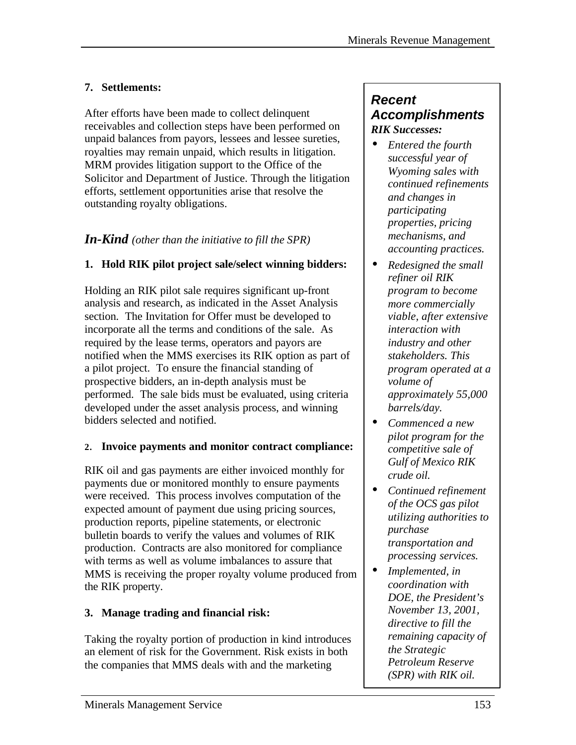### **7. Settlements:**

After efforts have been made to collect delinquent receivables and collection steps have been performed on unpaid balances from payors, lessees and lessee sureties, royalties may remain unpaid, which results in litigation. MRM provides litigation support to the Office of the Solicitor and Department of Justice. Through the litigation efforts, settlement opportunities arise that resolve the outstanding royalty obligations.

### *In-Kind (other than the initiative to fill the SPR)*

### **1. Hold RIK pilot project sale/select winning bidders:**

Holding an RIK pilot sale requires significant up-front analysis and research, as indicated in the Asset Analysis section. The Invitation for Offer must be developed to incorporate all the terms and conditions of the sale. As required by the lease terms, operators and payors are notified when the MMS exercises its RIK option as part of a pilot project. To ensure the financial standing of prospective bidders, an in-depth analysis must be performed. The sale bids must be evaluated, using criteria developed under the asset analysis process, and winning bidders selected and notified.

### **2. Invoice payments and monitor contract compliance:**

RIK oil and gas payments are either invoiced monthly for payments due or monitored monthly to ensure payments were received. This process involves computation of the expected amount of payment due using pricing sources, production reports, pipeline statements, or electronic bulletin boards to verify the values and volumes of RIK production. Contracts are also monitored for compliance with terms as well as volume imbalances to assure that MMS is receiving the proper royalty volume produced from the RIK property.

### **3. Manage trading and financial risk:**

Taking the royalty portion of production in kind introduces an element of risk for the Government. Risk exists in both the companies that MMS deals with and the marketing

### *Recent Accomplishments RIK Successes:*

- *Entered the fourth successful year of Wyoming sales with continued refinements and changes in participating properties, pricing mechanisms, and accounting practices.*
- *Redesigned the small refiner oil RIK program to become more commercially viable, after extensive interaction with industry and other stakeholders. This program operated at a volume of approximately 55,000 barrels/day.*
- *Commenced a new pilot program for the competitive sale of Gulf of Mexico RIK crude oil.*
- *Continued refinement of the OCS gas pilot utilizing authorities to purchase transportation and processing services.*
- *Implemented, in coordination with DOE, the President's November 13, 2001, directive to fill the remaining capacity of the Strategic Petroleum Reserve (SPR) with RIK oil.*

*.*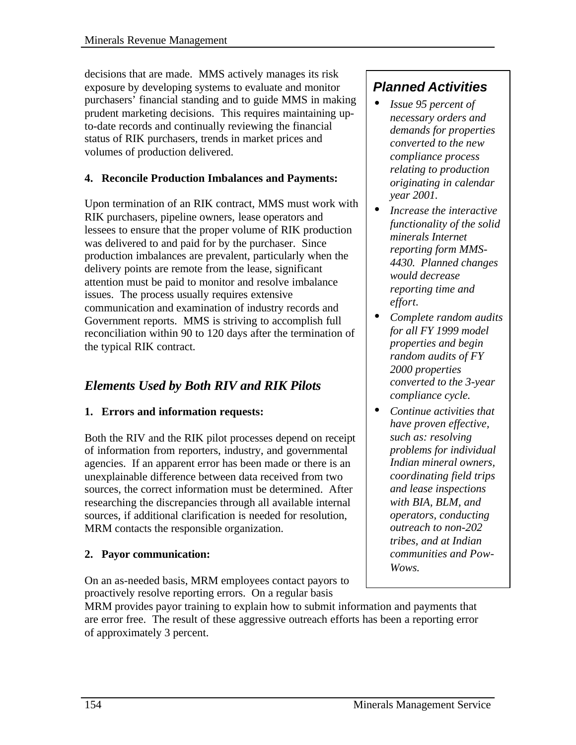decisions that are made. MMS actively manages its risk exposure by developing systems to evaluate and monitor purchasers' financial standing and to guide MMS in making prudent marketing decisions. This requires maintaining upto-date records and continually reviewing the financial status of RIK purchasers, trends in market prices and volumes of production delivered.

### **4. Reconcile Production Imbalances and Payments:**

Upon termination of an RIK contract, MMS must work with RIK purchasers, pipeline owners, lease operators and lessees to ensure that the proper volume of RIK production was delivered to and paid for by the purchaser. Since production imbalances are prevalent, particularly when the delivery points are remote from the lease, significant attention must be paid to monitor and resolve imbalance issues. The process usually requires extensive communication and examination of industry records and Government reports. MMS is striving to accomplish full reconciliation within 90 to 120 days after the termination of the typical RIK contract.

## *Elements Used by Both RIV and RIK Pilots*

### **1. Errors and information requests:**

Both the RIV and the RIK pilot processes depend on receipt of information from reporters, industry, and governmental agencies. If an apparent error has been made or there is an unexplainable difference between data received from two sources, the correct information must be determined. After researching the discrepancies through all available internal sources, if additional clarification is needed for resolution, MRM contacts the responsible organization.

### **2. Payor communication:**

On an as-needed basis, MRM employees contact payors to proactively resolve reporting errors. On a regular basis

#### MRM provides payor training to explain how to submit information and payments that are error free. The result of these aggressive outreach efforts has been a reporting error of approximately 3 percent.

## *Planned Activities*

- *Issue 95 percent of necessary orders and demands for properties converted to the new compliance process relating to production originating in calendar year 2001.*
- *Increase the interactive functionality of the solid minerals Internet reporting form MMS-4430. Planned changes would decrease reporting time and effort.*
- *Complete random audits for all FY 1999 model properties and begin random audits of FY 2000 properties converted to the 3-year compliance cycle.*
- *Continue activities that have proven effective, such as: resolving problems for individual Indian mineral owners, coordinating field trips and lease inspections with BIA, BLM, and operators, conducting outreach to non-202 tribes, and at Indian communities and Pow-Wows.*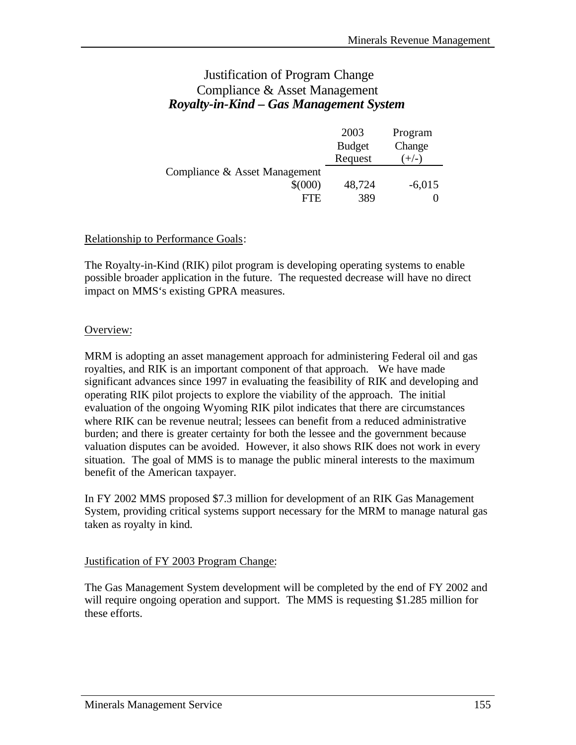### Justification of Program Change Compliance & Asset Management *Royalty-in-Kind – Gas Management System*

|                               | 2003          | Program  |
|-------------------------------|---------------|----------|
|                               | <b>Budget</b> | Change   |
|                               | Request       | $(+/-)$  |
| Compliance & Asset Management |               |          |
| $$^{(000)}$                   | 48,724        | $-6,015$ |
| FTE.                          | 389           |          |

#### Relationship to Performance Goals:

The Royalty-in-Kind (RIK) pilot program is developing operating systems to enable possible broader application in the future. The requested decrease will have no direct impact on MMS's existing GPRA measures.

#### Overview:

MRM is adopting an asset management approach for administering Federal oil and gas royalties, and RIK is an important component of that approach. We have made significant advances since 1997 in evaluating the feasibility of RIK and developing and operating RIK pilot projects to explore the viability of the approach. The initial evaluation of the ongoing Wyoming RIK pilot indicates that there are circumstances where RIK can be revenue neutral; lessees can benefit from a reduced administrative burden; and there is greater certainty for both the lessee and the government because valuation disputes can be avoided. However, it also shows RIK does not work in every situation. The goal of MMS is to manage the public mineral interests to the maximum benefit of the American taxpayer.

In FY 2002 MMS proposed \$7.3 million for development of an RIK Gas Management System, providing critical systems support necessary for the MRM to manage natural gas taken as royalty in kind.

#### Justification of FY 2003 Program Change:

The Gas Management System development will be completed by the end of FY 2002 and will require ongoing operation and support. The MMS is requesting \$1.285 million for these efforts.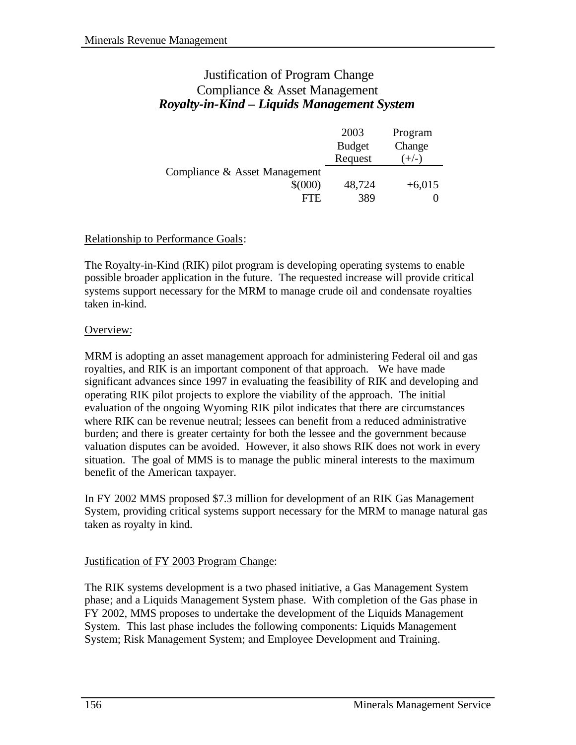### Justification of Program Change Compliance & Asset Management *Royalty-in-Kind – Liquids Management System*

|                               | 2003          | Program  |
|-------------------------------|---------------|----------|
|                               | <b>Budget</b> | Change   |
|                               | Request       | $(+/-)$  |
| Compliance & Asset Management |               |          |
| $$^{(000)}$                   | 48,724        | $+6,015$ |
| FTE.                          | 389           |          |

#### Relationship to Performance Goals:

The Royalty-in-Kind (RIK) pilot program is developing operating systems to enable possible broader application in the future. The requested increase will provide critical systems support necessary for the MRM to manage crude oil and condensate royalties taken in-kind.

#### Overview:

MRM is adopting an asset management approach for administering Federal oil and gas royalties, and RIK is an important component of that approach. We have made significant advances since 1997 in evaluating the feasibility of RIK and developing and operating RIK pilot projects to explore the viability of the approach. The initial evaluation of the ongoing Wyoming RIK pilot indicates that there are circumstances where RIK can be revenue neutral; lessees can benefit from a reduced administrative burden; and there is greater certainty for both the lessee and the government because valuation disputes can be avoided. However, it also shows RIK does not work in every situation. The goal of MMS is to manage the public mineral interests to the maximum benefit of the American taxpayer.

In FY 2002 MMS proposed \$7.3 million for development of an RIK Gas Management System, providing critical systems support necessary for the MRM to manage natural gas taken as royalty in kind.

#### Justification of FY 2003 Program Change:

The RIK systems development is a two phased initiative, a Gas Management System phase; and a Liquids Management System phase. With completion of the Gas phase in FY 2002, MMS proposes to undertake the development of the Liquids Management System. This last phase includes the following components: Liquids Management System; Risk Management System; and Employee Development and Training.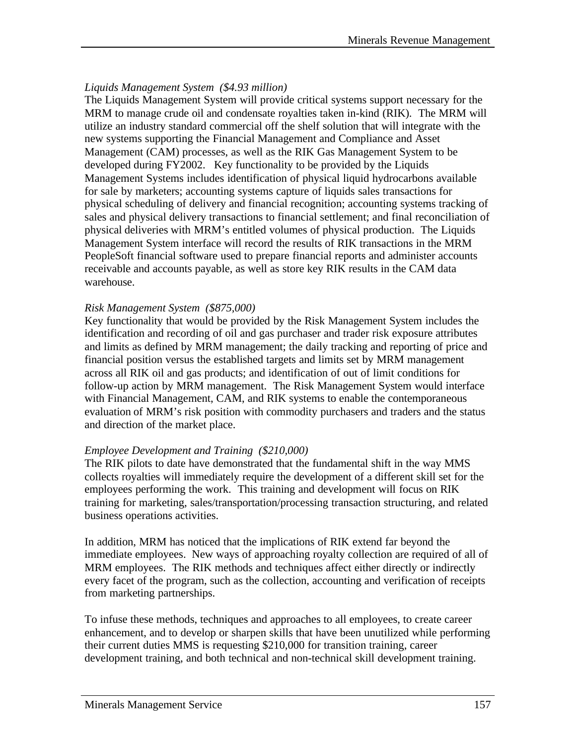#### *Liquids Management System (\$4.93 million)*

The Liquids Management System will provide critical systems support necessary for the MRM to manage crude oil and condensate royalties taken in-kind (RIK). The MRM will utilize an industry standard commercial off the shelf solution that will integrate with the new systems supporting the Financial Management and Compliance and Asset Management (CAM) processes, as well as the RIK Gas Management System to be developed during FY2002. Key functionality to be provided by the Liquids Management Systems includes identification of physical liquid hydrocarbons available for sale by marketers; accounting systems capture of liquids sales transactions for physical scheduling of delivery and financial recognition; accounting systems tracking of sales and physical delivery transactions to financial settlement; and final reconciliation of physical deliveries with MRM's entitled volumes of physical production. The Liquids Management System interface will record the results of RIK transactions in the MRM PeopleSoft financial software used to prepare financial reports and administer accounts receivable and accounts payable, as well as store key RIK results in the CAM data warehouse.

#### *Risk Management System (\$875,000)*

Key functionality that would be provided by the Risk Management System includes the identification and recording of oil and gas purchaser and trader risk exposure attributes and limits as defined by MRM management; the daily tracking and reporting of price and financial position versus the established targets and limits set by MRM management across all RIK oil and gas products; and identification of out of limit conditions for follow-up action by MRM management. The Risk Management System would interface with Financial Management, CAM, and RIK systems to enable the contemporaneous evaluation of MRM's risk position with commodity purchasers and traders and the status and direction of the market place.

#### *Employee Development and Training (\$210,000)*

The RIK pilots to date have demonstrated that the fundamental shift in the way MMS collects royalties will immediately require the development of a different skill set for the employees performing the work. This training and development will focus on RIK training for marketing, sales/transportation/processing transaction structuring, and related business operations activities.

In addition, MRM has noticed that the implications of RIK extend far beyond the immediate employees. New ways of approaching royalty collection are required of all of MRM employees. The RIK methods and techniques affect either directly or indirectly every facet of the program, such as the collection, accounting and verification of receipts from marketing partnerships.

To infuse these methods, techniques and approaches to all employees, to create career enhancement, and to develop or sharpen skills that have been unutilized while performing their current duties MMS is requesting \$210,000 for transition training, career development training, and both technical and non-technical skill development training.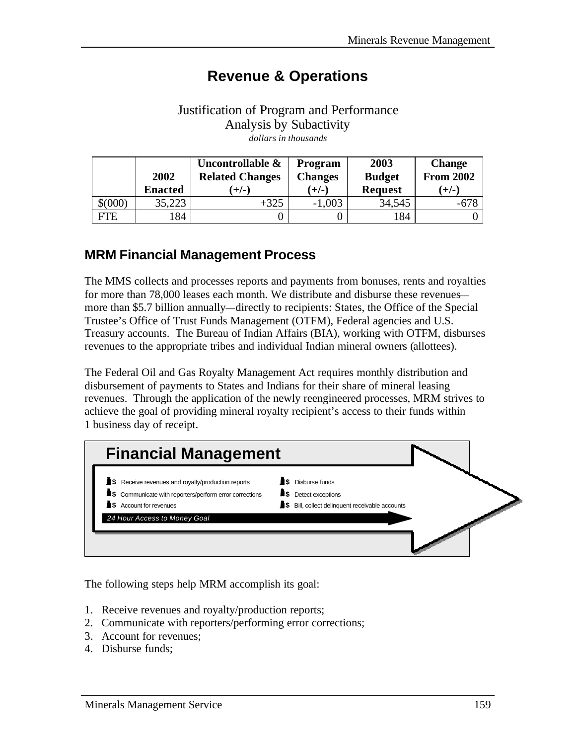# **Revenue & Operations**

### Justification of Program and Performance Analysis by Subactivity *dollars in thousands*

|             |                | Uncontrollable &       | <b>Program</b> | 2003           | <b>Change</b>    |
|-------------|----------------|------------------------|----------------|----------------|------------------|
|             | 2002           | <b>Related Changes</b> | <b>Changes</b> | <b>Budget</b>  | <b>From 2002</b> |
|             | <b>Enacted</b> | $(+/-)$                | $(+/-)$        | <b>Request</b> | $(+/-)$          |
| $$^{(000)}$ | 35,223         | $+325$                 | $-1,003$       | 34,545         | $-678$           |
| FTE         | 184            |                        |                | 184            |                  |

## **MRM Financial Management Process**

The MMS collects and processes reports and payments from bonuses, rents and royalties for more than 78,000 leases each month. We distribute and disburse these revenues more than \$5.7 billion annually—directly to recipients: States, the Office of the Special Trustee's Office of Trust Funds Management (OTFM), Federal agencies and U.S. Treasury accounts. The Bureau of Indian Affairs (BIA), working with OTFM, disburses revenues to the appropriate tribes and individual Indian mineral owners (allottees).

The Federal Oil and Gas Royalty Management Act requires monthly distribution and disbursement of payments to States and Indians for their share of mineral leasing revenues. Through the application of the newly reengineered processes, MRM strives to achieve the goal of providing mineral royalty recipient's access to their funds within 1 business day of receipt.



The following steps help MRM accomplish its goal:

- 1. Receive revenues and royalty/production reports;
- 2. Communicate with reporters/performing error corrections;
- 3. Account for revenues;
- 4. Disburse funds;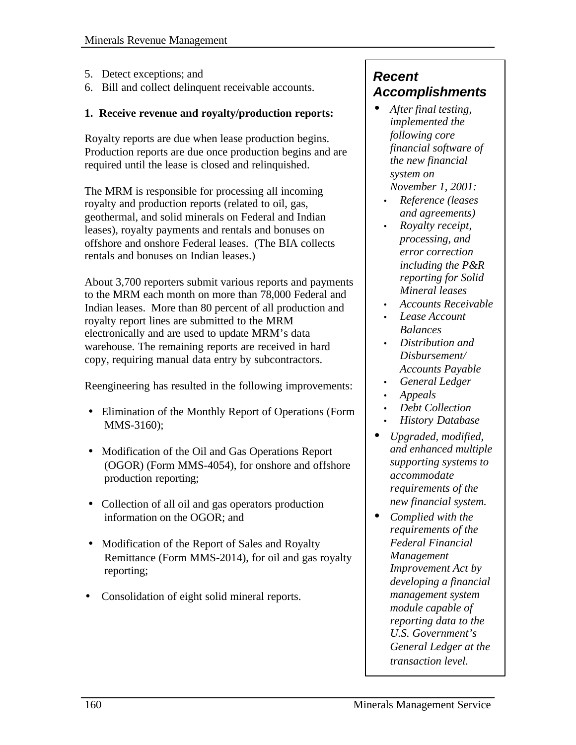- 5. Detect exceptions; and
- 6. Bill and collect delinquent receivable accounts.

#### **1. Receive revenue and royalty/production reports:**

Royalty reports are due when lease production begins. Production reports are due once production begins and are required until the lease is closed and relinquished.

The MRM is responsible for processing all incoming royalty and production reports (related to oil, gas, geothermal, and solid minerals on Federal and Indian leases), royalty payments and rentals and bonuses on offshore and onshore Federal leases. (The BIA collects rentals and bonuses on Indian leases.)

About 3,700 reporters submit various reports and payments to the MRM each month on more than 78,000 Federal and Indian leases. More than 80 percent of all production and royalty report lines are submitted to the MRM electronically and are used to update MRM's data warehouse. The remaining reports are received in hard copy, requiring manual data entry by subcontractors.

Reengineering has resulted in the following improvements:

- Elimination of the Monthly Report of Operations (Form MMS-3160);
- Modification of the Oil and Gas Operations Report (OGOR) (Form MMS-4054), for onshore and offshore production reporting;
- Collection of all oil and gas operators production information on the OGOR; and
- Modification of the Report of Sales and Royalty Remittance (Form MMS-2014), for oil and gas royalty reporting;
- Consolidation of eight solid mineral reports.

## *Recent Accomplishments*

- *After final testing, implemented the following core financial software of the new financial system on November 1, 2001:*
	- *Reference (leases and agreements)*
	- *Royalty receipt, processing, and error correction including the P&R reporting for Solid Mineral leases*
	- *Accounts Receivable*
	- *Lease Account Balances*
	- *Distribution and Disbursement/ Accounts Payable*
	- *General Ledger*
	- *Appeals*
	- *Debt Collection*
	- *History Database*
- *Upgraded, modified, and enhanced multiple supporting systems to accommodate requirements of the new financial system.*
- *Complied with the requirements of the Federal Financial Management Improvement Act by developing a financial management system module capable of reporting data to the U.S. Government's General Ledger at the transaction level.*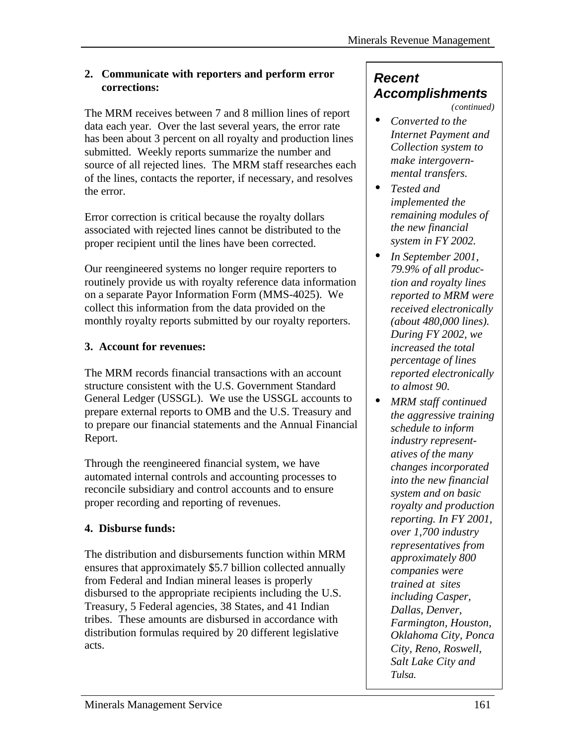#### **2. Communicate with reporters and perform error corrections:**

The MRM receives between 7 and 8 million lines of report data each year. Over the last several years, the error rate has been about 3 percent on all royalty and production lines submitted. Weekly reports summarize the number and source of all rejected lines. The MRM staff researches each of the lines, contacts the reporter, if necessary, and resolves the error.

Error correction is critical because the royalty dollars associated with rejected lines cannot be distributed to the proper recipient until the lines have been corrected.

Our reengineered systems no longer require reporters to routinely provide us with royalty reference data information on a separate Payor Information Form (MMS-4025). We collect this information from the data provided on the monthly royalty reports submitted by our royalty reporters.

## **3. Account for revenues:**

The MRM records financial transactions with an account structure consistent with the U.S. Government Standard General Ledger (USSGL). We use the USSGL accounts to prepare external reports to OMB and the U.S. Treasury and to prepare our financial statements and the Annual Financial Report.

Through the reengineered financial system, we have automated internal controls and accounting processes to reconcile subsidiary and control accounts and to ensure proper recording and reporting of revenues.

## **4. Disburse funds:**

The distribution and disbursements function within MRM ensures that approximately \$5.7 billion collected annually from Federal and Indian mineral leases is properly disbursed to the appropriate recipients including the U.S. Treasury, 5 Federal agencies, 38 States, and 41 Indian tribes. These amounts are disbursed in accordance with distribution formulas required by 20 different legislative acts.

## *Recent Accomplishments*

*(continued)*

- *Converted to the Internet Payment and Collection system to make intergovernmental transfers.*
- *Tested and implemented the remaining modules of the new financial system in FY 2002.*
- *In September 2001, 79.9% of all production and royalty lines reported to MRM were received electronically (about 480,000 lines). During FY 2002, we increased the total percentage of lines reported electronically to almost 90.*
- *MRM staff continued the aggressive training schedule to inform industry representatives of the many changes incorporated into the new financial system and on basic royalty and production reporting. In FY 2001, over 1,700 industry representatives from approximately 800 companies were trained at sites including Casper, Dallas, Denver, Farmington, Houston, Oklahoma City, Ponca City, Reno, Roswell, Salt Lake City and Tulsa.*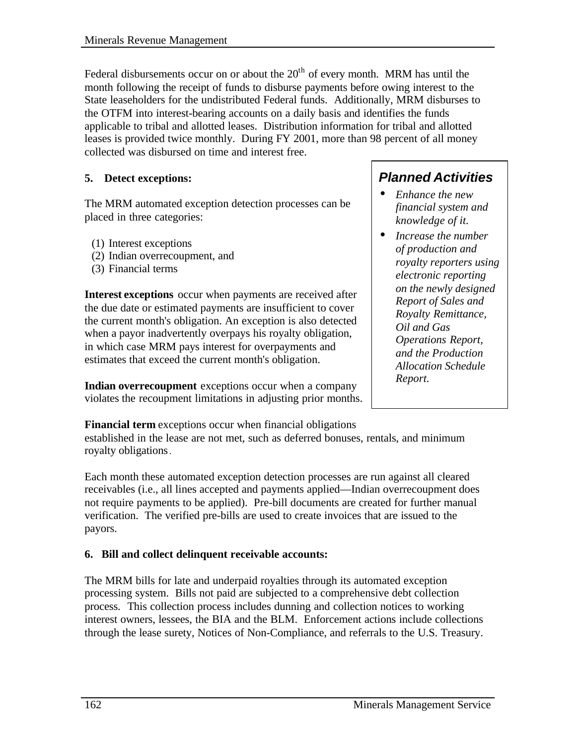Federal disbursements occur on or about the  $20<sup>th</sup>$  of every month. MRM has until the month following the receipt of funds to disburse payments before owing interest to the State leaseholders for the undistributed Federal funds. Additionally, MRM disburses to the OTFM into interest-bearing accounts on a daily basis and identifies the funds applicable to tribal and allotted leases. Distribution information for tribal and allotted leases is provided twice monthly. During FY 2001, more than 98 percent of all money collected was disbursed on time and interest free.

#### **5. Detect exceptions:**

The MRM automated exception detection processes can be placed in three categories:

- (1) Interest exceptions
- (2) Indian overrecoupment, and
- (3) Financial terms

**Interest exceptions** occur when payments are received after the due date or estimated payments are insufficient to cover the current month's obligation. An exception is also detected when a payor inadvertently overpays his royalty obligation, in which case MRM pays interest for overpayments and estimates that exceed the current month's obligation.

**Indian overrecoupment** exceptions occur when a company violates the recoupment limitations in adjusting prior months.

## *Planned Activities*

- *Enhance the new financial system and knowledge of it.*
- *Increase the number of production and royalty reporters using electronic reporting on the newly designed Report of Sales and Royalty Remittance, Oil and Gas Operations Report, and the Production Allocation Schedule Report.*

**Financial term** exceptions occur when financial obligations established in the lease are not met, such as deferred bonuses, rentals, and minimum royalty obligations.

Each month these automated exception detection processes are run against all cleared receivables (i.e., all lines accepted and payments applied—Indian overrecoupment does not require payments to be applied). Pre-bill documents are created for further manual verification. The verified pre-bills are used to create invoices that are issued to the payors.

#### **6. Bill and collect delinquent receivable accounts:**

The MRM bills for late and underpaid royalties through its automated exception processing system. Bills not paid are subjected to a comprehensive debt collection process. This collection process includes dunning and collection notices to working interest owners, lessees, the BIA and the BLM. Enforcement actions include collections through the lease surety, Notices of Non-Compliance, and referrals to the U.S. Treasury.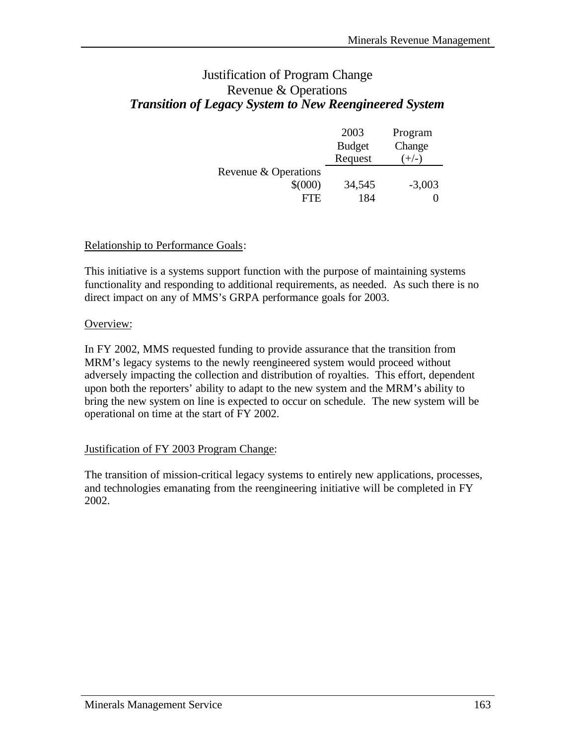### Justification of Program Change Revenue & Operations *Transition of Legacy System to New Reengineered System*

|                      | 2003          | Program  |
|----------------------|---------------|----------|
|                      | <b>Budget</b> | Change   |
|                      | Request       | $(+/-)$  |
| Revenue & Operations |               |          |
| $$^{(000)}$          | 34,545        | $-3,003$ |
| FTE.                 | 184           |          |

#### Relationship to Performance Goals:

This initiative is a systems support function with the purpose of maintaining systems functionality and responding to additional requirements, as needed. As such there is no direct impact on any of MMS's GRPA performance goals for 2003.

#### Overview:

In FY 2002, MMS requested funding to provide assurance that the transition from MRM's legacy systems to the newly reengineered system would proceed without adversely impacting the collection and distribution of royalties. This effort, dependent upon both the reporters' ability to adapt to the new system and the MRM's ability to bring the new system on line is expected to occur on schedule. The new system will be operational on time at the start of FY 2002.

#### Justification of FY 2003 Program Change:

The transition of mission-critical legacy systems to entirely new applications, processes, and technologies emanating from the reengineering initiative will be completed in FY 2002.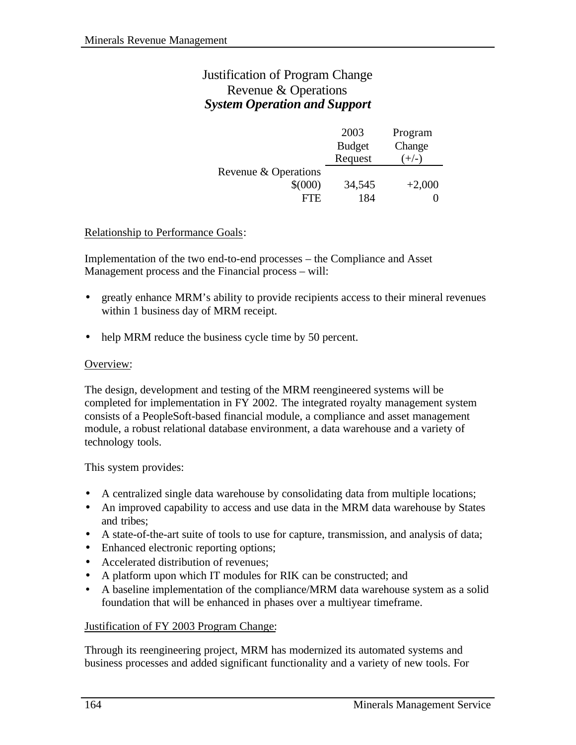## Justification of Program Change Revenue & Operations *System Operation and Support*

|                      | 2003          | Program  |
|----------------------|---------------|----------|
|                      | <b>Budget</b> | Change   |
|                      | Request       | $(+/-)$  |
| Revenue & Operations |               |          |
| $$^{(000)}$          | 34,545        | $+2,000$ |
| FTE.                 | 184           |          |

#### Relationship to Performance Goals:

Implementation of the two end-to-end processes – the Compliance and Asset Management process and the Financial process – will:

- greatly enhance MRM's ability to provide recipients access to their mineral revenues within 1 business day of MRM receipt.
- help MRM reduce the business cycle time by 50 percent.

#### Overview:

The design, development and testing of the MRM reengineered systems will be completed for implementation in FY 2002. The integrated royalty management system consists of a PeopleSoft-based financial module, a compliance and asset management module, a robust relational database environment, a data warehouse and a variety of technology tools.

This system provides:

- A centralized single data warehouse by consolidating data from multiple locations;
- An improved capability to access and use data in the MRM data warehouse by States and tribes;
- A state-of-the-art suite of tools to use for capture, transmission, and analysis of data;
- Enhanced electronic reporting options;
- Accelerated distribution of revenues;
- A platform upon which IT modules for RIK can be constructed; and
- A baseline implementation of the compliance/MRM data warehouse system as a solid foundation that will be enhanced in phases over a multiyear timeframe.

#### Justification of FY 2003 Program Change:

Through its reengineering project, MRM has modernized its automated systems and business processes and added significant functionality and a variety of new tools. For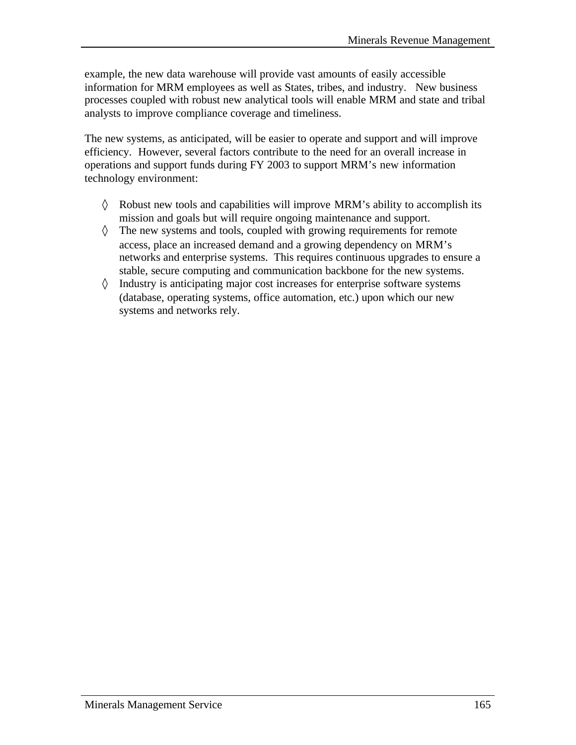example, the new data warehouse will provide vast amounts of easily accessible information for MRM employees as well as States, tribes, and industry. New business processes coupled with robust new analytical tools will enable MRM and state and tribal analysts to improve compliance coverage and timeliness.

The new systems, as anticipated, will be easier to operate and support and will improve efficiency. However, several factors contribute to the need for an overall increase in operations and support funds during FY 2003 to support MRM's new information technology environment:

- ◊ Robust new tools and capabilities will improve MRM's ability to accomplish its mission and goals but will require ongoing maintenance and support.
- ◊ The new systems and tools, coupled with growing requirements for remote access, place an increased demand and a growing dependency on MRM's networks and enterprise systems. This requires continuous upgrades to ensure a stable, secure computing and communication backbone for the new systems.
- ◊ Industry is anticipating major cost increases for enterprise software systems (database, operating systems, office automation, etc.) upon which our new systems and networks rely.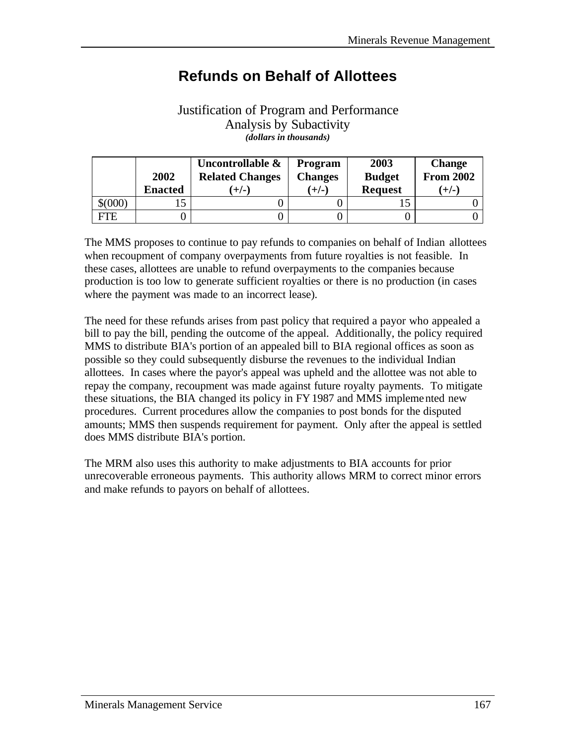# **Refunds on Behalf of Allottees**

### Justification of Program and Performance Analysis by Subactivity *(dollars in thousands)*

|         |                | Uncontrollable &       | Program        | 2003           | <b>Change</b>    |
|---------|----------------|------------------------|----------------|----------------|------------------|
|         | 2002           | <b>Related Changes</b> | <b>Changes</b> | <b>Budget</b>  | <b>From 2002</b> |
|         | <b>Enacted</b> | $(+/-)$                | $(+/-)$        | <b>Request</b> | $(+/-)$          |
| \$(000) |                |                        |                |                |                  |
| FTE     |                |                        |                |                |                  |

The MMS proposes to continue to pay refunds to companies on behalf of Indian allottees when recoupment of company overpayments from future royalties is not feasible. In these cases, allottees are unable to refund overpayments to the companies because production is too low to generate sufficient royalties or there is no production (in cases where the payment was made to an incorrect lease).

The need for these refunds arises from past policy that required a payor who appealed a bill to pay the bill, pending the outcome of the appeal. Additionally, the policy required MMS to distribute BIA's portion of an appealed bill to BIA regional offices as soon as possible so they could subsequently disburse the revenues to the individual Indian allottees. In cases where the payor's appeal was upheld and the allottee was not able to repay the company, recoupment was made against future royalty payments. To mitigate these situations, the BIA changed its policy in FY 1987 and MMS implemented new procedures. Current procedures allow the companies to post bonds for the disputed amounts; MMS then suspends requirement for payment. Only after the appeal is settled does MMS distribute BIA's portion.

The MRM also uses this authority to make adjustments to BIA accounts for prior unrecoverable erroneous payments. This authority allows MRM to correct minor errors and make refunds to payors on behalf of allottees.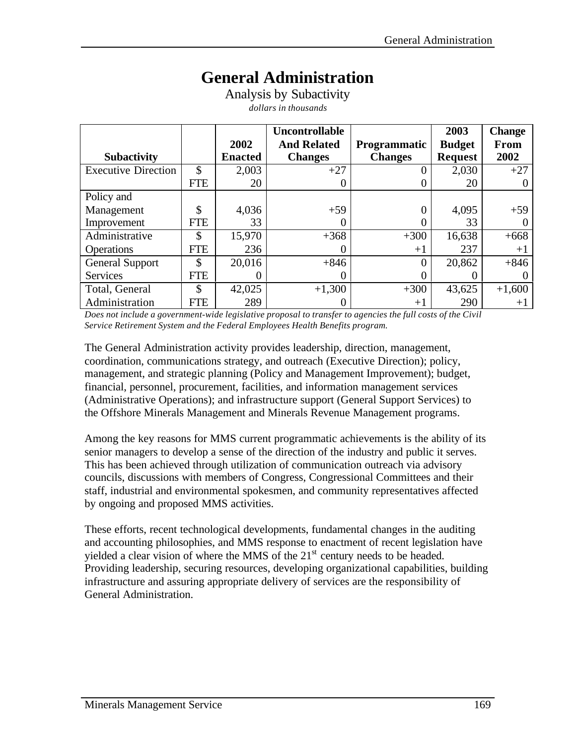# **General Administration**

Analysis by Subactivity *dollars in thousands*

|                            |               |                | <b>Uncontrollable</b> |                     | 2003           | <b>Change</b> |
|----------------------------|---------------|----------------|-----------------------|---------------------|----------------|---------------|
|                            |               | 2002           | <b>And Related</b>    | <b>Programmatic</b> | <b>Budget</b>  | From          |
| <b>Subactivity</b>         |               | <b>Enacted</b> | <b>Changes</b>        | <b>Changes</b>      | <b>Request</b> | 2002          |
| <b>Executive Direction</b> | $\mathcal{S}$ | 2,003          | $+27$                 |                     | 2,030          | $+27$         |
|                            | <b>FTE</b>    | 20             |                       |                     | 20             |               |
| Policy and                 |               |                |                       |                     |                |               |
| Management                 | \$            | 4,036          | $+59$                 |                     | 4,095          | $+59$         |
| Improvement                | <b>FTE</b>    | 33             |                       |                     | 33             |               |
| Administrative             | \$            | 15,970         | $+368$                | $+300$              | 16,638         | $+668$        |
| <b>Operations</b>          | <b>FTE</b>    | 236            |                       | $+1$                | 237            | $+1$          |
| <b>General Support</b>     | \$            | 20,016         | $+846$                | 0                   | 20,862         | $+846$        |
| <b>Services</b>            | FTE           |                |                       |                     |                |               |
| Total, General             | \$            | 42,025         | $+1,300$              | $+300$              | 43,625         | $+1,600$      |
| Administration             | <b>FTE</b>    | 289            |                       | $+1$                | 290            | $+1$          |

*Does not include a government-wide legislative proposal to transfer to agencies the full costs of the Civil Service Retirement System and the Federal Employees Health Benefits program.*

The General Administration activity provides leadership, direction, management, coordination, communications strategy, and outreach (Executive Direction); policy, management, and strategic planning (Policy and Management Improvement); budget, financial, personnel, procurement, facilities, and information management services (Administrative Operations); and infrastructure support (General Support Services) to the Offshore Minerals Management and Minerals Revenue Management programs.

Among the key reasons for MMS current programmatic achievements is the ability of its senior managers to develop a sense of the direction of the industry and public it serves. This has been achieved through utilization of communication outreach via advisory councils, discussions with members of Congress, Congressional Committees and their staff, industrial and environmental spokesmen, and community representatives affected by ongoing and proposed MMS activities.

These efforts, recent technological developments, fundamental changes in the auditing and accounting philosophies, and MMS response to enactment of recent legislation have yielded a clear vision of where the MMS of the  $21<sup>st</sup>$  century needs to be headed. Providing leadership, securing resources, developing organizational capabilities, building infrastructure and assuring appropriate delivery of services are the responsibility of General Administration.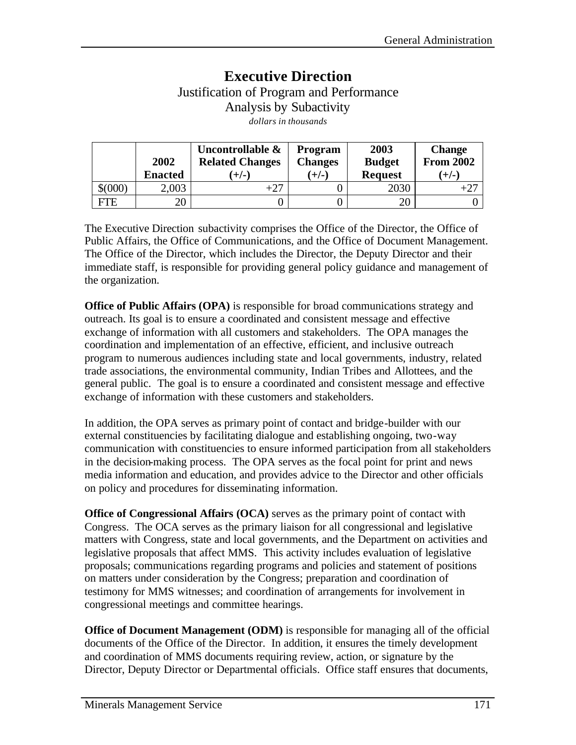## **Executive Direction** Justification of Program and Performance Analysis by Subactivity *dollars in thousands*

|         | 2002<br><b>Enacted</b> | Uncontrollable &<br><b>Related Changes</b><br>$(+/-)$ | <b>Program</b><br><b>Changes</b><br>$(+/-)$ | 2003<br><b>Budget</b><br><b>Request</b> | <b>Change</b><br><b>From 2002</b><br>$(+/-)$ |
|---------|------------------------|-------------------------------------------------------|---------------------------------------------|-----------------------------------------|----------------------------------------------|
| \$(000) | 2,003                  |                                                       |                                             | 2030                                    |                                              |
| FTE     | 20                     |                                                       |                                             | 20                                      |                                              |

The Executive Direction subactivity comprises the Office of the Director, the Office of Public Affairs, the Office of Communications, and the Office of Document Management. The Office of the Director, which includes the Director, the Deputy Director and their immediate staff, is responsible for providing general policy guidance and management of the organization.

**Office of Public Affairs (OPA)** is responsible for broad communications strategy and outreach. Its goal is to ensure a coordinated and consistent message and effective exchange of information with all customers and stakeholders. The OPA manages the coordination and implementation of an effective, efficient, and inclusive outreach program to numerous audiences including state and local governments, industry, related trade associations, the environmental community, Indian Tribes and Allottees, and the general public. The goal is to ensure a coordinated and consistent message and effective exchange of information with these customers and stakeholders.

In addition, the OPA serves as primary point of contact and bridge-builder with our external constituencies by facilitating dialogue and establishing ongoing, two-way communication with constituencies to ensure informed participation from all stakeholders in the decision-making process. The OPA serves as the focal point for print and news media information and education, and provides advice to the Director and other officials on policy and procedures for disseminating information.

**Office of Congressional Affairs (OCA)** serves as the primary point of contact with Congress. The OCA serves as the primary liaison for all congressional and legislative matters with Congress, state and local governments, and the Department on activities and legislative proposals that affect MMS. This activity includes evaluation of legislative proposals; communications regarding programs and policies and statement of positions on matters under consideration by the Congress; preparation and coordination of testimony for MMS witnesses; and coordination of arrangements for involvement in congressional meetings and committee hearings.

**Office of Document Management (ODM)** is responsible for managing all of the official documents of the Office of the Director. In addition, it ensures the timely development and coordination of MMS documents requiring review, action, or signature by the Director, Deputy Director or Departmental officials. Office staff ensures that documents,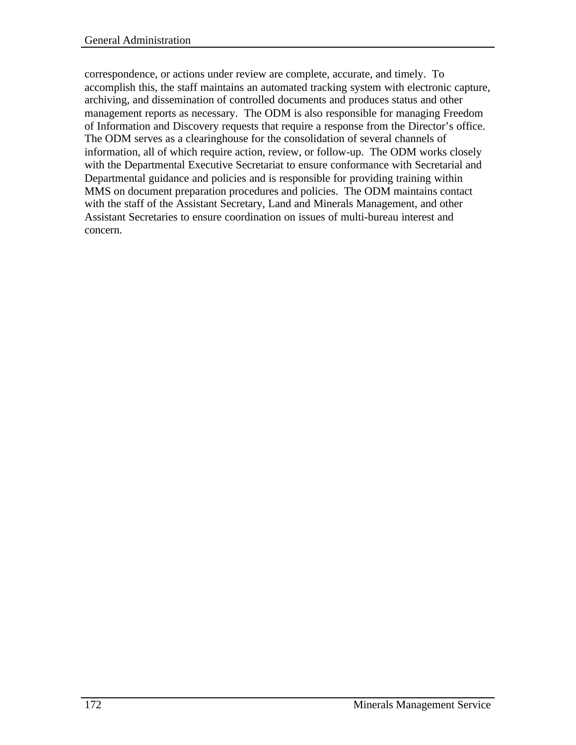correspondence, or actions under review are complete, accurate, and timely. To accomplish this, the staff maintains an automated tracking system with electronic capture, archiving, and dissemination of controlled documents and produces status and other management reports as necessary. The ODM is also responsible for managing Freedom of Information and Discovery requests that require a response from the Director's office. The ODM serves as a clearinghouse for the consolidation of several channels of information, all of which require action, review, or follow-up. The ODM works closely with the Departmental Executive Secretariat to ensure conformance with Secretarial and Departmental guidance and policies and is responsible for providing training within MMS on document preparation procedures and policies. The ODM maintains contact with the staff of the Assistant Secretary, Land and Minerals Management, and other Assistant Secretaries to ensure coordination on issues of multi-bureau interest and concern.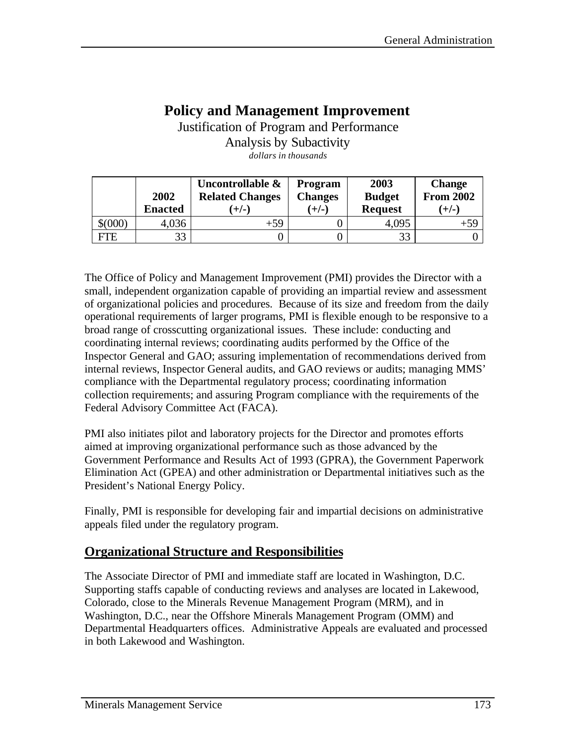## **Policy and Management Improvement**

Justification of Program and Performance Analysis by Subactivity *dollars in thousands*

|             | 2002<br><b>Enacted</b> | Uncontrollable &<br><b>Related Changes</b><br>$+/-$ | <b>Program</b><br><b>Changes</b><br>$(+/-)$ | 2003<br><b>Budget</b><br><b>Request</b> | <b>Change</b><br><b>From 2002</b><br>(+/-) |
|-------------|------------------------|-----------------------------------------------------|---------------------------------------------|-----------------------------------------|--------------------------------------------|
| $$^{(000)}$ | 4,036                  | $+59$                                               |                                             | 4,095                                   | $+59$                                      |
| FTE         | 33                     |                                                     |                                             | 33                                      |                                            |

The Office of Policy and Management Improvement (PMI) provides the Director with a small, independent organization capable of providing an impartial review and assessment of organizational policies and procedures. Because of its size and freedom from the daily operational requirements of larger programs, PMI is flexible enough to be responsive to a broad range of crosscutting organizational issues. These include: conducting and coordinating internal reviews; coordinating audits performed by the Office of the Inspector General and GAO; assuring implementation of recommendations derived from internal reviews, Inspector General audits, and GAO reviews or audits; managing MMS' compliance with the Departmental regulatory process; coordinating information collection requirements; and assuring Program compliance with the requirements of the Federal Advisory Committee Act (FACA).

PMI also initiates pilot and laboratory projects for the Director and promotes efforts aimed at improving organizational performance such as those advanced by the Government Performance and Results Act of 1993 (GPRA), the Government Paperwork Elimination Act (GPEA) and other administration or Departmental initiatives such as the President's National Energy Policy.

Finally, PMI is responsible for developing fair and impartial decisions on administrative appeals filed under the regulatory program.

## **Organizational Structure and Responsibilities**

The Associate Director of PMI and immediate staff are located in Washington, D.C. Supporting staffs capable of conducting reviews and analyses are located in Lakewood, Colorado, close to the Minerals Revenue Management Program (MRM), and in Washington, D.C., near the Offshore Minerals Management Program (OMM) and Departmental Headquarters offices. Administrative Appeals are evaluated and processed in both Lakewood and Washington.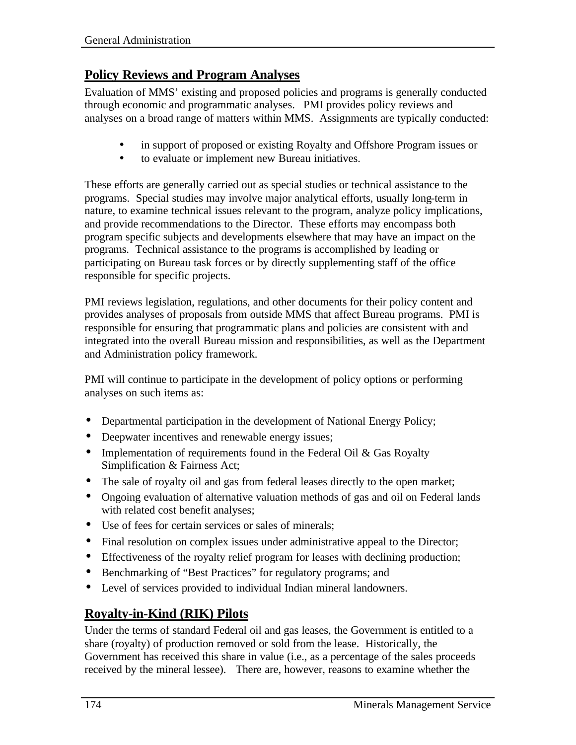## **Policy Reviews and Program Analyses**

Evaluation of MMS' existing and proposed policies and programs is generally conducted through economic and programmatic analyses. PMI provides policy reviews and analyses on a broad range of matters within MMS. Assignments are typically conducted:

- in support of proposed or existing Royalty and Offshore Program issues or
- to evaluate or implement new Bureau initiatives.

These efforts are generally carried out as special studies or technical assistance to the programs. Special studies may involve major analytical efforts, usually long-term in nature, to examine technical issues relevant to the program, analyze policy implications, and provide recommendations to the Director. These efforts may encompass both program specific subjects and developments elsewhere that may have an impact on the programs. Technical assistance to the programs is accomplished by leading or participating on Bureau task forces or by directly supplementing staff of the office responsible for specific projects.

PMI reviews legislation, regulations, and other documents for their policy content and provides analyses of proposals from outside MMS that affect Bureau programs. PMI is responsible for ensuring that programmatic plans and policies are consistent with and integrated into the overall Bureau mission and responsibilities, as well as the Department and Administration policy framework.

PMI will continue to participate in the development of policy options or performing analyses on such items as:

- Departmental participation in the development of National Energy Policy;
- Deepwater incentives and renewable energy issues;
- Implementation of requirements found in the Federal Oil & Gas Royalty Simplification & Fairness Act;
- The sale of royalty oil and gas from federal leases directly to the open market;
- Ongoing evaluation of alternative valuation methods of gas and oil on Federal lands with related cost benefit analyses;
- Use of fees for certain services or sales of minerals;
- Final resolution on complex issues under administrative appeal to the Director;
- Effectiveness of the royalty relief program for leases with declining production;
- Benchmarking of "Best Practices" for regulatory programs; and
- Level of services provided to individual Indian mineral landowners.

## **Royalty-in-Kind (RIK) Pilots**

Under the terms of standard Federal oil and gas leases, the Government is entitled to a share (royalty) of production removed or sold from the lease. Historically, the Government has received this share in value (i.e., as a percentage of the sales proceeds received by the mineral lessee). There are, however, reasons to examine whether the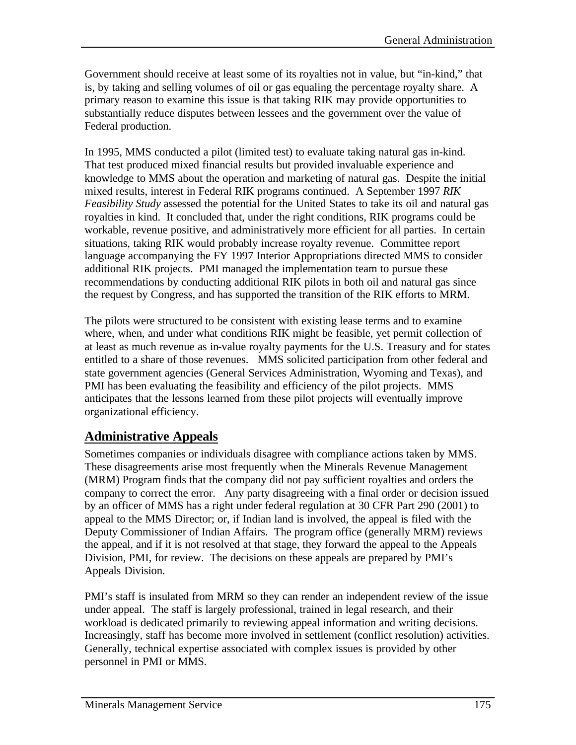Government should receive at least some of its royalties not in value, but "in-kind," that is, by taking and selling volumes of oil or gas equaling the percentage royalty share. A primary reason to examine this issue is that taking RIK may provide opportunities to substantially reduce disputes between lessees and the government over the value of Federal production.

In 1995, MMS conducted a pilot (limited test) to evaluate taking natural gas in-kind. That test produced mixed financial results but provided invaluable experience and knowledge to MMS about the operation and marketing of natural gas. Despite the initial mixed results, interest in Federal RIK programs continued. A September 1997 *RIK Feasibility Study* assessed the potential for the United States to take its oil and natural gas royalties in kind. It concluded that, under the right conditions, RIK programs could be workable, revenue positive, and administratively more efficient for all parties. In certain situations, taking RIK would probably increase royalty revenue. Committee report language accompanying the FY 1997 Interior Appropriations directed MMS to consider additional RIK projects. PMI managed the implementation team to pursue these recommendations by conducting additional RIK pilots in both oil and natural gas since the request by Congress, and has supported the transition of the RIK efforts to MRM.

The pilots were structured to be consistent with existing lease terms and to examine where, when, and under what conditions RIK might be feasible, yet permit collection of at least as much revenue as in-value royalty payments for the U.S. Treasury and for states entitled to a share of those revenues. MMS solicited participation from other federal and state government agencies (General Services Administration, Wyoming and Texas), and PMI has been evaluating the feasibility and efficiency of the pilot projects. MMS anticipates that the lessons learned from these pilot projects will eventually improve organizational efficiency.

## **Administrative Appeals**

Sometimes companies or individuals disagree with compliance actions taken by MMS. These disagreements arise most frequently when the Minerals Revenue Management (MRM) Program finds that the company did not pay sufficient royalties and orders the company to correct the error. Any party disagreeing with a final order or decision issued by an officer of MMS has a right under federal regulation at 30 CFR Part 290 (2001) to appeal to the MMS Director; or, if Indian land is involved, the appeal is filed with the Deputy Commissioner of Indian Affairs. The program office (generally MRM) reviews the appeal, and if it is not resolved at that stage, they forward the appeal to the Appeals Division, PMI, for review. The decisions on these appeals are prepared by PMI's Appeals Division.

PMI's staff is insulated from MRM so they can render an independent review of the issue under appeal. The staff is largely professional, trained in legal research, and their workload is dedicated primarily to reviewing appeal information and writing decisions. Increasingly, staff has become more involved in settlement (conflict resolution) activities. Generally, technical expertise associated with complex issues is provided by other personnel in PMI or MMS.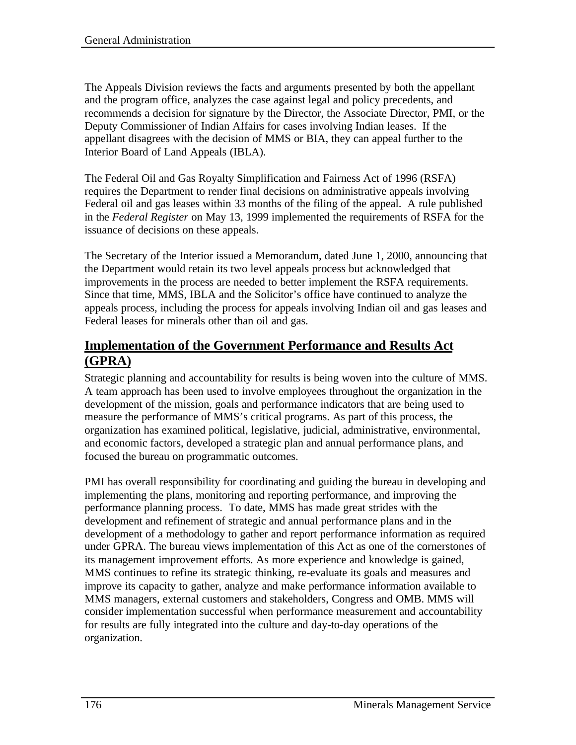The Appeals Division reviews the facts and arguments presented by both the appellant and the program office, analyzes the case against legal and policy precedents, and recommends a decision for signature by the Director, the Associate Director, PMI, or the Deputy Commissioner of Indian Affairs for cases involving Indian leases. If the appellant disagrees with the decision of MMS or BIA, they can appeal further to the Interior Board of Land Appeals (IBLA).

The Federal Oil and Gas Royalty Simplification and Fairness Act of 1996 (RSFA) requires the Department to render final decisions on administrative appeals involving Federal oil and gas leases within 33 months of the filing of the appeal. A rule published in the *Federal Register* on May 13, 1999 implemented the requirements of RSFA for the issuance of decisions on these appeals.

The Secretary of the Interior issued a Memorandum, dated June 1, 2000, announcing that the Department would retain its two level appeals process but acknowledged that improvements in the process are needed to better implement the RSFA requirements. Since that time, MMS, IBLA and the Solicitor's office have continued to analyze the appeals process, including the process for appeals involving Indian oil and gas leases and Federal leases for minerals other than oil and gas.

#### **Implementation of the Government Performance and Results Act (GPRA)**

Strategic planning and accountability for results is being woven into the culture of MMS. A team approach has been used to involve employees throughout the organization in the development of the mission, goals and performance indicators that are being used to measure the performance of MMS's critical programs. As part of this process, the organization has examined political, legislative, judicial, administrative, environmental, and economic factors, developed a strategic plan and annual performance plans, and focused the bureau on programmatic outcomes.

PMI has overall responsibility for coordinating and guiding the bureau in developing and implementing the plans, monitoring and reporting performance, and improving the performance planning process. To date, MMS has made great strides with the development and refinement of strategic and annual performance plans and in the development of a methodology to gather and report performance information as required under GPRA. The bureau views implementation of this Act as one of the cornerstones of its management improvement efforts. As more experience and knowledge is gained, MMS continues to refine its strategic thinking, re-evaluate its goals and measures and improve its capacity to gather, analyze and make performance information available to MMS managers, external customers and stakeholders, Congress and OMB. MMS will consider implementation successful when performance measurement and accountability for results are fully integrated into the culture and day-to-day operations of the organization.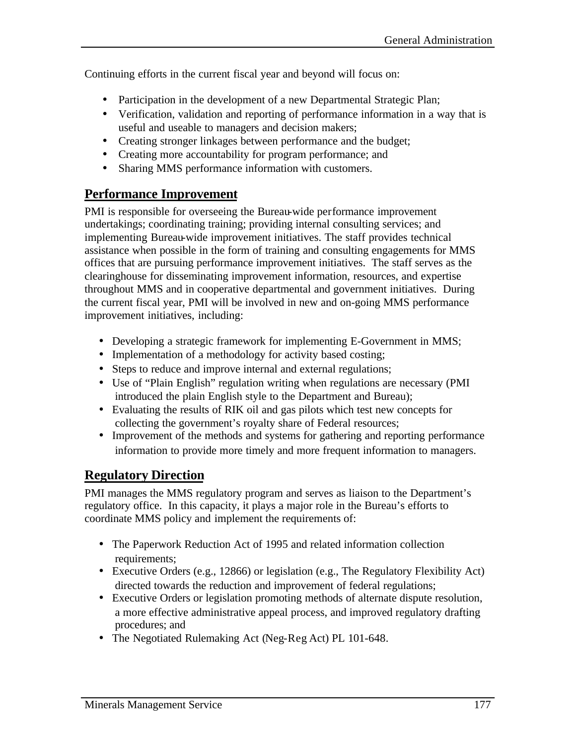Continuing efforts in the current fiscal year and beyond will focus on:

- Participation in the development of a new Departmental Strategic Plan;
- Verification, validation and reporting of performance information in a way that is useful and useable to managers and decision makers;
- Creating stronger linkages between performance and the budget;
- Creating more accountability for program performance; and
- Sharing MMS performance information with customers.

#### **Performance Improvement**

PMI is responsible for overseeing the Bureau-wide performance improvement undertakings; coordinating training; providing internal consulting services; and implementing Bureau-wide improvement initiatives. The staff provides technical assistance when possible in the form of training and consulting engagements for MMS offices that are pursuing performance improvement initiatives. The staff serves as the clearinghouse for disseminating improvement information, resources, and expertise throughout MMS and in cooperative departmental and government initiatives. During the current fiscal year, PMI will be involved in new and on-going MMS performance improvement initiatives, including:

- Developing a strategic framework for implementing E-Government in MMS;
- Implementation of a methodology for activity based costing;
- Steps to reduce and improve internal and external regulations;
- Use of "Plain English" regulation writing when regulations are necessary (PMI) introduced the plain English style to the Department and Bureau);
- Evaluating the results of RIK oil and gas pilots which test new concepts for collecting the government's royalty share of Federal resources;
- Improvement of the methods and systems for gathering and reporting performance information to provide more timely and more frequent information to managers.

#### **Regulatory Direction**

PMI manages the MMS regulatory program and serves as liaison to the Department's regulatory office. In this capacity, it plays a major role in the Bureau's efforts to coordinate MMS policy and implement the requirements of:

- The Paperwork Reduction Act of 1995 and related information collection requirements;
- Executive Orders (e.g., 12866) or legislation (e.g., The Regulatory Flexibility Act) directed towards the reduction and improvement of federal regulations;
- Executive Orders or legislation promoting methods of alternate dispute resolution, a more effective administrative appeal process, and improved regulatory drafting procedures; and
- The Negotiated Rulemaking Act (Neg-Reg Act) PL 101-648.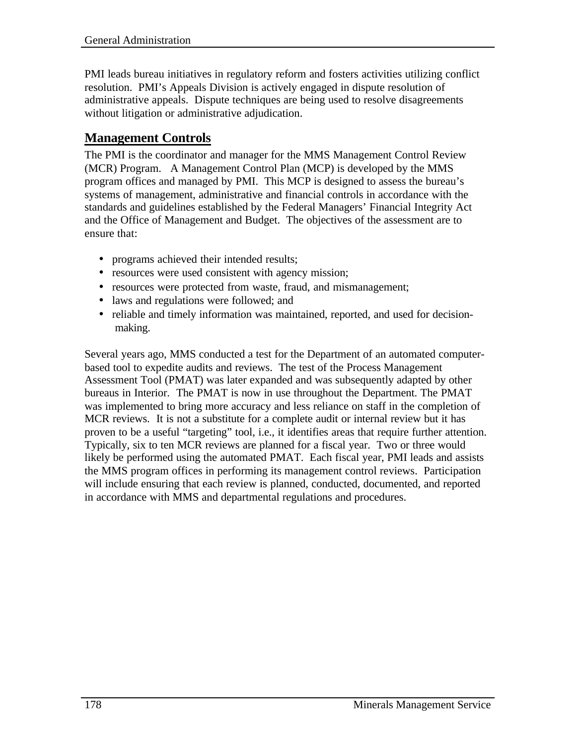PMI leads bureau initiatives in regulatory reform and fosters activities utilizing conflict resolution. PMI's Appeals Division is actively engaged in dispute resolution of administrative appeals. Dispute techniques are being used to resolve disagreements without litigation or administrative adjudication.

#### **Management Controls**

The PMI is the coordinator and manager for the MMS Management Control Review (MCR) Program. A Management Control Plan (MCP) is developed by the MMS program offices and managed by PMI. This MCP is designed to assess the bureau's systems of management, administrative and financial controls in accordance with the standards and guidelines established by the Federal Managers' Financial Integrity Act and the Office of Management and Budget. The objectives of the assessment are to ensure that:

- programs achieved their intended results;
- resources were used consistent with agency mission;
- resources were protected from waste, fraud, and mismanagement;
- laws and regulations were followed; and
- reliable and timely information was maintained, reported, and used for decisionmaking.

Several years ago, MMS conducted a test for the Department of an automated computerbased tool to expedite audits and reviews. The test of the Process Management Assessment Tool (PMAT) was later expanded and was subsequently adapted by other bureaus in Interior. The PMAT is now in use throughout the Department. The PMAT was implemented to bring more accuracy and less reliance on staff in the completion of MCR reviews. It is not a substitute for a complete audit or internal review but it has proven to be a useful "targeting" tool, i.e., it identifies areas that require further attention. Typically, six to ten MCR reviews are planned for a fiscal year. Two or three would likely be performed using the automated PMAT. Each fiscal year, PMI leads and assists the MMS program offices in performing its management control reviews. Participation will include ensuring that each review is planned, conducted, documented, and reported in accordance with MMS and departmental regulations and procedures.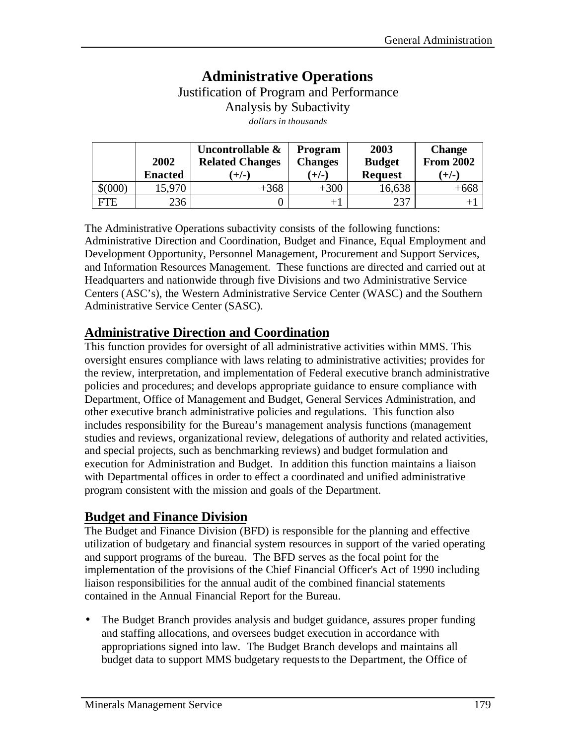## **Administrative Operations** Justification of Program and Performance Analysis by Subactivity *dollars in thousands*

|             | 2002<br><b>Enacted</b> | Uncontrollable &<br><b>Related Changes</b><br>$(+/-)$ | <b>Program</b><br><b>Changes</b><br>$(+/-)$ | 2003<br><b>Budget</b><br><b>Request</b> | <b>Change</b><br><b>From 2002</b><br>$(+/-)$ |
|-------------|------------------------|-------------------------------------------------------|---------------------------------------------|-----------------------------------------|----------------------------------------------|
| $$^{(000)}$ | 15,970                 | $+368$                                                | $+300$                                      | 16,638                                  | $+668$                                       |
| <b>FTE</b>  | 236                    |                                                       | $+1$                                        | 237                                     | $+$ ,                                        |

The Administrative Operations subactivity consists of the following functions: Administrative Direction and Coordination, Budget and Finance, Equal Employment and Development Opportunity, Personnel Management, Procurement and Support Services, and Information Resources Management. These functions are directed and carried out at Headquarters and nationwide through five Divisions and two Administrative Service Centers (ASC's), the Western Administrative Service Center (WASC) and the Southern Administrative Service Center (SASC).

## **Administrative Direction and Coordination**

This function provides for oversight of all administrative activities within MMS. This oversight ensures compliance with laws relating to administrative activities; provides for the review, interpretation, and implementation of Federal executive branch administrative policies and procedures; and develops appropriate guidance to ensure compliance with Department, Office of Management and Budget, General Services Administration, and other executive branch administrative policies and regulations. This function also includes responsibility for the Bureau's management analysis functions (management studies and reviews, organizational review, delegations of authority and related activities, and special projects, such as benchmarking reviews) and budget formulation and execution for Administration and Budget. In addition this function maintains a liaison with Departmental offices in order to effect a coordinated and unified administrative program consistent with the mission and goals of the Department.

#### **Budget and Finance Division**

The Budget and Finance Division (BFD) is responsible for the planning and effective utilization of budgetary and financial system resources in support of the varied operating and support programs of the bureau. The BFD serves as the focal point for the implementation of the provisions of the Chief Financial Officer's Act of 1990 including liaison responsibilities for the annual audit of the combined financial statements contained in the Annual Financial Report for the Bureau.

• The Budget Branch provides analysis and budget guidance, assures proper funding and staffing allocations, and oversees budget execution in accordance with appropriations signed into law. The Budget Branch develops and maintains all budget data to support MMS budgetary requests to the Department, the Office of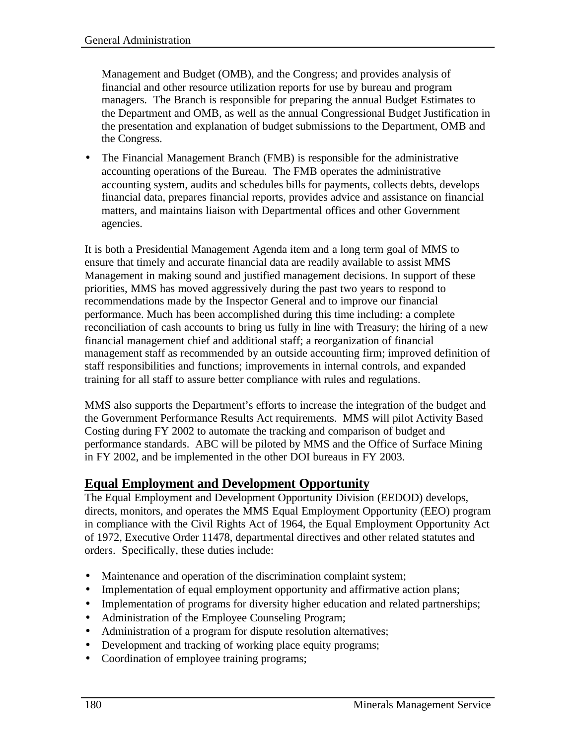Management and Budget (OMB), and the Congress; and provides analysis of financial and other resource utilization reports for use by bureau and program managers. The Branch is responsible for preparing the annual Budget Estimates to the Department and OMB, as well as the annual Congressional Budget Justification in the presentation and explanation of budget submissions to the Department, OMB and the Congress.

• The Financial Management Branch (FMB) is responsible for the administrative accounting operations of the Bureau. The FMB operates the administrative accounting system, audits and schedules bills for payments, collects debts, develops financial data, prepares financial reports, provides advice and assistance on financial matters, and maintains liaison with Departmental offices and other Government agencies.

It is both a Presidential Management Agenda item and a long term goal of MMS to ensure that timely and accurate financial data are readily available to assist MMS Management in making sound and justified management decisions. In support of these priorities, MMS has moved aggressively during the past two years to respond to recommendations made by the Inspector General and to improve our financial performance. Much has been accomplished during this time including: a complete reconciliation of cash accounts to bring us fully in line with Treasury; the hiring of a new financial management chief and additional staff; a reorganization of financial management staff as recommended by an outside accounting firm; improved definition of staff responsibilities and functions; improvements in internal controls, and expanded training for all staff to assure better compliance with rules and regulations.

MMS also supports the Department's efforts to increase the integration of the budget and the Government Performance Results Act requirements. MMS will pilot Activity Based Costing during FY 2002 to automate the tracking and comparison of budget and performance standards. ABC will be piloted by MMS and the Office of Surface Mining in FY 2002, and be implemented in the other DOI bureaus in FY 2003.

#### **Equal Employment and Development Opportunity**

The Equal Employment and Development Opportunity Division (EEDOD) develops, directs, monitors, and operates the MMS Equal Employment Opportunity (EEO) program in compliance with the Civil Rights Act of 1964, the Equal Employment Opportunity Act of 1972, Executive Order 11478, departmental directives and other related statutes and orders. Specifically, these duties include:

- Maintenance and operation of the discrimination complaint system;
- Implementation of equal employment opportunity and affirmative action plans;
- Implementation of programs for diversity higher education and related partnerships;
- Administration of the Employee Counseling Program;
- Administration of a program for dispute resolution alternatives;
- Development and tracking of working place equity programs;
- Coordination of employee training programs;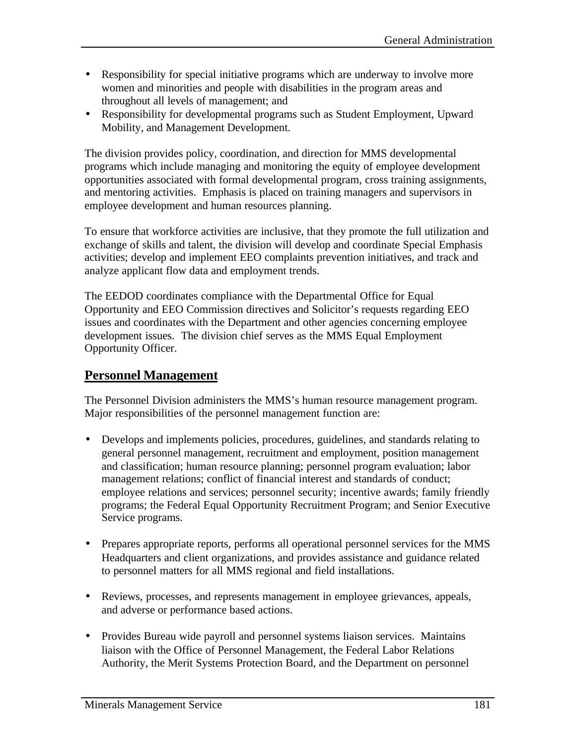- Responsibility for special initiative programs which are underway to involve more women and minorities and people with disabilities in the program areas and throughout all levels of management; and
- Responsibility for developmental programs such as Student Employment, Upward Mobility, and Management Development.

The division provides policy, coordination, and direction for MMS developmental programs which include managing and monitoring the equity of employee development opportunities associated with formal developmental program, cross training assignments, and mentoring activities. Emphasis is placed on training managers and supervisors in employee development and human resources planning.

To ensure that workforce activities are inclusive, that they promote the full utilization and exchange of skills and talent, the division will develop and coordinate Special Emphasis activities; develop and implement EEO complaints prevention initiatives, and track and analyze applicant flow data and employment trends.

The EEDOD coordinates compliance with the Departmental Office for Equal Opportunity and EEO Commission directives and Solicitor's requests regarding EEO issues and coordinates with the Department and other agencies concerning employee development issues. The division chief serves as the MMS Equal Employment Opportunity Officer.

#### **Personnel Management**

The Personnel Division administers the MMS's human resource management program. Major responsibilities of the personnel management function are:

- Develops and implements policies, procedures, guidelines, and standards relating to general personnel management, recruitment and employment, position management and classification; human resource planning; personnel program evaluation; labor management relations; conflict of financial interest and standards of conduct; employee relations and services; personnel security; incentive awards; family friendly programs; the Federal Equal Opportunity Recruitment Program; and Senior Executive Service programs.
- Prepares appropriate reports, performs all operational personnel services for the MMS Headquarters and client organizations, and provides assistance and guidance related to personnel matters for all MMS regional and field installations.
- Reviews, processes, and represents management in employee grievances, appeals, and adverse or performance based actions.
- Provides Bureau wide payroll and personnel systems liaison services. Maintains liaison with the Office of Personnel Management, the Federal Labor Relations Authority, the Merit Systems Protection Board, and the Department on personnel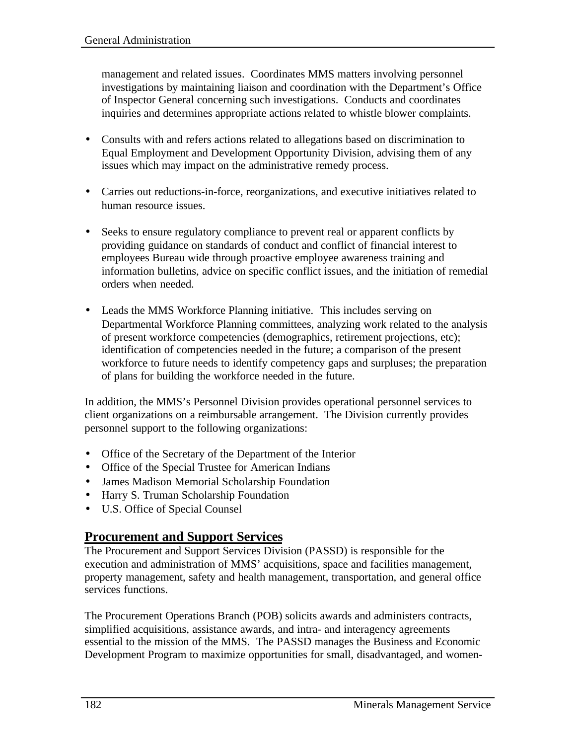management and related issues. Coordinates MMS matters involving personnel investigations by maintaining liaison and coordination with the Department's Office of Inspector General concerning such investigations. Conducts and coordinates inquiries and determines appropriate actions related to whistle blower complaints.

- Consults with and refers actions related to allegations based on discrimination to Equal Employment and Development Opportunity Division, advising them of any issues which may impact on the administrative remedy process.
- Carries out reductions-in-force, reorganizations, and executive initiatives related to human resource issues.
- Seeks to ensure regulatory compliance to prevent real or apparent conflicts by providing guidance on standards of conduct and conflict of financial interest to employees Bureau wide through proactive employee awareness training and information bulletins, advice on specific conflict issues, and the initiation of remedial orders when needed.
- Leads the MMS Workforce Planning initiative. This includes serving on Departmental Workforce Planning committees, analyzing work related to the analysis of present workforce competencies (demographics, retirement projections, etc); identification of competencies needed in the future; a comparison of the present workforce to future needs to identify competency gaps and surpluses; the preparation of plans for building the workforce needed in the future.

In addition, the MMS's Personnel Division provides operational personnel services to client organizations on a reimbursable arrangement. The Division currently provides personnel support to the following organizations:

- Office of the Secretary of the Department of the Interior
- Office of the Special Trustee for American Indians
- James Madison Memorial Scholarship Foundation
- Harry S. Truman Scholarship Foundation
- U.S. Office of Special Counsel

#### **Procurement and Support Services**

The Procurement and Support Services Division (PASSD) is responsible for the execution and administration of MMS' acquisitions, space and facilities management, property management, safety and health management, transportation, and general office services functions.

The Procurement Operations Branch (POB) solicits awards and administers contracts, simplified acquisitions, assistance awards, and intra- and interagency agreements essential to the mission of the MMS. The PASSD manages the Business and Economic Development Program to maximize opportunities for small, disadvantaged, and women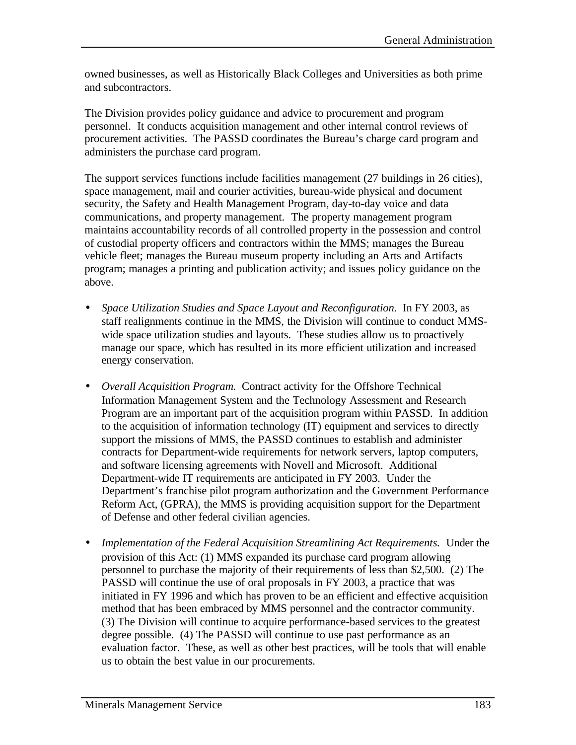owned businesses, as well as Historically Black Colleges and Universities as both prime and subcontractors.

The Division provides policy guidance and advice to procurement and program personnel. It conducts acquisition management and other internal control reviews of procurement activities. The PASSD coordinates the Bureau's charge card program and administers the purchase card program.

The support services functions include facilities management (27 buildings in 26 cities), space management, mail and courier activities, bureau-wide physical and document security, the Safety and Health Management Program, day-to-day voice and data communications, and property management. The property management program maintains accountability records of all controlled property in the possession and control of custodial property officers and contractors within the MMS; manages the Bureau vehicle fleet; manages the Bureau museum property including an Arts and Artifacts program; manages a printing and publication activity; and issues policy guidance on the above.

- *Space Utilization Studies and Space Layout and Reconfiguration.* In FY 2003, as staff realignments continue in the MMS, the Division will continue to conduct MMSwide space utilization studies and layouts. These studies allow us to proactively manage our space, which has resulted in its more efficient utilization and increased energy conservation.
- *Overall Acquisition Program.* Contract activity for the Offshore Technical Information Management System and the Technology Assessment and Research Program are an important part of the acquisition program within PASSD. In addition to the acquisition of information technology (IT) equipment and services to directly support the missions of MMS, the PASSD continues to establish and administer contracts for Department-wide requirements for network servers, laptop computers, and software licensing agreements with Novell and Microsoft. Additional Department-wide IT requirements are anticipated in FY 2003. Under the Department's franchise pilot program authorization and the Government Performance Reform Act, (GPRA), the MMS is providing acquisition support for the Department of Defense and other federal civilian agencies.
- *Implementation of the Federal Acquisition Streamlining Act Requirements.* Under the provision of this Act: (1) MMS expanded its purchase card program allowing personnel to purchase the majority of their requirements of less than \$2,500. (2) The PASSD will continue the use of oral proposals in FY 2003, a practice that was initiated in FY 1996 and which has proven to be an efficient and effective acquisition method that has been embraced by MMS personnel and the contractor community. (3) The Division will continue to acquire performance-based services to the greatest degree possible. (4) The PASSD will continue to use past performance as an evaluation factor. These, as well as other best practices, will be tools that will enable us to obtain the best value in our procurements.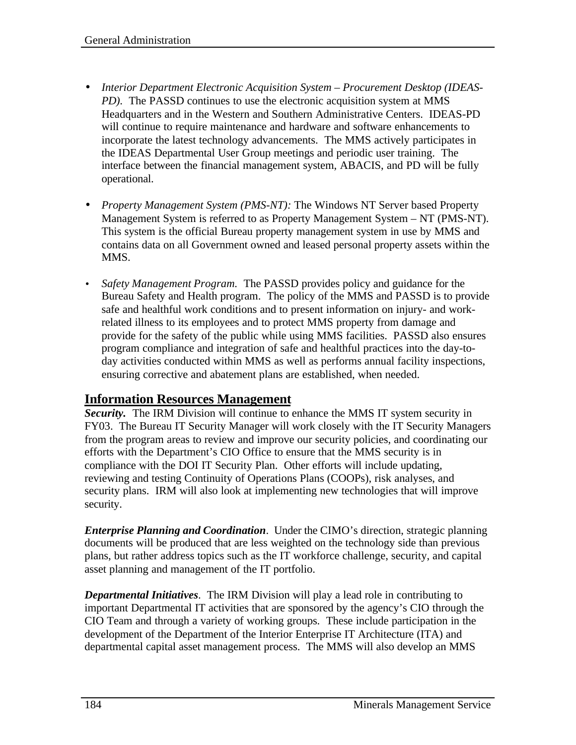- *Interior Department Electronic Acquisition System Procurement Desktop (IDEAS-PD)*. The PASSD continues to use the electronic acquisition system at MMS Headquarters and in the Western and Southern Administrative Centers. IDEAS-PD will continue to require maintenance and hardware and software enhancements to incorporate the latest technology advancements. The MMS actively participates in the IDEAS Departmental User Group meetings and periodic user training. The interface between the financial management system, ABACIS, and PD will be fully operational.
- *Property Management System (PMS-NT):* The Windows NT Server based Property Management System is referred to as Property Management System – NT (PMS-NT). This system is the official Bureau property management system in use by MMS and contains data on all Government owned and leased personal property assets within the MMS.
- *Safety Management Program.* The PASSD provides policy and guidance for the Bureau Safety and Health program. The policy of the MMS and PASSD is to provide safe and healthful work conditions and to present information on injury- and workrelated illness to its employees and to protect MMS property from damage and provide for the safety of the public while using MMS facilities. PASSD also ensures program compliance and integration of safe and healthful practices into the day-today activities conducted within MMS as well as performs annual facility inspections, ensuring corrective and abatement plans are established, when needed.

#### **Information Resources Management**

*Security.* The IRM Division will continue to enhance the MMS IT system security in FY03. The Bureau IT Security Manager will work closely with the IT Security Managers from the program areas to review and improve our security policies, and coordinating our efforts with the Department's CIO Office to ensure that the MMS security is in compliance with the DOI IT Security Plan. Other efforts will include updating, reviewing and testing Continuity of Operations Plans (COOPs), risk analyses, and security plans. IRM will also look at implementing new technologies that will improve security.

*Enterprise Planning and Coordination*. Under the CIMO's direction, strategic planning documents will be produced that are less weighted on the technology side than previous plans, but rather address topics such as the IT workforce challenge, security, and capital asset planning and management of the IT portfolio.

*Departmental Initiatives*. The IRM Division will play a lead role in contributing to important Departmental IT activities that are sponsored by the agency's CIO through the CIO Team and through a variety of working groups. These include participation in the development of the Department of the Interior Enterprise IT Architecture (ITA) and departmental capital asset management process. The MMS will also develop an MMS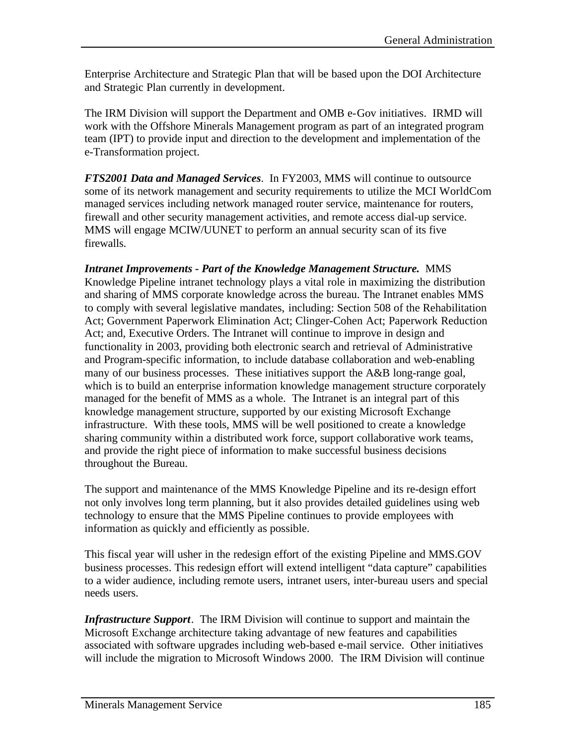Enterprise Architecture and Strategic Plan that will be based upon the DOI Architecture and Strategic Plan currently in development.

The IRM Division will support the Department and OMB e-Gov initiatives. IRMD will work with the Offshore Minerals Management program as part of an integrated program team (IPT) to provide input and direction to the development and implementation of the e-Transformation project.

*FTS2001 Data and Managed Services*. In FY2003, MMS will continue to outsource some of its network management and security requirements to utilize the MCI WorldCom managed services including network managed router service, maintenance for routers, firewall and other security management activities, and remote access dial-up service. MMS will engage MCIW/UUNET to perform an annual security scan of its five firewalls.

*Intranet Improvements - Part of the Knowledge Management Structure.* MMS Knowledge Pipeline intranet technology plays a vital role in maximizing the distribution and sharing of MMS corporate knowledge across the bureau. The Intranet enables MMS to comply with several legislative mandates, including: Section 508 of the Rehabilitation Act; Government Paperwork Elimination Act; Clinger-Cohen Act; Paperwork Reduction Act; and, Executive Orders. The Intranet will continue to improve in design and functionality in 2003, providing both electronic search and retrieval of Administrative and Program-specific information, to include database collaboration and web-enabling many of our business processes. These initiatives support the A&B long-range goal, which is to build an enterprise information knowledge management structure corporately managed for the benefit of MMS as a whole. The Intranet is an integral part of this knowledge management structure, supported by our existing Microsoft Exchange infrastructure. With these tools, MMS will be well positioned to create a knowledge sharing community within a distributed work force, support collaborative work teams, and provide the right piece of information to make successful business decisions throughout the Bureau.

The support and maintenance of the MMS Knowledge Pipeline and its re-design effort not only involves long term planning, but it also provides detailed guidelines using web technology to ensure that the MMS Pipeline continues to provide employees with information as quickly and efficiently as possible.

This fiscal year will usher in the redesign effort of the existing Pipeline and MMS.GOV business processes. This redesign effort will extend intelligent "data capture" capabilities to a wider audience, including remote users, intranet users, inter-bureau users and special needs users.

*Infrastructure Support*. The IRM Division will continue to support and maintain the Microsoft Exchange architecture taking advantage of new features and capabilities associated with software upgrades including web-based e-mail service. Other initiatives will include the migration to Microsoft Windows 2000. The IRM Division will continue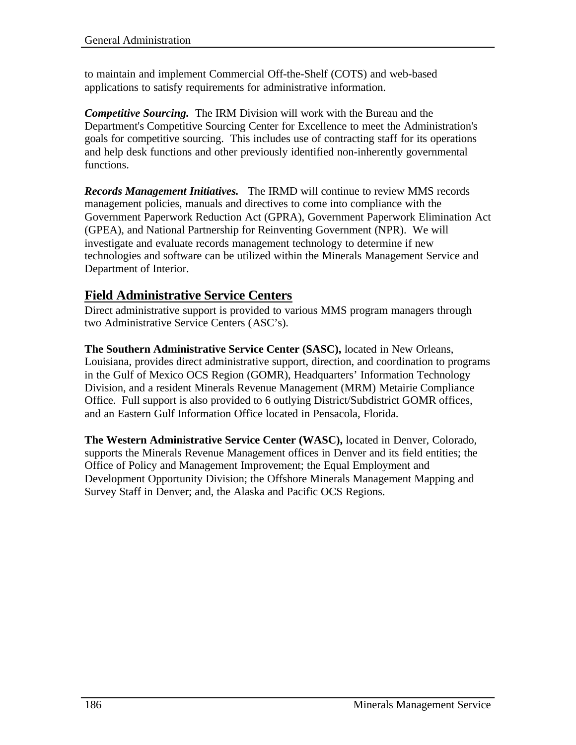to maintain and implement Commercial Off-the-Shelf (COTS) and web-based applications to satisfy requirements for administrative information.

*Competitive Sourcing.* The IRM Division will work with the Bureau and the Department's Competitive Sourcing Center for Excellence to meet the Administration's goals for competitive sourcing. This includes use of contracting staff for its operations and help desk functions and other previously identified non-inherently governmental functions.

*Records Management Initiatives.* The IRMD will continue to review MMS records management policies, manuals and directives to come into compliance with the Government Paperwork Reduction Act (GPRA), Government Paperwork Elimination Act (GPEA), and National Partnership for Reinventing Government (NPR). We will investigate and evaluate records management technology to determine if new technologies and software can be utilized within the Minerals Management Service and Department of Interior.

#### **Field Administrative Service Centers**

Direct administrative support is provided to various MMS program managers through two Administrative Service Centers (ASC's).

**The Southern Administrative Service Center (SASC),** located in New Orleans, Louisiana, provides direct administrative support, direction, and coordination to programs in the Gulf of Mexico OCS Region (GOMR), Headquarters' Information Technology Division, and a resident Minerals Revenue Management (MRM) Metairie Compliance Office. Full support is also provided to 6 outlying District/Subdistrict GOMR offices, and an Eastern Gulf Information Office located in Pensacola, Florida.

**The Western Administrative Service Center (WASC),** located in Denver, Colorado, supports the Minerals Revenue Management offices in Denver and its field entities; the Office of Policy and Management Improvement; the Equal Employment and Development Opportunity Division; the Offshore Minerals Management Mapping and Survey Staff in Denver; and, the Alaska and Pacific OCS Regions.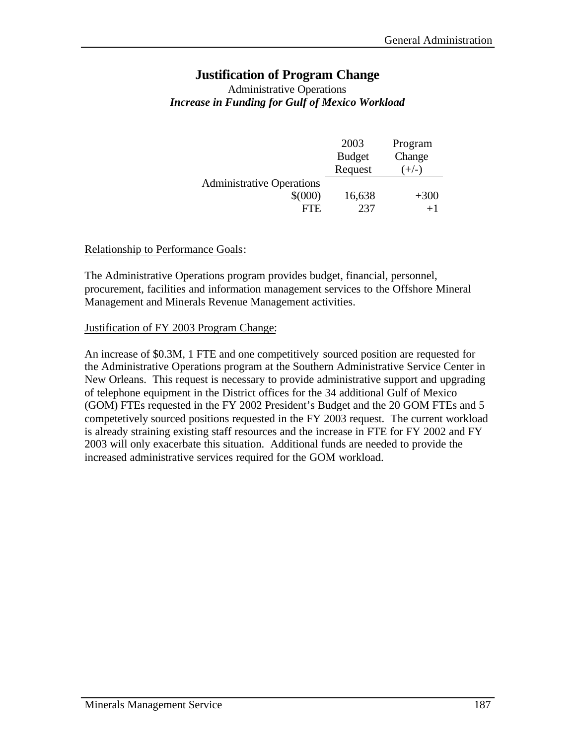#### **Justification of Program Change**

#### Administrative Operations *Increase in Funding for Gulf of Mexico Workload*

|                                  | 2003          | Program |
|----------------------------------|---------------|---------|
|                                  | <b>Budget</b> | Change  |
|                                  | Request       | $+/-$   |
| <b>Administrative Operations</b> |               |         |
| $$^{(000)}$                      | 16,638        | $+300$  |
| FTE.                             | 237           |         |

#### Relationship to Performance Goals:

The Administrative Operations program provides budget, financial, personnel, procurement, facilities and information management services to the Offshore Mineral Management and Minerals Revenue Management activities.

#### Justification of FY 2003 Program Change:

An increase of \$0.3M, 1 FTE and one competitively sourced position are requested for the Administrative Operations program at the Southern Administrative Service Center in New Orleans. This request is necessary to provide administrative support and upgrading of telephone equipment in the District offices for the 34 additional Gulf of Mexico (GOM) FTEs requested in the FY 2002 President's Budget and the 20 GOM FTEs and 5 competetively sourced positions requested in the FY 2003 request. The current workload is already straining existing staff resources and the increase in FTE for FY 2002 and FY 2003 will only exacerbate this situation. Additional funds are needed to provide the increased administrative services required for the GOM workload.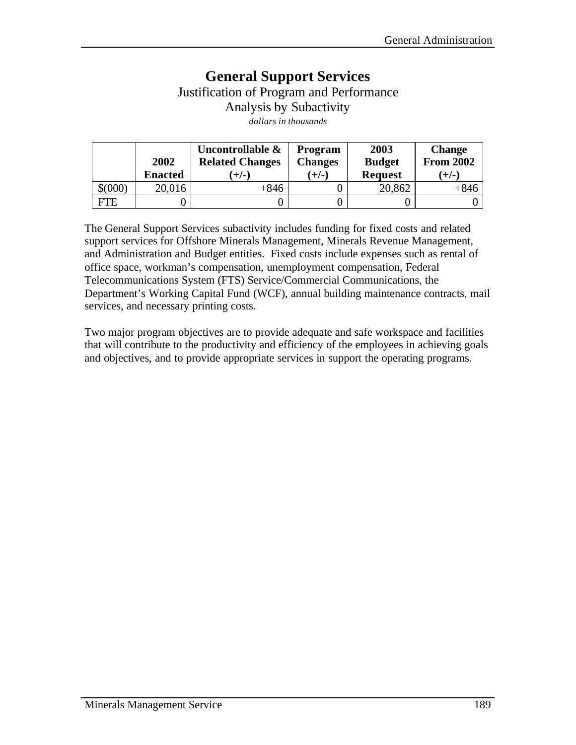## **General Support Services** Justification of Program and Performance Analysis by Subactivity *dollars in thousands*

|             | 2002<br><b>Enacted</b> | Uncontrollable &<br><b>Related Changes</b><br>$(+/-)$ | <b>Program</b><br><b>Changes</b><br>$(+/-)$ | 2003<br><b>Budget</b><br><b>Request</b> | <b>Change</b><br><b>From 2002</b><br>$(+/-)$ |
|-------------|------------------------|-------------------------------------------------------|---------------------------------------------|-----------------------------------------|----------------------------------------------|
| $$^{(000)}$ | 20,016                 | $+846$                                                |                                             | 20,862                                  | $+846$                                       |
| FTE         |                        |                                                       |                                             |                                         |                                              |

The General Support Services subactivity includes funding for fixed costs and related support services for Offshore Minerals Management, Minerals Revenue Management, and Administration and Budget entities. Fixed costs include expenses such as rental of office space, workman's compensation, unemployment compensation, Federal Telecommunications System (FTS) Service/Commercial Communications, the Department's Working Capital Fund (WCF), annual building maintenance contracts, mail services, and necessary printing costs.

Two major program objectives are to provide adequate and safe workspace and facilities that will contribute to the productivity and efficiency of the employees in achieving goals and objectives, and to provide appropriate services in support the operating programs.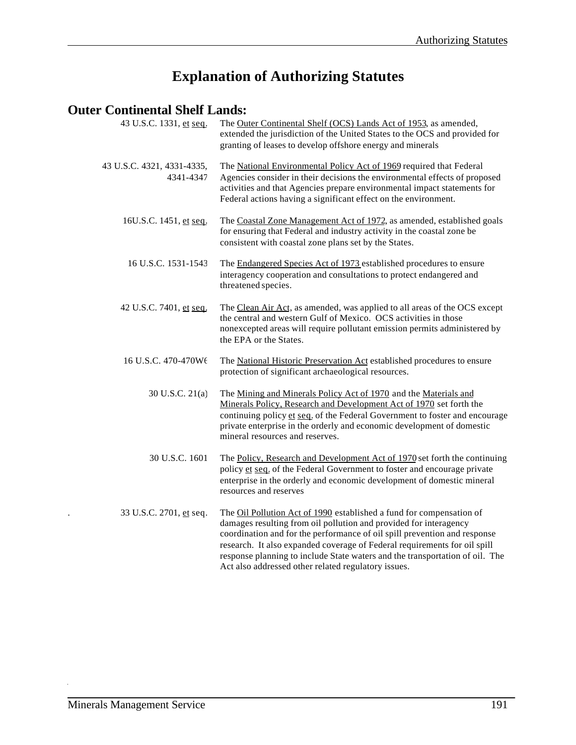# **Explanation of Authorizing Statutes**

## **Outer Continental Shelf Lands:**

| 43 U.S.C. 1331, et seq.                 | The Outer Continental Shelf (OCS) Lands Act of 1953, as amended,<br>extended the jurisdiction of the United States to the OCS and provided for<br>granting of leases to develop offshore energy and minerals                                                                                                                                                                                                                               |
|-----------------------------------------|--------------------------------------------------------------------------------------------------------------------------------------------------------------------------------------------------------------------------------------------------------------------------------------------------------------------------------------------------------------------------------------------------------------------------------------------|
| 43 U.S.C. 4321, 4331-4335,<br>4341-4347 | The National Environmental Policy Act of 1969 required that Federal<br>Agencies consider in their decisions the environmental effects of proposed<br>activities and that Agencies prepare environmental impact statements for<br>Federal actions having a significant effect on the environment.                                                                                                                                           |
| 16U.S.C. 1451, et seq.                  | The Coastal Zone Management Act of 1972, as amended, established goals<br>for ensuring that Federal and industry activity in the coastal zone be<br>consistent with coastal zone plans set by the States.                                                                                                                                                                                                                                  |
| 16 U.S.C. 1531-1543                     | The Endangered Species Act of 1973 established procedures to ensure<br>interagency cooperation and consultations to protect endangered and<br>threatened species.                                                                                                                                                                                                                                                                          |
| 42 U.S.C. 7401, et seq.                 | The Clean Air Act, as amended, was applied to all areas of the OCS except<br>the central and western Gulf of Mexico. OCS activities in those<br>nonexcepted areas will require pollutant emission permits administered by<br>the EPA or the States.                                                                                                                                                                                        |
| 16 U.S.C. 470-470Wt                     | The National Historic Preservation Act established procedures to ensure<br>protection of significant archaeological resources.                                                                                                                                                                                                                                                                                                             |
| 30 U.S.C. 21(a)                         | The Mining and Minerals Policy Act of 1970 and the Materials and<br>Minerals Policy, Research and Development Act of 1970 set forth the<br>continuing policy et seq. of the Federal Government to foster and encourage<br>private enterprise in the orderly and economic development of domestic<br>mineral resources and reserves.                                                                                                        |
| 30 U.S.C. 1601                          | The Policy, Research and Development Act of 1970 set forth the continuing<br>policy et seq. of the Federal Government to foster and encourage private<br>enterprise in the orderly and economic development of domestic mineral<br>resources and reserves                                                                                                                                                                                  |
| 33 U.S.C. 2701, et seq.                 | The Oil Pollution Act of 1990 established a fund for compensation of<br>damages resulting from oil pollution and provided for interagency<br>coordination and for the performance of oil spill prevention and response<br>research. It also expanded coverage of Federal requirements for oil spill<br>response planning to include State waters and the transportation of oil. The<br>Act also addressed other related regulatory issues. |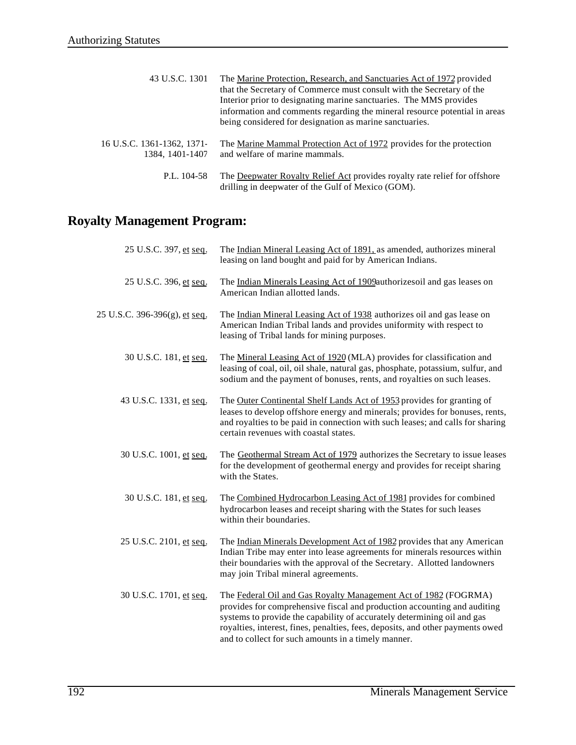| 43 U.S.C. 1301                                | The Marine Protection, Research, and Sanctuaries Act of 1972 provided<br>that the Secretary of Commerce must consult with the Secretary of the<br>Interior prior to designating marine sanctuaries. The MMS provides<br>information and comments regarding the mineral resource potential in areas<br>being considered for designation as marine sanctuaries. |
|-----------------------------------------------|---------------------------------------------------------------------------------------------------------------------------------------------------------------------------------------------------------------------------------------------------------------------------------------------------------------------------------------------------------------|
| 16 U.S.C. 1361-1362, 1371-<br>1384, 1401-1407 | The Marine Mammal Protection Act of 1972 provides for the protection<br>and welfare of marine mammals.                                                                                                                                                                                                                                                        |
| P.L. $104-58$                                 | The Deepwater Royalty Relief Act provides royalty rate relief for offshore                                                                                                                                                                                                                                                                                    |

drilling in deepwater of the Gulf of Mexico (GOM).

## **Royalty Management Program:**

| 25 U.S.C. 397, et seq.        | The Indian Mineral Leasing Act of 1891, as amended, authorizes mineral<br>leasing on land bought and paid for by American Indians.                                                                                                                                                                                                                              |
|-------------------------------|-----------------------------------------------------------------------------------------------------------------------------------------------------------------------------------------------------------------------------------------------------------------------------------------------------------------------------------------------------------------|
| 25 U.S.C. 396, et seq.        | The Indian Minerals Leasing Act of 1909authorizes oil and gas leases on<br>American Indian allotted lands.                                                                                                                                                                                                                                                      |
| 25 U.S.C. 396-396(g), et seq. | The Indian Mineral Leasing Act of 1938 authorizes oil and gas lease on<br>American Indian Tribal lands and provides uniformity with respect to<br>leasing of Tribal lands for mining purposes.                                                                                                                                                                  |
| 30 U.S.C. 181, et seq.        | The Mineral Leasing Act of 1920 (MLA) provides for classification and<br>leasing of coal, oil, oil shale, natural gas, phosphate, potassium, sulfur, and<br>sodium and the payment of bonuses, rents, and royalties on such leases.                                                                                                                             |
| 43 U.S.C. 1331, et seq.       | The Outer Continental Shelf Lands Act of 1953 provides for granting of<br>leases to develop offshore energy and minerals; provides for bonuses, rents,<br>and royalties to be paid in connection with such leases; and calls for sharing<br>certain revenues with coastal states.                                                                               |
| 30 U.S.C. 1001, et seq.       | The Geothermal Stream Act of 1979 authorizes the Secretary to issue leases<br>for the development of geothermal energy and provides for receipt sharing<br>with the States.                                                                                                                                                                                     |
| 30 U.S.C. 181, et seq.        | The Combined Hydrocarbon Leasing Act of 1981 provides for combined<br>hydrocarbon leases and receipt sharing with the States for such leases<br>within their boundaries.                                                                                                                                                                                        |
| 25 U.S.C. 2101, et seq.       | The Indian Minerals Development Act of 1982 provides that any American<br>Indian Tribe may enter into lease agreements for minerals resources within<br>their boundaries with the approval of the Secretary. Allotted landowners<br>may join Tribal mineral agreements.                                                                                         |
| 30 U.S.C. 1701, et seq.       | The Federal Oil and Gas Royalty Management Act of 1982 (FOGRMA)<br>provides for comprehensive fiscal and production accounting and auditing<br>systems to provide the capability of accurately determining oil and gas<br>royalties, interest, fines, penalties, fees, deposits, and other payments owed<br>and to collect for such amounts in a timely manner. |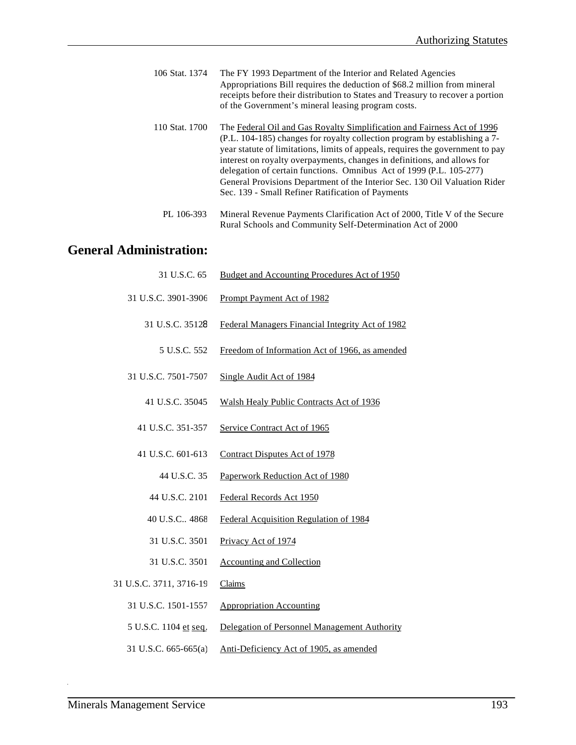- 106 Stat. 1374 The FY 1993 Department of the Interior and Related Agencies Appropriations Bill requires the deduction of \$68.2 million from mineral receipts before their distribution to States and Treasury to recover a portion of the Government's mineral leasing program costs.
- 110 Stat. 1700 The Federal Oil and Gas Royalty Simplification and Fairness Act of 1996 (P.L. 104-185) changes for royalty collection program by establishing a 7 year statute of limitations, limits of appeals, requires the government to pay interest on royalty overpayments, changes in definitions, and allows for delegation of certain functions. Omnibus Act of 1999 (P.L. 105-277) General Provisions Department of the Interior Sec. 130 Oil Valuation Rider Sec. 139 - Small Refiner Ratification of Payments
	- PL 106-393 Mineral Revenue Payments Clarification Act of 2000, Title V of the Secure Rural Schools and Community Self-Determination Act of 2000

#### **General Administration:**

| 31 U.S.C. 65            | Budget and Accounting Procedures Act of 1950     |
|-------------------------|--------------------------------------------------|
| 31 U.S.C. 3901-3906     | <b>Prompt Payment Act of 1982</b>                |
| 31 U.S.C. 35128         | Federal Managers Financial Integrity Act of 1982 |
| 5 U.S.C. 552            | Freedom of Information Act of 1966, as amended   |
| 31 U.S.C. 7501-7507     | Single Audit Act of 1984                         |
| 41 U.S.C. 35045         | Walsh Healy Public Contracts Act of 1936         |
| 41 U.S.C. 351-357       | Service Contract Act of 1965                     |
| 41 U.S.C. 601-613       | <b>Contract Disputes Act of 1978</b>             |
| 44 U.S.C. 35            | Paperwork Reduction Act of 1980                  |
| 44 U.S.C. 2101          | Federal Records Act 1950                         |
| 40 U.S.C., 4868         | Federal Acquisition Regulation of 1984           |
| 31 U.S.C. 3501          | Privacy Act of 1974                              |
| 31 U.S.C. 3501          | <b>Accounting and Collection</b>                 |
| 31 U.S.C. 3711, 3716-19 | Claims                                           |
| 31 U.S.C. 1501-1557     | <b>Appropriation Accounting</b>                  |
| 5 U.S.C. 1104 et seq.   | Delegation of Personnel Management Authority     |
| 31 U.S.C. 665-665(a)    | Anti-Deficiency Act of 1905, as amended          |
|                         |                                                  |